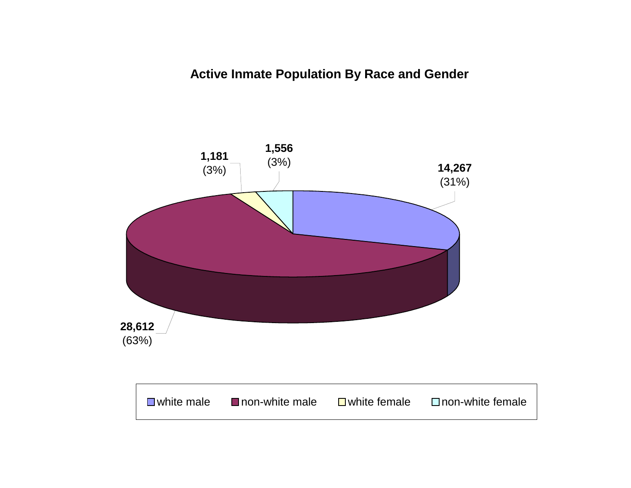**Active Inmate Population By Race and Gender**

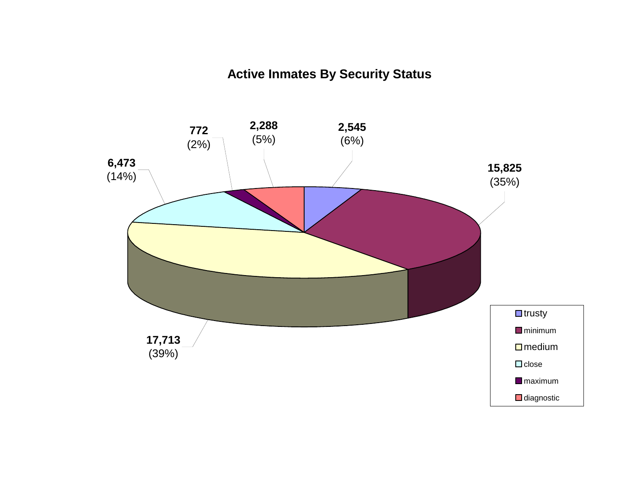# **Active Inmates By Security Status**

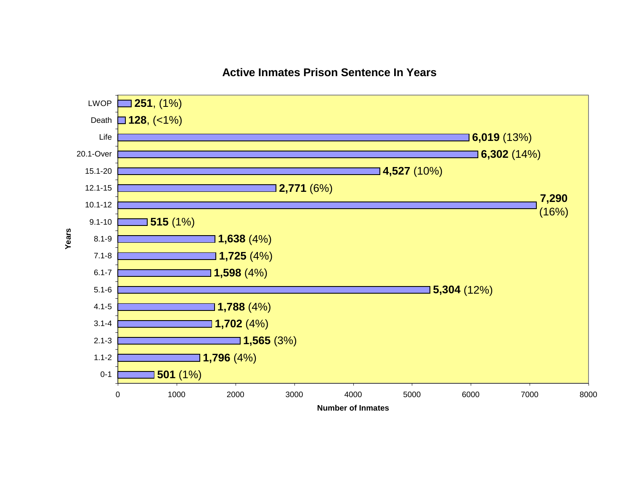# **Active Inmates Prison Sentence In Years**

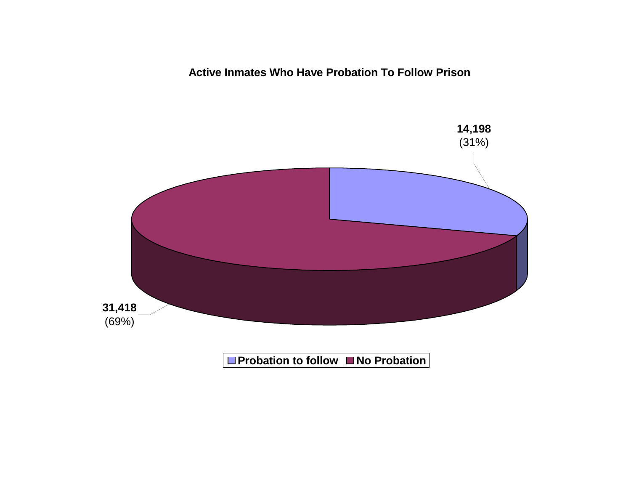**Active Inmates Who Have Probation To Follow Prison**

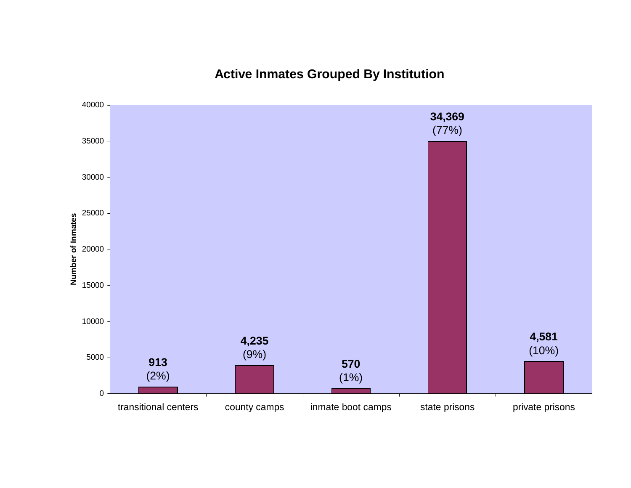# **Active Inmates Grouped By Institution**

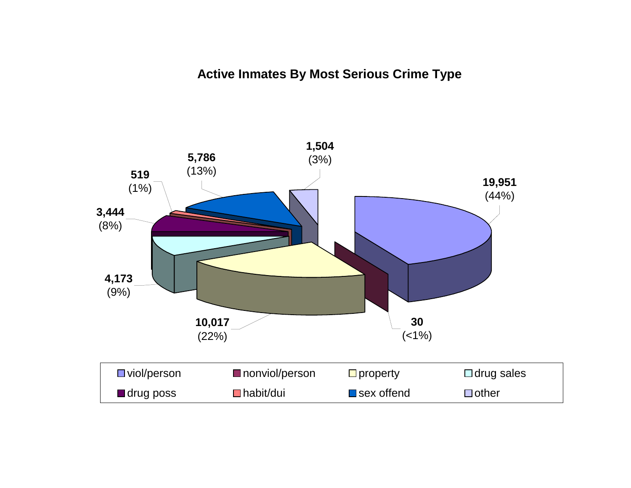# **Active Inmates By Most Serious Crime Type**

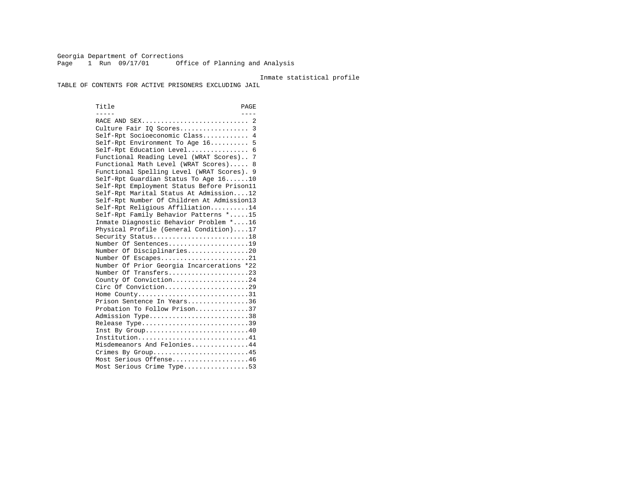Georgia Department of Corrections Page 1 Run 09/17/01 Office of Planning and Analysis

#### Inmate statistical profile

TABLE OF CONTENTS FOR ACTIVE PRISONERS EXCLUDING JAIL

Title PAGE ----- ---- RACE AND SEX............................ 2 Culture Fair IQ Scores.................. 3 Self-Rpt Socioeconomic Class............ 4 Self-Rpt Environment To Age 16.......... 5 Self-Rpt Education Level................ 6 Functional Reading Level (WRAT Scores).. 7 Functional Math Level (WRAT Scores)..... 8 Functional Spelling Level (WRAT Scores). 9 Self-Rpt Guardian Status To Age 16......10 Self-Rpt Employment Status Before Prison11 Self-Rpt Marital Status At Admission....12 Self-Rpt Number Of Children At Admission13 Self-Rpt Religious Affiliation..........14 Self-Rpt Family Behavior Patterns \*.....15 Inmate Diagnostic Behavior Problem \*....16 Physical Profile (General Condition)....17 Security Status...........................18 Number Of Sentences.....................19 Number Of Disciplinaries................20 Number Of Escapes........................21 Number Of Prior Georgia Incarcerations \*22 Number Of Transfers.....................23 County Of Conviction....................24 Circ Of Conviction......................29 Home County.............................31 Prison Sentence In Years................36 Probation To Follow Prison..............37Admission Type.............................38 Release Type...............................39 Inst By Group.............................40 Institution.............................41 Misdemeanors And Felonies...............44 Crimes By Group...........................45 Most Serious Offense....................46 Most Serious Crime Type.................53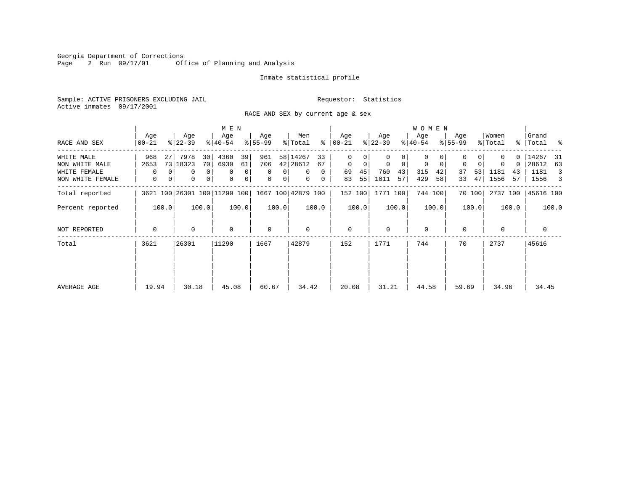Georgia Department of Corrections<br>Page 2 Run 09/17/01 0ff Office of Planning and Analysis

# Inmate statistical profile

Sample: ACTIVE PRISONERS EXCLUDING JAIL **Requestor:** Statistics Active inmates 09/17/2001

RACE AND SEX by current age & sex

|                                  |                             |                                                            | M E N                            |                                                         |                                                   |                        |                         | W O M E N              |                               |                          |                              |
|----------------------------------|-----------------------------|------------------------------------------------------------|----------------------------------|---------------------------------------------------------|---------------------------------------------------|------------------------|-------------------------|------------------------|-------------------------------|--------------------------|------------------------------|
| RACE AND SEX                     | Age<br>$00 - 21$            | Age<br>$ 22-39 $                                           | Age<br>$ 40-54 $                 | Age<br>$8 55-99$                                        | Men<br>% Total<br>နွ                              | Age<br>$ 00-21 $       | Age<br>$ 22-39 $        | Age<br>$ 40-54 $       | Age<br>$8 55-99$              | Women<br>% Total         | Grand<br>%   Total %         |
| WHITE MALE<br>NON WHITE MALE     | 968<br>27<br>2653           | 7978<br>30<br>73 18323<br>70                               | 4360<br>39<br>6930<br>61         | 961<br>706                                              | 58 14267<br>33<br>42 28612<br>67                  | 0<br>$\mathbf{0}$<br>0 | 0<br>$\mathbf 0$<br>0   | 0<br>0<br>0            | $\overline{0}$<br>$\mathbf 0$ | 0<br>$\Omega$            | 14267<br>- 31<br>28612<br>63 |
| WHITE FEMALE<br>NON WHITE FEMALE | $\mathbf 0$<br>$\mathbf{0}$ | 0 <sup>1</sup><br>0<br>0 <sup>1</sup><br>$\mathbf{0}$<br>0 | 0<br>$\mathbf 0$<br>0<br>$\circ$ | $\mathbf 0$<br>0 <sup>1</sup><br>$\mathbf 0$<br>$\circ$ | $\overline{0}$<br>$\Omega$<br>$\overline{0}$<br>0 | 45<br>69<br>55<br>83   | 760<br>43<br>1011<br>57 | 315<br>42<br>429<br>58 | 53<br>37<br>47<br>33          | 1181<br>43<br>1556<br>57 | 1181<br>3<br>1556 3          |
| Total reported                   |                             | 3621 100 26301 100 11290 100                               |                                  |                                                         | 1667 100 42879 100                                | 152 100                | 1771 100                | 744 100                | 70 100                        | 2737 100                 | 45616 100                    |
| Percent reported                 | 100.0                       | 100.0                                                      | 100.0                            | 100.0                                                   | 100.0                                             | 100.0                  | 100.0                   | 100.0                  | 100.0                         | 100.0                    | 100.0                        |
| NOT REPORTED                     | $\Omega$                    | $\Omega$                                                   | $\mathbf 0$                      | $\mathbf 0$                                             | $\Omega$                                          | $\mathbf{0}$           | $\Omega$                | $\mathbf 0$            | $\Omega$                      | $\Omega$                 | $\mathbf 0$                  |
| Total                            | 3621                        | 26301                                                      | 11290                            | 1667                                                    | 42879                                             | 152                    | 1771                    | 744                    | 70                            | 2737                     | 45616                        |
| AVERAGE AGE                      | 19.94                       | 30.18                                                      | 45.08                            | 60.67                                                   | 34.42                                             | 20.08                  | 31.21                   | 44.58                  | 59.69                         | 34.96                    | 34.45                        |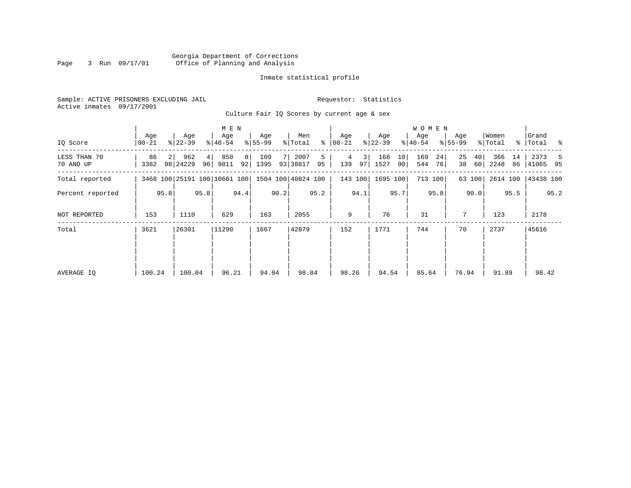# Georgia Department of Corrections Page 3 Run 09/17/01 Office of Planning and Analysis

# Inmate statistical profile

Sample: ACTIVE PRISONERS EXCLUDING JAIL **Requestor:** Statistics Active inmates 09/17/2001

Culture Fair IQ Scores by current age & sex

|                           | M E N           |              |                              |         |                  |          |                  |      |                    |         |                  |          |                  |          | W O M E N        |          |                    |          |                  |          |                      |      |
|---------------------------|-----------------|--------------|------------------------------|---------|------------------|----------|------------------|------|--------------------|---------|------------------|----------|------------------|----------|------------------|----------|--------------------|----------|------------------|----------|----------------------|------|
| IO Score                  | Age<br>$ 00-21$ |              | Age<br>$ 22-39 $             |         | Age<br>$ 40-54 $ |          | Age<br>$ 55-99 $ |      | Men<br>% Total     | နွ      | Age<br>$ 00-21 $ |          | Age<br>$ 22-39 $ |          | Age<br>$ 40-54 $ |          | Age<br>$8155 - 99$ |          | Women<br>% Total |          | Grand<br>%   Total % |      |
| LESS THAN 70<br>70 AND UP | 86<br>3382      |              | 962<br>98 24229              | 4<br>96 | 850<br>9811      | 8 <br>92 | 109<br>1395      |      | 2007<br>93 38817   | 5<br>95 | 4<br>139         | 3 <br>97 | 168<br>1527      | 10<br>90 | 169<br>544       | 24<br>76 | 25<br>38           | 40<br>60 | 366<br>2248      | 14<br>86 | 2373<br>41065 95     | - 5  |
| Total reported            |                 |              | 3468 100 25191 100 10661 100 |         |                  |          |                  |      | 1504 100 40824 100 |         |                  | 143 100  | 1695 100         |          |                  | 713 100  |                    | 63 100   | 2614 100         |          | 43438 100            |      |
| Percent reported          |                 |              |                              | 95.8    |                  | 94.4     |                  | 90.2 |                    | 95.2    |                  | 94.1     |                  | 95.7     |                  | 95.8     |                    | 90.0     |                  | 95.5     |                      | 95.2 |
| NOT REPORTED              | 153             | 95.8<br>1110 |                              |         | 629              |          | 163              |      | 2055               |         | 9                |          | 76               |          | 31               |          | 7                  |          | 123              |          | 2178                 |      |
| Total                     | 3621            |              | 26301                        |         | 11290            |          | 1667             |      | 42879              |         | 152              |          | 1771             |          | 744              |          | 70                 |          | 2737             |          | 45616                |      |
|                           |                 |              |                              |         |                  |          |                  |      |                    |         |                  |          |                  |          |                  |          |                    |          |                  |          |                      |      |
|                           |                 |              |                              |         |                  |          |                  |      |                    |         |                  |          |                  |          |                  |          |                    |          |                  |          |                      |      |
| AVERAGE IQ                | 100.24          |              | 100.04                       |         | 96.21            |          | 94.04            |      | 98.84              |         | 98.26            |          | 94.54            |          | 85.64            |          | 76.94              |          | 91.89            |          | 98.42                |      |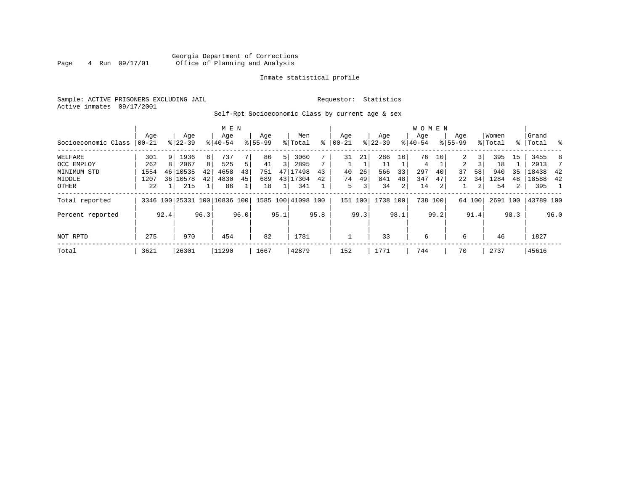# Georgia Department of Corrections<br>4 Run 09/17/01 Office of Planning and Analysis Page 4 Run 09/17/01 Office of Planning and Analysis

# Inmate statistical profile

Sample: ACTIVE PRISONERS EXCLUDING JAIL **Requestor:** Statistics Active inmates 09/17/2001

Self-Rpt Socioeconomic Class by current age & sex

|                     |                 | M E N |                              |      |                  |      |                    |                |                    |      |                 |      |                  |      | W O M E N        |         |                    |                         |                  |      |                      |      |
|---------------------|-----------------|-------|------------------------------|------|------------------|------|--------------------|----------------|--------------------|------|-----------------|------|------------------|------|------------------|---------|--------------------|-------------------------|------------------|------|----------------------|------|
| Socioeconomic Class | Age<br>$ 00-21$ |       | Age<br>$8 22-39$             |      | Age<br>$8 40-54$ |      | Age<br>$8155 - 99$ |                | Men<br>% Total     | ႜ    | Age<br>$ 00-21$ |      | Age<br>$ 22-39 $ |      | Aqe<br>$8 40-54$ |         | Age<br>$8155 - 99$ |                         | Women<br>% Total |      | Grand<br>%   Total % |      |
| WELFARE             | 301             |       | 1936                         | 8    | 737              |      | 86                 | 51             | 3060               |      | 31              | 21   | 286              | 16   | 76               | 10      | 2                  | $\overline{\mathbf{3}}$ | 395              | 15   | 3455                 | 8    |
| OCC EMPLOY          | 262             |       | 2067                         | 8    | 525              | 5    | 41                 | $\overline{3}$ | 2895               |      |                 |      | 11               |      | 4                |         | 2                  |                         | 18               |      | 2913                 |      |
| MINIMUM STD         | 1554            | 46    | 10535                        | 42   | 4658             | 43   | 751                |                | 47 17498           | 43   | 40              | 26   | 566              | 33   | 297              | 40      | 37                 | 58                      | 940              | 35   | 18438                | 42   |
| MIDDLE              | 1207            |       | 36 10578                     | 42   | 4830             | 45   | 689                |                | 43 17304           | 42   | 74              | 49   | 841              | 48   | 347              | 47      | 22                 | 34                      | 1284             | 48   | 18588                | 42   |
| OTHER               | 22              |       | 215                          |      | 86               |      | 18                 |                | 341                |      | 5               | 3    | 34               | 2    | 14               | 2       |                    | $\overline{2}$          | 54               | 2    | 395                  |      |
| Total reported      |                 |       | 3346 100 25331 100 10836 100 |      |                  |      |                    |                | 1585 100 41098 100 |      | 151 100         |      | 1738 100         |      |                  | 738 100 |                    | 64 100                  | 2691 100         |      | 43789 100            |      |
| Percent reported    |                 | 92.4  |                              | 96.3 |                  | 96.0 |                    | 95.1           |                    | 95.8 |                 | 99.3 |                  | 98.1 |                  | 99.2    |                    | 91.4                    |                  | 98.3 |                      | 96.0 |
|                     |                 |       |                              |      |                  |      |                    |                |                    |      |                 |      |                  |      |                  |         |                    |                         |                  |      |                      |      |
| NOT RPTD            | 275             |       | 970                          |      | 454              |      | 82                 |                | 1781               |      |                 |      | 33               |      | 6                |         | 6                  |                         | 46               |      | 1827                 |      |
| Total               | 3621            |       | 26301                        |      | 11290            |      | 1667               |                | 42879              |      | 152             |      | 1771             |      | 744              |         | 70                 |                         | 2737             |      | 45616                |      |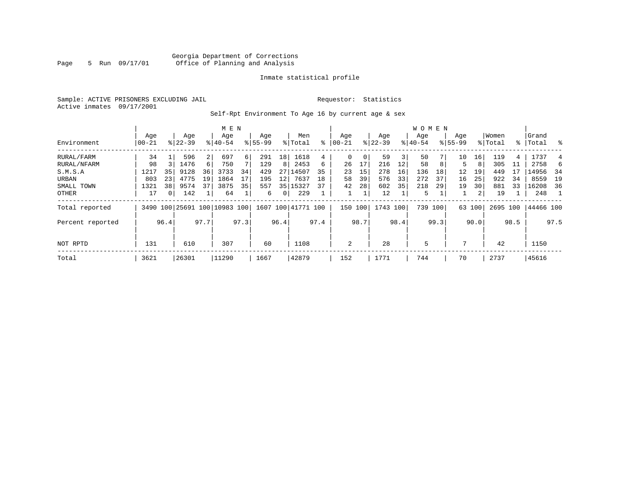# Georgia Department of Corrections Page 5 Run 09/17/01 Office of Planning and Analysis

# Inmate statistical profile

Sample: ACTIVE PRISONERS EXCLUDING JAIL **Requestor:** Statistics Active inmates 09/17/2001

Self-Rpt Environment To Age 16 by current age & sex

|                  |                   |          |                    |                | M E N                        |      |                    |      |                    |      |                 |      |                    |      | <b>WOMEN</b>     |      |                    |                 |                  |      |                 |      |
|------------------|-------------------|----------|--------------------|----------------|------------------------------|------|--------------------|------|--------------------|------|-----------------|------|--------------------|------|------------------|------|--------------------|-----------------|------------------|------|-----------------|------|
| Environment      | Age<br>$ 00 - 21$ |          | Age<br>$8122 - 39$ |                | Age<br>$8140 - 54$           |      | Age<br>$8155 - 99$ |      | Men<br>% Total     | ៖    | Age<br>$ 00-21$ |      | Age<br>$8$   22-39 |      | Aqe<br>$8 40-54$ |      | Age<br>$8155 - 99$ |                 | Women<br>% Total | ႜၟ   | Grand<br> Total | ွေ   |
| RURAL/FARM       | 34                |          | 596                | $\overline{2}$ | 697                          | 6    | 291                | 18   | 1618               | 4    | 0               | 0    | 59                 | 3    | 50               |      | 10                 | 16 <sub>1</sub> | 119              | 4    | 1737            |      |
| RURAL/NFARM      | 98                |          | 1476               | 6              | 750                          |      | 129                | 8    | 2453               | 6    | 26              |      | 216                | 12   | 58               | 8    |                    | 8               | 305              | 11   | 2758            | 6    |
| S.M.S.A          | 1217              | 35       | 9128               | 36             | 3733                         | 34   | 429                | 27   | 14507              | 35   | 23              | 15   | 278                | 16   | 136              | 18   | 12                 | 19              | 449              |      | 14956           | 34   |
| URBAN            | 803               | 23       | 4775               | 19             | 1864                         | 17   | 195                | 12   | 7637               | 18   | 58              | 39   | 576                | 33   | 272              | 37   | 16                 | 25              | 922              | 34   | 8559            | 19   |
| SMALL TOWN       | 1321              | 38       | 9574               | 37             | 3875                         | 35   | 557                |      | 35 15327           | 37   | 42              | 28   | 602                | 35   | 218              | 29   | 19                 | 30              | 881              | 33   | 16208           | 36   |
| OTHER            | 17                | $\Omega$ | 142                |                | 64                           |      | 6                  | 0    | 229                |      |                 |      | 12                 |      | 5                |      |                    | $\overline{a}$  | 19               |      | 248             |      |
| Total reported   |                   |          |                    |                | 3490 100 25691 100 10983 100 |      |                    |      | 1607 100 41771 100 |      | 150 100         |      | 1743 100           |      | 739 100          |      |                    | 63 100          | 2695 100         |      | 44466 100       |      |
| Percent reported |                   | 96.4     |                    | 97.7           |                              | 97.3 |                    | 96.4 |                    | 97.4 |                 | 98.7 |                    | 98.4 |                  | 99.3 |                    | 90.0            |                  | 98.5 |                 | 97.5 |
| NOT RPTD         | 131               |          | 610                |                | 307                          |      | 60                 |      | 1108               |      | 2               |      | 28                 |      | 5                |      | 7                  |                 | 42               |      | 1150            |      |
| Total            | 3621              |          | 26301              |                | 11290                        |      | 1667               |      | 42879              |      | 152             |      | 1771               |      | 744              |      | 70                 |                 | 2737             |      | 45616           |      |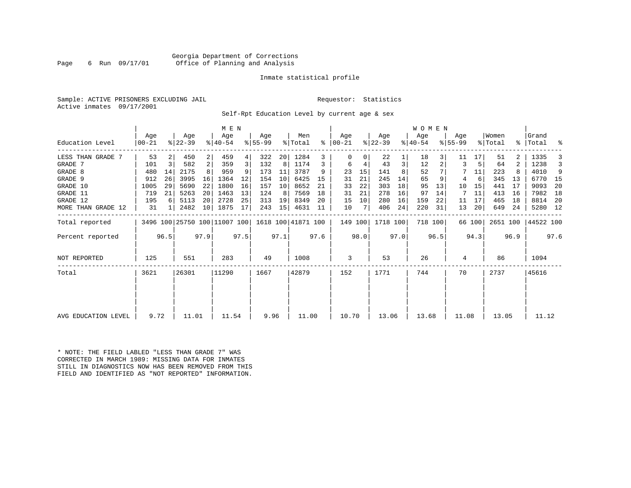# Georgia Department of Corrections Page 6 Run 09/17/01 Office of Planning and Analysis

# Inmate statistical profile

Sample: ACTIVE PRISONERS EXCLUDING JAIL **Requestor:** Statistics Active inmates 09/17/2001

Self-Rpt Education Level by current age & sex

|                     |                |      |                              |                 | M E N              |      |                  |      |                    |      |                      |      |                  |      | W O M E N        |         |                  |        |                  |                |                    |      |
|---------------------|----------------|------|------------------------------|-----------------|--------------------|------|------------------|------|--------------------|------|----------------------|------|------------------|------|------------------|---------|------------------|--------|------------------|----------------|--------------------|------|
| Education Level     | Age<br>  00-21 |      | Age<br>$ 22-39 $             |                 | Age<br>$8140 - 54$ |      | Age<br>$8 55-99$ |      | Men<br>% Total     |      | Age<br>$8   00 - 21$ |      | Age<br>$ 22-39 $ |      | Age<br>$ 40-54 $ |         | Age<br>$8 55-99$ |        | Women<br>% Total |                | Grand<br>%   Total | ್ಠಿ  |
| LESS THAN GRADE 7   | 53             |      | 450                          | $\overline{2}$  | 459                | 4    | 322              | 20   | 1284               | 3    |                      | 0    | 22               |      | 18               |         | 11               | 17     | 51               |                | 1335               |      |
| GRADE 7             | 101            | 3    | 582                          | 2               | 359                | 3    | 132              | 8    | 1174               | 3    | 6                    | 4    | 43               | 3    | 12               |         |                  |        | 64               | $\overline{2}$ | 1238               | 3    |
| GRADE 8             | 480            | 14   | 2175                         |                 | 959                |      | 173              | 11   | 3787               | 9    | 23                   | 15   | 141              |      | 52               |         |                  | 11     | 223              |                | 4010               | 9    |
| GRADE 9             | 912            | 26   | 3995                         | 16              | 1364               | 12   | 154              | 10   | 6425               | 15   | 31                   | 21   | 245              | 14   | 65               |         | 4                | 6      | 345              | 13             | 6770               | - 15 |
| GRADE 10            | 1005           | 29   | 5690                         | 22              | 1800               | 16   | 157              | 10   | 8652               | 21   | 33                   | 22   | 303              | 18   | 95               | 13      | 10               | 15     | 441              | 17             | 9093               | 20   |
| GRADE 11            | 719            | 21   | 5263                         | 20 <sup>1</sup> | 1463               | 13   | 124              | 8    | 7569               | 18   | 31                   | 21   | 278              | 16   | 97               | 14      | 7                | 11     | 413              | 16             | 7982               | 18   |
| GRADE 12            | 195            | 6    | 5113                         | 20 <sup>1</sup> | 2728               | 25   | 313              | 19   | 8349               | 20   | 15                   | 10   | 280              | 16   | 159              | 22      | 11               | 17     | 465              | 18             | 8814               | -20  |
| MORE THAN GRADE 12  | 31             |      | 2482                         | 10              | 1875               | 17   | 243              | 15   | 4631               | 11   | 10                   |      | 406              | 24   | 220              | 31      | 13               | 20     | 649              | 24             | 5280 12            |      |
| Total reported      |                |      | 3496 100 25750 100 11007 100 |                 |                    |      |                  |      | 1618 100 41871 100 |      | 149 100              |      | 1718 100         |      |                  | 718 100 |                  | 66 100 | 2651 100         |                | 44522 100          |      |
| Percent reported    |                | 96.5 |                              | 97.9            |                    | 97.5 |                  | 97.1 |                    | 97.6 |                      | 98.0 |                  | 97.0 |                  | 96.5    |                  | 94.3   |                  | 96.9           |                    | 97.6 |
| NOT REPORTED        | 125            |      | 551                          |                 | 283                |      | 49               |      | 1008               |      | 3                    |      | 53               |      | 26               |         | 4                |        | 86               |                | 1094               |      |
| Total               | 3621           |      | 26301                        |                 | 11290              |      | 1667             |      | 42879              |      | 152                  |      | 1771             |      | 744              |         | 70               |        | 2737             |                | 45616              |      |
|                     |                |      |                              |                 |                    |      |                  |      |                    |      |                      |      |                  |      |                  |         |                  |        |                  |                |                    |      |
| AVG EDUCATION LEVEL | 9.72           |      | 11.01                        |                 | 11.54              |      | 9.96             |      | 11.00              |      | 10.70                |      | 13.06            |      | 13.68            |         | 11.08            |        | 13.05            |                | 11.12              |      |

\* NOTE: THE FIELD LABLED "LESS THAN GRADE 7" WAS CORRECTED IN MARCH 1989: MISSING DATA FOR INMATES STILL IN DIAGNOSTICS NOW HAS BEEN REMOVED FROM THIS FIELD AND IDENTIFIED AS "NOT REPORTED" INFORMATION.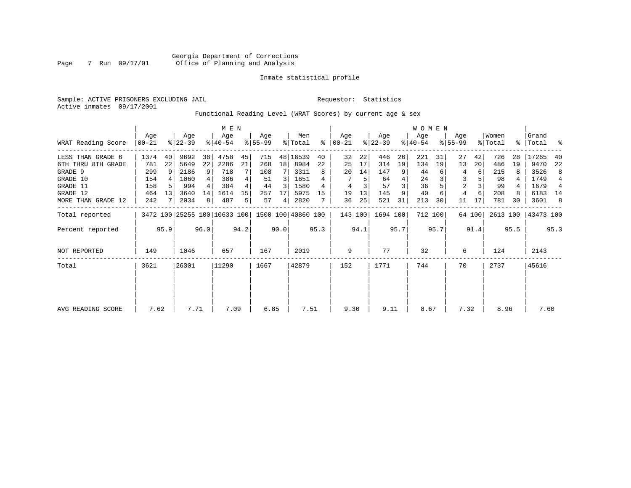Sample: ACTIVE PRISONERS EXCLUDING JAIL **Requestor:** Statistics Active inmates 09/17/2001

Functional Reading Level (WRAT Scores) by current age & sex

|                    | Age   |                 | Age       |      | M E N<br>Age                                    |      | Age       |                 | Men      |      | Age         |      | Age       |      | WOMEN<br>Age |         | Age            |        | Women    |      | Grand     |                |
|--------------------|-------|-----------------|-----------|------|-------------------------------------------------|------|-----------|-----------------|----------|------|-------------|------|-----------|------|--------------|---------|----------------|--------|----------|------|-----------|----------------|
| WRAT Reading Score | 00-21 |                 | $ 22-39 $ |      | $ 40-54 $                                       |      | $8 55-99$ |                 | % Total  | ⊱    | $ 00 - 21 $ |      | $ 22-39 $ |      | $ 40-54 $    |         | $8155 - 99$    |        | % Total  |      | %   Total | ႜ              |
| LESS THAN GRADE 6  | 1374  | 40              | 9692      | 38   | 4758                                            | 45   | 715       |                 | 48 16539 | 40   | 32          | 22   | 446       | 26   | 221          | 31      | 27             | 42     | 726      | 28   | 17265     | 40             |
| 6TH THRU 8TH GRADE | 781   | 22              | 5649      | 22   | 2286                                            | 21   | 268       | 18 <sup>1</sup> | 8984     | 22   | 25          | 17   | 314       | 19   | 134          | 19      | 13             | 20     | 486      | 19   | 9470      | 22             |
| GRADE 9            | 299   | 9               | 2186      | 9    | 718                                             |      | 108       |                 | 3311     | 8    | 20          | 14   | 147       | 9    | 44           |         | 4              | 6      | 215      |      | 3526      | 8              |
| GRADE 10           | 154   |                 | 1060      |      | 386                                             |      | 51        | 3               | 1651     |      |             | 5    | 64        | 4    | 24           |         | 3              |        | 98       |      | 1749      | $\overline{4}$ |
| GRADE 11           | 158   | .5              | 994       |      | 384                                             |      | 44        | 3               | 1580     | 4    | 4           |      | 57        |      | 36           |         | $\overline{a}$ |        | 99       |      | 1679      | 4              |
| GRADE 12           | 464   | 13 <sup>1</sup> | 3640      | 14   | 1614                                            | 15   | 257       | 17              | 5975     | 15   | 19          | 13   | 145       | 9    | 40           |         | 4              |        | 208      |      | 6183      | 14             |
| MORE THAN GRADE 12 | 242   |                 | 2034      | 8    | 487                                             | 5.   | 57        | 4               | 2820     |      | 36          | 25   | 521       | 31   | 213          | 30      | 11             | 17     | 781      | 30   | 3601      | 8              |
| Total reported     |       |                 |           |      | 3472 100 25255 100 10633 100 1500 100 40860 100 |      |           |                 |          |      | 143 100     |      | 1694 100  |      |              | 712 100 |                | 64 100 | 2613 100 |      | 43473 100 |                |
| Percent reported   |       | 95.9            |           | 96.0 |                                                 | 94.2 |           | 90.0            |          | 95.3 |             | 94.1 |           | 95.7 |              | 95.7    |                | 91.4   |          | 95.5 |           | 95.3           |
| NOT REPORTED       | 149   |                 | 1046      |      | 657                                             |      | 167       |                 | 2019     |      | 9           |      | 77        |      | 32           |         | 6              |        | 124      |      | 2143      |                |
| Total              | 3621  |                 | 26301     |      | 11290                                           |      | 1667      |                 | 42879    |      | 152         |      | 1771      |      | 744          |         | 70             |        | 2737     |      | 45616     |                |
|                    |       |                 |           |      |                                                 |      |           |                 |          |      |             |      |           |      |              |         |                |        |          |      |           |                |
|                    |       |                 |           |      |                                                 |      |           |                 |          |      |             |      |           |      |              |         |                |        |          |      |           |                |
| AVG READING SCORE  | 7.62  |                 | 7.71      |      | 7.09                                            |      | 6.85      |                 | 7.51     |      | 9.30        |      | 9.11      |      | 8.67         |         | 7.32           |        | 8.96     |      | 7.60      |                |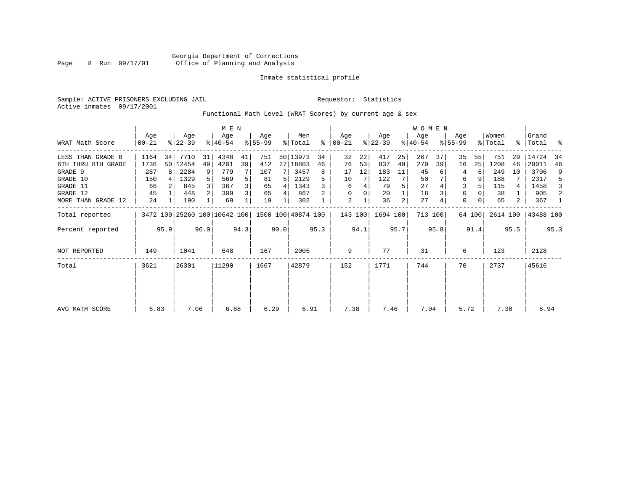Sample: ACTIVE PRISONERS EXCLUDING JAIL **Requestor:** Statistics Active inmates 09/17/2001

Functional Math Level (WRAT Scores) by current age & sex

|                    | M E N            |                                              |                  |    |                    |                |                 |      |                    |      |                  |      |                  |      | WOMEN            |         |                  |        |                  |      |                    |      |
|--------------------|------------------|----------------------------------------------|------------------|----|--------------------|----------------|-----------------|------|--------------------|------|------------------|------|------------------|------|------------------|---------|------------------|--------|------------------|------|--------------------|------|
| WRAT Math Score    | Age<br>$00 - 21$ |                                              | Age<br>$ 22-39 $ |    | Age<br>$8140 - 54$ |                | Age<br>$ 55-99$ |      | Men<br>% Total     | ႜ    | Age<br>$ 00-21 $ |      | Age<br>$ 22-39 $ |      | Age<br>$ 40-54 $ |         | Age<br>$8 55-99$ |        | Women<br>% Total |      | Grand<br>%   Total | ႜ    |
| LESS THAN GRADE 6  | 1164             | 34                                           | 7710             | 31 | 4348               | 41             | 751             |      | 50 13973           | 34   | 32               | 22   | 417              | 25   | 267              | 37      | 35               | 55     | 751              | 29   | 14724              | -34  |
| 6TH THRU 8TH GRADE | 1736             |                                              | 50 12454         | 49 | 4201               | 39             | 412             |      | 27 18803           | 46   | 76               | 53   | 837              | 49   | 279              | 39      | 16               | 25     | 1208             | 46   | 20011              | 46   |
| GRADE 9            | 287              | 8                                            | 2284             | 9  | 779                |                | 107             |      | 3457               | 8    | 17               | 12   | 183              | 11   | 45               |         | 4                |        | 249              | 10   | 3706               | 9    |
| GRADE 10           | 150              |                                              | 1329             | 5  | 569                | 5              | 81              |      | 2129               |      | 10               |      | 122              |      | 50               |         | 6                |        | 188              |      | 2317               | 5    |
| GRADE 11           | 66               |                                              | 845              |    | 367                | 3              | 65              | 4    | 1343               |      | 6                |      | 79               |      | 27               |         | 3                |        | 115              | 4    | 1458               | 3    |
| GRADE 12           | 45               |                                              | 448              |    | 309                | 3 <sub>1</sub> | 65              | 4    | 867                |      | $\Omega$         |      | 20               |      | 18               |         | 0                |        | 38               |      | 905                | 2    |
| MORE THAN GRADE 12 | 24               |                                              | 190              |    | 69                 |                | 19              |      | 302                |      | 2                |      | 36               | 2    | 27               |         | $\Omega$         |        | 65               | 2    | 367                | -1   |
| Total reported     |                  |                                              |                  |    |                    |                |                 |      | 1500 100 40874 100 |      | 143 100          |      | 1694 100         |      |                  | 713 100 |                  | 64 100 | 2614 100         |      | 43488 100          |      |
| Percent reported   |                  | 3472 100 25260 100 10642 100<br>95.9<br>96.0 |                  |    |                    | 94.3           |                 | 90.0 |                    | 95.3 |                  | 94.1 |                  | 95.7 |                  | 95.8    |                  | 91.4   |                  | 95.5 |                    | 95.3 |
| NOT REPORTED       | 149              |                                              | 1041             |    | 648                |                | 167             |      | 2005               |      | 9                |      | 77               |      | 31               |         | 6                |        | 123              |      | 2128               |      |
| Total              | 3621             |                                              | 26301            |    | 11290              |                | 1667            |      | 42879              |      | 152              |      | 1771             |      | 744              |         | 70               |        | 2737             |      | 45616              |      |
|                    |                  |                                              |                  |    |                    |                |                 |      |                    |      |                  |      |                  |      |                  |         |                  |        |                  |      |                    |      |
| AVG MATH SCORE     | 6.83             |                                              | 7.06             |    | 6.68               |                | 6.29            |      | 6.91               |      | 7.38             |      | 7.46             |      | 7.04             |         | 5.72             |        | 7.30             |      | 6.94               |      |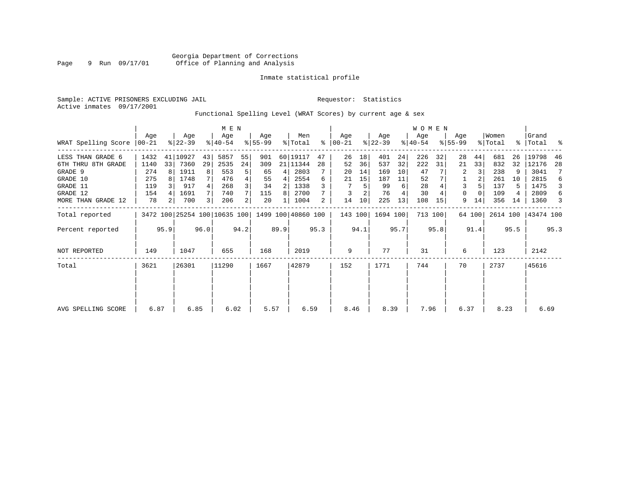Sample: ACTIVE PRISONERS EXCLUDING JAIL **Requestor:** Statistics Active inmates 09/17/2001

# Functional Spelling Level (WRAT Scores) by current age & sex

|                             |      | M E N |                  |      |                              |      |                  |      |                    |      |                  |      |                  |      | WOMEN            |         |                    |          |                  |               |                |      |
|-----------------------------|------|-------|------------------|------|------------------------------|------|------------------|------|--------------------|------|------------------|------|------------------|------|------------------|---------|--------------------|----------|------------------|---------------|----------------|------|
| WRAT Spelling Score   00-21 | Age  |       | Age<br>$ 22-39 $ |      | Age<br>$ 40-54 $             |      | Aqe<br>$8 55-99$ |      | Men<br>% Total     | ွေ   | Age<br>$ 00-21 $ |      | Age<br>$ 22-39 $ |      | Age<br>$ 40-54 $ |         | Age<br>$8155 - 99$ |          | Women<br>% Total | $\frac{8}{3}$ | Grand<br>Total | း    |
| LESS THAN GRADE 6           | 1432 |       | 41 10927         | 43   | 5857                         | 55   | 901              |      | 60 19117           | 47   | 26               | 18   | 401              | 24   | 226              | 32      | 28                 | 44       | 681              | 26            | 19798          | 46   |
| 6TH THRU 8TH GRADE          | 1140 | 33    | 7360             | 29   | 2535                         | 24   | 309              |      | 21 11344           | 28   | 52               | 36   | 537              | 32   | 222              | 31      | 21                 | 33       | 832              | 32            | 12176          | 28   |
| GRADE 9                     | 274  |       | 1911             | 8    | 553                          | 5    | 65               | 4    | 2803               |      | 20               | 14   | 169              | 10   | 47               |         |                    |          | 238              | 9             | 3041           | 7    |
| GRADE 10                    | 275  |       | 1748             |      | 476                          | 4    | 55               | 4    | 2554               | 6    | 21               | 15   | 187              | 11   | 52               |         |                    |          | 261              | 10            | 2815           | 6    |
| GRADE 11                    | 119  |       | 917              |      | 268                          | 3    | 34               | 2    | 1338               |      |                  | 5    | 99               | 6    | 28               |         | 3                  |          | 137              |               | 1475           | 3    |
| GRADE 12                    | 154  |       | 1691             |      | 740                          |      | 115              | 8    | 2700               |      |                  |      | 76               | 4    | 30               |         | 0                  | $\Omega$ | 109              |               | 2809           | 6    |
| MORE THAN GRADE 12          | 78   | 2     | 700              | 3    | 206                          | 2    | 20               | 1    | 1004               | 2    | 14               | 10   | 225              | 13   | 108              | 15      | 9                  | 14       | 356              | 14            | 1360           | 3    |
| Total reported              |      |       |                  |      | 3472 100 25254 100 10635 100 |      |                  |      | 1499 100 40860 100 |      | 143 100          |      | 1694 100         |      |                  | 713 100 |                    | 64 100   | 2614 100         |               | 43474 100      |      |
| Percent reported            |      | 95.9  |                  | 96.0 |                              | 94.2 |                  | 89.9 |                    | 95.3 |                  | 94.1 |                  | 95.7 |                  | 95.8    |                    | 91.4     |                  | 95.5          |                | 95.3 |
| <b>NOT REPORTED</b>         | 149  |       | 1047             |      | 655                          |      | 168              |      | 2019               |      | 9                |      | 77               |      | 31               |         | 6                  |          | 123              |               | 2142           |      |
| Total                       | 3621 |       | 26301            |      | 11290                        |      | 1667             |      | 42879              |      | 152              |      | 1771             |      | 744              |         | 70                 |          | 2737             |               | 45616          |      |
|                             |      |       |                  |      |                              |      |                  |      |                    |      |                  |      |                  |      |                  |         |                    |          |                  |               |                |      |
|                             |      |       |                  |      |                              |      |                  |      |                    |      |                  |      |                  |      |                  |         |                    |          |                  |               |                |      |
| AVG SPELLING SCORE          | 6.87 |       | 6.85             |      | 6.02                         |      | 5.57             |      | 6.59               |      | 8.46             |      | 8.39             |      | 7.96             |         | 6.37               |          | 8.23             |               | 6.69           |      |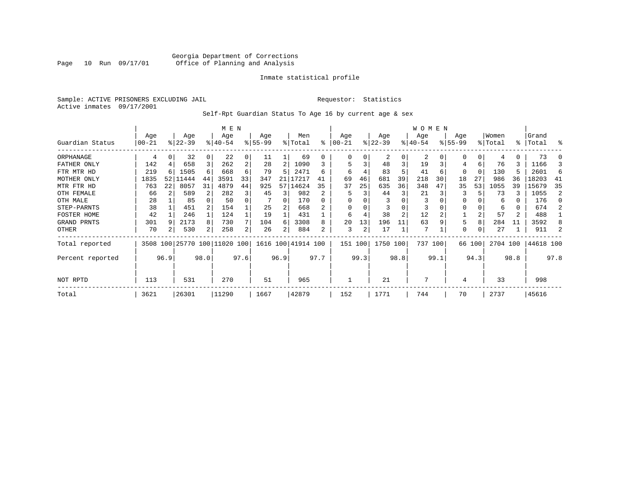# Georgia Department of Corrections Page 10 Run 09/17/01 Office of Planning and Analysis

# Inmate statistical profile

Sample: ACTIVE PRISONERS EXCLUDING JAIL **Requestor:** Statistics Active inmates 09/17/2001

Self-Rpt Guardian Status To Age 16 by current age & sex

|                  |                   |      |                 |      | M E N                        |      |                 |          |                    |      |                  |      |                  |      | <b>WOMEN</b>     |      |                 |          |                  |      |                    |      |
|------------------|-------------------|------|-----------------|------|------------------------------|------|-----------------|----------|--------------------|------|------------------|------|------------------|------|------------------|------|-----------------|----------|------------------|------|--------------------|------|
| Guardian Status  | Age<br>$ 00 - 21$ |      | Age<br>$ 22-39$ |      | Age<br>$8 40-54$             |      | Age<br>$ 55-99$ |          | Men<br>% Total     | ႜ    | Age<br>$00 - 21$ |      | Age<br>$ 22-39 $ |      | Age<br>$ 40-54 $ |      | Age<br>$ 55-99$ |          | Women<br>% Total |      | Grand<br>%   Total | ႜ    |
|                  |                   |      |                 |      |                              |      |                 |          |                    |      |                  |      |                  |      |                  |      |                 |          |                  |      |                    |      |
| ORPHANAGE        | 4                 |      | 32              |      | 22                           | 0    | 11              |          | 69                 | 0    | 0                |      | 2                | 0    | 2                |      | $\Omega$        |          |                  |      | 73                 |      |
| FATHER ONLY      | 142               |      | 658             | 3    | 262                          | 2    | 28              | 2        | 1090               | 3    | 5                | 3    | 48               | 3    | 19               |      | 4               | 6        | 76               | 3    | 1166               |      |
| FTR MTR HD       | 219               |      | 1505            | 6    | 668                          | 6    | 79              | 5        | 2471               | б    | 6                |      | 83               |      | 41               | 6    | $\Omega$        | $\Omega$ | 130              | 5.   | 2601               | 6    |
| MOTHER ONLY      | 1835              | 52   | 11444           | 44   | 3591                         | 33   | 347             | 21       | 17217              | 41   | 69               | 46   | 681              | 39   | 218              | 30   | 18              | 27       | 986              | 36   | 18203              | 41   |
| MTR FTR HD       | 763               | 22   | 8057            | 31   | 4879                         | 44   | 925             |          | 57 14624           | 35   | 37               | 25   | 635              | 36   | 348              | 47   | 35              | 53       | 1055             | 39   | 15679              | 35   |
| OTH FEMALE       | 66                |      | 589             |      | 282                          |      | 45              | 3        | 982                | 2    |                  |      | 44               | 3    | 21               |      |                 |          | 73               |      | 1055               | 2    |
| OTH MALE         | 28                |      | 85              |      | 50                           |      |                 | $\Omega$ | 170                |      |                  |      |                  |      | 3                |      | $\Omega$        |          | 6                |      | 176                | n    |
| STEP-PARNTS      | 38                |      | 451             |      | 154                          |      | 25              |          | 668                |      | 0                |      |                  |      | 3                |      | 0               |          | 6                | 0    | 674                |      |
| FOSTER HOME      | 42                |      | 246             |      | 124                          |      | 19              |          | 431                |      | 6                |      | 38               | 2    | 12               |      |                 |          | 57               | 2    | 488                |      |
| GRAND PRNTS      | 301               |      | 2173            | 8    | 730                          |      | 104             | 6        | 3308               | 8    | 20               | 13   | 196              | 11   | 63               |      | 5               | 8        | 284              | 11   | 3592               |      |
| OTHER            | 70                |      | 530             | 2    | 258                          | 2    | 26              |          | 884                | 2    | 3                | 2    | 17               |      | 7                |      | 0               |          | 27               |      | 911                |      |
| Total reported   |                   |      |                 |      | 3508 100 25770 100 11020 100 |      |                 |          | 1616 100 41914 100 |      | 151 100          |      | 1750 100         |      | 737 100          |      |                 | 66 100   | 2704 100         |      | 44618 100          |      |
| Percent reported |                   | 96.9 |                 | 98.0 |                              | 97.6 |                 | 96.9     |                    | 97.7 |                  | 99.3 |                  | 98.8 |                  | 99.1 |                 | 94.3     |                  | 98.8 |                    | 97.8 |
| NOT RPTD         | 113               |      | 531             |      | 270                          |      | 51              |          | 965                |      |                  |      | 21               |      |                  |      | 4               |          | 33               |      | 998                |      |
| Total            | 3621              |      | 26301           |      | 11290                        |      | 1667            |          | 42879              |      | 152              |      | 1771             |      | 744              |      | 70              |          | 2737             |      | 45616              |      |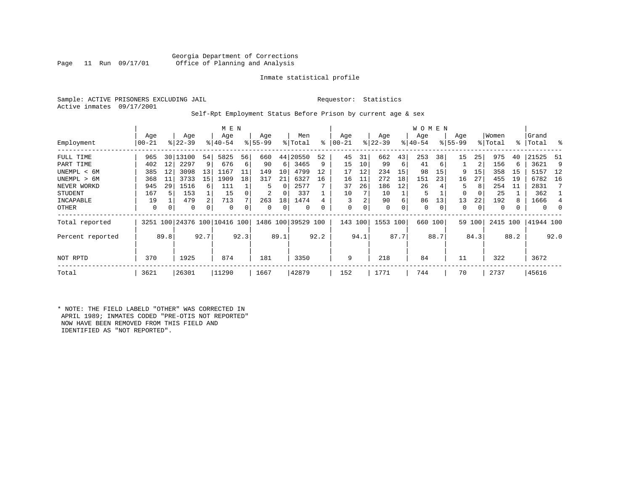# Georgia Department of Corrections<br>Page 11 Run 09/17/01 office of Planning and Analysis Office of Planning and Analysis

# Inmate statistical profile

Sample: ACTIVE PRISONERS EXCLUDING JAIL **Requestor:** Statistics Active inmates 09/17/2001

# Self-Rpt Employment Status Before Prison by current age & sex

|                  |                  |      |                    |      | M E N              |      |                  |          |                    |      |                  |          |                  |      | W O M E N       |      |                    |          |                  |      |                    |          |
|------------------|------------------|------|--------------------|------|--------------------|------|------------------|----------|--------------------|------|------------------|----------|------------------|------|-----------------|------|--------------------|----------|------------------|------|--------------------|----------|
| Employment       | Age<br>$00 - 21$ |      | Age<br>$ 22-39$    |      | Age<br>$8140 - 54$ |      | Age<br>$8 55-99$ |          | Men<br>% Total     | ⊱    | Age<br>$00 - 21$ |          | Age<br>$ 22-39 $ |      | Age<br>$ 40-54$ |      | Age<br>$8155 - 99$ |          | Women<br>% Total |      | Grand<br>%   Total | ႜ        |
| FULL TIME        | 965              |      | 30   13100         | 54   | 5825               | 56   | 660              | 44       | 20550              | 52   | 45               | 31       | 662              | 43   | 253             | 38   | 15                 | 25       | 975              | 40   | 21525              | -51      |
| PART TIME        | 402              | 12   | 2297               | 9    | 676                | 6    | 90               | 6        | 3465               | 9    | 15               | 10       | 99               | 6    | 41              | 6    |                    | 2        | 156              |      | 3621               | 9        |
| UNEMPL < 6M      | 385              | 12   | 3098               | 13   | 1167               | 11   | 149              | 10       | 4799               | 12   | 17               | 12       | 234              | 15   | 98              | 15   | 9                  | 15       | 358              | 15   | 5157               | 12       |
| UNEMPL > 6M      | 368              | 11   | 3733               | 15   | 1909               | 18   | 317              | 21       | 6327               | 16   | 16               | 11       | 272              | 18   | 151             | 23   | 16                 | 27       | 455              | 19   | 6782               | 16       |
| NEVER WORKD      | 945              | 29   | 1516               | 6    | 111                |      | 5                | $\Omega$ | 2577               |      | 37               | 26       | 186              | 12   | 26              |      | 5.                 | 8        | 254              | 11   | 2831               | 7        |
| <b>STUDENT</b>   | 167              | 5    | 153                |      | 15                 |      | 2                | 0        | 337                |      | 10               |          | 10               |      | 5               |      | 0                  | $\Omega$ | 25               |      | 362                |          |
| INCAPABLE        | 19               |      | 479                | 2    | 713                |      | 263              | 18       | 1474               |      | 3                |          | 90               | 6    | 86              | 13   | 13                 | 22       | 192              |      | 1666               | 4        |
| OTHER            | 0                | 0    | $\Omega$           | 0    | 0                  |      | 0                | 0        | $\Omega$           | 0    | 0                | $\Omega$ | $\mathbf 0$      | 0    | 0               | 0    | 0                  | 0        | 0                |      | $\Omega$           | $\Omega$ |
| Total reported   |                  |      | 3251 100 24376 100 |      | 10416 100          |      |                  |          | 1486 100 39529 100 |      | 143              | 100      | 1553 100         |      | 660             | 100  | 59                 | 100      | 2415             | 100  | 41944 100          |          |
| Percent reported |                  | 89.8 |                    | 92.7 |                    | 92.3 |                  | 89.1     |                    | 92.2 |                  | 94.1     |                  | 87.7 |                 | 88.7 |                    | 84.3     |                  | 88.2 |                    | 92.0     |
| NOT RPTD         | 370              |      | 1925               |      | 874                |      | 181              |          | 3350               |      | 9                |          | 218              |      | 84              |      | 11                 |          | 322              |      | 3672               |          |
| Total            | 3621             |      | 26301              |      | 11290              |      | 1667             |          | 42879              |      | 152              |          | 1771             |      | 744             |      | 70                 |          | 2737             |      | 45616              |          |

\* NOTE: THE FIELD LABELD "OTHER" WAS CORRECTED IN APRIL 1989; INMATES CODED "PRE-OTIS NOT REPORTED" NOW HAVE BEEN REMOVED FROM THIS FIELD AND IDENTIFIED AS "NOT REPORTED".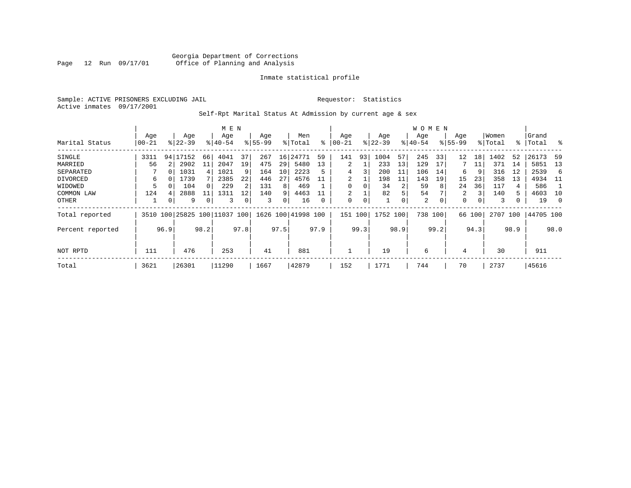Sample: ACTIVE PRISONERS EXCLUDING JAIL **Requestor:** Statistics Active inmates 09/17/2001

# Self-Rpt Marital Status At Admission by current age & sex

|                  |       |      |           |          | M E N                    |      |          |      |                    |      |          |      |           |      | W O M E N |      |             |        |         |      |           |      |
|------------------|-------|------|-----------|----------|--------------------------|------|----------|------|--------------------|------|----------|------|-----------|------|-----------|------|-------------|--------|---------|------|-----------|------|
|                  | Age   |      | Age       |          | Age                      |      | Age      |      | Men                |      | Age      |      | Age       |      | Age       |      | Age         |        | Women   |      | Grand     |      |
| Marital Status   | 00-21 |      | $ 22-39 $ |          | $8140 - 54$              |      | $ 55-99$ |      | % Total            | ∻    | 00-21    |      | $ 22-39 $ |      | $ 40-54 $ |      | $8155 - 99$ |        | % Total |      | %   Total | း    |
| SINGLE           | 3311  |      | 94 17152  | 66       | 4041                     | 37   | 267      | 16   | 24771              | 59   | 141      | 93   | 1004      | 57   | 245       | 33   | 12          | 18     | 1402    | 52   | 26173     | 59   |
| MARRIED          | 56    |      | 2902      | 11       | 2047                     | 19   | 475      | 29   | 5480               | 13   | 2        |      | 233       | 13   | 129       | 17   |             | 11     | 371     | 14   | 5851      | 13   |
| SEPARATED        |       | 0    | 1031      | 4        | 1021                     |      | 164      | 10   | 2223               | 5    | 4        |      | 200       | 11   | 106       | 14   | 6           | 9      | 316     | 12   | 2539      | 6    |
| DIVORCED         | 6     |      | 1739      |          | 2385                     | 22   | 446      | 27   | 4576               |      | 2        |      | 198       | 11   | 143       | 19   | 15          | 23     | 358     | 13   | 4934      | - 11 |
| WIDOWED          | 5     | 0    | 104       | $\Omega$ | 229                      |      | 131      | 8    | 469                |      | $\Omega$ |      | 34        | 2    | 59        | 8    | 24          | 36     | 117     | 4    | 586       |      |
| COMMON LAW       | 124   | 4    | 2888      | 11       | 1311                     | 12   | 140      | 9    | 4463               |      | 2        |      | 82        | 5.   | 54        |      | 2           | 3      | 140     | 5    | 4603      | 10   |
| OTHER            | 1     | 0    | 9         | 0        | 3                        |      | 3        | 0    | 16                 | 0    | 0        | 0    |           | 0    | 2         | 0    | 0           | 0      | 3       |      | 19        | 0    |
| Total reported   |       |      |           |          | 3510 100 25825 100 11037 | 100  |          |      | 1626 100 41998 100 |      | 151 100  |      | 1752 100  |      | 738 100   |      |             | 66 100 | 2707    | 100  | 44705 100 |      |
| Percent reported |       | 96.9 |           | 98.2     |                          | 97.8 |          | 97.5 |                    | 97.9 |          | 99.3 |           | 98.9 |           | 99.2 |             | 94.3   |         | 98.9 |           | 98.0 |
|                  |       |      |           |          |                          |      |          |      |                    |      |          |      |           |      |           |      |             |        |         |      |           |      |
| NOT RPTD         | 111   |      | 476       |          | 253                      |      | 41       |      | 881                |      |          |      | 19        |      | 6         |      | 4           |        | 30      |      | 911       |      |
| Total            | 3621  |      | 26301     |          | 11290                    |      | 1667     |      | 42879              |      | 152      |      | 1771      |      | 744       |      | 70          |        | 2737    |      | 45616     |      |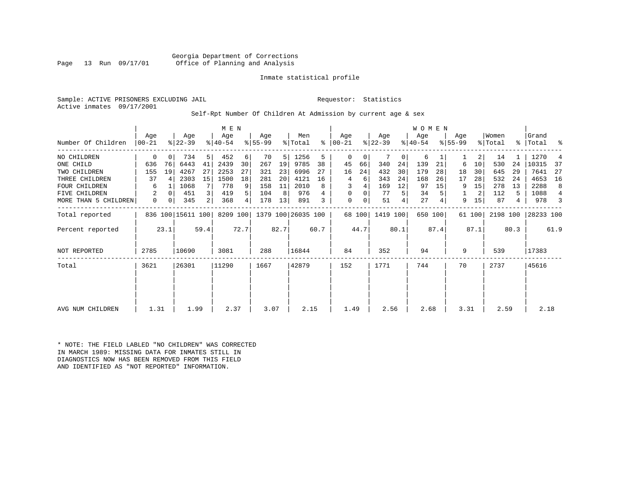# Inmate statistical profile

Sample: ACTIVE PRISONERS EXCLUDING JAIL **Requestor:** Statistics Active inmates 09/17/2001

# Self-Rpt Number Of Children At Admission by current age & sex

| Number Of Children   | Age<br>$00 - 21$ |      | Age<br>$ 22-39 $  |                | M E N<br>Age<br>$ 40-54 $ |          | Age<br>$8 55-99$ |      | Men<br>% Total     |      | Aqe<br>$8   00 - 21$ |        | Age<br>$ 22-39 $ |      | <b>WOMEN</b><br>Age<br>$ 40-54 $ |         | Age<br>$8 55-99$ |        | Women<br>% Total |      | Grand<br>%   Total | ್ಠಿ  |
|----------------------|------------------|------|-------------------|----------------|---------------------------|----------|------------------|------|--------------------|------|----------------------|--------|------------------|------|----------------------------------|---------|------------------|--------|------------------|------|--------------------|------|
|                      |                  |      |                   |                |                           |          |                  |      |                    |      |                      |        |                  |      |                                  |         |                  |        |                  |      |                    |      |
| NO CHILDREN          | $\mathbf 0$      | 0    | 734               | 5              | 452                       | 6        | 70               | 5    | 1256               | 5    | 0                    | 0      |                  | 0    | 6                                |         |                  | 2      | 14               |      | 1270               |      |
| ONE CHILD            | 636              | 76   | 6443              | 41             | 2439                      | 30       | 267              | 19   | 9785               | 38   | 45                   | 66     | 340              | 24   | 139                              | 21      | 6                | 10     | 530              | 24   | 10315              | -37  |
| TWO CHILDREN         | 155              | 19   | 4267              | 27             | 2253                      | 27       | 321              | 23   | 6996               | 27   | 16                   | 24     | 432              | 30   | 179                              | 28      | 18               | 30     | 645              | 29   | 7641               | 27   |
| THREE CHILDREN       | 37               | 4    | 2303              | 15             | 1500                      | 18       | 281              | 20   | 4121               | 16   | 4                    | 6      | 343              | 24   | 168                              | 26      | 17               | 28     | 532              | 24   | 4653               | 16   |
| <b>FOUR CHILDREN</b> | 6                |      | 1068              | 7              | 778                       | 9        | 158              | 11   | 2010               | 8    | 3                    |        | 169              | 12   | 97                               | 15      | 9                | 15     | 278              | 13   | 2288               | 8    |
| FIVE CHILDREN        | 2                | 0    | 451               | $\overline{3}$ | 419                       | 5        | 104              | 8    | 976                |      | $\mathbf 0$          | 0      | 77               | 5    | 34                               |         |                  | 2      | 112              | 5.   | 1088               | 4    |
| MORE THAN 5 CHILDREN | $\mathbf 0$      | 0    | 345               | $\overline{2}$ | 368                       | $4\vert$ | 178              | 13   | 891                | 3    | $\mathbf 0$          | 0      | 51               | 4    | 27                               |         | 9                | 15     | 87               | 4    | 978                | 3    |
| Total reported       |                  |      | 836 100 15611 100 |                | 8209 100                  |          |                  |      | 1379 100 26035 100 |      |                      | 68 100 | 1419 100         |      |                                  | 650 100 |                  | 61 100 | 2198 100         |      | 28233 100          |      |
| Percent reported     |                  | 23.1 |                   | 59.4           |                           | 72.7     |                  | 82.7 |                    | 60.7 |                      | 44.7   |                  | 80.1 |                                  | 87.4    |                  | 87.1   |                  | 80.3 |                    | 61.9 |
| <b>NOT REPORTED</b>  | 2785             |      | 10690             |                | 3081                      |          | 288              |      | 16844              |      | 84                   |        | 352              |      | 94                               |         | 9                |        | 539              |      | 17383              |      |
| Total                | 3621             |      | 26301             |                | 11290                     |          | 1667             |      | 42879              |      | 152                  |        | 1771             |      | 744                              |         | 70               |        | 2737             |      | 45616              |      |
|                      |                  |      |                   |                |                           |          |                  |      |                    |      |                      |        |                  |      |                                  |         |                  |        |                  |      |                    |      |
|                      |                  |      |                   |                |                           |          |                  |      |                    |      |                      |        |                  |      |                                  |         |                  |        |                  |      |                    |      |
| AVG NUM CHILDREN     | 1.31             |      | 1.99              |                | 2.37                      |          | 3.07             |      | 2.15               |      | 1.49                 |        | 2.56             |      | 2.68                             |         | 3.31             |        | 2.59             |      | 2.18               |      |

\* NOTE: THE FIELD LABLED "NO CHILDREN" WAS CORRECTED IN MARCH 1989: MISSING DATA FOR INMATES STILL IN DIAGNOSTICS NOW HAS BEEN REMOVED FROM THIS FIELD AND IDENTIFIED AS "NOT REPORTED" INFORMATION.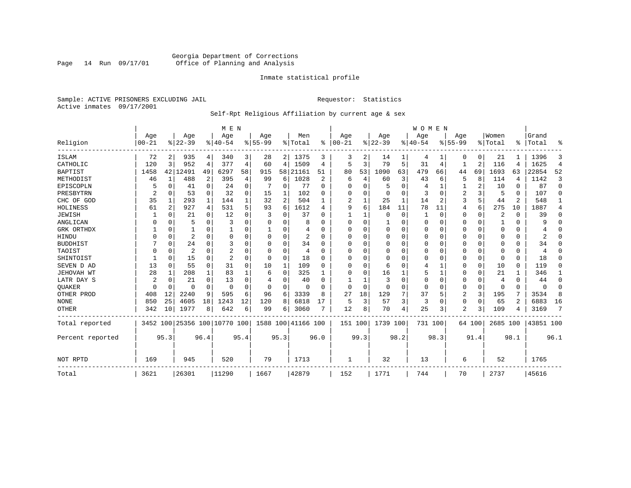# Georgia Department of Corrections Page 14 Run 09/17/01 Office of Planning and Analysis

# Inmate statistical profile

Sample: ACTIVE PRISONERS EXCLUDING JAIL **Requestor:** Statistics Active inmates 09/17/2001

# Self-Rpt Religious Affiliation by current age & sex

|                  |           |                |                |             | M E N                        |          |           |          |               |          |          |          |                |      | <b>WOMEN</b> |              |                |                |          |          |           |                |
|------------------|-----------|----------------|----------------|-------------|------------------------------|----------|-----------|----------|---------------|----------|----------|----------|----------------|------|--------------|--------------|----------------|----------------|----------|----------|-----------|----------------|
|                  | Age       |                | Age            |             | Age                          |          | Age       |          | Men           |          | Age      |          | Age            |      | Aqe          |              | Age            |                | Women    |          | Grand     |                |
| Religion         | $00 - 21$ |                | $ 22-39 $      |             | $8 40-54$                    |          | $8 55-99$ |          | % Total       | %        | $ 00-21$ |          | $ 22-39$       |      | $ 40-54$     |              | $8 55-99$      |                | % Total  | ፠        | Total     | ዱ              |
| ISLAM            | 72        | 2              | 935            | 4           | 340                          | 3        | 28        |          | 2 1375        | 3        | 3        | 2        | 14             |      | 4            |              | 0              | 0              | 21       |          | 1396      | 3              |
| CATHOLIC         | 120       | 3              | 952            | 4           | 377                          | 4        | 60        | 4        | 1509          | 4        | 5        | 3        | 79             | 5    | 31           | 4            |                | $\overline{2}$ | 116      | 4        | 1625      | $\overline{4}$ |
| <b>BAPTIST</b>   | 1458      | 42             | 12491          | 49          | 6297                         | 58       | 915       | 58       | 21161         | 51       | 80       | 53       | 1090           | 63   | 479          | 66           | 44             | 69             | 1693     | 63       | 22854     | 52             |
| METHODIST        | 46        | 1              | 488            | 2           | 395                          | 4        | 99        | 6        | 1028          | 2        | 6        | 4        | 60             | 3    | 43           | 6            | 5              | 8              | 114      | 4        | 1142      | 3              |
| EPISCOPLN        |           | 0              | 41             | $\mathbf 0$ | 24                           | 0        |           | 0        | 77            | $\Omega$ | U        | $\Omega$ | 5              | O    |              | 1            |                | 2              | 10       | $\Omega$ | 87        | $\mathbf 0$    |
| PRESBYTRN        | 2         | 0              | 53             | $\Omega$    | 32                           | $\Omega$ | 15        | 1        | 102           | O        | 0        | U        | 0              | 0    | 3            | $\Omega$     | 2              | 3              | 5        | $\Omega$ | 107       | $\Omega$       |
| CHC OF GOD       | 35        | 1              | 293            | 1           | 144                          |          | 32        | 2        | 504           |          | 2        |          | 25             | 1    | 14           | 2            | 3              | 5              | 44       | 2        | 548       | 1              |
| HOLINESS         | 61        | $\overline{c}$ | 927            | 4           | 531                          | 5        | 93        | 6        | 1612          | 4        | 9        | 6        | 184            | 11   | 78           | 11           | 4              | 6              | 275      | 10       | 1887      | 4              |
| <b>JEWISH</b>    |           | $\Omega$       | 21             | $\Omega$    | 12                           | $\Omega$ | 3         | U        | 37            | O        |          |          | $\Omega$       | 0    |              | $\Omega$     | 0              | 0              | 2        | $\Omega$ | 39        | $\Omega$       |
| ANGLICAN         |           | 0              | 5              | $\Omega$    | 3                            |          |           | 0        | 8             |          | $\Omega$ | $\Omega$ |                | 0    | $\Omega$     | $\Omega$     | 0              | $\Omega$       |          | $\Omega$ | 9         | $\Omega$       |
| GRK ORTHDX       |           | $\Omega$       |                | $\Omega$    |                              | O        |           | 0        |               | U        | U        | U        | $\Omega$       | 0    | $\Omega$     | 0            | 0              | $\Omega$       | $\Omega$ | $\Omega$ |           | $\Omega$       |
| HINDU            |           | $\Omega$       | $\overline{2}$ | $\Omega$    | $\Omega$                     | $\Omega$ |           | 0        | 2             | $\Omega$ | U        |          | 0              | U    | $\Omega$     | $\Omega$     | 0              | $\Omega$       | O        | $\Omega$ | 2         | $\Omega$       |
| <b>BUDDHIST</b>  |           | $\Omega$       | 24             | $\Omega$    | 3                            | $\Omega$ |           | $\Omega$ | 34            | U        | $\Omega$ |          | $\Omega$       | O    | $\Omega$     | $\Omega$     | Ω              | $\Omega$       | $\Omega$ | $\Omega$ | 34        | $\Omega$       |
| TAOIST           |           | $\Omega$       | 2              | $\Omega$    | $\overline{2}$               |          |           | $\Omega$ | 4             | U        | U        | O        | $\Omega$       | 0    | $\Omega$     | $\Omega$     | 0              | $\Omega$       | $\Omega$ | $\Omega$ | 4         | $\Omega$       |
| SHINTOIST        |           | $\Omega$       | 15             | $\Omega$    | $\overline{2}$               | $\Omega$ | O         | $\Omega$ | 18            | O        | U        | $\cap$   | $\overline{0}$ | O    | O            | $\Omega$     | 0              | $\mathbf 0$    | $\Omega$ | $\Omega$ | 18        | $\Omega$       |
| SEVEN D AD       | 13        | $\Omega$       | 55             | $\Omega$    | 31                           | $\Omega$ | 10        | 1        | 109           | U        | U        | $\cap$   | 6              | O    | 4            | $\mathbf{1}$ | 0              | $\mathbf 0$    | 10       | $\Omega$ | 119       | $\Omega$       |
| JEHOVAH WT       | 28        | 1              | 208            | 1           | 83                           |          | 6         | 0        | 325           |          | $\Omega$ | O        | 16             |      | 5            |              | 0              | 0              | 21       |          | 346       | 1              |
| LATR DAY S       | 2         | $\Omega$       | 21             | $\Omega$    | 13                           |          |           | 0        | 40            | n        |          |          | 3              | 0    | $\Omega$     | 0            | 0              | 0              | 4        | $\Omega$ | 44        | 0              |
| <b>OUAKER</b>    |           | 0              | 0              | 0           | $\Omega$                     | $\Omega$ | O         | 0        | $\Omega$      |          | $\Omega$ | $\Omega$ | 0              | 0    | $\Omega$     | 0            | 0              | 0              | $\Omega$ | $\Omega$ | $\Omega$  | 0              |
| OTHER PROD       | 408       | 12             | 2240           | 9           | 595                          | 6        | 96        | 6        | 3339          | 8        | 27       | 18       | 129            | 7    | 37           | 5            | $\overline{2}$ | 3              | 195      | 7        | 3534      | 8              |
| <b>NONE</b>      | 850       | 25             | 4605           | 18          | 1243                         | 12       | 120       | 8        | 6818          | 17       | 5        | 3        | 57             | 3    | 3            | $\Omega$     | 0              | $\mathbf 0$    | 65       | 2        | 6883      | 16             |
| <b>OTHER</b>     | 342       | 10             | 1977           | 8           | 642                          | 6        | 99        | 6        | 3060          |          | 12       | 8        | 70             | 4    | 25           | 3            | 2              | 3              | 109      |          | 3169      | 7              |
| Total reported   |           |                |                |             | 3452 100 25356 100 10770 100 |          | 1588      |          | 100 41166 100 |          | 151 100  |          | 1739 100       |      | 731 100      |              |                | 64 100         | 2685 100 |          | 43851 100 |                |
| Percent reported |           | 95.3           |                | 96.4        |                              | 95.4     |           | 95.3     |               | 96.0     |          | 99.3     |                | 98.2 |              | 98.3         |                | 91.4           |          | 98.1     |           | 96.1           |
| NOT RPTD         | 169       |                | 945            |             | 520                          |          | 79        |          | 1713          |          | 1        |          | 32             |      | 13           |              | 6              |                | 52       |          | 1765      |                |
| Total            | 3621      |                | 26301          |             | 11290                        |          | 1667      |          | 42879         |          | 152      |          | 1771           |      | 744          |              | 70             |                | 2737     |          | 45616     |                |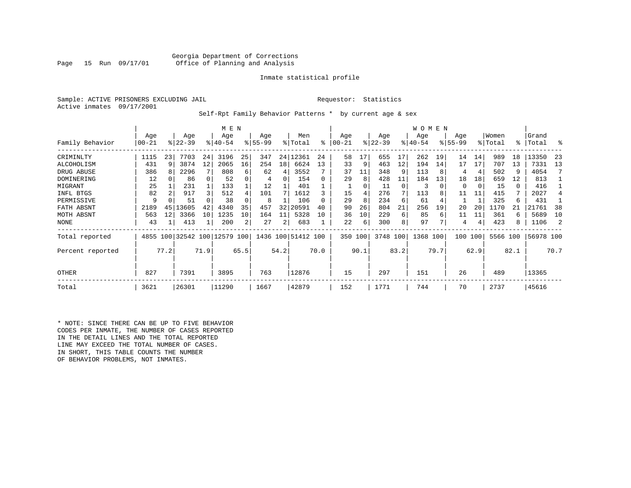# Georgia Department of Corrections<br>Page 15 Run 09/17/01 office of Planning and Analysis Office of Planning and Analysis

# Inmate statistical profile

Sample: ACTIVE PRISONERS EXCLUDING JAIL **Requestor:** Statistics Active inmates 09/17/2001

Self-Rpt Family Behavior Patterns \* by current age & sex

|                  | M E N |      |                              |      |          |      |           |                 |                    |      |           |      |           |          | W O M E N |      |           |      |          |          |           |      |
|------------------|-------|------|------------------------------|------|----------|------|-----------|-----------------|--------------------|------|-----------|------|-----------|----------|-----------|------|-----------|------|----------|----------|-----------|------|
|                  | Age   |      | Age                          |      | Age      |      | Age       |                 | Men                |      | Age       |      | Age       |          | Age       |      | Age       |      | Women    |          | Grand     |      |
| Family Behavior  | 00-21 |      | $ 22-39 $                    |      | $ 40-54$ |      | $8 55-99$ |                 | % Total            | ి    | $00 - 21$ |      | $ 22-39 $ |          | $ 40-54$  |      | $8 55-99$ |      | % Total  | °≈       | Total     | ႜ    |
| CRIMINLTY        | 1115  | 23   | 7703                         | 24   | 3196     | 25   | 347       |                 | 24   12361         | 24   | 58        | 17   | 655       | 17       | 262       | 19   | 14        | 14   | 989      | 18       | 13350     | -23  |
| ALCOHOLISM       | 431   | 9    | 3874                         | 12   | 2065     | 16   | 254       | 18 <sup>1</sup> | 6624               | 13   | 33        | 9    | 463       | 12       | 194       | 14   | 17        | 17   | 707      | 13       | 7331      | 13   |
| DRUG ABUSE       | 386   |      | 2296                         |      | 808      | 6    | 62        | 4               | 3552               |      | 37        | 11   | 348       |          | 113       |      | 4         | 4    | 502      | 9        | 4054      |      |
| DOMINERING       | 12    |      | 86                           |      | 52       |      | 4         | 0               | 154                | O    | 29        | 8    | 428       | 11       | 184       | 13   | 18        | 18   | 659      | 12       | 813       |      |
| MIGRANT          | 25    |      | 231                          |      | 133      |      | 12        |                 | 401                |      |           | 0    | 11        | $\Omega$ | 3         |      | 0         | 0    | 15       | $\Omega$ | 416       |      |
| INFL BTGS        | 82    |      | 917                          | 3    | 512      | 4    | 101       |                 | 1612               |      | 15        |      | 276       | 7        | 113       |      | 11        | 11   | 415      | 7        | 2027      |      |
| PERMISSIVE       | 9     |      | 51                           |      | 38       |      | 8         |                 | 106                |      | 29        | 8    | 234       | 6        | 61        |      |           |      | 325      | 6        | 431       |      |
| FATH ABSNT       | 2189  | 45   | 13605                        | 42   | 4340     | 35   | 457       | 32              | 20591              | 40   | 90        | 26   | 804       | 21       | 256       | 19   | 20        | 20   | 1170     |          | 21761     | 38   |
| MOTH ABSNT       | 563   | 12   | 3366                         | 10   | 1235     | 10   | 164       | 11              | 5328               | 10   | 36        | 10   | 229       | 6        | 85        | 6    | 11        | 11   | 361      | 6        | 5689      | 10   |
| NONE             | 43    |      | 413                          |      | 200      | 2    | 27        | 2               | 683                |      | 22        | 6    | 300       | 8        | 97        |      | 4         | 4    | 423      | 8        | 1106      |      |
| Total reported   |       |      | 4855 100 32542 100 12579 100 |      |          |      |           |                 | 1436 100 51412 100 |      | 350 100   |      | 3748 100  |          | 1368 100  |      | 100       | 100  | 5566 100 |          | 56978 100 |      |
| Percent reported |       | 77.2 |                              | 71.9 |          | 65.5 |           | 54.2            |                    | 70.0 |           | 90.1 |           | 83.2     |           | 79.7 |           | 62.9 |          | 82.1     |           | 70.7 |
| <b>OTHER</b>     | 827   |      | 7391                         |      | 3895     |      | 763       |                 | 12876              |      | 15        |      | 297       |          | 151       |      | 26        |      | 489      |          | 13365     |      |
| Total            | 3621  |      | 26301                        |      | 11290    |      | 1667      |                 | 42879              |      | 152       |      | 1771      |          | 744       |      | 70        |      | 2737     |          | 45616     |      |

\* NOTE: SINCE THERE CAN BE UP TO FIVE BEHAVIOR CODES PER INMATE, THE NUMBER OF CASES REPORTED IN THE DETAIL LINES AND THE TOTAL REPORTED LINE MAY EXCEED THE TOTAL NUMBER OF CASES. IN SHORT, THIS TABLE COUNTS THE NUMBER OF BEHAVIOR PROBLEMS, NOT INMATES.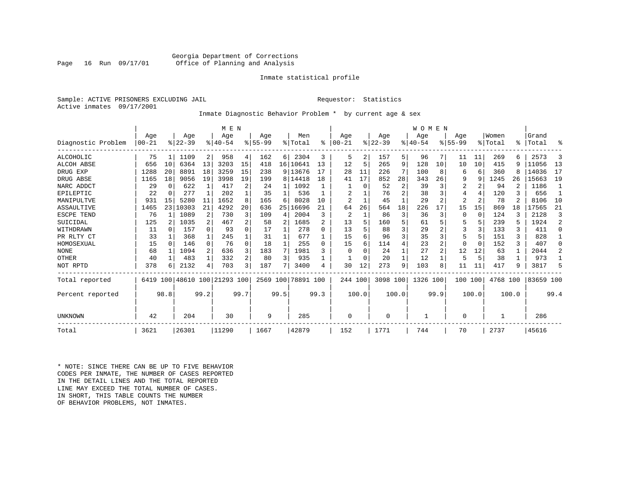# Inmate statistical profile

Sample: ACTIVE PRISONERS EXCLUDING JAIL **Requestor:** Statistics Active inmates 09/17/2001

# Inmate Diagnostic Behavior Problem \* by current age & sex

|                    |           |              |           |              | M E N                   |              |             |      |           |                |           |              |          |       | WOMEN    |                |                |          |          |                |           |                |
|--------------------|-----------|--------------|-----------|--------------|-------------------------|--------------|-------------|------|-----------|----------------|-----------|--------------|----------|-------|----------|----------------|----------------|----------|----------|----------------|-----------|----------------|
|                    | Age       |              | Age       |              | Age                     |              | Age         |      | Men       |                | Age       |              | Age      |       | Age      |                | Age            |          | Women    |                | Grand     |                |
| Diagnostic Problem | $00 - 21$ |              | $8 22-39$ |              | $8 40-54$               |              | $8155 - 99$ |      | % Total   | ፠              | $00 - 21$ |              | $ 22-39$ |       | $ 40-54$ |                | $8155 - 99$    |          | % Total  | ⊱              | Total     | ፠              |
| ALCOHOLIC          | 75        |              | 1109      | 2            | 958                     | 4            | 162         | 6    | 2304      | 3              | 5         | 2            | 157      | 5.    | 96       | 71             | 11             | 11       | 269      | б              | 2573      | 3              |
| <b>ALCOH ABSE</b>  | 656       | 10           | 6364      | 13           | 3203                    | 15           | 418         | 16   | 10641     | 13             | 12        | 5            | 265      | 9     | 128      | 10             | 10             | 10       | 415      | 9              | 11056     | 13             |
| DRUG EXP           | 1288      | 20           | 8891      | 18           | 3259                    | 15           | 238         |      | 9 13676   | 17             | 28        | 11           | 226      |       | 100      | 8              | 6              | 6        | 360      | 8              | 14036     | 17             |
| DRUG ABSE          | 1165      | 18           | 9056      | 19           | 3998                    | 19           | 199         | 81   | 14418     | 18             | 41        | 17           | 852      | 28    | 343      | 26             | 9              | 9        | 1245     | 26             | 15663     | 19             |
| NARC ADDCT         | 29        | $\Omega$     | 622       | $\mathbf{1}$ | 417                     | 2            | 24          |      | 1092      |                |           | 0            | 52       | 2     | 39       | 3              | 2              | 2        | 94       | $\overline{c}$ | 1186      |                |
| EPILEPTIC          | 22        | 0            | 277       | $\mathbf{1}$ | 202                     |              | 35          |      | 536       |                | 2         |              | 76       |       | 38       | 3              |                | 4        | 120      |                | 656       | $\mathbf{1}$   |
| MANIPULTVE         | 931       | 15           | 5280      | 11           | 1652                    | 8            | 165         | 6    | 8028      | 10             | 2         |              | 45       |       | 29       | $\overline{a}$ | $\overline{2}$ | 2        | 78       | 2              | 8106      | 10             |
| ASSAULTIVE         | 1465      | 23           | 10303     | 21           | 4292                    | 20           | 636         | 25   | 16696     | 21             | 64        | 26           | 564      | 18    | 226      | 17             | 15             | 15       | 869      | 18             | 17565     | 21             |
| ESCPE TEND         | 76        |              | 1089      | 2            | 730                     |              | 109         | 4    | 2004      | 3              | 2         | $\mathbf{1}$ | 86       | 3     | 36       | 3              |                | 0        | 124      | ζ              | 2128      | 3              |
| SUICIDAL           | 125       | 2            | 1035      | 2            | 467                     |              | 58          | 2    | 1685      | $\mathfrak{D}$ | 13        | 5            | 160      |       | 61       | 5              |                | 5        | 239      | 5              | 1924      | $\overline{a}$ |
| WITHDRAWN          | 11        | <sup>0</sup> | 157       | $\Omega$     | 93                      | 0            | 17          |      | 278       | <sup>0</sup>   | 13        |              | 88       |       | 29       |                | 3              | ζ        | 133      |                | 411       | $\Omega$       |
| PR RLTY CT         | 33        |              | 368       | $\mathbf{1}$ | 245                     |              | 31          |      | 677       |                | 15        | б.           | 96       | 3     | 35       | 3              | 5              | 5        | 151      | ς              | 828       |                |
| HOMOSEXUAL         | 15        | $\Omega$     | 146       | $\Omega$     | 76                      | <sup>0</sup> | 18          |      | 255       | <sup>0</sup>   | 15        | б.           | 114      |       | 23       | $\overline{a}$ |                | $\Omega$ | 152      | ς              | 407       | $\Omega$       |
| <b>NONE</b>        | 68        |              | 1094      | 2            | 636                     | 3            | 183         | 7    | 1981      | 3              | 0         |              | 24       |       | 27       | $\overline{a}$ | 12             | 12       | 63       |                | 2044      | 2              |
| OTHER              | 40        |              | 483       | $\mathbf{1}$ | 332                     | 2            | 80          | 3    | 935       |                |           |              | 20       |       | 12       |                | 5              | 5        | 38       |                | 973       |                |
| NOT RPTD           | 378       | 6            | 2132      | 4            | 703                     | 3            | 187         | 7    | 3400      | 4              | 30        | 12           | 273      | 9     | 103      | 8              | 11             | 11       | 417      | 9              | 3817      | 5              |
| Total reported     | 6419      |              |           |              | 100 48610 100 21293 100 |              | 2569 100    |      | 78891 100 |                | 244 100   |              | 3098 100 |       | 1326     | 100            | 100            | 100      | 4768 100 |                | 83659 100 |                |
| Percent reported   |           | 98.8         |           | 99.2         |                         | 99.7         |             | 99.5 |           | 99.3           |           | 100.0        |          | 100.0 |          | 99.9           |                | 100.0    |          | 100.0          |           | 99.4           |
| UNKNOWN            | 42<br>204 |              |           | 30           |                         | 9            |             | 285  |           | 0              |           | $\Omega$     |          |       |          | $\Omega$       |                |          |          | 286            |           |                |
| Total              | 3621      |              | 26301     |              | 11290                   |              | 1667        |      | 42879     |                | 152       |              | 1771     |       | 744      |                | 70             |          | 2737     |                | 45616     |                |

\* NOTE: SINCE THERE CAN BE UP TO FIVE BEHAVIOR CODES PER INMATE, THE NUMBER OF CASES REPORTED IN THE DETAIL LINES AND THE TOTAL REPORTED LINE MAY EXCEED THE TOTAL NUMBER OF CASES.IN SHORT, THIS TABLE COUNTS THE NUMBER OF BEHAVIOR PROBLEMS, NOT INMATES.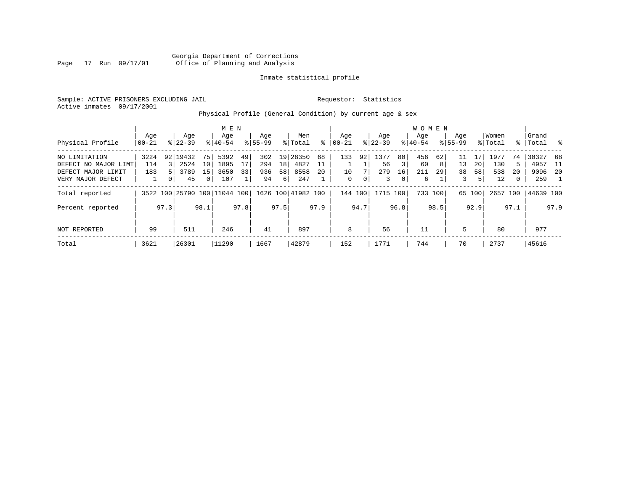Georgia Department of Corrections Page 17 Run 09/17/01 Office of Planning and Analysis

# Inmate statistical profile

Sample: ACTIVE PRISONERS EXCLUDING JAIL **Requestor:** Statistics Active inmates 09/17/2001

Physical Profile (General Condition) by current age & sex

|                      |                |                |                    |          | M E N                        |      |                    |      |                    |      |                   |      |                  |                | W O M E N        |         |                    |        |                  |           |                |      |
|----------------------|----------------|----------------|--------------------|----------|------------------------------|------|--------------------|------|--------------------|------|-------------------|------|------------------|----------------|------------------|---------|--------------------|--------|------------------|-----------|----------------|------|
| Physical Profile     | Age<br>  00-21 |                | Age<br>$8122 - 39$ |          | Age<br>$8 40-54$             |      | Age<br>$8155 - 99$ |      | Men<br>% Total     | ៖    | Age<br>$ 00 - 21$ |      | Age<br>$ 22-39 $ |                | Aqe<br>$8 40-54$ |         | Aqe<br>$8155 - 99$ |        | Women<br>% Total | $\approx$ | Grand<br>Total | ိ    |
|                      |                |                |                    |          |                              |      |                    |      |                    |      |                   |      |                  |                |                  |         |                    |        |                  |           |                |      |
| NO LIMITATION        | 3224           |                | 92 19432           | 75       | 5392                         | 49   | 302                |      | 19 28350           | 68   | 133               | 92   | 1377             | 80             | 456              | 62      |                    |        | 1977             | 74        | 30327 68       |      |
| DEFECT NO MAJOR LIMT | 114            |                | 2524               | 10       | 1895                         | 17   | 294                | 18   | 4827               |      |                   |      | 56               | 3              | 60               | 8 I     | 13                 | 20     | 130              | .5        | 4957           | - 11 |
| DEFECT MAJOR LIMIT   | 183            |                | 3789               | 15       | 3650                         | 33   | 936                | 58   | 8558               | 20   | 10                | 7    | 279              | 16             | 211              | 29      | 38                 | 58     | 538              | 20        | 9096           | - 20 |
| VERY MAJOR DEFECT    |                | 0 <sup>1</sup> | 45                 | $\Omega$ | 107                          |      | 94                 | 6    | 247                |      | 0                 | 0    | 3                | $\overline{0}$ | 6                |         | 3                  | 5      | 12               | 0         | 259            |      |
| Total reported       |                |                |                    |          | 3522 100 25790 100 11044 100 |      |                    |      | 1626 100 41982 100 |      | 144 100           |      | 1715 100         |                |                  | 733 100 |                    | 65 100 | 2657 100         |           | 44639 100      |      |
| Percent reported     |                | 97.3           |                    | 98.1     |                              | 97.8 |                    | 97.5 |                    | 97.9 |                   | 94.7 |                  | 96.8           |                  | 98.5    |                    | 92.9   |                  | 97.1      |                | 97.9 |
|                      |                |                |                    |          |                              |      |                    |      |                    |      |                   |      |                  |                |                  |         |                    |        |                  |           |                |      |
| NOT REPORTED         | 99             |                | 511                |          | 246                          |      | 41                 |      | 897                |      | 8                 |      | 56               |                | 11               |         | 5                  |        | 80               |           | 977            |      |
| Total                | 3621           |                | 26301              |          | 11290                        |      | 1667               |      | 42879              |      | 152               |      | 1771             |                | 744              |         | 70                 |        | 2737             |           | 45616          |      |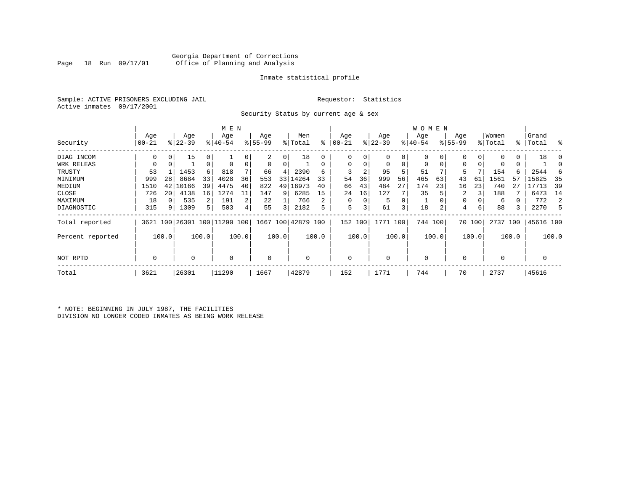# Inmate statistical profile

Sample: ACTIVE PRISONERS EXCLUDING JAIL **Requestor:** Statistics Active inmates 09/17/2001

Security Status by current age & sex

|                  |       |          | M E N     |       |                              |       |           |                         |                    |       | W O M E N |          |           |       |             |          |             |        |             |             |           |       |
|------------------|-------|----------|-----------|-------|------------------------------|-------|-----------|-------------------------|--------------------|-------|-----------|----------|-----------|-------|-------------|----------|-------------|--------|-------------|-------------|-----------|-------|
|                  | Age   |          | Age       |       | Age                          |       | Age       |                         | Men                |       | Age       |          | Age       |       | Age         |          | Age         |        | Women       |             | Grand     |       |
| Security         | 00-21 |          | $ 22-39 $ |       | $8140 - 54$                  |       | $8 55-99$ |                         | % Total            | ႜ     | $00 - 21$ |          | $ 22-39 $ |       | $ 40-54 $   |          | $8155 - 99$ |        | % Total     | $\approx$ 1 | Total     | ႜ     |
| DIAG INCOM       | 0     | 0        | 15        | 0     |                              |       | 2         | 0                       | 18                 |       | $\Omega$  |          | 0         | 0     |             | 0        | 0           |        |             | 0           | 18        | 0     |
| WRK RELEAS       | 0     | 0        |           | 0     | $\Omega$                     |       | 0         | 0                       |                    | 0     | 0         | $\Omega$ | 0         | 0     | 0           | $\Omega$ | 0           |        |             | 0           |           |       |
| TRUSTY           | 53    |          | 1453      | 6     | 818                          |       | 66        | 4                       | 2390               | 6     | 3         | 2        | 95        | 5     | 51          |          | 5           |        | 154         | 6           | 2544      | -6    |
| MINIMUM          | 999   | 28       | 8684      | 33    | 4028                         | 36    | 553       | 33                      | 14264              | 33    | 54        | 36       | 999       | 56    | 465         | 63       | 43          | 61     | 1561        | 57          | 15825     | 35    |
| MEDIUM           | 1510  | 42       | 10166     | 39    | 4475                         | 40    | 822       |                         | 49 16973           | 40    | 66        | 43       | 484       | 27    | 174         | 23       | 16          | 23     | 740         | 27          | 17713     | 39    |
| CLOSE            | 726   | 20       | 4138      | 16    | 1274                         |       | 147       | 9                       | 6285               | 15    | 24        | 16       | 127       |       | 35          |          | 2           |        | 188         |             | 6473      | 14    |
| MAXIMUM          | 18    | $\Omega$ | 535       | 2     | 191                          |       | 22        |                         | 766                | 2     | $\Omega$  | $\Omega$ | 5         | 0     |             |          | 0           |        | 6           |             | 772       | 2     |
| DIAGNOSTIC       | 315   | 9        | 1309      | 5     | 503                          |       | 55        | $\overline{\mathbf{3}}$ | 2182               | 5     | 5         |          | 61        | 3     | 18          | 2        | 4           | 6      | 88          | 3           | 2270      | 5     |
| Total reported   |       |          |           |       | 3621 100 26301 100 11290 100 |       |           |                         | 1667 100 42879 100 |       | 152       | 100      | 1771      | 100   | 744 100     |          |             | 70 100 | 2737 100    |             | 45616 100 |       |
| Percent reported |       | 100.0    |           | 100.0 |                              | 100.0 |           | 100.0                   |                    | 100.0 |           | 100.0    |           | 100.0 |             | 100.0    |             | 100.0  |             | 100.0       |           | 100.0 |
| NOT RPTD         | 0     |          | 0         |       | $\mathbf 0$                  |       | 0         |                         |                    |       | $\Omega$  |          | $\Omega$  |       | $\mathbf 0$ |          | 0           |        | $\mathbf 0$ |             | 0         |       |
| Total            | 3621  |          | 26301     |       | 11290                        |       | 1667      |                         | 42879              |       | 152       |          | 1771      |       | 744         |          | 70          |        | 2737        |             | 45616     |       |

\* NOTE: BEGINNING IN JULY 1987, THE FACILITIES DIVISION NO LONGER CODED INMATES AS BEING WORK RELEASE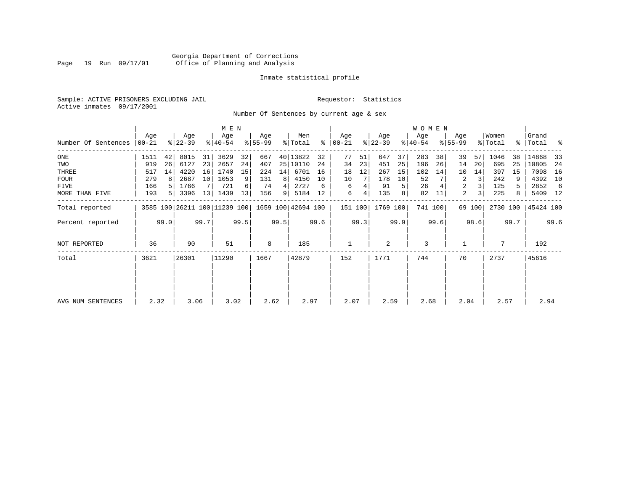# Georgia Department of Corrections Page 19 Run 09/17/01 Office of Planning and Analysis

# Inmate statistical profile

Sample: ACTIVE PRISONERS EXCLUDING JAIL **Requestor:** Statistics Active inmates 09/17/2001

Number Of Sentences by current age & sex

|                     |                  |      |                  |      | M E N                        |      |                  |      |                    |      |                      |      |                  |      | <b>WOMEN</b>     |         |                    |        |                  |      |                    |      |
|---------------------|------------------|------|------------------|------|------------------------------|------|------------------|------|--------------------|------|----------------------|------|------------------|------|------------------|---------|--------------------|--------|------------------|------|--------------------|------|
| Number Of Sentences | Age<br>$00 - 21$ |      | Age<br>$ 22-39 $ |      | Age<br>$ 40-54 $             |      | Age<br>$8 55-99$ |      | Men<br>% Total     |      | Age<br>$8   00 - 21$ |      | Age<br>$ 22-39 $ |      | Age<br>$ 40-54 $ |         | Age<br>$8155 - 99$ |        | Women<br>% Total |      | Grand<br>%   Total | ႜ    |
|                     |                  |      |                  |      |                              |      |                  |      |                    |      |                      |      |                  |      |                  |         |                    |        |                  |      |                    |      |
| $_{\rm ONE}$        | 1511             | 42   | 8015             | 31   | 3629                         | 32   | 667              |      | 40 13822           | 32   | 77                   | 51   | 647              | 37   | 283              | 38      | 39                 | 57     | 1046             | 38   | 14868              | 33   |
| TWO                 | 919              | 26   | 6127             | 23   | 2657                         | 24   | 407              | 25   | 10110              | 24   | 34                   | 23   | 451              | 25   | 196              | 26      | 14                 | 20     | 695              | 25   | 10805              | 24   |
| THREE               | 517              | 14   | 4220             | 16   | 1740                         | 15   | 224              | 14   | 6701               | 16   | 18                   | 12   | 267              | 15   | 102              | 14      | 10                 | 14     | 397              | 15   | 7098               | 16   |
| <b>FOUR</b>         | 279              | 8    | 2687             | 10   | 1053                         | 9    | 131              | 8    | 4150               | 10   | 10                   |      | 178              | 10   | 52               |         | 2                  | 3      | 242              | 9    | 4392               | 10   |
| FIVE                | 166              |      | 1766             |      | 721                          | 6    | 74               |      | 2727               | 6    | 6                    |      | 91               | 5    | 26               |         | 2                  |        | 125              | 5.   | 2852               | -6   |
| MORE THAN FIVE      | 193              | 5    | 3396             | 13   | 1439                         | 13   | 156              | 9    | 5184               | 12   | 6                    | 4    | 135              | 8    | 82               | 11      | 2                  | 3      | 225              | 8    | 5409 12            |      |
| Total reported      |                  |      |                  |      | 3585 100 26211 100 11239 100 |      |                  |      | 1659 100 42694 100 |      | 151 100              |      | 1769 100         |      |                  | 741 100 |                    | 69 100 | 2730 100         |      | 45424 100          |      |
| Percent reported    |                  | 99.0 |                  | 99.7 |                              | 99.5 |                  | 99.5 |                    | 99.6 |                      | 99.3 |                  | 99.9 |                  | 99.6    |                    | 98.6   |                  | 99.7 |                    | 99.6 |
| NOT REPORTED        | 36               |      | 90               |      | 51                           |      | 8                |      | 185                |      |                      |      | 2                |      | 3                |         |                    |        |                  |      | 192                |      |
| Total               | 3621             |      | 26301            |      | 11290                        |      | 1667             |      | 42879              |      | 152                  |      | 1771             |      | 744              |         | 70                 |        | 2737             |      | 45616              |      |
|                     |                  |      |                  |      |                              |      |                  |      |                    |      |                      |      |                  |      |                  |         |                    |        |                  |      |                    |      |
| AVG NUM SENTENCES   | 2.32             |      | 3.06             |      | 3.02                         |      | 2.62             |      | 2.97               |      | 2.07                 |      | 2.59             |      | 2.68             |         | 2.04               |        | 2.57             |      | 2.94               |      |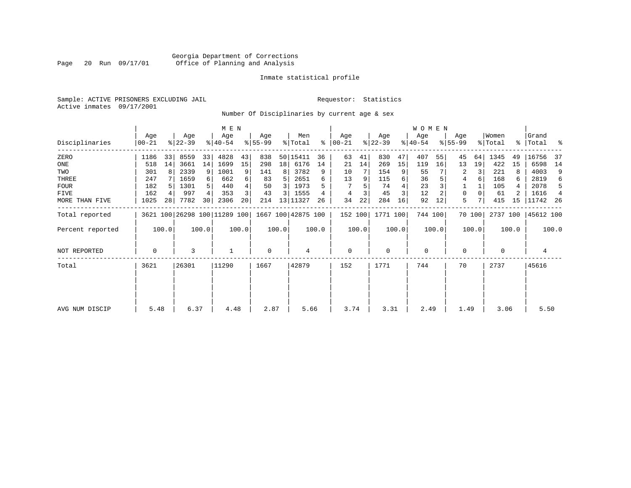# Georgia Department of Corrections Page 20 Run 09/17/01 Office of Planning and Analysis

# Inmate statistical profile

Sample: ACTIVE PRISONERS EXCLUDING JAIL **Requestor:** Statistics Active inmates 09/17/2001

Number Of Disciplinaries by current age & sex

|                  |              |       |                  |                | M E N                        |       |                 |       |                    |       |                  |       |                  |       | W O M E N        |         |                  |        |                  |       |                      |                |
|------------------|--------------|-------|------------------|----------------|------------------------------|-------|-----------------|-------|--------------------|-------|------------------|-------|------------------|-------|------------------|---------|------------------|--------|------------------|-------|----------------------|----------------|
| Disciplinaries   | Age<br>00-21 |       | Age<br>$ 22-39 $ |                | Age<br>$8 40-54$             |       | Age<br>$ 55-99$ |       | Men<br>% Total     | ႜ     | Age<br>$ 00-21 $ |       | Age<br>$ 22-39 $ |       | Aqe<br>$ 40-54 $ |         | Age<br>$8 55-99$ |        | Women<br>% Total |       | Grand<br>%   Total % |                |
| ZERO             | 1186         | 33    | 8559             | 33             | 4828                         | 43    | 838             |       | 50 15411           | 36    | 63               | 41    | 830              | 47    | 407              | 55      | 45               | 64     | 1345             | 49    | 16756                | -37            |
| ONE              | 518          | 14    | 3661             | 14             | 1699                         | 15    | 298             | 18    | 6176               | 14    | 21               | 14    | 269              | 15    | 119              | 16      | 13               | 19     | 422              | 15    | 6598                 | 14             |
| TWO              | 301          | 8     | 2339             | 9              | 1001                         |       | 141             | 8     | 3782               | 9     | 10               |       | 154              | 9     | 55               |         |                  |        | 221              |       | 4003                 | 9              |
| THREE            | 247          |       | 1659             | 6              | 662                          |       | 83              | 5.    | 2651               |       | 13               |       | 115              | 6     | 36               |         | 4                | 6      | 168              | 6     | 2819                 | 6              |
| <b>FOUR</b>      | 182          |       | 1301             | 5 <sup>1</sup> | 440                          |       | 50              | 3 I   | 1973               |       |                  |       | 74               |       | 23               |         |                  |        | 105              |       | 2078                 | -5             |
| FIVE             | 162          | 4     | 997              | 4              | 353                          |       | 43              | 3 I   | 1555               |       |                  |       | 45               | 3     | 12               |         | 0                |        | 61               |       | 1616                 | $\overline{4}$ |
| MORE THAN FIVE   | 1025         | 28    | 7782             | 30             | 2306                         | 20    | 214             |       | 13 11327           | 26    | 34               | 22    | 284              | 16    | 92               | 12      | 5                |        | 415              | 15    | 11742 26             |                |
| Total reported   |              |       |                  |                | 3621 100 26298 100 11289 100 |       |                 |       | 1667 100 42875 100 |       | 152 100          |       | 1771 100         |       |                  | 744 100 |                  | 70 100 | 2737 100         |       | 45612 100            |                |
| Percent reported |              | 100.0 |                  | 100.0          |                              | 100.0 |                 | 100.0 |                    | 100.0 |                  | 100.0 |                  | 100.0 |                  | 100.0   |                  | 100.0  |                  | 100.0 |                      | 100.0          |
| NOT REPORTED     | 0            |       | 3                |                |                              |       | $\mathbf 0$     |       | 4                  |       | 0                |       | $\mathbf 0$      |       | 0                |         | 0                |        | 0                |       | 4                    |                |
| Total            | 3621         |       | 26301            |                | 11290                        |       | 1667            |       | 42879              |       | 152              |       | 1771             |       | 744              |         | 70               |        | 2737             |       | 45616                |                |
|                  |              |       |                  |                |                              |       |                 |       |                    |       |                  |       |                  |       |                  |         |                  |        |                  |       |                      |                |
|                  |              |       |                  |                |                              |       |                 |       |                    |       |                  |       |                  |       |                  |         |                  |        |                  |       |                      |                |
| AVG NUM DISCIP   | 5.48         |       | 6.37             |                | 4.48                         |       | 2.87            |       | 5.66               |       | 3.74             |       | 3.31             |       | 2.49             |         | 1.49             |        | 3.06             |       | 5.50                 |                |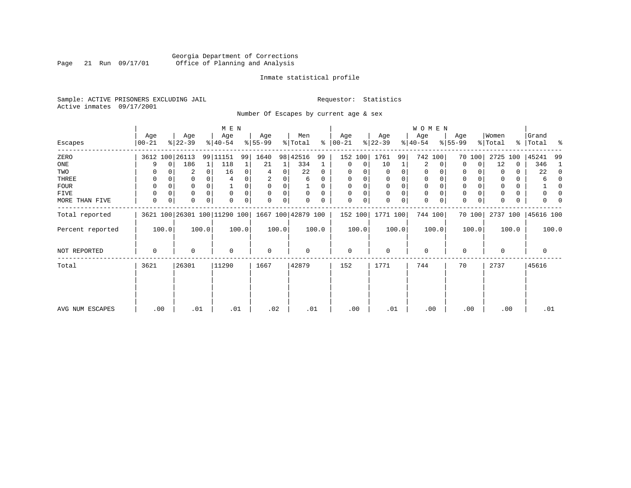# Georgia Department of Corrections Page 21 Run 09/17/01 Office of Planning and Analysis

# Inmate statistical profile

Sample: ACTIVE PRISONERS EXCLUDING JAIL **Requestor:** Statistics Active inmates 09/17/2001

Number Of Escapes by current age & sex

|                  |                  |             |                  |          | M E N                        |       |                 |       |                    |          |                   |       |                  |       | W O M E N        |             |                  |        |                  |       |                      |              |
|------------------|------------------|-------------|------------------|----------|------------------------------|-------|-----------------|-------|--------------------|----------|-------------------|-------|------------------|-------|------------------|-------------|------------------|--------|------------------|-------|----------------------|--------------|
| Escapes          | Age<br>$00 - 21$ |             | Age<br>$ 22-39 $ |          | Age<br>$ 40-54 $             |       | Age<br>$ 55-99$ |       | Men<br>% Total     | ႜႂ       | Age<br>$ 00 - 21$ |       | Age<br>$ 22-39 $ |       | Age<br>$ 40-54 $ |             | Age<br>$8 55-99$ |        | Women<br>% Total |       | Grand<br>%   Total % |              |
| ZERO             |                  |             | 3612 100 26113   |          | 99 11151                     | 99    | 1640            |       | 98 42516           | 99       | 152 100           |       | 1761             | 99    |                  | 742 100     |                  | 70 100 | 2725             | 100   | 45241                | 99           |
| ONE              | 9                | $\mathbf 0$ | 186              | 1        | 118                          |       | 21              | 1     | 334                |          | $\mathbf 0$       | 0     | 10               | 1     | 2                | 0           | 0                | 0      | 12               | 0     | 346                  | 1            |
| TWO              |                  |             | 2                | 0        | 16                           | 0     |                 | 0     | 22                 | $\Omega$ | $\Omega$          |       | 0                | 0     | 0                |             | 0                |        | 0                | 0     | 22                   | $\Omega$     |
| THREE            | 0                |             |                  |          |                              |       | 2               |       | 6                  | 0        | $\Omega$          |       | 0                | 0     | $\mathbf 0$      |             | 0                |        |                  | 0     | 6                    | <sup>0</sup> |
| FOUR             | $\Omega$         |             |                  | $\Omega$ |                              |       | $\Omega$        | 0     |                    | $\Omega$ | $\Omega$          |       | $\Omega$         | 0     | $\Omega$         | n           | $\Omega$         |        |                  | 0     |                      | <sup>0</sup> |
| FIVE             | $\Omega$         |             | 0                |          | $\Omega$                     |       | $\Omega$        | 0     | $\Omega$           | $\Omega$ | $\Omega$          | 0     | 0                | 0     | $\mathbf 0$      | $\Omega$    | 0                |        |                  | 0     |                      | n            |
| MORE THAN FIVE   | 0                | 0           |                  | $\Omega$ |                              | 0     | $\Omega$        | 0     |                    |          | $\Omega$          | 0     | $\Omega$         | 0     | $\mathbf 0$      | $\mathbf 0$ | $\Omega$         |        |                  | 0     |                      |              |
| Total reported   |                  |             |                  |          | 3621 100 26301 100 11290 100 |       |                 |       | 1667 100 42879 100 |          | 152 100           |       | 1771 100         |       |                  | 744 100     |                  | 70 100 | 2737 100         |       | 45616 100            |              |
| Percent reported |                  | 100.0       |                  | 100.0    |                              | 100.0 |                 | 100.0 |                    | 100.0    |                   | 100.0 |                  | 100.0 |                  | 100.0       |                  | 100.0  |                  | 100.0 |                      | 100.0        |
| NOT REPORTED     | 0                |             | 0                |          | $\mathbf 0$                  |       | $\mathbf 0$     |       | 0                  |          | $\mathbf 0$       |       | 0                |       | $\mathbf 0$      |             | 0                |        | 0                |       | 0                    |              |
| Total            | 3621             |             | 26301            |          | 11290                        |       | 1667            |       | 42879              |          | 152               |       | 1771             |       | 744              |             | 70               |        | 2737             |       | 45616                |              |
|                  |                  |             |                  |          |                              |       |                 |       |                    |          |                   |       |                  |       |                  |             |                  |        |                  |       |                      |              |
| AVG NUM ESCAPES  | .00              |             | .01              |          | .01                          |       | .02             |       | .01                |          | .00               |       | .01              |       | .00              |             |                  | .00    | .00              |       | .01                  |              |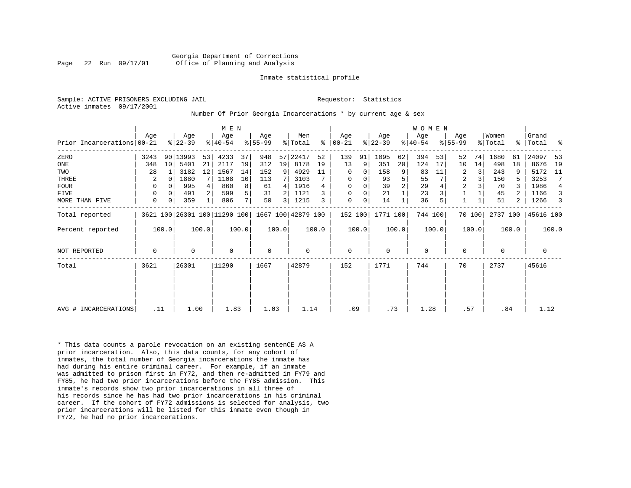Sample: ACTIVE PRISONERS EXCLUDING JAIL **Requestor:** Statistics Active inmates 09/17/2001

#### Number Of Prior Georgia Incarcerations \* by current age & sex

|                            |      |          |                  |       | M E N                        |       |                    |       |                |       |                  |       |                  |                | <b>WOMEN</b>     |       |                  |        |                  |       |                    |                |
|----------------------------|------|----------|------------------|-------|------------------------------|-------|--------------------|-------|----------------|-------|------------------|-------|------------------|----------------|------------------|-------|------------------|--------|------------------|-------|--------------------|----------------|
| Prior Incarcerations 00-21 | Age  |          | Age<br>$ 22-39 $ |       | Age<br>$ 40-54 $             |       | Age<br>$8 55-99$   |       | Men<br>% Total | ៖     | Age<br>$ 00-21 $ |       | Age<br>$ 22-39 $ |                | Age<br>$ 40-54 $ |       | Age<br>$8 55-99$ |        | Women<br>% Total |       | Grand<br>%   Total | ႜ              |
| ZERO                       | 3243 |          | 90 13993         | 53    | 4233                         | 37    | 948                | 57    | 22417          | 52    | 139              | 91    | 1095             | 62             | 394              | 53    | 52               | 74     | 1680             | 61    | 24097              | 53             |
| ONE                        | 348  | 10       | 5401             | 21    | 2117                         | 19    | 312                | 19    | 8178           | 19    | 13               | 9     | 351              | 20             | 124              | 17    | 10               | 14     | 498              | 18    | 8676               | 19             |
| TWO                        | 28   |          | 3182             | 12    | 1567                         | 14    | 152                | 9     | 4929           | 11    | 0                | 0     | 158              | 9              | 83               | 11    | 2                | 3      | 243              |       | 5172               | 11             |
| THREE                      | 2    | 0        | 1880             | 7     | 1108                         | 10    | 113                |       | 3103           |       | 0                | 0     | 93               | 5              | 55               |       | 2                |        | 150              |       | 3253               | 7              |
| <b>FOUR</b>                | 0    | $\Omega$ | 995              |       | 860                          | 8     | 61                 | 4     | 1916           |       | $\mathbf 0$      |       | 39               | $\overline{2}$ | 29               |       | $\overline{2}$   |        | 70               |       | 1986               | $\overline{4}$ |
| <b>FIVE</b>                | 0    | 0        | 491              | 2     | 599                          | 5     | 31                 |       | 1121           |       | $\mathbf 0$      | 0     | 21               |                | 23               |       |                  |        | 45               |       | 1166               | 3              |
| MORE THAN FIVE             | 0    | 0        | 359              | 1     | 806                          | 7     | 50                 | 3     | 1215           |       | $\mathbf 0$      | 0     | 14               |                | 36               |       |                  |        | 51               | 2     | 1266               | 3              |
| Total reported             |      |          |                  |       | 3621 100 26301 100 11290 100 |       | 1667 100 42879 100 |       |                |       | 152 100          |       | 1771 100         |                | 744 100          |       |                  | 70 100 | 2737 100         |       | 45616 100          |                |
| Percent reported           |      | 100.0    |                  | 100.0 |                              | 100.0 |                    | 100.0 |                | 100.0 |                  | 100.0 |                  | 100.0          |                  | 100.0 |                  | 100.0  |                  | 100.0 |                    | 100.0          |
| <b>NOT REPORTED</b>        | 0    |          | 0                |       | 0                            |       | $\mathbf 0$        |       | 0              |       | $\mathbf 0$      |       | $\Omega$         |                | 0                |       | $\Omega$         |        | $\Omega$         |       | 0                  |                |
| Total                      | 3621 |          | 26301            |       | 11290                        |       | 1667               |       | 42879          |       | 152              |       | 1771             |                | 744              |       | 70               |        | 2737             |       | 45616              |                |
|                            |      |          |                  |       |                              |       |                    |       |                |       |                  |       |                  |                |                  |       |                  |        |                  |       |                    |                |
|                            |      |          |                  |       |                              |       |                    |       |                |       |                  |       |                  |                |                  |       |                  |        |                  |       |                    |                |
| AVG # INCARCERATIONS       | .11  |          | 1.00             |       | 1.83                         |       | 1.03               |       | 1.14           |       | .09              |       | .73              |                | 1.28             |       | .57              |        | .84              |       | 1.12               |                |

\* This data counts a parole revocation on an existing sentenCE AS A prior incarceration. Also, this data counts, for any cohort of inmates, the total number of Georgia incarcerations the inmate has had during his entire criminal career. For example, if an inmate was admitted to prison first in FY72, and then re-admitted in FY79 and FY85, he had two prior incarcerations before the FY85 admission. This inmate's records show two prior incarcerations in all three of his records since he has had two prior incarcerations in his criminal career. If the cohort of FY72 admissions is selected for analysis, two prior incarcerations will be listed for this inmate even though in FY72, he had no prior incarcerations.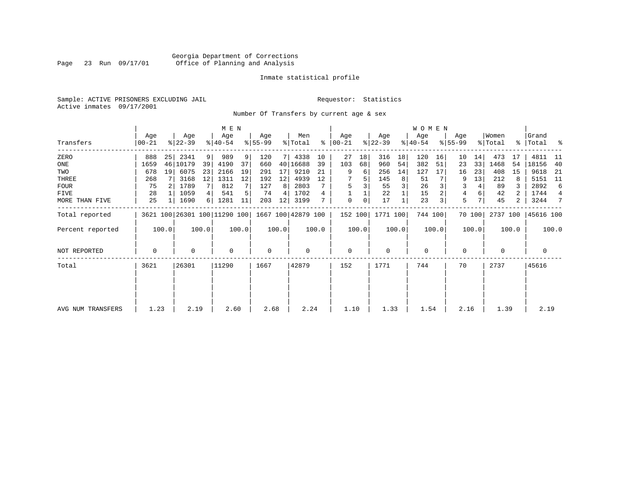# Georgia Department of Corrections Page 23 Run 09/17/01 Office of Planning and Analysis

# Inmate statistical profile

Sample: ACTIVE PRISONERS EXCLUDING JAIL **Requestor:** Statistics Active inmates 09/17/2001

Number Of Transfers by current age & sex

|                   |                |       |                  |                |                              |       |                  |       |                    |       |                      |       |                  |       | WOMEN            |       |                    |        |                  |       |                      |       |
|-------------------|----------------|-------|------------------|----------------|------------------------------|-------|------------------|-------|--------------------|-------|----------------------|-------|------------------|-------|------------------|-------|--------------------|--------|------------------|-------|----------------------|-------|
| Transfers         | Age<br>  00-21 |       | Age<br>$ 22-39 $ |                | Age<br>$8 40-54$             |       | Aqe<br>$ 55-99 $ |       | Men<br>% Total     |       | Aqe<br>$8   00 - 21$ |       | Age<br>$ 22-39 $ |       | Aqe<br>$ 40-54 $ |       | Age<br>$8155 - 99$ |        | Women<br>% Total |       | Grand<br>%   Total % |       |
| ZERO              | 888            | 25    | 2341             | 9 <sup>1</sup> | 989                          | 9     | 120              | 7 I   | 4338               | 10    | 27                   | 18    | 316              | 18    | 120              | 16    | 10                 | 14     | 473              | 17    | 4811                 | -11   |
| ONE               | 1659           |       | 46   10179       | 39             | 4190                         | 37    | 660              |       | 40 16688           | 39    | 103                  | 68    | 960              | 54    | 382              | 51    | 23                 | 33     | 1468             | 54    | 18156                | 40    |
| TWO               | 678            | 19    | 6075             | 23             | 2166                         | 19    | 291              | 17    | 9210               | 21    | 9                    | 6     | 256              | 14    | 127              | 17    | 16                 | 23     | 408              | 15    | 9618                 | 21    |
| THREE             | 268            |       | 3168             | 12             | 1311                         | 12    | 192              | 12    | 4939               | 12    |                      | 5     | 145              | 8     | 51               |       |                    | 13     | 212              | 8     | 5151                 | - 11  |
| <b>FOUR</b>       | 75             |       | 1789             | 7 <sup>1</sup> | 812                          |       | 127              | 8     | 2803               |       |                      |       | 55               |       | 26               |       | 3                  | 4      | 89               |       | 2892                 | 6     |
| FIVE              | 28             |       | 1059             | $\overline{4}$ | 541                          |       | 74               | 4     | 1702               | 4     |                      |       | 22               |       | 15               |       | 4                  | 6      | 42               |       | 1744                 | 4     |
| MORE THAN FIVE    | 25             |       | 1690             | 6              | 1281                         | 11    | 203              | 12    | 3199               |       | 0                    | 0     | 17               |       | 23               |       | 5                  |        | 45               | 2     | 3244                 | 7     |
| Total reported    |                |       |                  |                | 3621 100 26301 100 11290 100 |       |                  |       | 1667 100 42879 100 |       | 152 100              |       | 1771 100         |       | 744 100          |       |                    | 70 100 | 2737 100         |       | 45616 100            |       |
| Percent reported  |                | 100.0 |                  | 100.0          |                              | 100.0 |                  | 100.0 |                    | 100.0 |                      | 100.0 |                  | 100.0 |                  | 100.0 |                    | 100.0  |                  | 100.0 |                      | 100.0 |
| NOT REPORTED      | 0              |       | $\Omega$         |                | $\Omega$                     |       | 0                |       | $\Omega$           |       | $\mathbf 0$          |       | $\Omega$         |       | $\mathbf 0$      |       | $\Omega$           |        | $\Omega$         |       | 0                    |       |
| Total             | 3621           |       | 26301            |                | 11290                        |       | 1667             |       | 42879              |       | 152                  |       | 1771             |       | 744              |       | 70                 |        | 2737             |       | 45616                |       |
|                   |                |       |                  |                |                              |       |                  |       |                    |       |                      |       |                  |       |                  |       |                    |        |                  |       |                      |       |
|                   |                |       |                  |                |                              |       |                  |       |                    |       |                      |       |                  |       |                  |       |                    |        |                  |       |                      |       |
| AVG NUM TRANSFERS | 1.23           |       | 2.19             |                | 2.60                         |       | 2.68             |       | 2.24               |       | 1.10                 |       | 1.33             |       | 1.54             |       | 2.16               |        | 1.39             |       | 2.19                 |       |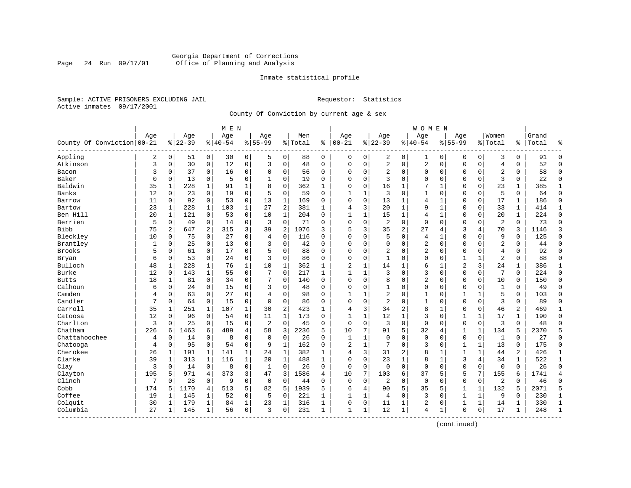# Georgia Department of Corrections Page 24 Run 09/17/01 Office of Planning and Analysis

# Inmate statistical profile

Sample: ACTIVE PRISONERS EXCLUDING JAIL **Requestor:** Statistics Active inmates 09/17/2001

County Of Conviction by current age & sex

|                            |          |                |           |              | M E N    |                |                |                |         |              |                |              |                |                | <b>WOMEN</b>   |              |                |              |                |              |       |                |
|----------------------------|----------|----------------|-----------|--------------|----------|----------------|----------------|----------------|---------|--------------|----------------|--------------|----------------|----------------|----------------|--------------|----------------|--------------|----------------|--------------|-------|----------------|
|                            | Age      |                | Age       |              | Age      |                | Age            |                | Men     |              | Age            |              | Age            |                | Age            |              | Age            |              | Women          |              | Grand |                |
| County Of Conviction 00-21 |          |                | $8 22-39$ |              | $ 40-54$ |                | $8155 - 99$    |                | % Total | ႜ            | $ 00-21$       |              | $8 22-39$      |                | $8140 - 54$    |              | $8155 - 99$    |              | % Total        | ⊱            | Total | န္             |
| Appling                    | 2        | $\overline{0}$ | 51        | 0            | 30       | 0              | 5              | $\mathbf 0$    | 88      | $\mathbf 0$  | 0              | $\mathbf 0$  | 2              | 0              | 1              | 0            | 0              | 0            | 3              | 0            | 91    | $\mathbf 0$    |
| Atkinson                   | 3        | 0              | 30        | $\mathbf 0$  | 12       | 0              | 3              | $\mathbf 0$    | 48      | $\Omega$     | $\mathbf 0$    | $\mathbf 0$  | $\overline{2}$ | $\mathbf 0$    | $\overline{c}$ | $\mathsf 0$  | $\Omega$       | $\mathbf 0$  | $\overline{4}$ | $\Omega$     | 52    | $\Omega$       |
| Bacon                      | 3        | 0              | 37        | 0            | 16       | 0              | $\Omega$       | 0              | 56      | $\Omega$     | $\mathbf 0$    | 0            | $\sqrt{2}$     | $\mathbf 0$    | 0              | 0            | $\Omega$       | $\mathbf 0$  | $\overline{2}$ | 0            | 58    | $\mathbf{0}$   |
| Baker                      | $\Omega$ | 0              | 13        | 0            | 5        | 0              |                | 0              | 19      | 0            | $\mathbf 0$    | 0            | 3              | $\mathbf 0$    | $\Omega$       | 0            | $\Omega$       | 0            | $\overline{3}$ | 0            | 22    | $\mathbf 0$    |
| Baldwin                    | 35       | 1              | 228       | 1            | 91       | 1              | 8              | $\mathbf 0$    | 362     | 1            | $\mathbf 0$    | $\Omega$     | 16             | 1              | 7              | 1            | $\Omega$       | $\Omega$     | 23             | 1            | 385   | 1              |
| Banks                      | 12       | $\Omega$       | 23        | $\mathbf 0$  | 19       | 0              | 5              | $\mathbf 0$    | 59      | $\Omega$     | 1              | 1            | 3              | 0              | 1              | 0            | $\Omega$       | 0            | 5              | 0            | 64    | $\Omega$       |
| Barrow                     | 11       | 0              | 92        | 0            | 53       | 0              | 13             | 1              | 169     | 0            | $\mathbf 0$    | $\mathbf 0$  | 13             | $\mathbf{1}$   | 4              | 1            | $\Omega$       | $\mathbf 0$  | 17             | 1            | 186   | $\mathbf 0$    |
| Bartow                     | 23       | $\mathbf{1}$   | 228       | $\mathbf{1}$ | 103      | $\mathbf{1}$   | 27             | $\overline{2}$ | 381     | $\mathbf{1}$ | $\overline{4}$ | 3            | 20             | $\mathbf{1}$   | 9              | $\mathbf{1}$ | $\Omega$       | $\mathbf 0$  | 33             | $\mathbf{1}$ | 414   | $\mathbf{1}$   |
| Ben Hill                   | 20       | 1              | 121       | 0            | 53       | $\mathbf 0$    | 10             | $\mathbf{1}$   | 204     | $\Omega$     | $\mathbf{1}$   | $\mathbf{1}$ | 15             | $\mathbf 1$    | $\overline{4}$ | $\mathbf{1}$ | $\mathbf 0$    | $\mathbf 0$  | 20             | $\mathbf{1}$ | 224   | $\mathbf 0$    |
| Berrien                    | 5        | 0              | 49        | 0            | 14       | 0              | 3              | $\mathbf 0$    | 71      | $\Omega$     | $\mathbf 0$    | $\mathbf 0$  | 2              | 0              | $\mathbf 0$    | 0            | $\Omega$       | 0            | $\overline{2}$ | 0            | 73    | $\mathbf 0$    |
| <b>Bibb</b>                | 75       | 2              | 647       | 2            | 315      | 3              | 39             | $\overline{2}$ | 1076    | 3            | 5              | 3            | 35             | 2              | 27             | 4            | 3              | 4            | 70             | 3            | 1146  | 3              |
| Bleckley                   | 10       | 0              | 75        | 0            | 27       | 0              | 4              | $\Omega$       | 116     | $\Omega$     | $\mathbf 0$    | $\Omega$     | 5              | $\mathbf 0$    | 4              | 1            | $\mathbf 0$    | $\Omega$     | 9              | $\mathbf 0$  | 125   | $\mathbf 0$    |
| Brantley                   | 1        | 0              | 25        | 0            | 13       | 0              | 3              | $\mathbf 0$    | 42      | $\mathbf 0$  | $\mathbf 0$    | $\mathbf 0$  | $\mathbf 0$    | $\mathbf 0$    | $\overline{2}$ | $\mathbf 0$  | $\Omega$       | $\mathbf 0$  | $\overline{2}$ | 0            | 44    | $\Omega$       |
| <b>Brooks</b>              | 5        | 0              | 61        | $\Omega$     | 17       | 0              | 5              | 0              | 88      | $\Omega$     | $\mathbf 0$    | 0            | $\overline{2}$ | 0              | 2              | 0            | $\Omega$       | 0            | $\overline{4}$ | $\Omega$     | 92    | $\Omega$       |
| Bryan                      | 6        | 0              | 53        | 0            | 24       | 0              | 3              | 0              | 86      | 0            | $\mathbf 0$    | 0            | 1              | 0              | 0              | 0            | 1              | 1            | $\overline{2}$ | 0            | 88    | $\mathbf 0$    |
| Bulloch                    | 48       | 1              | 228       | 1            | 76       | $\mathbf 1$    | 10             | 1              | 362     | 1            | $\overline{2}$ | 1            | 14             | 1              | 6              | 1            | $\overline{2}$ | 3            | 24             | 1            | 386   | 1              |
| Burke                      | 12       | $\Omega$       | 143       | $\mathbf{1}$ | 55       | 0              | 7              | $\Omega$       | 217     | $\mathbf{1}$ | $\mathbf{1}$   | $\mathbf{1}$ | 3              | $\Omega$       | 3              | $\Omega$     | $\Omega$       | $\Omega$     | 7              | $\Omega$     | 224   | $\Omega$       |
| <b>Butts</b>               | 18       | 1              | 81        | $\Omega$     | 34       | 0              | 7              | $\Omega$       | 140     | $\Omega$     | $\mathbf 0$    | $\Omega$     | 8              | $\Omega$       | $\overline{2}$ | $\mathbf 0$  | $\Omega$       | $\Omega$     | 10             | $\mathbf 0$  | 150   | $\Omega$       |
| Calhoun                    | 6        | 0              | 24        | 0            | 15       | 0              | 3              | $\mathbf 0$    | 48      | $\Omega$     | $\Omega$       | $\mathbf 0$  | $\mathbf{1}$   | $\mathbf 0$    | $\Omega$       | $\mathbf 0$  | $\Omega$       | $\mathbf 0$  | $\mathbf{1}$   | $\Omega$     | 49    | $\Omega$       |
| Camden                     | 4        | 0              | 63        | $\Omega$     | 27       | 0              | $\overline{4}$ | $\mathbf 0$    | 98      | $\Omega$     | $\mathbf{1}$   | 1            | $\sqrt{2}$     | $\mathbf 0$    | 1              | $\mathbf 0$  | $\mathbf{1}$   | $\mathbf{1}$ | 5              | $\Omega$     | 103   | $\Omega$       |
| Candler                    | 7        | 0              | 64        | 0            | 15       | 0              | $\Omega$       | $\mathbf 0$    | 86      | 0            | $\mathbf 0$    | $\mathbf 0$  | 2              | $\mathbf 0$    | 1              | 0            | $\mathbf 0$    | $\mathbf 0$  | 3              | 0            | 89    | $\mathbf 0$    |
| Carroll                    | 35       | 1              | 251       | 1            | 107      | 1              | 30             | $\overline{2}$ | 423     | 1            | 4              | 3            | 34             | 2              | 8              | 1            | 0              | 0            | 46             | 2            | 469   | 1              |
| Catoosa                    | 12       | $\Omega$       | 96        | $\Omega$     | 54       | $\Omega$       | 11             | $\mathbf{1}$   | 173     | $\Omega$     | 1              | $\mathbf{1}$ | 12             | $\mathbf{1}$   | 3              | $\Omega$     | $\mathbf{1}$   | $\mathbf{1}$ | 17             | $\mathbf{1}$ | 190   | $\Omega$       |
| Charlton                   | 3        | $\Omega$       | 25        | $\Omega$     | 15       | $\Omega$       | $\overline{2}$ | $\Omega$       | 45      | $\Omega$     | $\mathbf 0$    | $\Omega$     | 3              | $\Omega$       | $\mathbf 0$    | $\mathbf 0$  | $\mathbf 0$    | $\Omega$     | 3              | $\Omega$     | 48    | $\Omega$       |
| Chatham                    | 226      | 6              | 1463      | 6            | 489      | $\overline{4}$ | 58             | 3              | 2236    | 5            | 10             | 7            | 91             | 5              | 32             | 4            | $\mathbf{1}$   | $\mathbf{1}$ | 134            | 5            | 2370  | 5              |
| Chattahoochee              | 4        | $\Omega$       | 14        | $\Omega$     | 8        | 0              | $\Omega$       | $\Omega$       | 26      | $\Omega$     | $\mathbf{1}$   | $\mathbf{1}$ | $\Omega$       | $\Omega$       | $\Omega$       | $\mathbf 0$  | $\mathbf 0$    | $\mathbf 0$  | $\mathbf{1}$   | $\Omega$     | 27    | $\Omega$       |
| Chatooga                   | 4        | 0              | 95        | $\mathbf 0$  | 54       | 0              | 9              | $\mathbf{1}$   | 162     | 0            | $\overline{2}$ | 1            | 7              | $\mathbf 0$    | 3              | 0            | 1              | $\mathbf{1}$ | 13             | 0            | 175   | $\mathbf 0$    |
| Cherokee                   | 26       | 1              | 191       | 1            | 141      | 1              | 24             | 1              | 382     | 1            | 4              | 3            | 31             | $\overline{a}$ | 8              | 1            | 1              | $\mathbf{1}$ | 44             | 2            | 426   | 1              |
| Clarke                     | 39       | 1              | 313       | 1            | 116      | $\mathbf 1$    | 20             | 1              | 488     | 1            | $\mathbf 0$    | $\Omega$     | 23             | $\mathbf{1}$   | 8              | 1            | 3              | 4            | 34             | 1            | 522   | $\mathbf 1$    |
| Clay                       | 3        | 0              | 14        | $\mathbf 0$  | 8        | 0              | 1              | $\mathbf 0$    | 26      | 0            | $\mathbf 0$    | $\mathbf 0$  | $\mathbf 0$    | $\mathbf 0$    | $\mathbf 0$    | 0            | $\mathbf 0$    | $\mathbf 0$  | $\mathbf 0$    | $\mathbf 0$  | 26    | $\mathbf 0$    |
| Clayton                    | 195      | 5              | 971       | 4            | 373      | 3              | 47             | 3              | 1586    | 4            | 10             | 7            | 103            | 6              | 37             | 5            | 5              | 7            | 155            | 6            | 1741  | $\overline{4}$ |
| Clinch                     | 7        | $\Omega$       | 28        | $\Omega$     | 9        | $\Omega$       | $\Omega$       | $\Omega$       | 44      | $\Omega$     | $\Omega$       | $\Omega$     | 2              | $\Omega$       | $\Omega$       | $\mathbf 0$  | $\mathbf 0$    | $\mathbf 0$  | $\overline{2}$ | $\Omega$     | 46    | $\Omega$       |
| Cobb                       | 174      | 5              | 1170      | 4            | 513      | 5              | 82             | 5              | 1939    | 5            | 6              | 4            | 90             | 5              | 35             | 5            | $\mathbf{1}$   | $\mathbf{1}$ | 132            | 5            | 2071  | 5              |
| Coffee                     | 19       | 1              | 145       | 1            | 52       | 0              | 5              | $\mathbf 0$    | 221     | 1            | $\mathbf{1}$   | 1            | 4              | $\mathbf 0$    | 3              | 0            | 1              | $\mathbf{1}$ | 9              | $\Omega$     | 230   | $\mathbf{1}$   |
| Colquit                    | 30       | 1              | 179       | 1            | 84       | $\mathbf 1$    | 23             | 1              | 316     | 1            | $\mathbf 0$    | 0            | 11             | $\mathbf 1$    | 2              | $\mathbf 0$  | 1              | 1            | 14             | 1            | 330   | $\mathbf{1}$   |
| Columbia                   | 27       | 1              | 145       | 1            | 56       | 0              | 3              | $\mathbf 0$    | 231     | $\mathbf{1}$ | $\mathbf{1}$   | 1            | 12             | $\mathbf 1$    | 4              | 1            | $\Omega$       | $\mathbf 0$  | 17             | 1            | 248   | $\mathbf{1}$   |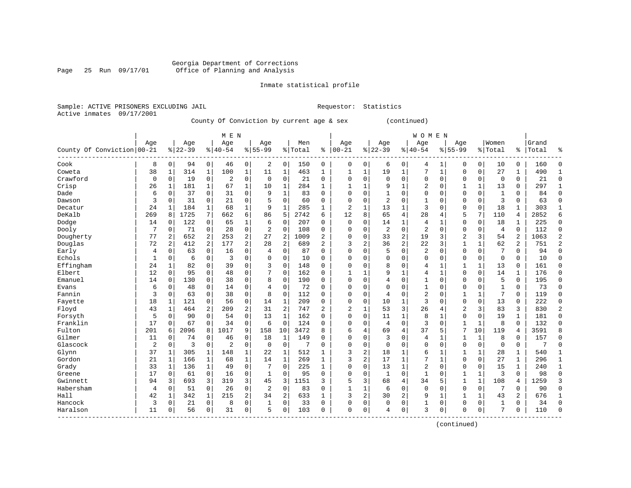Inmate statistical profile

Sample: ACTIVE PRISONERS EXCLUDING JAIL Requestor: Statistics Active inmates 09/17/2001

County Of Conviction by current age & sex (continued)

|                            |                |                |           |              | M E N          |              |                |                |         |              |                |                |                |              | WOMEN          |                |              |              |                |                |       |                |
|----------------------------|----------------|----------------|-----------|--------------|----------------|--------------|----------------|----------------|---------|--------------|----------------|----------------|----------------|--------------|----------------|----------------|--------------|--------------|----------------|----------------|-------|----------------|
|                            | Age            |                | Age       |              | Age            |              | Age            |                | Men     |              | Age            |                | Age            |              | Age            |                | Age          |              | Women          |                | Grand |                |
| County Of Conviction 00-21 |                |                | $8 22-39$ |              | $8140 - 54$    |              | $8155 - 99$    |                | % Total | ႜ            | $ 00 - 21$     |                | $ 22-39$       |              | $8 40-54$      |                | $8155 - 99$  |              | % Total        | ៖              | Total | ిక             |
| Cook                       | 8              | 0              | 94        | 0            | 46             | 0            | 2              | 0              | 150     | 0            | $\mathbf 0$    | 0              | 6              | 0            | 4              | 1              | 0            | 0            | 10             | $\Omega$       | 160   | 0              |
| Coweta                     | 38             | 1              | 314       | 1            | 100            | $\mathbf 1$  | 11             | 1              | 463     | 1            | 1              | 1              | 19             | $\mathbf 1$  | 7              | $\mathbf{1}$   | 0            | $\mathbf 0$  | 27             | 1              | 490   | $\mathbf{1}$   |
| Crawford                   | $\mathbf 0$    | $\mathbf 0$    | 19        | $\mathbf 0$  | $\overline{2}$ | 0            | $\mathbf 0$    | $\mathbf 0$    | 21      | $\mathbf 0$  | $\Omega$       | $\Omega$       | $\mathbf 0$    | 0            | $\mathbf 0$    | $\mathbf 0$    | $\Omega$     | $\mathbf 0$  | $\mathbf 0$    | $\Omega$       | 21    | $\mathbf 0$    |
| Crisp                      | 26             | 1              | 181       | 1            | 67             | 1            | 10             | $\mathbf 1$    | 284     | 1            |                | $\mathbf{1}$   | 9              | 1            | $\overline{2}$ | $\mathbf 0$    | 1            | 1            | 13             | $\Omega$       | 297   | $\mathbf{1}$   |
| Dade                       | 6              | $\mathbf 0$    | 37        | $\Omega$     | 31             | $\Omega$     | 9              | $\mathbf{1}$   | 83      | $\Omega$     | $\Omega$       | $\Omega$       | $\mathbf{1}$   | $\Omega$     | $\Omega$       | $\Omega$       | $\Omega$     | $\Omega$     | $\mathbf{1}$   | $\Omega$       | 84    | $\Omega$       |
| Dawson                     | 3              | $\mathbf 0$    | 31        | 0            | 21             | 0            | 5              | $\mathbf 0$    | 60      | 0            | $\Omega$       | 0              | $\overline{2}$ | 0            | 1              | 0              | 0            | $\mathbf 0$  | 3              | $\Omega$       | 63    | $\mathbf 0$    |
| Decatur                    | 24             | 1              | 184       | 1            | 68             | 1            | 9              | $\mathbf{1}$   | 285     | 1            | $\overline{c}$ |                | 13             | $\mathbf{1}$ | 3              | 0              | 0            | $\mathbf 0$  | 18             |                | 303   | 1              |
| DeKalb                     | 269            | 8              | 1725      | 7            | 662            | 6            | 86             | 5              | 2742    | 6            | 12             | 8              | 65             | 4            | 28             | $\overline{4}$ | 5            | 7            | 110            | 4              | 2852  | 6              |
| Dodge                      | 14             | $\Omega$       | 122       | $\Omega$     | 65             | 1            | 6              | $\mathbf 0$    | 207     | $\Omega$     | $\Omega$       | $\Omega$       | 14             | $\mathbf{1}$ | 4              | 1              | 0            | $\Omega$     | 18             | $\mathbf{1}$   | 225   | $\mathbf 0$    |
| Dooly                      | 7              | $\Omega$       | 71        | $\Omega$     | 28             | $\Omega$     | $\overline{2}$ | $\mathbf 0$    | 108     | $\Omega$     | $\Omega$       | $\Omega$       | $\overline{2}$ | $\Omega$     | $\overline{2}$ | $\Omega$       | $\Omega$     | $\Omega$     | $\overline{4}$ | $\Omega$       | 112   | $\Omega$       |
| Dougherty                  | 77             | 2              | 652       | 2            | 253            | 2            | 27             | $\overline{2}$ | 1009    | 2            | $\Omega$       | $\Omega$       | 33             | 2            | 19             | 3              | 2            | 3            | 54             | $\overline{2}$ | 1063  | $\overline{2}$ |
| Douglas                    | 72             | 2              | 412       | 2            | 177            | 2            | 28             | $\overline{c}$ | 689     | 2            | 3              | $\overline{a}$ | 36             | 2            | 22             | 3              | $\mathbf{1}$ | $\mathbf{1}$ | 62             | 2              | 751   | $\overline{2}$ |
| Early                      | 4              | $\mathbf 0$    | 63        | 0            | 16             | 0            | 4              | $\mathbf 0$    | 87      | $\Omega$     | $\Omega$       | $\cap$         | 5              | 0            | 2              | $\Omega$       | 0            | $\mathbf 0$  | 7              | $\Omega$       | 94    | $\mathbf 0$    |
| Echols                     | $\mathbf{1}$   | $\mathbf 0$    | 6         | 0            | 3              | 0            | $\Omega$       | 0              | 10      | $\Omega$     | $\Omega$       | $\Omega$       | $\mathbf 0$    | $\Omega$     | $\Omega$       | 0              | $\Omega$     | 0            | $\Omega$       | $\Omega$       | 10    | $\mathbf 0$    |
| Effingham                  | 24             | $\mathbf{1}$   | 82        | $\Omega$     | 39             | 0            | 3              | $\mathbf 0$    | 148     | $\Omega$     | $\Omega$       | $\Omega$       | 8              | 0            | 4              | 1              |              | $\mathbf{1}$ | 13             | $\Omega$       | 161   | $\mathbf 0$    |
| Elbert                     | 12             | $\mathbf 0$    | 95        | $\Omega$     | 48             | 0            |                | $\mathbf 0$    | 162     | $\Omega$     | $\mathbf{1}$   |                | 9              | 1            | 4              | 1              | $\Omega$     | $\Omega$     | 14             |                | 176   | $\mathbf 0$    |
| Emanuel                    | 14             | $\Omega$       | 130       | 0            | 38             | 0            | 8              | $\mathbf 0$    | 190     | 0            | $\Omega$       | $\cap$         | 4              | 0            |                | $\Omega$       | 0            | $\Omega$     | 5              | 0              | 195   | 0              |
| Evans                      | 6              | $\mathbf 0$    | 48        | 0            | 14             | 0            | 4              | $\mathbf 0$    | 72      | 0            | $\Omega$       | $\Omega$       | $\mathbf{0}$   | 0            | $\mathbf{1}$   | $\Omega$       | $\Omega$     | 0            | 1              | $\Omega$       | 73    | $\mathbf 0$    |
| Fannin                     | 3              | $\mathbf 0$    | 63        | 0            | 38             | 0            | 8              | 0              | 112     | 0            | $\Omega$       | $\Omega$       | $\overline{4}$ | 0            | 2              | $\mathbf 0$    |              | $\mathbf{1}$ | 7              | $\mathbf 0$    | 119   | $\mathbf 0$    |
| Fayette                    | 18             | 1              | 121       | 0            | 56             | 0            | 14             | $\mathbf 1$    | 209     | 0            | $\Omega$       | 0              | 10             | 1            | 3              | 0              | $\Omega$     | $\mathbf 0$  | 13             | $\Omega$       | 222   | $\mathbf 0$    |
| Floyd                      | 43             | $\mathbf{1}$   | 464       | 2            | 209            | 2            | 31             | $\overline{c}$ | 747     | 2            | 2              | 1              | 53             | 3            | 26             | 4              | 2            | 3            | 83             | 3              | 830   | $\overline{2}$ |
| Forsyth                    | 5              | $\mathbf 0$    | 90        | $\Omega$     | 54             | 0            | 13             | $\mathbf{1}$   | 162     | $\Omega$     | $\Omega$       | $\Omega$       | 11             | 1            | 8              | 1              | 0            | $\Omega$     | 19             | 1              | 181   | $\mathbf 0$    |
| Franklin                   | 17             | 0              | 67        | 0            | 34             | $\mathbf 0$  | 6              | $\mathbf 0$    | 124     | 0            | $\Omega$       | O              | $\overline{4}$ | 0            | 3              | 0              |              | 1            | 8              | 0              | 132   | $\mathbf 0$    |
| Fulton                     | 201            | 6              | 2096      | 8            | 1017           | 9            | 158            | 10             | 3472    | 8            | 6              | 4              | 69             | 4            | 37             | 5              | 7            | 10           | 119            | 4              | 3591  | 8              |
| Gilmer                     | 11             | $\overline{0}$ | 74        | $\Omega$     | 46             | 0            | 18             | $\mathbf 1$    | 149     | $\Omega$     | $\Omega$       | $\Omega$       | 3              | $\Omega$     | 4              | 1              | 1            | 1            | 8              | $\Omega$       | 157   | $\Omega$       |
| Glascock                   | $\overline{2}$ | $\Omega$       | 3         | 0            | $\overline{a}$ | 0            | $\Omega$       | $\mathbf 0$    | 7       | $\Omega$     | $\Omega$       | $\Omega$       | $\Omega$       | $\Omega$     | $\Omega$       | $\Omega$       | $\Omega$     | $\Omega$     | $\Omega$       | $\Omega$       | 7     | $\Omega$       |
| Glynn                      | 37             | 1              | 305       | 1            | 148            | 1            | 22             | 1              | 512     | 1            | 3              | 2              | 18             | 1            | 6              | 1              |              | 1            | 28             | 1              | 540   | 1              |
| Gordon                     | 21             | 1              | 166       | 1            | 68             | $\mathbf{1}$ | 14             | $\mathbf 1$    | 269     | 1            | 3              | 2              | 17             | 1            |                | $\mathbf{1}$   | $\Omega$     | $\Omega$     | 27             | 1              | 296   | $\mathbf{1}$   |
| Grady                      | 33             | $\mathbf{1}$   | 136       | $\mathbf{1}$ | 49             | $\mathbf 0$  | 7              | $\mathbf 0$    | 225     | $\mathbf{1}$ | $\Omega$       | $\Omega$       | 13             | $\mathbf{1}$ | $\overline{2}$ | $\Omega$       | 0            | 0            | 15             | 1              | 240   | $\mathbf{1}$   |
| Greene                     | 17             | $\mathbf 0$    | 61        | 0            | 16             | 0            | $\mathbf{1}$   | $\mathbf 0$    | 95      | 0            | $\Omega$       | $\Omega$       | $\mathbf{1}$   | 0            | 1              | $\mathbf 0$    | 1            | $\mathbf{1}$ | 3              | $\Omega$       | 98    | $\mathsf 0$    |
| Gwinnett                   | 94             | 3              | 693       | 3            | 319            | 3            | 45             | 3              | 1151    | 3            | 5              | 3              | 68             | 4            | 34             | 5              | 1            | $\mathbf{1}$ | 108            | 4              | 1259  | 3              |
| Habersham                  | 4              | $\mathbf 0$    | 51        | 0            | 26             | 0            | $\overline{2}$ | $\mathbf 0$    | 83      | $\Omega$     | $\mathbf{1}$   | 1              | 6              | 0            | $\Omega$       | $\Omega$       | $\Omega$     | $\mathbf 0$  | 7              | $\Omega$       | 90    | 0              |
| Hall                       | 42             | 1              | 342       | $\mathbf 1$  | 215            | 2            | 34             | 2              | 633     | 1            | 3              | 2              | 30             | 2            | 9              | 1              | $\mathbf{1}$ | $\mathbf{1}$ | 43             | 2              | 676   | 1              |
| Hancock                    | 3              | $\mathbf 0$    | 21        | $\mathbf 0$  | 8              | 0            | 1              | $\mathbf 0$    | 33      | 0            | $\mathbf 0$    | 0              | $\mathbf 0$    | 0            | 1              | 0              | 0            | 0            | 1              | 0              | 34    | $\mathbf 0$    |
| Haralson<br>------------   | 11             | 0              | 56        | $\mathbf 0$  | 31             | 0            | 5              | $\mathbf 0$    | 103     | 0            | $\mathbf{0}$   | $\mathbf 0$    | 4              | 0            | 3              | 0              | $\Omega$     | 0            | 7              | 0              | 110   | $\Omega$       |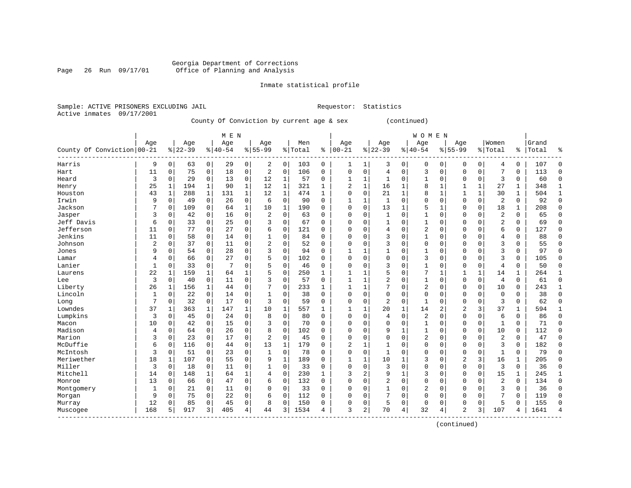Inmate statistical profile

Sample: ACTIVE PRISONERS EXCLUDING JAIL Requestor: Statistics Active inmates 09/17/2001

County Of Conviction by current age & sex (continued)

|                            |     |              |           |                | M E N       |              |                |              |           |              |                |                |                |             | <b>WOMEN</b>   |              |                |                |              |              |       |              |
|----------------------------|-----|--------------|-----------|----------------|-------------|--------------|----------------|--------------|-----------|--------------|----------------|----------------|----------------|-------------|----------------|--------------|----------------|----------------|--------------|--------------|-------|--------------|
|                            | Age |              | Age       |                | Age         |              | Age            |              | Men       |              | Age            |                | Age            |             | Age            |              | Age            |                | Women        |              | Grand |              |
| County Of Conviction 00-21 |     |              | $8 22-39$ |                | $8140 - 54$ |              | $8 55-99$      |              | %   Total | ៖            | $ 00 - 21$     |                | $ 22-39$       |             | $8140 - 54$    |              | $8155 - 99$    |                | % Total      | ÷            | Total | ៖            |
| Harris                     | 9   | 0            | 63        | $\overline{0}$ | 29          | $\circ$      | 2              | 0            | 103       | 0            | 1              | 1              | 3              | 0           | 0              | 0            | 0              | 0              | 4            | 0            | 107   | 0            |
| Hart                       | 11  | $\mathbf 0$  | 75        | 0              | 18          | $\mathbf 0$  | 2              | 0            | 106       | $\mathbf 0$  | $\mathbf{0}$   | $\mathbf 0$    | $\overline{4}$ | $\mathbf 0$ | 3              | $\mathbf 0$  | $\mathbf 0$    | $\mathsf{O}$   | 7            | 0            | 113   | 0            |
| Heard                      | 3   | $\mathsf 0$  | 29        | 0              | 13          | $\mathbf 0$  | 12             | $\mathbf{1}$ | 57        | $\mathbf 0$  | 1              | $\mathbf{1}$   | $\mathbf{1}$   | 0           | $\mathbf{1}$   | $\mathbf 0$  | 0              | $\mathbf 0$    | 3            | $\mathbf 0$  | 60    | $\mathbf 0$  |
| Henry                      | 25  | $\mathbf{1}$ | 194       | 1              | 90          | $\mathbf{1}$ | 12             | $\mathbf{1}$ | 321       | 1            | $\overline{2}$ | $\mathbf{1}$   | 16             | 1           | 8              | $\mathbf 1$  |                | $\mathbf{1}$   | 27           | $\mathbf{1}$ | 348   | $\mathbf{1}$ |
| Houston                    | 43  | $\mathbf{1}$ | 288       | $\mathbf{1}$   | 131         | $\mathbf{1}$ | 12             | $\mathbf 1$  | 474       | $\mathbf{1}$ | $\Omega$       | $\mathbf 0$    | 21             | 1           | 8              | 1            |                | $\mathbf 1$    | 30           | $\mathbf{1}$ | 504   | $\mathbf{1}$ |
| Irwin                      | 9   | $\mathbf 0$  | 49        | 0              | 26          | 0            | 6              | 0            | 90        | $\Omega$     |                | 1              | $\mathbf{1}$   | $\Omega$    | $\Omega$       | $\mathsf 0$  | $\Omega$       | 0              | 2            | $\mathbf 0$  | 92    | 0            |
| Jackson                    |     | $\mathbf 0$  | 109       | 0              | 64          | $\mathbf{1}$ | 10             | $\mathbf 1$  | 190       | $\Omega$     | $\Omega$       | $\Omega$       | 13             | 1           | 5              | $\mathbf{1}$ | $\Omega$       | $\mathbf 0$    | 18           | $\mathbf{1}$ | 208   | $\mathbf 0$  |
| Jasper                     | 3   | $\mathbf 0$  | 42        | 0              | 16          | $\mathbf 0$  | 2              | $\Omega$     | 63        | $\Omega$     | $\Omega$       | $\Omega$       | $\mathbf{1}$   | $\Omega$    | $\mathbf{1}$   | $\mathbf 0$  | $\Omega$       | $\mathbf 0$    | 2            | $\Omega$     | 65    | $\mathbf 0$  |
| Jeff Davis                 | 6   | 0            | 33        | 0              | 25          | $\mathbf 0$  | 3              | 0            | 67        | $\Omega$     | $\Omega$       | $\Omega$       | $\mathbf{1}$   | $\Omega$    | $\mathbf{1}$   | $\mathbf 0$  | $\Omega$       | $\mathbf 0$    | 2            | $\Omega$     | 69    | $\mathbf 0$  |
| Jefferson                  | 11  | $\mathbf 0$  | 77        | 0              | 27          | $\mathbf 0$  | 6              | 0            | 121       | $\Omega$     | $\Omega$       | $\Omega$       | $\overline{4}$ | 0           | $\overline{2}$ | $\mathbf 0$  | $\Omega$       | $\mathbf 0$    | 6            | 0            | 127   | $\mathbf 0$  |
| Jenkins                    | 11  | $\mathbf 0$  | 58        | $\overline{0}$ | 14          | 0            | 1              | 0            | 84        | $\Omega$     | $\Omega$       | $\Omega$       | 3              | $\Omega$    | $\mathbf{1}$   | $\mathsf 0$  | $\Omega$       | $\mathbf 0$    | 4            | $\mathbf 0$  | 88    | $\mathbf 0$  |
| Johnson                    | 2   | $\mathbf 0$  | 37        | $\overline{0}$ | 11          | 0            | $\overline{2}$ | 0            | 52        | $\Omega$     | $\Omega$       | $\Omega$       | 3              | $\Omega$    | $\Omega$       | $\mathsf 0$  | $\Omega$       | $\mathbf 0$    | 3            | $\mathbf 0$  | 55    | $\mathbf 0$  |
| Jones                      | 9   | 0            | 54        | 0              | 28          | 0            | 3              | 0            | 94        | $\Omega$     | 1              | $\mathbf{1}$   | 1              | 0           | $\mathbf{1}$   | 0            | $\Omega$       | 0              | 3            | $\Omega$     | 97    | $\mathbf 0$  |
| Lamar                      | 4   | 0            | 66        | 0              | 27          | 0            | 5              | 0            | 102       | $\Omega$     | $\Omega$       | $\Omega$       | 0              | 0           | 3              | 0            | $\Omega$       | $\mathbf 0$    | 3            | $\Omega$     | 105   | $\mathbf 0$  |
| Lanier                     |     | $\mathbf 0$  | 33        | 0              |             | $\Omega$     | 5              | 0            | 46        | $\Omega$     | $\Omega$       | $\Omega$       | 3              | $\Omega$    | $\mathbf{1}$   | $\mathsf 0$  | $\Omega$       | 0              | 4            | 0            | 50    | 0            |
| Laurens                    | 22  | $\mathbf{1}$ | 159       | $\mathbf{1}$   | 64          | 1            | 5              | 0            | 250       | 1            | 1              | $\mathbf{1}$   | 5              | $\Omega$    | 7              | $\mathbf{1}$ |                | $\mathbf{1}$   | 14           | $\mathbf{1}$ | 264   | $\mathbf{1}$ |
| Lee                        | 3   | 0            | 40        | 0              | 11          | $\Omega$     | 3              | $\Omega$     | 57        | $\Omega$     | 1              | $\mathbf{1}$   | $\overline{c}$ | $\Omega$    | 1              | $\Omega$     | $\Omega$       | $\mathbf 0$    | 4            | $\Omega$     | 61    | $\mathbf 0$  |
| Liberty                    | 26  | 1            | 156       | 1              | 44          | $\mathbf 0$  | 7              | 0            | 233       | 1            | 1              | 1              | 7              | 0           | $\overline{2}$ | $\mathbf 0$  | $\Omega$       | $\mathbf 0$    | 10           | $\Omega$     | 243   | 1            |
| Lincoln                    | 1   | $\mathbf 0$  | 22        | 0              | 14          | 0            | $\mathbf{1}$   | 0            | 38        | $\Omega$     | $\Omega$       | $\Omega$       | $\mathbf 0$    | 0           | $\Omega$       | $\mathbf 0$  | $\Omega$       | $\mathbf 0$    | $\mathbf 0$  | $\Omega$     | 38    | $\mathbf 0$  |
| Long                       | 7   | $\mathbf 0$  | 32        | 0              | 17          | 0            | 3              | 0            | 59        | $\Omega$     | $\Omega$       | 0              | $\overline{2}$ | 0           | $\mathbf{1}$   | 0            | $\Omega$       | 0              | 3            | 0            | 62    | $\mathbf 0$  |
| Lowndes                    | 37  | 1            | 363       | $\mathbf{1}$   | 147         | 1            | 10             | 1            | 557       | $\mathbf{1}$ | 1              | 1              | 20             | 1           | 14             | 2            | 2              | 3              | 37           | 1            | 594   | $\mathbf 1$  |
| Lumpkins                   | 3   | 0            | 45        | 0              | 24          | 0            | 8              | 0            | 80        | $\Omega$     | $\Omega$       | $\Omega$       | $\overline{4}$ | 0           | 2              | $\mathbf 0$  | $\Omega$       | $\mathbf 0$    | 6            | $\Omega$     | 86    | $\mathbf 0$  |
| Macon                      | 10  | $\mathbf 0$  | 42        | 0              | 15          | 0            | ς              | 0            | 70        | $\Omega$     | $\Omega$       | $\Omega$       | $\mathbf 0$    | 0           | $\mathbf{1}$   | 0            | $\Omega$       | $\mathbf 0$    | $\mathbf{1}$ | 0            | 71    | $\mathbf 0$  |
| Madison                    | 4   | $\mathbf 0$  | 64        | 0              | 26          | 0            | 8              | 0            | 102       | $\Omega$     | $\Omega$       | $\Omega$       | 9              | 1           | $\mathbf{1}$   | 0            | $\Omega$       | $\mathbf 0$    | 10           | $\Omega$     | 112   | $\mathbf 0$  |
| Marion                     | 3   | $\mathbf 0$  | 23        | 0              | 17          | 0            | $\overline{2}$ | $\Omega$     | 45        | $\Omega$     | $\Omega$       | O              | $\mathbf 0$    | $\Omega$    | $\overline{2}$ | 0            | $\Omega$       | $\mathbf 0$    | 2            | $\Omega$     | 47    | 0            |
| McDuffie                   | 6   | 0            | 116       | 0              | 44          | $\mathbf 0$  | 13             | 1            | 179       | $\Omega$     | $\overline{2}$ | $\mathbf{1}$   | $\mathbf{1}$   | $\Omega$    | $\Omega$       | $\Omega$     | $\Omega$       | $\mathbf 0$    | 3            | $\Omega$     | 182   | 0            |
| McIntosh                   | 3   | 0            | 51        | $\Omega$       | 23          | $\mathbf 0$  | 1              | 0            | 78        | $\Omega$     | $\Omega$       | $\Omega$       | $\mathbf{1}$   | $\Omega$    | 0              | $\mathbf 0$  | $\Omega$       | $\mathbf 0$    | $\mathbf{1}$ | $\Omega$     | 79    | 0            |
| Meriwether                 | 18  | 1            | 107       | 0              | 55          | $\Omega$     | 9              | $\mathbf 1$  | 189       | $\Omega$     | 1              | $\mathbf 1$    | 10             | 1           | 3              | $\mathbf 0$  | $\overline{2}$ | $\overline{3}$ | 16           | $\mathbf{1}$ | 205   | $\mathbf 0$  |
| Miller                     | 3   | $\mathbf 0$  | 18        | 0              | 11          | 0            | $\mathbf{1}$   | 0            | 33        | $\Omega$     | $\Omega$       | $\Omega$       | 3              | 0           | $\Omega$       | $\mathsf 0$  | $\Omega$       | $\mathsf{O}$   | 3            | $\mathbf 0$  | 36    | $\mathbf 0$  |
| Mitchell                   | 14  | 0            | 148       | 1              | 64          | 1            | 4              | 0            | 230       | 1            | 3              | $\overline{2}$ | 9              | 1           | 3              | $\mathbf 0$  | $\Omega$       | $\mathbf 0$    | 15           | $\mathbf{1}$ | 245   | $\mathbf{1}$ |
| Monroe                     | 13  | 0            | 66        | 0              | 47          | 0            | 6              | 0            | 132       | $\Omega$     | $\Omega$       | 0              | $\overline{c}$ | 0           | $\Omega$       | 0            | $\Omega$       | 0              | 2            | $\Omega$     | 134   | 0            |
| Montgomery                 | 1   | 0            | 21        | 0              | 11          | 0            | $\Omega$       | 0            | 33        | $\Omega$     | $\Omega$       | $\Omega$       | 1              | 0           | 2              | 0            | $\Omega$       | $\mathbf 0$    | 3            | $\Omega$     | 36    | 0            |
| Morgan                     | 9   | 0            | 75        | 0              | 22          | 0            | 6              | 0            | 112       | 0            | $\Omega$       | 0              | 7              | $\Omega$    | $\Omega$       | 0            | $\Omega$       | $\mathbf 0$    | 7            | $\Omega$     | 119   | $\mathbf 0$  |
| Murray                     | 12  | $\mathbf 0$  | 85        | 0              | 45          | $\Omega$     | 8              | 0            | 150       | $\Omega$     | $\Omega$       | 0              | 5              | 0           | 0              | 0            | $\Omega$       | 0              | 5            | 0            | 155   | $\Omega$     |
| Muscogee                   | 168 | 5            | 917       | 3              | 405         | 4            | 44             | 3            | 1534      | 4            | 3              | 2              | 70             | 4           | 32             | 4            | $\overline{c}$ | 3              | 107          | 4            | 1641  | 4            |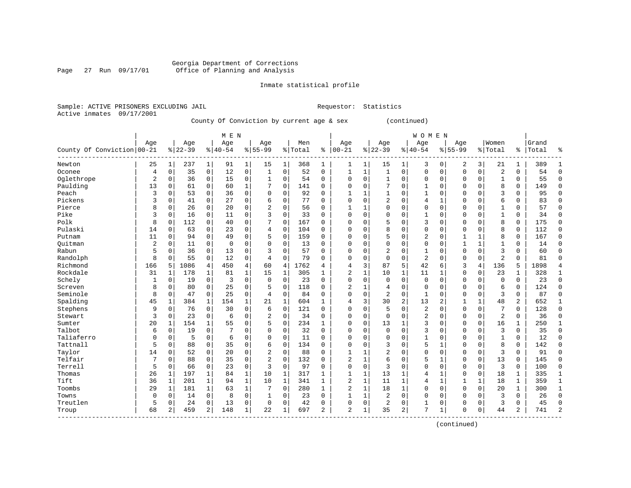Inmate statistical profile

Sample: ACTIVE PRISONERS EXCLUDING JAIL Requestor: Statistics Active inmates 09/17/2001

County Of Conviction by current age & sex (continued)

|                            |                |              |           |              | M E N          |              |                |                |         |              |                |              |              |              | <b>WOMEN</b>   |              |              |              |                |             |       |                |
|----------------------------|----------------|--------------|-----------|--------------|----------------|--------------|----------------|----------------|---------|--------------|----------------|--------------|--------------|--------------|----------------|--------------|--------------|--------------|----------------|-------------|-------|----------------|
|                            | Age            |              | Age       |              | Age            |              | Age            |                | Men     |              | Age            |              | Age          |              | Age            |              | Age          |              | Women          |             | Grand |                |
| County Of Conviction 00-21 |                |              | $8 22-39$ |              | $8140 - 54$    |              | $8 55-99$      |                | % Total | ႜ            | $ 00 - 21$     |              | $ 22-39$     |              | $8140 - 54$    |              | $8 55-99$    |              | %   Total      | ి           | Total | ៖              |
| Newton                     | 25             | 1            | 237       | $\mathbf{1}$ | 91             | 1            | 15             | 1              | 368     | 1            | 1              | 1            | 15           | 1            | 3              | 0            | 2            | 3            | 21             | 1           | 389   | 1              |
| Oconee                     | 4              | $\mathbf 0$  | 35        | $\mathbf 0$  | 12             | $\mathbf 0$  | 1              | $\mathbf 0$    | 52      | $\mathbf 0$  | 1              | 1            | $\mathbf{1}$ | 0            | $\Omega$       | $\mathbf 0$  | 0            | $\mathbf 0$  | $\overline{2}$ | $\mathbf 0$ | 54    | 0              |
| Oglethrope                 | $\overline{2}$ | $\mathbf 0$  | 36        | $\mathbf 0$  | 15             | $\mathbf 0$  | $\mathbf 1$    | $\mathbf 0$    | 54      | $\mathbf 0$  | $\Omega$       | $\mathbf 0$  | $\mathbf{1}$ | 0            | $\Omega$       | 0            | 0            | $\mathbf 0$  | $\mathbf{1}$   | 0           | 55    | $\mathbf 0$    |
| Paulding                   | 13             | $\mathbf 0$  | 61        | $\mathbf 0$  | 60             | $\mathbf{1}$ | 7              | $\mathbf 0$    | 141     | $\mathbf 0$  | $\Omega$       | $\Omega$     | 7            | 0            | $\mathbf{1}$   | 0            | 0            | $\mathbf 0$  | 8              | $\mathbf 0$ | 149   | 0              |
| Peach                      | 3              | $\mathbf 0$  | 53        | 0            | 36             | 0            | 0              | $\mathbf 0$    | 92      | $\mathbf 0$  |                |              | $\mathbf{1}$ | 0            | 1              | 0            | 0            | 0            | 3              | $\mathbf 0$ | 95    | 0              |
| Pickens                    | 3              | $\mathbf 0$  | 41        | 0            | 27             | 0            | 6              | $\mathsf 0$    | 77      | $\Omega$     | $\Omega$       | $\Omega$     | 2            | 0            | 4              | 1            | 0            | 0            | 6              | 0           | 83    | 0              |
| Pierce                     | 8              | $\Omega$     | 26        | 0            | 20             | 0            | $\overline{2}$ | $\mathbf 0$    | 56      | 0            | 1              |              | $\Omega$     | O            | $\Omega$       | 0            | $\Omega$     | $\mathbf 0$  | $\mathbf{1}$   | $\Omega$    | 57    | 0              |
| Pike                       | 3              | $\mathbf 0$  | 16        | $\mathbf 0$  | 11             | $\mathbf 0$  | 3              | $\mathbf 0$    | 33      | $\Omega$     | $\Omega$       | $\Omega$     | $\Omega$     | O            | 1              | $\Omega$     | $\Omega$     | $\Omega$     | $\mathbf{1}$   | $\Omega$    | 34    | $\Omega$       |
| Polk                       | 8              | $\mathbf 0$  | 112       | $\mathbf 0$  | 40             | $\mathbf 0$  | 7              | $\mathbf 0$    | 167     | $\Omega$     | $\Omega$       | $\Omega$     | 5            | $\Omega$     | 3              | $\Omega$     | $\Omega$     | $\Omega$     | 8              | $\mathbf 0$ | 175   | $\Omega$       |
| Pulaski                    | 14             | $\mathbf 0$  | 63        | $\mathbf 0$  | 23             | 0            | 4              | 0              | 104     | $\mathbf 0$  | $\Omega$       | $\Omega$     | 8            | 0            | $\Omega$       | 0            | $\Omega$     | $\mathbf 0$  | 8              | $\mathbf 0$ | 112   | 0              |
| Putnam                     | 11             | $\mathbf 0$  | 94        | 0            | 49             | $\mathbf 0$  | 5              | 0              | 159     | $\mathbf 0$  | $\Omega$       | $\Omega$     | 5            | 0            | 2              | 0            |              | $\mathbf{1}$ | 8              | $\mathbf 0$ | 167   | 0              |
| Ouitman                    | 2              | $\mathbf 0$  | 11        | $\mathbf 0$  | $\mathbf 0$    | $\mathbf 0$  | $\Omega$       | $\mathsf 0$    | 13      | $\mathbf 0$  | $\Omega$       | $\Omega$     | O            | 0            | $\Omega$       | 0            | $\mathbf{1}$ | $\mathbf{1}$ | $\mathbf{1}$   | 0           | 14    | 0              |
| Rabun                      | 5              | $\mathbf 0$  | 36        | 0            | 13             | 0            | 3              | $\mathbf 0$    | 57      | $\Omega$     | $\Omega$       | $\Omega$     | 2            | 0            | $\mathbf{1}$   | 0            | $\Omega$     | 0            | 3              | $\Omega$    | 60    | $\mathbf 0$    |
| Randolph                   | 8              | $\mathbf 0$  | 55        | 0            | 12             | 0            | 4              | $\mathbf 0$    | 79      | $\Omega$     | $\Omega$       | $\Omega$     | $\mathbf 0$  | 0            | $\overline{2}$ | 0            | 0            | 0            | $\overline{2}$ | $\Omega$    | 81    | $\mathbf 0$    |
| Richmond                   | 166            | 5            | 1086      | 4            | 450            | 4            | 60             | $\overline{4}$ | 1762    | 4            | 4              | 3            | 87           | 5            | 42             | 6            | 3            | 4            | 136            | 5           | 1898  | 4              |
| Rockdale                   | 31             | 1            | 178       | $\mathbf 1$  | 81             | $\mathbf 1$  | 15             | 1              | 305     | 1            | $\overline{2}$ |              | 10           | 1            | 11             | $\mathbf{1}$ | $\Omega$     | $\mathbf 0$  | 23             | 1           | 328   | $\mathbf{1}$   |
| Schely                     | 1              | $\mathbf 0$  | 19        | 0            | $\overline{3}$ | $\Omega$     | $\Omega$       | $\Omega$       | 23      | $\Omega$     | $\Omega$       | $\Omega$     | $\Omega$     | $\Omega$     | $\mathbf 0$    | $\Omega$     | 0            | $\Omega$     | $\Omega$       | $\Omega$    | 23    | $\Omega$       |
| Screven                    | 8              | $\Omega$     | 80        | $\Omega$     | 25             | 0            | 5              | $\mathbf 0$    | 118     | $\Omega$     | $\overline{2}$ |              | 4            | 0            | $\Omega$       | $\Omega$     | 0            | $\Omega$     | 6              | $\mathbf 0$ | 124   | $\Omega$       |
| Seminole                   | 8              | $\mathbf 0$  | 47        | $\mathbf 0$  | 25             | $\mathbf 0$  | 4              | $\mathbf 0$    | 84      | $\Omega$     | $\Omega$       | $\Omega$     | 2            | 0            |                | 0            | 0            | $\mathbf 0$  | 3              | $\mathbf 0$ | 87    | 0              |
| Spalding                   | 45             | $\mathbf{1}$ | 384       | $\mathbf 1$  | 154            | 1            | 21             | 1              | 604     | 1            | 4              | 3            | 30           | 2            | 13             | 2            |              | $\mathbf{1}$ | 48             | 2           | 652   | $\mathbf{1}$   |
| Stephens                   | 9              | 0            | 76        | 0            | 30             | 0            | 6              | $\mathbf 0$    | 121     | $\Omega$     | $\Omega$       | $\Omega$     | 5            | 0            | $\overline{2}$ | 0            | 0            | 0            | 7              | $\Omega$    | 128   | $\mathbf 0$    |
| Stewart                    | 3              | $\mathbf 0$  | 23        | 0            | 6              | 0            | 2              | $\mathbf 0$    | 34      | $\Omega$     | $\Omega$       | $\Omega$     | $\Omega$     | 0            | 2              | 0            | 0            | $\mathbf 0$  | $\overline{c}$ | $\Omega$    | 36    | $\mathbf 0$    |
| Sumter                     | 20             | 1            | 154       | 1            | 55             | 0            | 5              | $\mathbf 0$    | 234     | 1            | $\Omega$       | $\Omega$     | 13           | 1            | 3              | 0            | 0            | 0            | 16             | 1           | 250   | 1              |
| Talbot                     | 6              | $\mathbf 0$  | 19        | 0            |                | 0            | $\Omega$       | $\mathbf 0$    | 32      | $\Omega$     | $\Omega$       | $\Omega$     | $\mathbf 0$  | O            | 3              | $\Omega$     | 0            | 0            | 3              | $\Omega$    | 35    | 0              |
| Taliaferro                 | 0              | $\Omega$     | 5         | $\Omega$     | 6              | $\Omega$     | $\Omega$       | $\Omega$       | 11      | $\Omega$     | $\Omega$       | $\Omega$     | $\Omega$     | 0            | $\mathbf{1}$   | $\Omega$     | 0            | $\Omega$     | $\mathbf{1}$   | $\Omega$    | 12    | $\Omega$       |
| Tattnall                   | 5              | $\Omega$     | 88        | $\Omega$     | 35             | 0            | 6              | $\mathbf 0$    | 134     | $\Omega$     | $\Omega$       | $\Omega$     | 3            | 0            | 5              | 1            | 0            | $\Omega$     | 8              | $\Omega$    | 142   | $\Omega$       |
| Taylor                     | 14             | $\Omega$     | 52        | $\Omega$     | 20             | $\mathbf 0$  | 2              | $\mathbf 0$    | 88      | $\Omega$     |                |              | 2            | O            | $\Omega$       | $\Omega$     | 0            | $\Omega$     | 3              | $\Omega$    | 91    | $\Omega$       |
| Telfair                    |                | $\mathbf 0$  | 88        | $\mathbf 0$  | 35             | $\mathbf 0$  | $\overline{2}$ | $\mathsf 0$    | 132     | $\Omega$     | 2              |              | 6            | 0            | 5              | $\mathbf{1}$ | $\Omega$     | $\mathbf{0}$ | 13             | $\Omega$    | 145   | 0              |
| Terrell                    | 5              | $\mathbf 0$  | 66        | $\mathbf 0$  | 23             | $\mathbf 0$  | 3              | $\mathbf 0$    | 97      | $\Omega$     | $\Omega$       | $\Omega$     | 3            | 0            | $\Omega$       | 0            | 0            | $\mathbf 0$  | 3              | $\Omega$    | 100   | 0              |
| Thomas                     | 26             | 1            | 197       | $\mathbf 1$  | 84             | $\mathbf{1}$ | 10             | 1              | 317     | 1            | 1              | $\mathbf{1}$ | 13           | 1            | 4              | 1            | 0            | $\mathbf 0$  | 18             | 1           | 335   | $\mathbf{1}$   |
| Tift                       | 36             | 1            | 201       | 1            | 94             | $\mathbf{1}$ | 10             | $\mathbf{1}$   | 341     | $\mathbf{1}$ | 2              |              | 11           | $\mathbf{1}$ | 4              | 1            | $\mathbf{1}$ | $\mathbf{1}$ | 18             | 1           | 359   | $\mathbf{1}$   |
| Toombs                     | 29             | 1            | 181       | 1            | 63             | 1            | 7              | $\mathbf 0$    | 280     | 1            | $\overline{2}$ |              | 18           | $\mathbf{1}$ | $\Omega$       | 0            | 0            | $\mathbf 0$  | 20             | 1           | 300   | 1              |
| Towns                      | $\Omega$       | $\mathbf 0$  | 14        | 0            | 8              | $\mathbf 0$  | 1              | $\mathbf 0$    | 23      | $\Omega$     | 1              |              | 2            | 0            | $\Omega$       | 0            | 0            | 0            | 3              | $\Omega$    | 26    | 0              |
| Treutlen                   | 5              | 0            | 24        | $\Omega$     | 13             | 0            | 0              | 0              | 42      | $\Omega$     | $\Omega$       | $\Omega$     | 2            | 0            |                | 0            | 0            | $\mathbf 0$  | 3              | $\Omega$    | 45    | $\Omega$       |
| Troup                      | 68             | 2            | 459       | 2            | 148            | 1            | 22             | $\mathbf 1$    | 697     | 2            | $\overline{a}$ | 1            | 35           | 2            | 7              | 1            | 0            | $\mathbf 0$  | 44             | 2           | 741   | $\overline{2}$ |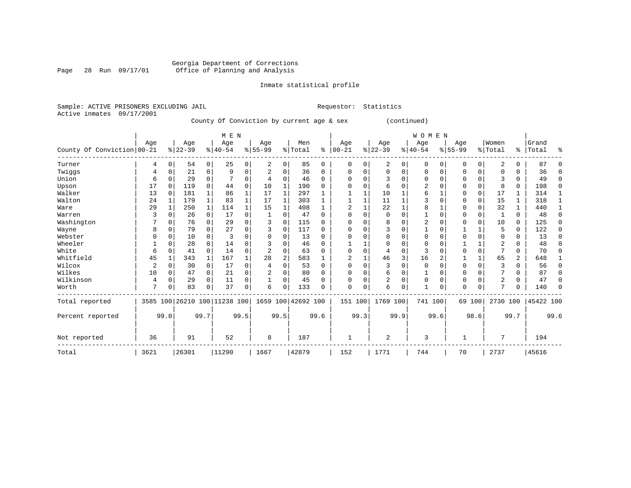Inmate statistical profile

Sample: ACTIVE PRISONERS EXCLUDING JAIL Requestor: Statistics Active inmates 09/17/2001

County Of Conviction by current age & sex (continued)

|                            |      |          |           |                | M E N                        |                |                    |                |         |              |            |          |                |      | <b>WOMEN</b> |          |          |             |          |          |           |          |
|----------------------------|------|----------|-----------|----------------|------------------------------|----------------|--------------------|----------------|---------|--------------|------------|----------|----------------|------|--------------|----------|----------|-------------|----------|----------|-----------|----------|
|                            | Age  |          | Age       |                | Age                          |                | Age                |                | Men     |              | Age        |          | Age            |      | Age          |          | Age      |             | Women    |          | Grand     |          |
| County Of Conviction 00-21 |      |          | $ 22-39 $ |                | $ 40-54$                     |                | $ 55-99$           |                | % Total | ႜ            | $ 00 - 21$ |          | $ 22-39$       |      | $ 40-54$     |          | $ 55-99$ |             | % Total  | ွေ       | Total     | ిక       |
| Turner                     | 4    | $\Omega$ | 54        | $\overline{0}$ | 25                           | $\overline{0}$ | 2                  | 0              | 85      | $\Omega$     | $\Omega$   | $\Omega$ | 2              | 0    | 0            | $\Omega$ | 0        | $\mathbf 0$ | 2        | $\Omega$ | 87        |          |
| Twiggs                     | 4    | 0        | 21        | 0              | 9                            | 0              |                    | 0              | 36      | 0            | $\Omega$   |          | $\mathbf 0$    | 0    | $\Omega$     | 0        | O        | 0           | $\Omega$ | $\Omega$ | 36        | 0        |
| Union                      | 6    |          | 29        | $\Omega$       |                              | 0              | 4                  | 0              | 46      | $\Omega$     |            |          | 3              | 0    | ∩            | $\Omega$ |          | $\Omega$    | २        | $\Omega$ | 49        | $\Omega$ |
| Upson                      | 17   | $\Omega$ | 119       | $\Omega$       | 44                           | $\Omega$       | 10                 |                | 190     | <sup>0</sup> |            |          | 6              | N    |              | $\Omega$ | Ω        | $\Omega$    | 8        | $\Omega$ | 198       | $\Omega$ |
| Walker                     | 13   | $\Omega$ | 181       |                | 86                           |                | 17                 |                | 297     |              |            |          | 10             |      |              |          |          | 0           | 17       |          | 314       |          |
| Walton                     | 24   |          | 179       | $\mathbf 1$    | 83                           |                | 17                 | 1              | 303     |              |            |          | 11             |      |              |          |          | 0           | 15       |          | 318       |          |
| Ware                       | 29   | 1        | 250       | $\mathbf{1}$   | 114                          |                | 15                 | 1              | 408     |              |            |          | 22             |      |              |          | O        | 0           | 32       |          | 440       |          |
| Warren                     |      |          | 26        | $\Omega$       | 17                           | 0              | -1                 | U              | 47      | O            |            |          | $\Omega$       | 0    |              | $\Omega$ | U        | $\Omega$    |          | $\Omega$ | 48        | $\Omega$ |
| Washington                 |      | O        | 76        | 0              | 29                           | O              | 3                  | O              | 115     | U            |            |          | 8              | U    |              | $\Omega$ | ი        | $\Omega$    | 10       | $\Omega$ | 125       | $\Omega$ |
| Wayne                      |      |          | 79        | 0              | 27                           |                | ζ                  | 0              | 117     | U            |            |          | 3              |      |              | $\Omega$ |          |             | 5        | $\Omega$ | 122       | $\Omega$ |
| Webster                    |      |          | 10        | 0              |                              |                |                    | U              | 13      | U            |            |          |                |      |              |          |          | U           |          |          | 13        | $\Omega$ |
| Wheeler                    |      |          | 28        | $\Omega$       | 14                           |                |                    | U              | 46      | 0            |            |          | $\Omega$       | U    | ∩            | $\Omega$ |          |             |          | 0        | 48        | $\Omega$ |
| White                      | 6    |          | 41        | 0              | 14                           | O              | $\overline{2}$     | 0              | 63      | U            |            |          | 4              | 0    | २            | $\Omega$ |          | $\Omega$    |          | $\Omega$ | 70        | $\Omega$ |
| Whitfield                  | 45   |          | 343       | 1              | 167                          |                | 28                 | $\overline{a}$ | 583     |              |            |          | 46             | 3    | 16           | 2        |          |             | 65       | 2        | 648       |          |
| Wilcox                     | 2    |          | 30        | $\overline{0}$ | 17                           | O              |                    |                | 53      | U            |            |          | 3              | 0    | $\Omega$     |          | U        | $\Omega$    |          | $\Omega$ | 56        | $\Omega$ |
| Wilkes                     | 10   | 0        | 47        | $\overline{0}$ | 21                           | 0              |                    | U              | 80      | O            |            |          | 6              | 0    |              | $\Omega$ | Ω        | U           |          |          | 87        | O        |
| Wilkinson                  | 4    | $\Omega$ | 29        | 0              | 11                           | 0              |                    | 0              | 45      | O            | $\Omega$   |          | 2              | 0    | $\Omega$     | $\Omega$ | $\Omega$ | $\Omega$    | 2        | $\Omega$ | 47        | $\Omega$ |
| Worth                      | 7    |          | 83        | $\Omega$       | 37                           | 0              | 6                  | 0              | 133     |              | $\Omega$   | 0        | 6              | 0    | $\mathbf{1}$ | 0        | $\Omega$ | $\Omega$    | 7        | $\Omega$ | 140       | $\Omega$ |
| Total reported             |      |          |           |                | 3585 100 26210 100 11238 100 |                | 1659 100 42692 100 |                |         |              | 151 100    |          | 1769 100       |      | 741 100      |          | 69 100   |             | 2730 100 |          | 45422 100 |          |
| Percent reported           |      | 99.0     |           | 99.7           |                              | 99.5           | 99.5               |                |         | 99.6         |            | 99.3     |                | 99.9 |              | 99.6     |          | 98.6        |          | 99.7     |           | 99.6     |
| Not reported               | 36   |          | 91        |                | 52                           |                | 8                  |                | 187     |              | 1          |          | $\overline{2}$ |      | 3            |          |          |             | 7        |          | 194       |          |
| Total                      | 3621 |          | 26301     |                | 11290                        |                | 1667               |                | 42879   |              | 152        |          | 1771           |      | 744          |          | 70       |             | 2737     |          | 45616     |          |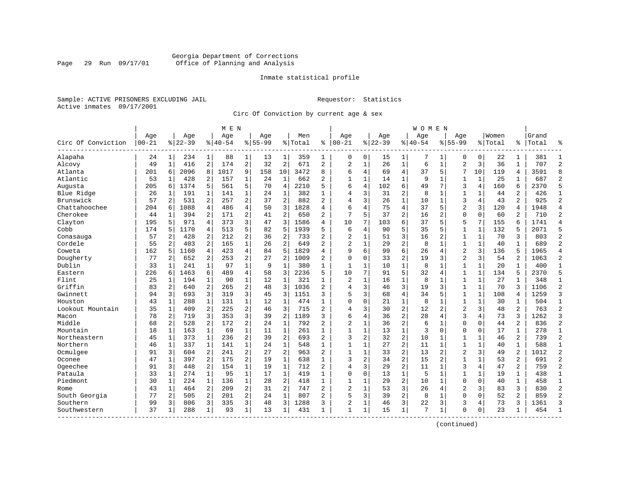# Georgia Department of Corrections Page 29 Run 09/17/01 Office of Planning and Analysis

# Inmate statistical profile

Sample: ACTIVE PRISONERS EXCLUDING JAIL **Requestor:** Statistics Active inmates 09/17/2001

Circ Of Conviction by current age & sex

|                    |            |                |           |                | M E N     |                |             |                |         |                |                |                |          |                | <b>WOMEN</b> |                |                |              |         |                |           |                |
|--------------------|------------|----------------|-----------|----------------|-----------|----------------|-------------|----------------|---------|----------------|----------------|----------------|----------|----------------|--------------|----------------|----------------|--------------|---------|----------------|-----------|----------------|
|                    | Age        |                | Age       |                | Age       |                | Age         |                | Men     |                | Age            |                | Age      |                | Age          |                | Age            |              | Women   |                | Grand     |                |
| Circ Of Conviction | $ 00 - 21$ |                | $8 22-39$ |                | $8 40-54$ |                | $8155 - 99$ |                | % Total | ႜ              | $ 00 - 21$     |                | $ 22-39$ |                | $ 40-54$     |                | $8155 - 99$    |              | % Total |                | %   Total |                |
| Alapaha            | 24         | $\mathbf{1}$   | 234       | $\mathbf{1}$   | 88        | $\mathbf{1}$   | 13          | 1              | 359     | 1              | 0              | 0              | 15       | 1              | 7            | 1              | 0              | 0            | 22      | 1              | 381       | -1             |
| Alcovy             | 49         | $\mathbf{1}$   | 416       | $\overline{a}$ | 174       | 2              | 32          | $\overline{c}$ | 671     | 2              | $\overline{2}$ | $\mathbf 1$    | 26       | $\mathbf{1}$   | 6            | $\mathbf{1}$   | $\overline{2}$ | 3            | 36      | $\mathbf{1}$   | 707       | $\overline{c}$ |
| Atlanta            | 201        | 6              | 2096      | 8              | 1017      | 9              | 158         | 10             | 3472    | 8              | 6              | 4              | 69       | $\overline{4}$ | 37           | 5              | 7              | 10           | 119     | 4              | 3591      | $\mathsf{R}$   |
| Atlantic           | 53         | 1              | 428       | 2              | 157       | 1              | 24          | 1              | 662     | 2              | $\mathbf{1}$   | 1              | 14       | $\mathbf 1$    | 9            | 1              | 1              | 1            | 25      | 1              | 687       | $\overline{c}$ |
| Augusta            | 205        | 6              | 1374      | 5              | 561       | 5              | 70          | 4              | 2210    | 5              | 6              | 4              | 102      | 6              | 49           | 7              | 3              | 4            | 160     | 6              | 2370      | 5              |
| Blue Ridge         | 26         | 1              | 191       | 1              | 141       | $\mathbf 1$    | 24          | 1              | 382     | $\mathbf{1}$   | 4              | 3              | 31       | $\overline{a}$ | 8            | 1              | $\mathbf 1$    | 1            | 44      | 2              | 426       | $\mathbf{1}$   |
| Brunswick          | 57         | 2              | 531       | 2              | 257       | 2              | 37          | $\overline{c}$ | 882     | $\overline{a}$ | 4              | 3              | 26       | $\mathbf{1}$   | 10           | 1              | 3              | 4            | 43      | 2              | 925       | $\overline{2}$ |
| Chattahoochee      | 204        | 6              | 1088      | 4              | 486       | 4              | 50          | 3              | 1828    | 4              | 6              | 4              | 75       | $\overline{4}$ | 37           | 5              | $\overline{2}$ | 3            | 120     | $\overline{4}$ | 1948      | $\overline{4}$ |
| Cherokee           | 44         | 1              | 394       | $\overline{a}$ | 171       | $\overline{2}$ | 41          | $\overline{2}$ | 650     | $\overline{a}$ | 7              | 5              | 37       | $\overline{a}$ | 16           | $\overline{2}$ | $\Omega$       | $\Omega$     | 60      | $\overline{a}$ | 710       | $\overline{2}$ |
| Clayton            | 195        | 5              | 971       | $\overline{4}$ | 373       | 3              | 47          | 3              | 1586    | 4              | 10             | 7              | 103      | 6              | 37           | 5              | 5              | 7            | 155     | 6              | 1741      | $\overline{4}$ |
| Cobb               | 174        | 5              | 1170      | 4              | 513       | 5              | 82          | 5              | 1939    | 5              | 6              | 4              | 90       | 5              | 35           | 5              | $\mathbf{1}$   | $\mathbf{1}$ | 132     | 5              | 2071      | 5              |
| Conasauga          | 57         | 2              | 428       | 2              | 212       | 2              | 36          | 2              | 733     | $\overline{a}$ | $\overline{2}$ | $\mathbf{1}$   | 51       | 3              | 16           | 2              | $\mathbf 1$    | $\mathbf{1}$ | 70      | 3              | 803       | $\overline{2}$ |
| Cordele            | 55         | 2              | 403       | 2              | 165       | 1              | 26          | $\overline{c}$ | 649     | 2              | $\overline{2}$ | $\mathbf 1$    | 29       | $\overline{c}$ | 8            | $\mathbf{1}$   | $\mathbf{1}$   | $\mathbf 1$  | 40      | $\mathbf{1}$   | 689       | $\overline{2}$ |
| Coweta             | 162        | 5              | 1160      | 4              | 423       | 4              | 84          | 5              | 1829    | 4              | q              | 6              | 99       | 6              | 26           | 4              | $\overline{2}$ | 3            | 136     | 5              | 1965      | $\overline{4}$ |
| Dougherty          | 77         | 2              | 652       | 2              | 253       | 2              | 27          | 2              | 1009    | 2              | $\Omega$       | 0              | 33       | $\overline{a}$ | 19           | 3              | $\overline{2}$ | 3            | 54      | 2              | 1063      | $\overline{2}$ |
| Dublin             | 33         | $\mathbf{1}$   | 241       | $\mathbf{1}$   | 97        | 1              | 9           | $\mathbf{1}$   | 380     | $\mathbf{1}$   | $\mathbf{1}$   | 1              | 10       | $\mathbf{1}$   | 8            | $\mathbf{1}$   | $\mathbf{1}$   | $\mathbf 1$  | 20      | 1              | 400       | $\mathbf{1}$   |
| Eastern            | 226        | $\sqrt{2}$     | 1463      | 6              | 489       | 4              | 58          | 3              | 2236    | 5              | 10             | 7              | 91       | 5              | 32           | $\overline{4}$ | $\mathbf{1}$   | $\mathbf{1}$ | 134     | 5              | 2370      | 5              |
| Flint              | 25         | 1              | 194       | 1              | 90        | $\mathbf{1}$   | 12          | $\mathbf{1}$   | 321     | $\mathbf{1}$   | $\overline{2}$ | $\mathbf{1}$   | 16       | $\mathbf{1}$   | 8            | 1              | $\mathbf{1}$   | $\mathbf{1}$ | 27      | $\mathbf{1}$   | 348       | $\mathbf{1}$   |
| Griffin            | 83         | $\mathbf{2}$   | 640       | 2              | 265       | 2              | 48          | 3              | 1036    | $\overline{2}$ | 4              | 3              | 46       | 3              | 19           | 3              | $\mathbf{1}$   | $\mathbf 1$  | 70      | 3              | 1106      | $\overline{c}$ |
| Gwinnett           | 94         | 3              | 693       | 3              | 319       | 3              | 45          | 3              | 1151    | 3              | 5              | 3              | 68       | $\overline{4}$ | 34           | 5              | 1              | $\mathbf 1$  | 108     | 4              | 1259      | $\overline{3}$ |
| Houston            | 43         | 1              | 288       | 1              | 131       | 1              | 12          | 1              | 474     | 1              | $\Omega$       | 0              | 21       | $\mathbf 1$    | 8            | 1              | $\mathbf{1}$   | 1            | 30      | 1              | 504       | 1              |
| Lookout Mountain   | 35         | 1              | 409       | 2              | 225       | 2              | 46          | 3              | 715     | 2              | 4              | 3              | 30       | $\overline{2}$ | 12           | $\overline{2}$ | $\overline{2}$ | 3            | 48      | 2              | 763       | $\overline{c}$ |
| Macon              | 78         | 2              | 719       | 3              | 353       | 3              | 39          | 2              | 1189    | 3              | 6              | 4              | 36       | $\overline{2}$ | 28           | $\overline{4}$ | 3              | 4            | 73      | 3              | 1262      | 3              |
| Middle             | 68         | $\overline{2}$ | 528       | 2              | 172       | $\overline{a}$ | 24          | $\mathbf{1}$   | 792     | $\overline{a}$ | $\overline{2}$ | $\mathbf{1}$   | 36       | $\overline{2}$ | 6            | 1              | $\mathbf 0$    | $\Omega$     | 44      | 2              | 836       | $\overline{2}$ |
| Mountain           | 18         | $\mathbf{1}$   | 163       | $\mathbf{1}$   | 69        | $\mathbf 1$    | 11          | $\mathbf 1$    | 261     | $\mathbf{1}$   | $\mathbf{1}$   | $\mathbf{1}$   | 13       | $\mathbf 1$    | 3            | $\mathbf 0$    | $\mathbf 0$    | $\mathbf 0$  | 17      | $\mathbf{1}$   | 278       | $\mathbf{1}$   |
| Northeastern       | 45         | $\mathbf{1}$   | 373       | $\mathbf{1}$   | 236       | 2              | 39          | $\overline{c}$ | 693     | $\overline{2}$ | $\mathbf{3}$   | $\overline{a}$ | 32       | $\overline{2}$ | 10           | 1              | $\mathbf{1}$   | $\mathbf 1$  | 46      | 2              | 739       | $\overline{c}$ |
| Northern           | 46         | 1              | 337       | 1              | 141       | 1              | 24          | 1              | 548     | 1              | $\mathbf{1}$   | 1              | 27       | $\overline{c}$ | 11           | 1              | 1              | $\mathbf 1$  | 40      | 1              | 588       | $\mathbf{1}$   |
| Ocmulgee           | 91         | 3              | 604       | 2              | 241       | 2              | 27          | 2              | 963     | 2              | 1              | 1              | 33       | $\overline{c}$ | 13           | $\overline{2}$ | $\overline{2}$ | 3            | 49      | $\overline{a}$ | 1012      | $\overline{c}$ |
| Oconee             | 47         | 1              | 397       | 2              | 175       | 2              | 19          | 1              | 638     | $\mathbf{1}$   | ζ              | $\overline{a}$ | 34       | $\overline{c}$ | 15           | 2              | 1              | $\mathbf{1}$ | 53      | 2              | 691       | $\overline{c}$ |
| Ogeechee           | 91         | 3              | 448       | $\overline{a}$ | 154       | $\mathbf 1$    | 19          | $\mathbf{1}$   | 712     | 2              | 4              | 3              | 29       | $\overline{a}$ | 11           | 1              | 3              | 4            | 47      | 2              | 759       | $\overline{2}$ |
| Pataula            | 33         | 1              | 274       | $\mathbf{1}$   | 95        | $\mathbf{1}$   | 17          | 1              | 419     | $\mathbf{1}$   | $\mathbf 0$    | $\mathbf 0$    | 13       | $\mathbf 1$    | 5            | $\mathbf{1}$   | $\mathbf{1}$   | $\mathbf{1}$ | 19      | $\mathbf{1}$   | 438       | $\mathbf{1}$   |
| Piedmont           | 30         | $\mathbf{1}$   | 224       | $\mathbf{1}$   | 136       | $\mathbf{1}$   | 28          | 2              | 418     | $\mathbf{1}$   | $\mathbf{1}$   | $\mathbf{1}$   | 29       | $\overline{a}$ | 10           | $\mathbf{1}$   | $\Omega$       | $\Omega$     | 40      | $\mathbf{1}$   | 458       | $\mathbf{1}$   |
| Rome               | 43         | 1              | 464       | $\overline{a}$ | 209       | 2              | 31          | 2              | 747     | 2              | $\overline{2}$ | $\mathbf{1}$   | 53       | 3              | 26           | 4              | $\overline{2}$ | 3            | 83      | 3              | 830       | $\overline{2}$ |
| South Georgia      | 77         | 2              | 505       | 2              | 201       | 2              | 24          | $\mathbf{1}$   | 807     | 2              | 5              | 3              | 39       | $\overline{2}$ | 8            | 1              | $\mathbf 0$    | $\Omega$     | 52      | $\overline{2}$ | 859       | $\overline{2}$ |
| Southern           | 99         | 3              | 806       | 3              | 335       | 3              | 48          | 3              | 1288    | 3              | $\overline{2}$ | 1              | 46       | 3              | 22           | 3              | 3              | 4            | 73      | 3              | 1361      | ঽ              |
| Southwestern       | 37         | 1              | 288       | 1              | 93        | $\mathbf 1$    | 13          | 1              | 431     | $\mathbf{1}$   | $\mathbf{1}$   | $\mathbf 1$    | 15       | $\mathbf{1}$   | 7            | 1              | $\Omega$       | 0            | 23      | 1              | 454       | -1             |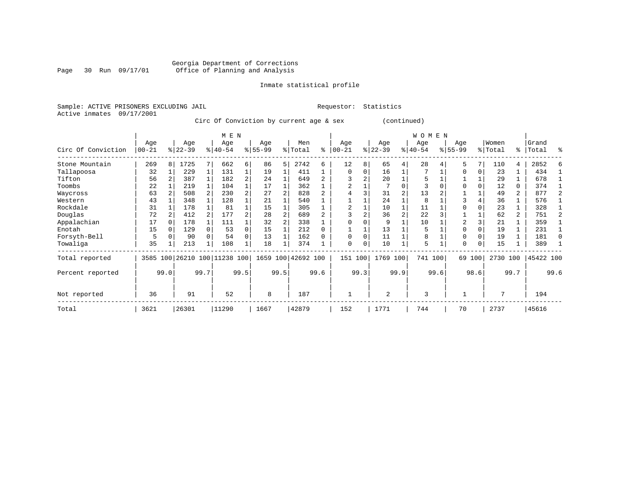Inmate statistical profile

Sample: ACTIVE PRISONERS EXCLUDING JAIL Requestor: Statistics Active inmates 09/17/2001

Circ Of Conviction by current age & sex (continued)

|                    |                  |          |                  |      | M E N                        |                |                  |      |                    |          |                  |          |                 |      | <b>WOMEN</b>     |      |                    |        |                  |                |                |                |
|--------------------|------------------|----------|------------------|------|------------------------------|----------------|------------------|------|--------------------|----------|------------------|----------|-----------------|------|------------------|------|--------------------|--------|------------------|----------------|----------------|----------------|
| Circ Of Conviction | Age<br>$00 - 21$ |          | Age<br>$ 22-39 $ |      | Age<br>$8 40-54$             |                | Age<br>$8 55-99$ |      | Men<br>% Total     | နွ       | Age<br>$00 - 21$ |          | Age<br>$ 22-39$ |      | Age<br>$ 40-54 $ |      | Age<br>$8155 - 99$ |        | Women<br>% Total | ి              | Grand<br>Total | ႜ              |
| Stone Mountain     | 269              | 8        | 1725             | 7    | 662                          | $6 \mid$       | 86               | 5    | 2742               | 6        | 12               | 8        | 65              | 4    | 28               |      | 5                  |        | 110              | 4              | 2852           | 6              |
| Tallapoosa         | 32               |          | 229              |      | 131                          |                | 19               |      | 411                |          | $\Omega$         | 0        | 16              |      |                  |      | 0                  |        | 23               |                | 434            |                |
| Tifton             | 56               |          | 387              |      | 182                          | $\overline{a}$ | 24               |      | 649                |          |                  |          | 20              |      |                  |      |                    |        | 29               |                | 678            |                |
| Toombs             | 22               |          | 219              |      | 104                          |                | 17               |      | 362                |          |                  |          |                 |      |                  |      | $\Omega$           |        | 12               | 0              | 374            |                |
| Waycross           | 63               |          | 508              |      | 230                          |                | 27               |      | 828                | 2        |                  |          | 31              |      | 13               |      |                    |        | 49               | 2              | 877            |                |
| Western            | 43               |          | 348              |      | 128                          |                | 21               |      | 540                |          |                  |          | 24              |      | 8                |      |                    |        | 36               |                | 576            |                |
| Rockdale           | 31               |          | 178              |      | 81                           |                | 15               |      | 305                |          | 2                |          | 10              |      | 11               |      |                    |        | 23               |                | 328            |                |
| Douglas            | 72               |          | 412              |      | 177                          |                | 28               | 2    | 689                |          |                  |          | 36              | 2    | 22               |      |                    |        | 62               | $\overline{2}$ | 751            | $\overline{2}$ |
| Appalachian        | 17               |          | 178              |      | 111                          |                | 32               |      | 338                |          |                  |          | 9               |      | 10               |      |                    |        | 21               |                | 359            |                |
| Enotah             | 15               | $\Omega$ | 129              |      | 53                           |                | 15               |      | 212                | $\Omega$ |                  |          | 13              |      | 5                |      | $\Omega$           |        | 19               |                | 231            |                |
| Forsyth-Bell       |                  |          | 90               |      | 54                           |                | 13               |      | 162                |          | $\Omega$         |          | 11              |      | 8                |      | 0                  |        | 19               |                | 181            | $\Omega$       |
| Towaliga           | 35               |          | 213              |      | 108                          |                | 18               |      | 374                |          | $\Omega$         | $\Omega$ | 10              |      | 5                |      | $\Omega$           | 0      | 15               |                | 389            |                |
| Total reported     |                  |          |                  |      | 3585 100 26210 100 11238 100 |                |                  |      | 1659 100 42692 100 |          | 151              | 100      | 1769 100        |      | 741 100          |      |                    | 69 100 | 2730 100         |                | 45422 100      |                |
| Percent reported   |                  | 99.0     |                  | 99.7 |                              | 99.5           |                  | 99.5 |                    | 99.6     |                  | 99.3     |                 | 99.9 |                  | 99.6 |                    | 98.6   |                  | 99.7           |                | 99.6           |
| Not reported       | 36               |          | 91               |      | 52                           |                | 8                |      | 187                |          |                  |          | $\overline{2}$  |      | 3                |      |                    |        | 7                |                | 194            |                |
| Total              | 3621             |          | 26301            |      | 11290                        |                | 1667             |      | 42879              |          | 152              |          | 1771            |      | 744              |      | 70                 |        | 2737             |                | 45616          |                |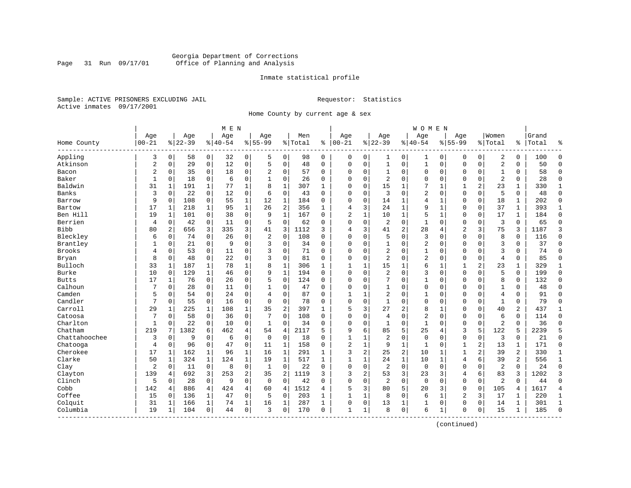# Georgia Department of Corrections Page 31 Run 09/17/01 Office of Planning and Analysis

# Inmate statistical profile

Sample: ACTIVE PRISONERS EXCLUDING JAIL **Requestor:** Statistics Active inmates 09/17/2001

Home County by current age & sex

|               |                |              |           |              | M E N     |              |                |                |           |              |                |              |                |                | <b>WOMEN</b>   |              |                |                |                |              |       |                |
|---------------|----------------|--------------|-----------|--------------|-----------|--------------|----------------|----------------|-----------|--------------|----------------|--------------|----------------|----------------|----------------|--------------|----------------|----------------|----------------|--------------|-------|----------------|
|               | Age            |              | Age       |              | Age       |              | Age            |                | Men       |              | Age            |              | Age            |                | Age            |              | Age            |                | Women          |              | Grand |                |
| Home County   | $00 - 21$      |              | $8 22-39$ |              | $8 40-54$ |              | $8 55-99$      |                | %   Total | နွ           | $00 - 21$      |              | $8 22-39$      |                | $8 40-54$      |              | $8155 - 99$    |                | % Total        | %            | Total | န္             |
| Appling       | 3              | $\mathbf 0$  | 58        | $\mathbf 0$  | 32        | 0            | 5              | 0              | 98        | $\mathbf 0$  | 0              | 0            | 1              | 0              | 1              | 0            | 0              | 0              | 2              | 0            | 100   | $\Omega$       |
| Atkinson      | 2              | $\mathbf 0$  | 29        | $\mathbf 0$  | 12        | $\mathsf 0$  | 5              | $\mathsf 0$    | 48        | $\mathbf 0$  | 0              | 0            | $\mathbf{1}$   | $\mathsf 0$    | 1              | $\mathbf 0$  | $\mathbf 0$    | $\mathbf 0$    | $\overline{a}$ | 0            | 50    | $\Omega$       |
| Bacon         | $\overline{2}$ | $\mathbf 0$  | 35        | $\mathbf 0$  | 18        | $\mathbf 0$  | $\overline{2}$ | $\mathbf 0$    | 57        | $\mathbf 0$  | $\mathbf 0$    | $\mathbf 0$  | $\mathbf{1}$   | $\mathbf 0$    | $\mathbf 0$    | $\mathbf 0$  | $\mathbf 0$    | $\mathbf 0$    | $\mathbf{1}$   | 0            | 58    | $\Omega$       |
| Baker         | $\mathbf{1}$   | $\Omega$     | 18        | $\Omega$     | 6         | $\Omega$     | 1              | $\Omega$       | 26        | $\Omega$     | $\Omega$       | $\Omega$     | $\overline{2}$ | $\Omega$       | $\Omega$       | $\mathbf 0$  | $\mathbf 0$    | $\Omega$       | $\overline{2}$ | $\Omega$     | 28    | $\Omega$       |
| Baldwin       | 31             |              | 191       |              | 77        | 1            | 8              | $\mathbf{1}$   | 307       | 1            | $\Omega$       | $\Omega$     | 15             | $\mathbf{1}$   |                | $\mathbf{1}$ | 1              | 2              | 23             | 1            | 330   | $\mathbf{1}$   |
| Banks         | 3              | $\Omega$     | 22        | $\Omega$     | 12        | 0            | 6              | $\Omega$       | 43        | $\Omega$     | $\Omega$       | $\Omega$     | 3              | $\Omega$       | $\overline{2}$ | $\mathbf 0$  | $\Omega$       | $\Omega$       | 5              | $\Omega$     | 48    | $\Omega$       |
| Barrow        | 9              | $\Omega$     | 108       | $\mathbf 0$  | 55        | $\mathbf{1}$ | 12             | $\mathbf{1}$   | 184       | $\Omega$     | $\mathbf 0$    | $\mathbf 0$  | 14             | 1              | 4              | 1            | $\mathbf 0$    | $\Omega$       | 18             | 1            | 202   | $\Omega$       |
| Bartow        | 17             | 1            | 218       | 1            | 95        | $\mathbf 1$  | 26             | $\overline{2}$ | 356       | 1            | 4              | 3            | 24             | $\mathbf 1$    | 9              | $\mathbf 1$  | 0              | $\mathbf 0$    | 37             | 1            | 393   | $\mathbf{1}$   |
| Ben Hill      | 19             | 1            | 101       | $\mathbf 0$  | 38        | $\mathbf 0$  | 9              | 1              | 167       | $\Omega$     | $\overline{c}$ | $\mathbf 1$  | 10             | $\mathbf 1$    | 5              | $\mathbf 1$  | $\mathbf{0}$   | $\mathbf 0$    | 17             | $\mathbf{1}$ | 184   | $\Omega$       |
| Berrien       | 4              | $\mathbf 0$  | 42        | $\mathbf 0$  | 11        | $\mathbf 0$  | 5              | $\mathbf 0$    | 62        | 0            | $\mathbf 0$    | 0            | $\overline{2}$ | $\mathbf 0$    | $\mathbf{1}$   | $\mathbf 0$  | $\mathbf 0$    | 0              | 3              | 0            | 65    | $\Omega$       |
| <b>Bibb</b>   | 80             | 2            | 656       | 3            | 335       | 3            | 41             | 3              | 1112      | 3            | 4              | 3            | 41             | $\overline{c}$ | 28             | 4            | $\overline{2}$ | 3              | 75             | 3            | 1187  | 3              |
| Bleckley      | 6              | $\Omega$     | 74        | $\Omega$     | 26        | 0            | $\overline{2}$ | $\Omega$       | 108       | $\Omega$     | $\Omega$       | $\Omega$     | 5              | $\Omega$       | 3              | $\Omega$     | $\Omega$       | $\Omega$       | 8              | $\Omega$     | 116   | $\Omega$       |
| Brantley      |                | $\Omega$     | 21        | $\Omega$     | 9         | $\mathbf 0$  | 3              | $\Omega$       | 34        | $\Omega$     | $\mathbf 0$    | $\Omega$     | $\mathbf{1}$   | $\Omega$       | $\overline{2}$ | $\Omega$     | $\mathbf{0}$   | $\Omega$       | 3              | $\mathbf 0$  | 37    | $\Omega$       |
| Brooks        | 4              | $\mathbf 0$  | 53        | $\mathbf 0$  | 11        | 0            | 3              | $\mathbf 0$    | 71        | $\Omega$     | $\Omega$       | $\mathbf 0$  | $\overline{c}$ | 0              | $\mathbf{1}$   | $\mathbf 0$  | $\Omega$       | $\Omega$       | $\overline{3}$ | 0            | 74    | $\Omega$       |
| Bryan         | 8              | $\mathbf 0$  | 48        | $\mathbf 0$  | 22        | $\mathbf 0$  | 3              | $\Omega$       | 81        | $\Omega$     | $\mathbf 0$    | $\Omega$     | $\overline{a}$ | $\Omega$       | 2              | $\mathbf 0$  | $\mathbf{0}$   | $\Omega$       | $\overline{4}$ | $\Omega$     | 85    | $\Omega$       |
| Bulloch       | 33             | $\mathbf{1}$ | 187       | 1            | 78        | 1            | 8              | $\mathbf{1}$   | 306       | $\mathbf{1}$ | 1              | 1            | 15             | $\mathbf{1}$   | 6              | 1            | 1              | 2              | 23             | 1            | 329   | 1              |
| Burke         | 10             | 0            | 129       | 1            | 46        | 0            | 9              | $\mathbf{1}$   | 194       | $\Omega$     | $\mathbf 0$    | 0            | 2              | $\mathbf 0$    | 3              | $\mathbf 0$  | $\mathbf 0$    | 0              | 5              | $\mathbf 0$  | 199   | $\mathbf{0}$   |
| <b>Butts</b>  | 17             | 1            | 76        | $\Omega$     | 26        | 0            | 5              | $\mathbf 0$    | 124       | $\Omega$     | $\Omega$       | $\Omega$     | 7              | $\Omega$       | 1              | $\mathbf 0$  | $\mathbf 0$    | $\Omega$       | 8              | $\Omega$     | 132   | $\Omega$       |
| Calhoun       | 7              | 0            | 28        | 0            | 11        | 0            |                | 0              | 47        | 0            | 0              | 0            | 1              | 0              | 0              | $\mathbf 0$  | $\Omega$       | $\Omega$       | 1              | 0            | 48    | $\Omega$       |
| Camden        | 5              | 0            | 54        | $\mathbf 0$  | 24        | 0            | 4              | $\mathbf 0$    | 87        | 0            | 1              | 1            | $\overline{c}$ | 0              | 1              | $\mathbf 0$  | 0              | 0              | $\overline{4}$ | 0            | 91    | $\Omega$       |
| Candler       | 7              | $\Omega$     | 55        | $\Omega$     | 16        | $\Omega$     | $\Omega$       | $\Omega$       | 78        | $\Omega$     | $\Omega$       | $\Omega$     | $\mathbf{1}$   | $\Omega$       | $\Omega$       | $\mathbf 0$  | $\Omega$       | $\Omega$       | $\mathbf{1}$   | $\Omega$     | 79    | $\Omega$       |
| Carroll       | 29             | 1            | 225       | 1            | 108       | $\mathbf 1$  | 35             | $\overline{2}$ | 397       | 1            | 5              | 3            | 27             | 2              | 8              | 1            | $\mathbf 0$    | $\Omega$       | 40             | 2            | 437   | 1              |
| Catoosa       | 7              | 0            | 58        | $\mathbf 0$  | 36        | $\mathbf 0$  |                | $\mathbf 0$    | 108       | $\Omega$     | $\Omega$       | 0            | 4              | $\mathbf 0$    | $\overline{2}$ | $\mathbf 0$  | $\Omega$       | 0              | 6              | 0            | 114   | $\Omega$       |
| Charlton      | $\mathbf{1}$   | $\mathbf 0$  | 22        | $\Omega$     | 10        | 0            | 1              | 0              | 34        | $\Omega$     | $\mathbf 0$    | $\Omega$     | 1              | $\Omega$       | $\mathbf{1}$   | $\mathbf 0$  | $\mathbf 0$    | $\Omega$       | $\overline{2}$ | $\Omega$     | 36    | $\Omega$       |
| Chatham       | 219            | 7            | 1382      | 6            | 462       | 4            | 54             | 4              | 2117      | 5            | 9              | 6            | 85             | 5              | 25             | 4            | 3              | 5              | 122            | 5            | 2239  | 5              |
| Chattahoochee | 3              | $\mathbf 0$  | 9         | $\mathbf 0$  | 6         | 0            | 0              | $\mathbf 0$    | 18        | 0            | 1              | 1            | 2              | 0              | $\mathbf 0$    | 0            | $\mathbf 0$    | 0              | 3              | 0            | 21    | $\Omega$       |
| Chatooga      | 4              | $\mathbf 0$  | 96        | $\mathbf 0$  | 47        | $\mathbf 0$  | 11             | 1              | 158       | 0            | $\overline{c}$ | $\mathbf{1}$ | 9              | $\mathbf{1}$   | $\mathbf{1}$   | $\mathbf 0$  | $\mathbf 1$    | $\overline{a}$ | 13             | 1            | 171   | $\Omega$       |
| Cherokee      | 17             | $\mathbf{1}$ | 162       | $\mathbf{1}$ | 96        | $\mathbf{1}$ | 16             | $\mathbf{1}$   | 291       | 1            | 3              | 2            | 25             | $\overline{c}$ | 10             | 1            | $\mathbf{1}$   | 2              | 39             | 2            | 330   | $\mathbf{1}$   |
| Clarke        | 50             | 1            | 324       | $\mathbf{1}$ | 124       | 1            | 19             | $\mathbf{1}$   | 517       | $\mathbf{1}$ | $\mathbf{1}$   | $\mathbf{1}$ | 24             | $\mathbf 1$    | 10             | 1            | 4              | 6              | 39             | 2            | 556   | $\mathbf 1$    |
| Clay          | $\overline{2}$ | $\Omega$     | 11        | $\mathbf 0$  | 8         | $\mathbf 0$  | 1              | $\Omega$       | 22        | $\Omega$     | $\Omega$       | $\Omega$     | $\overline{2}$ | $\Omega$       | $\mathbf 0$    | $\Omega$     | $\Omega$       | $\Omega$       | $\overline{2}$ | $\Omega$     | 24    | $\Omega$       |
| Clayton       | 139            | 4            | 692       | 3            | 253       | 2            | 35             | $\overline{2}$ | 1119      | 3            | 3              | 2            | 53             | 3              | 23             | 3            | 4              | 6              | 83             | 3            | 1202  | 3              |
| Clinch        | 5              | 0            | 28        | 0            | 9         | $\mathbf 0$  | $\mathbf 0$    | $\mathbf 0$    | 42        | $\Omega$     | $\mathbf 0$    | 0            | $\overline{2}$ | $\mathbf 0$    | $\mathbf 0$    | $\mathbf 0$  | $\mathbf{0}$   | $\mathbf 0$    | $\overline{2}$ | $\Omega$     | 44    | $\Omega$       |
| Cobb          | 142            | 4            | 886       | 4            | 424       | 4            | 60             | 4              | 1512      | 4            | 5              | 3            | 80             | 5              | 20             | 3            | $\mathbf 0$    | $\mathbf 0$    | 105            | 4            | 1617  | $\overline{4}$ |
| Coffee        | 15             | 0            | 136       | 1            | 47        | 0            | 5              | 0              | 203       | 1            | 1              | 1            | 8              | 0              | 6              | 1            | $\overline{2}$ | 3              | 17             | 1            | 220   | 1              |
| Colquit       | 31             | 1            | 166       | 1            | 74        | 1            | 16             | 1              | 287       | 1            | 0              | 0            | 13             | 1              | 1              | $\mathbf 0$  | $\mathbf 0$    | 0              | 14             | 1            | 301   | $\mathbf{1}$   |
| Columbia      | 19             | 1            | 104       | $\Omega$     | 44        | $\mathbf 0$  | 3              | $\Omega$       | 170       | $\Omega$     | $\mathbf{1}$   | $\mathbf{1}$ | 8              | $\Omega$       | 6              | 1            | $\Omega$       | $\Omega$       | 15             | $\mathbf{1}$ | 185   | $\Omega$       |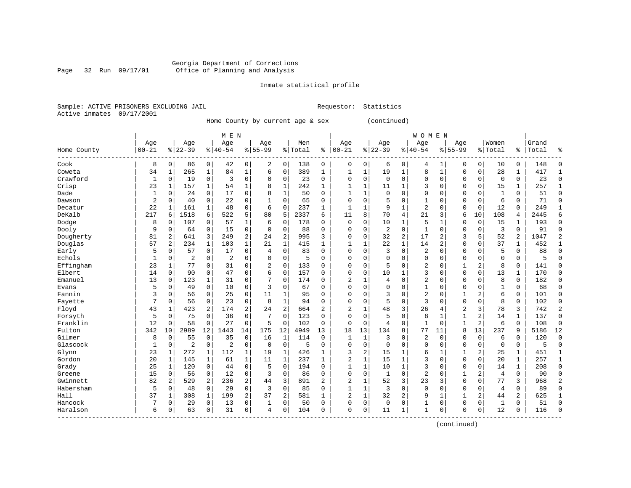# Georgia Department of Corrections Page 32 Run 09/17/01 Office of Planning and Analysis

Inmate statistical profile

Sample: ACTIVE PRISONERS EXCLUDING JAIL **Requestor:** Statistics Active inmates 09/17/2001

Home County by current age & sex (continued)

| Age<br>Women<br>Age<br>Age<br>Men<br>Age<br>Age<br>Grand<br>Age<br>Age<br>Age<br>$00 - 21$<br>$ 00-21$<br>$ 22-39$<br>$8 22-39$<br>$ 40-54$<br>$8 55-99$<br>% Total<br>$8140 - 54$<br>$8155 - 99$<br>% Total<br>Total<br>ి<br>%  <br>Home County<br>Cook<br>$\overline{0}$<br>0<br>0<br>8<br>0<br>86<br>42<br>$\overline{0}$<br>2<br>0<br>138<br>0<br>0<br>0<br>0<br>10<br>0<br>148<br>$\Omega$<br>6<br>4<br>1<br>$\mathbf 1$<br>$\mathbf{1}$<br>28<br>Coweta<br>34<br>$\mathbf{1}$<br>84<br>$\mathbf 0$<br>389<br>1<br>1<br>8<br>$\mathbf 0$<br>417<br>1<br>265<br>1<br>19<br>0<br>1<br>6<br>1<br>1<br>Crawford<br>$\mathbf 0$<br>0<br>$\mathbf{1}$<br>$\mathbf 0$<br>19<br>3<br>$\mathbf 0$<br>23<br>0<br>$\mathbf 0$<br>0<br>$\mathbf 0$<br>$\mathbf 0$<br>0<br>$\mathbf 0$<br>0<br>$\mathbf 0$<br>$\mathbf 0$<br>$\mathbf 0$<br>23<br>$\Omega$<br>$\Omega$<br>23<br>Crisp<br>$\mathbf{1}$<br>54<br>$\mathbf{1}$<br>8<br>$\mathbf 1$<br>242<br>$\mathbf{1}$<br>$\mathbf{1}$<br>11<br>$\mathbf{1}$<br>3<br>$\mathbf 0$<br>$\Omega$<br>0<br>15<br>$\mathbf{1}$<br>257<br>$\mathbf{1}$<br>1<br>157<br>1<br>Dade<br>17<br>$\mathbf{1}$<br>24<br>$\mathbf 0$<br>0<br>8<br>$\mathbf 1$<br>50<br>$\mathbf 0$<br>$\Omega$<br>$\Omega$<br>$\Omega$<br>0<br>$\mathbf{1}$<br>51<br>$\mathbf 0$<br>0<br>$\Omega$<br>$\mathbf{1}$<br>1<br>$\Omega$<br>0<br>2<br>22<br>0<br>$\Omega$<br>65<br>$\Omega$<br>0<br>5<br>$\Omega$<br>0<br>6<br>71<br>$\mathbf 0$<br>Dawson<br>0<br>40<br>0<br>$\Omega$<br>1<br>$\Omega$<br>$\mathbf 0$<br>0<br>22<br>$\overline{2}$<br>$\mathbf{1}$<br>48<br>0<br>6<br>$\mathbf 0$<br>237<br>$\mathbf{1}$<br>9<br>$\mathbf{1}$<br>$\Omega$<br>$\mathbf 0$<br>12<br>0<br>249<br>Decatur<br>161<br>1<br>1<br>1<br>$\mathbf 0$<br>$\mathbf{1}$<br>DeKalb<br>217<br>522<br>5<br>2337<br>70<br>21<br>1518<br>6<br>80<br>5<br>11<br>8<br>4<br>3<br>6<br>10<br>108<br>2445<br>6<br>6<br>6<br>4<br>Dodge<br>8<br>107<br>$\Omega$<br>57<br>$\mathbf 1$<br>178<br>$\mathbf 0$<br>0<br>10<br>1<br>5<br>$\Omega$<br>$\mathbf 0$<br>15<br>193<br>6<br>$\Omega$<br>1<br>1<br>$\Omega$<br>0<br>0<br>$\mathbf 0$<br>$\mathbf 0$<br>0<br>$\overline{2}$<br>$\mathbf{1}$<br>3<br>Dooly<br>9<br>64<br>15<br>$\mathbf 0$<br>88<br>0<br>$\mathbf 0$<br>$\Omega$<br>$\mathbf 0$<br>$\mathbf 0$<br>91<br>0<br>$\mathbf 0$<br>0<br>$\Omega$<br>$\Omega$<br>$\overline{a}$<br>$\overline{c}$<br>3<br>2<br>32<br>17<br>$\overline{2}$<br>5<br>52<br>$\overline{a}$<br>1047<br>$\overline{c}$<br>Dougherty<br>81<br>2<br>641<br>249<br>995<br>3<br>0<br>3<br>24<br>$\Omega$<br>$\mathbf{1}$<br>Douglas<br>2<br>$\mathbf{1}$<br>$\mathbf{1}$<br>22<br>1<br>$\sqrt{2}$<br>37<br>57<br>234<br>103<br>21<br>415<br>$\mathbf{1}$<br>$\mathbf{1}$<br>$\mathbf{1}$<br>14<br>$\Omega$<br>0<br>$\mathbf 1$<br>452<br>$\mathbf{1}$<br>17<br>3<br>2<br>5<br>88<br>Early<br>5<br>57<br>0<br>0<br>0<br>83<br>$\Omega$<br>$\Omega$<br>0<br>0<br>$\mathbf 0$<br>$\mathbf 0$<br>0<br>0<br>$\Omega$<br>$\Omega$<br>4<br>Echols<br>2<br>0<br>2<br>0<br>$\Omega$<br>5<br>$\Omega$<br>0<br>$\Omega$<br>0<br>$\Omega$<br>$\Omega$<br>$\Omega$<br>0<br>$\Omega$<br>1<br>0<br>$\Omega$<br>$\Omega$<br>$\Omega$<br>$\mathbf 0$<br>5<br>Effingham<br>77<br>31<br>0<br>$\overline{2}$<br>$\mathbf 0$<br>133<br>0<br>5<br>0<br>2<br>2<br>8<br>0<br>141<br>23<br>1<br>0<br>$\Omega$<br>$\Omega$<br>0<br>1<br>$\Omega$<br>3<br>$\Omega$<br>13<br>170<br>Elbert<br>14<br>0<br>90<br>$\mathbf 0$<br>47<br>0<br>6<br>$\mathbf 0$<br>157<br>$\Omega$<br>$\Omega$<br>10<br>$\mathbf{1}$<br>$\mathbf 0$<br>$\Omega$<br>$\mathbf{1}$<br>$\Omega$<br>$\Omega$<br>2<br>13<br>31<br>7<br>174<br>$\overline{2}$<br>$\Omega$<br>$\Omega$<br>8<br>182<br>Emanuel<br>123<br>1<br>0<br>$\Omega$<br>$\Omega$<br>$\Omega$<br>$\Omega$<br>0<br>$\Omega$<br>1<br>4<br>$\Omega$<br>$\Omega$<br>10<br>0<br>3<br>$\mathbf{1}$<br>68<br>5<br>49<br>$\Omega$<br>67<br>$\Omega$<br>0<br>$\Omega$<br>$\Omega$<br>$\Omega$<br>$\Omega$<br>$\Omega$<br>1<br>0<br>Evans<br>$\Omega$<br>$\Omega$<br>$\Omega$<br>Fannin<br>$\Omega$<br>25<br>0<br>$\Omega$<br>0<br>2<br>2<br>6<br>3<br>56<br>11<br>1<br>95<br>3<br>$\Omega$<br>1<br>0<br>101<br>$\Omega$<br>$\Omega$<br>$\Omega$<br>$\Omega$<br>7<br>0<br>23<br>0<br>8<br>$\mathbf{1}$<br>94<br>$\Omega$<br>3<br>$\mathbf{0}$<br>8<br>102<br>Fayette<br>56<br>$\Omega$<br>$\Omega$<br>0<br>5<br>$\mathbf 0$<br>0<br>0<br>$\Omega$<br>0<br>$\overline{a}$<br>$\mathbf{2}$<br>3<br>$\overline{c}$<br>Floyd<br>2<br>174<br>$\overline{2}$<br>$\overline{c}$<br>26<br>$\overline{2}$<br>3<br>78<br>3<br>43<br>1<br>423<br>24<br>664<br>1<br>48<br>742<br>4<br>5<br>75<br>36<br>0<br>7<br>$\Omega$<br>123<br>0<br>5<br>$\mathbf 0$<br>8<br>$\mathbf{1}$<br>$\overline{a}$<br>137<br>$\Omega$<br>Forsyth<br>0<br>0<br>$\Omega$<br>$\Omega$<br>14<br>1<br>1<br>Franklin<br>12<br>27<br>$\mathbf 0$<br>2<br>58<br>0<br>0<br>5<br>$\Omega$<br>102<br>$\Omega$<br>0<br>$\mathbf 0$<br>1<br>6<br>0<br>108<br>$\mathbf 0$<br>0<br>0<br>4<br>1<br>Fulton<br>342<br>12<br>175<br>13<br>77<br>13<br>237<br>5186<br>12<br>10<br>2989<br>1443<br>14<br>12<br>4949<br>13<br>18<br>134<br>8<br>8<br>9<br>11<br>Gilmer<br>$\Omega$<br>55<br>0<br>35<br>0<br>16<br>1<br>114<br>$\Omega$<br>1<br>1<br>3<br>$\Omega$<br>2<br>$\Omega$<br>$\Omega$<br>$\Omega$<br>6<br>$\Omega$<br>120<br>8<br>0<br>Glascock<br>2<br>$\mathbf 0$<br>$\overline{2}$<br>$\Omega$<br>$\mathbf 0$<br>$\mathbf{1}$<br>$\Omega$<br>$\Omega$<br>5<br>$\Omega$<br>$\Omega$<br>$\Omega$<br>$\Omega$<br>$\Omega$<br>$\Omega$<br>$\Omega$<br>$\Omega$<br>$\Omega$<br>5<br>$\Omega$<br>$\Omega$<br>0<br>272<br>112<br>$\mathbf{1}$<br>426<br>2<br>2<br>25<br>Glynn<br>23<br>1<br>19<br>1<br>3<br>15<br>1<br>6<br>1<br>1<br>451<br>1<br>1<br>$\mathbf{1}$<br>$\mathbf{1}$<br>3<br>Gordon<br>20<br>$\mathbf{1}$<br>$\mathbf{1}$<br>$\mathbf 1$<br>$\mathbf 1$<br>237<br>2<br>$\mathbf{1}$<br>15<br>$\mathbf{1}$<br>$\mathbf 0$<br>$\Omega$<br>$\mathbf 0$<br>20<br>$\mathbf{1}$<br>257<br>145<br>61<br>11<br>$\mathbf{1}$<br>$\mathbf{1}$<br>Grady<br>25<br>$\mathbf{1}$<br>$\mathbf 0$<br>0<br>$\Omega$<br>$\mathbf{1}$<br>1<br>$\mathbf{1}$<br>3<br>$\mathbf 1$<br>$\Omega$<br>120<br>44<br>5<br>194<br>$\Omega$<br>10<br>$\mathbf 0$<br>$\Omega$<br>0<br>14<br>208<br>2<br>15<br>$\mathbf 0$<br>12<br>0<br>86<br>$\Omega$<br>$\Omega$<br>$\mathbf{1}$<br>$\Omega$<br>2<br>$\overline{4}$<br>$\mathbf 0$<br>$\Omega$<br>56<br>3<br>$\Omega$<br>$\Omega$<br>$\mathbf 0$<br>1<br>90<br>Greene<br>0<br>$\overline{a}$<br>3<br>82<br>2<br>236<br>3<br>891<br>$\overline{c}$<br>52<br>23<br>3<br>$\Omega$<br>3<br>968<br>$\overline{2}$<br>Gwinnett<br>2<br>529<br>44<br>2<br>1<br>$\Omega$<br>77<br>Habersham<br>5<br>$\mathbf 0$<br>3<br>0<br>48<br>29<br>0<br>3<br>$\Omega$<br>85<br>$\mathbf{1}$<br>1<br>$\mathbf 0$<br>$\mathbf 0$<br>$\Omega$<br>$\Omega$<br>4<br>0<br>89<br>$\Omega$<br>0<br>$\Omega$<br>$\overline{a}$<br>Hall<br>37<br>199<br>37<br>2<br>$\overline{c}$<br>$\mathbf{1}$<br>32<br>2<br>9<br>2<br>2<br>625<br>1<br>308<br>1<br>581<br>1<br>1<br>1<br>44<br>1<br>Hancock<br>0<br>7<br>29<br>0<br>13<br>$\Omega$<br>50<br>$\Omega$<br>$\Omega$<br>0<br>$\Omega$<br>0<br>1<br>$\Omega$<br>1<br>$\Omega$<br>51<br>$\Omega$<br>0<br>1<br>0<br>0<br>Haralson<br>6<br>$\mathbf 0$<br>31<br>0<br>104<br>$\Omega$<br>0<br>11<br>$\mathbf{1}$<br>$\Omega$<br>12<br>116<br>63<br>0<br>$\Omega$<br>1<br>$\mathbf 0$<br>$\mathbf 0$<br>0<br>$\Omega$<br>0<br>4 |  |  | M E N |  |  |  |  | <b>WOMEN</b> |  |  |  |  |
|------------------------------------------------------------------------------------------------------------------------------------------------------------------------------------------------------------------------------------------------------------------------------------------------------------------------------------------------------------------------------------------------------------------------------------------------------------------------------------------------------------------------------------------------------------------------------------------------------------------------------------------------------------------------------------------------------------------------------------------------------------------------------------------------------------------------------------------------------------------------------------------------------------------------------------------------------------------------------------------------------------------------------------------------------------------------------------------------------------------------------------------------------------------------------------------------------------------------------------------------------------------------------------------------------------------------------------------------------------------------------------------------------------------------------------------------------------------------------------------------------------------------------------------------------------------------------------------------------------------------------------------------------------------------------------------------------------------------------------------------------------------------------------------------------------------------------------------------------------------------------------------------------------------------------------------------------------------------------------------------------------------------------------------------------------------------------------------------------------------------------------------------------------------------------------------------------------------------------------------------------------------------------------------------------------------------------------------------------------------------------------------------------------------------------------------------------------------------------------------------------------------------------------------------------------------------------------------------------------------------------------------------------------------------------------------------------------------------------------------------------------------------------------------------------------------------------------------------------------------------------------------------------------------------------------------------------------------------------------------------------------------------------------------------------------------------------------------------------------------------------------------------------------------------------------------------------------------------------------------------------------------------------------------------------------------------------------------------------------------------------------------------------------------------------------------------------------------------------------------------------------------------------------------------------------------------------------------------------------------------------------------------------------------------------------------------------------------------------------------------------------------------------------------------------------------------------------------------------------------------------------------------------------------------------------------------------------------------------------------------------------------------------------------------------------------------------------------------------------------------------------------------------------------------------------------------------------------------------------------------------------------------------------------------------------------------------------------------------------------------------------------------------------------------------------------------------------------------------------------------------------------------------------------------------------------------------------------------------------------------------------------------------------------------------------------------------------------------------------------------------------------------------------------------------------------------------------------------------------------------------------------------------------------------------------------------------------------------------------------------------------------------------------------------------------------------------------------------------------------------------------------------------------------------------------------------------------------------------------------------------------------------------------------------------------------------------------------------------------------------------------------------------------------------------------------------------------------------------------------------------------------------------------------------------------------------------------------------------------------------------------------------------------------------------------------------------------------------------------------------------------------------------------------------------------------------------------------------------------------------------------------------------------------------------------------------------------------------------------------------------------------------------------------------------------------------------------------------------------------------------------------------------------------------------------------------------------------------------------------------------------------------------------------------------------------------------------------------------------------------------------------------------------------------------------------------------------------------------------------------------------------------------------------------------------------------------------------------------------------------------------------------------------------------------------------------------------------------------------------------------------------------------------------------------------------------------------------------------------------------------------------------------------------------------------------------------------------------------------------------------------------------------------------------------------------------------------------------------------------------------------------------------------------------------------------------------------------------------------------------------------------------------------------------------------------------------------------------------------------------------------------------------------------------------------------------------------------------------------------|--|--|-------|--|--|--|--|--------------|--|--|--|--|
|                                                                                                                                                                                                                                                                                                                                                                                                                                                                                                                                                                                                                                                                                                                                                                                                                                                                                                                                                                                                                                                                                                                                                                                                                                                                                                                                                                                                                                                                                                                                                                                                                                                                                                                                                                                                                                                                                                                                                                                                                                                                                                                                                                                                                                                                                                                                                                                                                                                                                                                                                                                                                                                                                                                                                                                                                                                                                                                                                                                                                                                                                                                                                                                                                                                                                                                                                                                                                                                                                                                                                                                                                                                                                                                                                                                                                                                                                                                                                                                                                                                                                                                                                                                                                                                                                                                                                                                                                                                                                                                                                                                                                                                                                                                                                                                                                                                                                                                                                                                                                                                                                                                                                                                                                                                                                                                                                                                                                                                                                                                                                                                                                                                                                                                                                                                                                                                                                                                                                                                                                                                                                                                                                                                                                                                                                                                                                                                                                                                                                                                                                                                                                                                                                                                                                                                                                                                                                                                                                                                                                                                                                                                                                                                                                                                                                                                                                                                                                                                                                          |  |  |       |  |  |  |  |              |  |  |  |  |
|                                                                                                                                                                                                                                                                                                                                                                                                                                                                                                                                                                                                                                                                                                                                                                                                                                                                                                                                                                                                                                                                                                                                                                                                                                                                                                                                                                                                                                                                                                                                                                                                                                                                                                                                                                                                                                                                                                                                                                                                                                                                                                                                                                                                                                                                                                                                                                                                                                                                                                                                                                                                                                                                                                                                                                                                                                                                                                                                                                                                                                                                                                                                                                                                                                                                                                                                                                                                                                                                                                                                                                                                                                                                                                                                                                                                                                                                                                                                                                                                                                                                                                                                                                                                                                                                                                                                                                                                                                                                                                                                                                                                                                                                                                                                                                                                                                                                                                                                                                                                                                                                                                                                                                                                                                                                                                                                                                                                                                                                                                                                                                                                                                                                                                                                                                                                                                                                                                                                                                                                                                                                                                                                                                                                                                                                                                                                                                                                                                                                                                                                                                                                                                                                                                                                                                                                                                                                                                                                                                                                                                                                                                                                                                                                                                                                                                                                                                                                                                                                                          |  |  |       |  |  |  |  |              |  |  |  |  |
|                                                                                                                                                                                                                                                                                                                                                                                                                                                                                                                                                                                                                                                                                                                                                                                                                                                                                                                                                                                                                                                                                                                                                                                                                                                                                                                                                                                                                                                                                                                                                                                                                                                                                                                                                                                                                                                                                                                                                                                                                                                                                                                                                                                                                                                                                                                                                                                                                                                                                                                                                                                                                                                                                                                                                                                                                                                                                                                                                                                                                                                                                                                                                                                                                                                                                                                                                                                                                                                                                                                                                                                                                                                                                                                                                                                                                                                                                                                                                                                                                                                                                                                                                                                                                                                                                                                                                                                                                                                                                                                                                                                                                                                                                                                                                                                                                                                                                                                                                                                                                                                                                                                                                                                                                                                                                                                                                                                                                                                                                                                                                                                                                                                                                                                                                                                                                                                                                                                                                                                                                                                                                                                                                                                                                                                                                                                                                                                                                                                                                                                                                                                                                                                                                                                                                                                                                                                                                                                                                                                                                                                                                                                                                                                                                                                                                                                                                                                                                                                                                          |  |  |       |  |  |  |  |              |  |  |  |  |
|                                                                                                                                                                                                                                                                                                                                                                                                                                                                                                                                                                                                                                                                                                                                                                                                                                                                                                                                                                                                                                                                                                                                                                                                                                                                                                                                                                                                                                                                                                                                                                                                                                                                                                                                                                                                                                                                                                                                                                                                                                                                                                                                                                                                                                                                                                                                                                                                                                                                                                                                                                                                                                                                                                                                                                                                                                                                                                                                                                                                                                                                                                                                                                                                                                                                                                                                                                                                                                                                                                                                                                                                                                                                                                                                                                                                                                                                                                                                                                                                                                                                                                                                                                                                                                                                                                                                                                                                                                                                                                                                                                                                                                                                                                                                                                                                                                                                                                                                                                                                                                                                                                                                                                                                                                                                                                                                                                                                                                                                                                                                                                                                                                                                                                                                                                                                                                                                                                                                                                                                                                                                                                                                                                                                                                                                                                                                                                                                                                                                                                                                                                                                                                                                                                                                                                                                                                                                                                                                                                                                                                                                                                                                                                                                                                                                                                                                                                                                                                                                                          |  |  |       |  |  |  |  |              |  |  |  |  |
|                                                                                                                                                                                                                                                                                                                                                                                                                                                                                                                                                                                                                                                                                                                                                                                                                                                                                                                                                                                                                                                                                                                                                                                                                                                                                                                                                                                                                                                                                                                                                                                                                                                                                                                                                                                                                                                                                                                                                                                                                                                                                                                                                                                                                                                                                                                                                                                                                                                                                                                                                                                                                                                                                                                                                                                                                                                                                                                                                                                                                                                                                                                                                                                                                                                                                                                                                                                                                                                                                                                                                                                                                                                                                                                                                                                                                                                                                                                                                                                                                                                                                                                                                                                                                                                                                                                                                                                                                                                                                                                                                                                                                                                                                                                                                                                                                                                                                                                                                                                                                                                                                                                                                                                                                                                                                                                                                                                                                                                                                                                                                                                                                                                                                                                                                                                                                                                                                                                                                                                                                                                                                                                                                                                                                                                                                                                                                                                                                                                                                                                                                                                                                                                                                                                                                                                                                                                                                                                                                                                                                                                                                                                                                                                                                                                                                                                                                                                                                                                                                          |  |  |       |  |  |  |  |              |  |  |  |  |
|                                                                                                                                                                                                                                                                                                                                                                                                                                                                                                                                                                                                                                                                                                                                                                                                                                                                                                                                                                                                                                                                                                                                                                                                                                                                                                                                                                                                                                                                                                                                                                                                                                                                                                                                                                                                                                                                                                                                                                                                                                                                                                                                                                                                                                                                                                                                                                                                                                                                                                                                                                                                                                                                                                                                                                                                                                                                                                                                                                                                                                                                                                                                                                                                                                                                                                                                                                                                                                                                                                                                                                                                                                                                                                                                                                                                                                                                                                                                                                                                                                                                                                                                                                                                                                                                                                                                                                                                                                                                                                                                                                                                                                                                                                                                                                                                                                                                                                                                                                                                                                                                                                                                                                                                                                                                                                                                                                                                                                                                                                                                                                                                                                                                                                                                                                                                                                                                                                                                                                                                                                                                                                                                                                                                                                                                                                                                                                                                                                                                                                                                                                                                                                                                                                                                                                                                                                                                                                                                                                                                                                                                                                                                                                                                                                                                                                                                                                                                                                                                                          |  |  |       |  |  |  |  |              |  |  |  |  |
|                                                                                                                                                                                                                                                                                                                                                                                                                                                                                                                                                                                                                                                                                                                                                                                                                                                                                                                                                                                                                                                                                                                                                                                                                                                                                                                                                                                                                                                                                                                                                                                                                                                                                                                                                                                                                                                                                                                                                                                                                                                                                                                                                                                                                                                                                                                                                                                                                                                                                                                                                                                                                                                                                                                                                                                                                                                                                                                                                                                                                                                                                                                                                                                                                                                                                                                                                                                                                                                                                                                                                                                                                                                                                                                                                                                                                                                                                                                                                                                                                                                                                                                                                                                                                                                                                                                                                                                                                                                                                                                                                                                                                                                                                                                                                                                                                                                                                                                                                                                                                                                                                                                                                                                                                                                                                                                                                                                                                                                                                                                                                                                                                                                                                                                                                                                                                                                                                                                                                                                                                                                                                                                                                                                                                                                                                                                                                                                                                                                                                                                                                                                                                                                                                                                                                                                                                                                                                                                                                                                                                                                                                                                                                                                                                                                                                                                                                                                                                                                                                          |  |  |       |  |  |  |  |              |  |  |  |  |
|                                                                                                                                                                                                                                                                                                                                                                                                                                                                                                                                                                                                                                                                                                                                                                                                                                                                                                                                                                                                                                                                                                                                                                                                                                                                                                                                                                                                                                                                                                                                                                                                                                                                                                                                                                                                                                                                                                                                                                                                                                                                                                                                                                                                                                                                                                                                                                                                                                                                                                                                                                                                                                                                                                                                                                                                                                                                                                                                                                                                                                                                                                                                                                                                                                                                                                                                                                                                                                                                                                                                                                                                                                                                                                                                                                                                                                                                                                                                                                                                                                                                                                                                                                                                                                                                                                                                                                                                                                                                                                                                                                                                                                                                                                                                                                                                                                                                                                                                                                                                                                                                                                                                                                                                                                                                                                                                                                                                                                                                                                                                                                                                                                                                                                                                                                                                                                                                                                                                                                                                                                                                                                                                                                                                                                                                                                                                                                                                                                                                                                                                                                                                                                                                                                                                                                                                                                                                                                                                                                                                                                                                                                                                                                                                                                                                                                                                                                                                                                                                                          |  |  |       |  |  |  |  |              |  |  |  |  |
|                                                                                                                                                                                                                                                                                                                                                                                                                                                                                                                                                                                                                                                                                                                                                                                                                                                                                                                                                                                                                                                                                                                                                                                                                                                                                                                                                                                                                                                                                                                                                                                                                                                                                                                                                                                                                                                                                                                                                                                                                                                                                                                                                                                                                                                                                                                                                                                                                                                                                                                                                                                                                                                                                                                                                                                                                                                                                                                                                                                                                                                                                                                                                                                                                                                                                                                                                                                                                                                                                                                                                                                                                                                                                                                                                                                                                                                                                                                                                                                                                                                                                                                                                                                                                                                                                                                                                                                                                                                                                                                                                                                                                                                                                                                                                                                                                                                                                                                                                                                                                                                                                                                                                                                                                                                                                                                                                                                                                                                                                                                                                                                                                                                                                                                                                                                                                                                                                                                                                                                                                                                                                                                                                                                                                                                                                                                                                                                                                                                                                                                                                                                                                                                                                                                                                                                                                                                                                                                                                                                                                                                                                                                                                                                                                                                                                                                                                                                                                                                                                          |  |  |       |  |  |  |  |              |  |  |  |  |
|                                                                                                                                                                                                                                                                                                                                                                                                                                                                                                                                                                                                                                                                                                                                                                                                                                                                                                                                                                                                                                                                                                                                                                                                                                                                                                                                                                                                                                                                                                                                                                                                                                                                                                                                                                                                                                                                                                                                                                                                                                                                                                                                                                                                                                                                                                                                                                                                                                                                                                                                                                                                                                                                                                                                                                                                                                                                                                                                                                                                                                                                                                                                                                                                                                                                                                                                                                                                                                                                                                                                                                                                                                                                                                                                                                                                                                                                                                                                                                                                                                                                                                                                                                                                                                                                                                                                                                                                                                                                                                                                                                                                                                                                                                                                                                                                                                                                                                                                                                                                                                                                                                                                                                                                                                                                                                                                                                                                                                                                                                                                                                                                                                                                                                                                                                                                                                                                                                                                                                                                                                                                                                                                                                                                                                                                                                                                                                                                                                                                                                                                                                                                                                                                                                                                                                                                                                                                                                                                                                                                                                                                                                                                                                                                                                                                                                                                                                                                                                                                                          |  |  |       |  |  |  |  |              |  |  |  |  |
|                                                                                                                                                                                                                                                                                                                                                                                                                                                                                                                                                                                                                                                                                                                                                                                                                                                                                                                                                                                                                                                                                                                                                                                                                                                                                                                                                                                                                                                                                                                                                                                                                                                                                                                                                                                                                                                                                                                                                                                                                                                                                                                                                                                                                                                                                                                                                                                                                                                                                                                                                                                                                                                                                                                                                                                                                                                                                                                                                                                                                                                                                                                                                                                                                                                                                                                                                                                                                                                                                                                                                                                                                                                                                                                                                                                                                                                                                                                                                                                                                                                                                                                                                                                                                                                                                                                                                                                                                                                                                                                                                                                                                                                                                                                                                                                                                                                                                                                                                                                                                                                                                                                                                                                                                                                                                                                                                                                                                                                                                                                                                                                                                                                                                                                                                                                                                                                                                                                                                                                                                                                                                                                                                                                                                                                                                                                                                                                                                                                                                                                                                                                                                                                                                                                                                                                                                                                                                                                                                                                                                                                                                                                                                                                                                                                                                                                                                                                                                                                                                          |  |  |       |  |  |  |  |              |  |  |  |  |
|                                                                                                                                                                                                                                                                                                                                                                                                                                                                                                                                                                                                                                                                                                                                                                                                                                                                                                                                                                                                                                                                                                                                                                                                                                                                                                                                                                                                                                                                                                                                                                                                                                                                                                                                                                                                                                                                                                                                                                                                                                                                                                                                                                                                                                                                                                                                                                                                                                                                                                                                                                                                                                                                                                                                                                                                                                                                                                                                                                                                                                                                                                                                                                                                                                                                                                                                                                                                                                                                                                                                                                                                                                                                                                                                                                                                                                                                                                                                                                                                                                                                                                                                                                                                                                                                                                                                                                                                                                                                                                                                                                                                                                                                                                                                                                                                                                                                                                                                                                                                                                                                                                                                                                                                                                                                                                                                                                                                                                                                                                                                                                                                                                                                                                                                                                                                                                                                                                                                                                                                                                                                                                                                                                                                                                                                                                                                                                                                                                                                                                                                                                                                                                                                                                                                                                                                                                                                                                                                                                                                                                                                                                                                                                                                                                                                                                                                                                                                                                                                                          |  |  |       |  |  |  |  |              |  |  |  |  |
|                                                                                                                                                                                                                                                                                                                                                                                                                                                                                                                                                                                                                                                                                                                                                                                                                                                                                                                                                                                                                                                                                                                                                                                                                                                                                                                                                                                                                                                                                                                                                                                                                                                                                                                                                                                                                                                                                                                                                                                                                                                                                                                                                                                                                                                                                                                                                                                                                                                                                                                                                                                                                                                                                                                                                                                                                                                                                                                                                                                                                                                                                                                                                                                                                                                                                                                                                                                                                                                                                                                                                                                                                                                                                                                                                                                                                                                                                                                                                                                                                                                                                                                                                                                                                                                                                                                                                                                                                                                                                                                                                                                                                                                                                                                                                                                                                                                                                                                                                                                                                                                                                                                                                                                                                                                                                                                                                                                                                                                                                                                                                                                                                                                                                                                                                                                                                                                                                                                                                                                                                                                                                                                                                                                                                                                                                                                                                                                                                                                                                                                                                                                                                                                                                                                                                                                                                                                                                                                                                                                                                                                                                                                                                                                                                                                                                                                                                                                                                                                                                          |  |  |       |  |  |  |  |              |  |  |  |  |
|                                                                                                                                                                                                                                                                                                                                                                                                                                                                                                                                                                                                                                                                                                                                                                                                                                                                                                                                                                                                                                                                                                                                                                                                                                                                                                                                                                                                                                                                                                                                                                                                                                                                                                                                                                                                                                                                                                                                                                                                                                                                                                                                                                                                                                                                                                                                                                                                                                                                                                                                                                                                                                                                                                                                                                                                                                                                                                                                                                                                                                                                                                                                                                                                                                                                                                                                                                                                                                                                                                                                                                                                                                                                                                                                                                                                                                                                                                                                                                                                                                                                                                                                                                                                                                                                                                                                                                                                                                                                                                                                                                                                                                                                                                                                                                                                                                                                                                                                                                                                                                                                                                                                                                                                                                                                                                                                                                                                                                                                                                                                                                                                                                                                                                                                                                                                                                                                                                                                                                                                                                                                                                                                                                                                                                                                                                                                                                                                                                                                                                                                                                                                                                                                                                                                                                                                                                                                                                                                                                                                                                                                                                                                                                                                                                                                                                                                                                                                                                                                                          |  |  |       |  |  |  |  |              |  |  |  |  |
|                                                                                                                                                                                                                                                                                                                                                                                                                                                                                                                                                                                                                                                                                                                                                                                                                                                                                                                                                                                                                                                                                                                                                                                                                                                                                                                                                                                                                                                                                                                                                                                                                                                                                                                                                                                                                                                                                                                                                                                                                                                                                                                                                                                                                                                                                                                                                                                                                                                                                                                                                                                                                                                                                                                                                                                                                                                                                                                                                                                                                                                                                                                                                                                                                                                                                                                                                                                                                                                                                                                                                                                                                                                                                                                                                                                                                                                                                                                                                                                                                                                                                                                                                                                                                                                                                                                                                                                                                                                                                                                                                                                                                                                                                                                                                                                                                                                                                                                                                                                                                                                                                                                                                                                                                                                                                                                                                                                                                                                                                                                                                                                                                                                                                                                                                                                                                                                                                                                                                                                                                                                                                                                                                                                                                                                                                                                                                                                                                                                                                                                                                                                                                                                                                                                                                                                                                                                                                                                                                                                                                                                                                                                                                                                                                                                                                                                                                                                                                                                                                          |  |  |       |  |  |  |  |              |  |  |  |  |
|                                                                                                                                                                                                                                                                                                                                                                                                                                                                                                                                                                                                                                                                                                                                                                                                                                                                                                                                                                                                                                                                                                                                                                                                                                                                                                                                                                                                                                                                                                                                                                                                                                                                                                                                                                                                                                                                                                                                                                                                                                                                                                                                                                                                                                                                                                                                                                                                                                                                                                                                                                                                                                                                                                                                                                                                                                                                                                                                                                                                                                                                                                                                                                                                                                                                                                                                                                                                                                                                                                                                                                                                                                                                                                                                                                                                                                                                                                                                                                                                                                                                                                                                                                                                                                                                                                                                                                                                                                                                                                                                                                                                                                                                                                                                                                                                                                                                                                                                                                                                                                                                                                                                                                                                                                                                                                                                                                                                                                                                                                                                                                                                                                                                                                                                                                                                                                                                                                                                                                                                                                                                                                                                                                                                                                                                                                                                                                                                                                                                                                                                                                                                                                                                                                                                                                                                                                                                                                                                                                                                                                                                                                                                                                                                                                                                                                                                                                                                                                                                                          |  |  |       |  |  |  |  |              |  |  |  |  |
|                                                                                                                                                                                                                                                                                                                                                                                                                                                                                                                                                                                                                                                                                                                                                                                                                                                                                                                                                                                                                                                                                                                                                                                                                                                                                                                                                                                                                                                                                                                                                                                                                                                                                                                                                                                                                                                                                                                                                                                                                                                                                                                                                                                                                                                                                                                                                                                                                                                                                                                                                                                                                                                                                                                                                                                                                                                                                                                                                                                                                                                                                                                                                                                                                                                                                                                                                                                                                                                                                                                                                                                                                                                                                                                                                                                                                                                                                                                                                                                                                                                                                                                                                                                                                                                                                                                                                                                                                                                                                                                                                                                                                                                                                                                                                                                                                                                                                                                                                                                                                                                                                                                                                                                                                                                                                                                                                                                                                                                                                                                                                                                                                                                                                                                                                                                                                                                                                                                                                                                                                                                                                                                                                                                                                                                                                                                                                                                                                                                                                                                                                                                                                                                                                                                                                                                                                                                                                                                                                                                                                                                                                                                                                                                                                                                                                                                                                                                                                                                                                          |  |  |       |  |  |  |  |              |  |  |  |  |
|                                                                                                                                                                                                                                                                                                                                                                                                                                                                                                                                                                                                                                                                                                                                                                                                                                                                                                                                                                                                                                                                                                                                                                                                                                                                                                                                                                                                                                                                                                                                                                                                                                                                                                                                                                                                                                                                                                                                                                                                                                                                                                                                                                                                                                                                                                                                                                                                                                                                                                                                                                                                                                                                                                                                                                                                                                                                                                                                                                                                                                                                                                                                                                                                                                                                                                                                                                                                                                                                                                                                                                                                                                                                                                                                                                                                                                                                                                                                                                                                                                                                                                                                                                                                                                                                                                                                                                                                                                                                                                                                                                                                                                                                                                                                                                                                                                                                                                                                                                                                                                                                                                                                                                                                                                                                                                                                                                                                                                                                                                                                                                                                                                                                                                                                                                                                                                                                                                                                                                                                                                                                                                                                                                                                                                                                                                                                                                                                                                                                                                                                                                                                                                                                                                                                                                                                                                                                                                                                                                                                                                                                                                                                                                                                                                                                                                                                                                                                                                                                                          |  |  |       |  |  |  |  |              |  |  |  |  |
|                                                                                                                                                                                                                                                                                                                                                                                                                                                                                                                                                                                                                                                                                                                                                                                                                                                                                                                                                                                                                                                                                                                                                                                                                                                                                                                                                                                                                                                                                                                                                                                                                                                                                                                                                                                                                                                                                                                                                                                                                                                                                                                                                                                                                                                                                                                                                                                                                                                                                                                                                                                                                                                                                                                                                                                                                                                                                                                                                                                                                                                                                                                                                                                                                                                                                                                                                                                                                                                                                                                                                                                                                                                                                                                                                                                                                                                                                                                                                                                                                                                                                                                                                                                                                                                                                                                                                                                                                                                                                                                                                                                                                                                                                                                                                                                                                                                                                                                                                                                                                                                                                                                                                                                                                                                                                                                                                                                                                                                                                                                                                                                                                                                                                                                                                                                                                                                                                                                                                                                                                                                                                                                                                                                                                                                                                                                                                                                                                                                                                                                                                                                                                                                                                                                                                                                                                                                                                                                                                                                                                                                                                                                                                                                                                                                                                                                                                                                                                                                                                          |  |  |       |  |  |  |  |              |  |  |  |  |
|                                                                                                                                                                                                                                                                                                                                                                                                                                                                                                                                                                                                                                                                                                                                                                                                                                                                                                                                                                                                                                                                                                                                                                                                                                                                                                                                                                                                                                                                                                                                                                                                                                                                                                                                                                                                                                                                                                                                                                                                                                                                                                                                                                                                                                                                                                                                                                                                                                                                                                                                                                                                                                                                                                                                                                                                                                                                                                                                                                                                                                                                                                                                                                                                                                                                                                                                                                                                                                                                                                                                                                                                                                                                                                                                                                                                                                                                                                                                                                                                                                                                                                                                                                                                                                                                                                                                                                                                                                                                                                                                                                                                                                                                                                                                                                                                                                                                                                                                                                                                                                                                                                                                                                                                                                                                                                                                                                                                                                                                                                                                                                                                                                                                                                                                                                                                                                                                                                                                                                                                                                                                                                                                                                                                                                                                                                                                                                                                                                                                                                                                                                                                                                                                                                                                                                                                                                                                                                                                                                                                                                                                                                                                                                                                                                                                                                                                                                                                                                                                                          |  |  |       |  |  |  |  |              |  |  |  |  |
|                                                                                                                                                                                                                                                                                                                                                                                                                                                                                                                                                                                                                                                                                                                                                                                                                                                                                                                                                                                                                                                                                                                                                                                                                                                                                                                                                                                                                                                                                                                                                                                                                                                                                                                                                                                                                                                                                                                                                                                                                                                                                                                                                                                                                                                                                                                                                                                                                                                                                                                                                                                                                                                                                                                                                                                                                                                                                                                                                                                                                                                                                                                                                                                                                                                                                                                                                                                                                                                                                                                                                                                                                                                                                                                                                                                                                                                                                                                                                                                                                                                                                                                                                                                                                                                                                                                                                                                                                                                                                                                                                                                                                                                                                                                                                                                                                                                                                                                                                                                                                                                                                                                                                                                                                                                                                                                                                                                                                                                                                                                                                                                                                                                                                                                                                                                                                                                                                                                                                                                                                                                                                                                                                                                                                                                                                                                                                                                                                                                                                                                                                                                                                                                                                                                                                                                                                                                                                                                                                                                                                                                                                                                                                                                                                                                                                                                                                                                                                                                                                          |  |  |       |  |  |  |  |              |  |  |  |  |
|                                                                                                                                                                                                                                                                                                                                                                                                                                                                                                                                                                                                                                                                                                                                                                                                                                                                                                                                                                                                                                                                                                                                                                                                                                                                                                                                                                                                                                                                                                                                                                                                                                                                                                                                                                                                                                                                                                                                                                                                                                                                                                                                                                                                                                                                                                                                                                                                                                                                                                                                                                                                                                                                                                                                                                                                                                                                                                                                                                                                                                                                                                                                                                                                                                                                                                                                                                                                                                                                                                                                                                                                                                                                                                                                                                                                                                                                                                                                                                                                                                                                                                                                                                                                                                                                                                                                                                                                                                                                                                                                                                                                                                                                                                                                                                                                                                                                                                                                                                                                                                                                                                                                                                                                                                                                                                                                                                                                                                                                                                                                                                                                                                                                                                                                                                                                                                                                                                                                                                                                                                                                                                                                                                                                                                                                                                                                                                                                                                                                                                                                                                                                                                                                                                                                                                                                                                                                                                                                                                                                                                                                                                                                                                                                                                                                                                                                                                                                                                                                                          |  |  |       |  |  |  |  |              |  |  |  |  |
|                                                                                                                                                                                                                                                                                                                                                                                                                                                                                                                                                                                                                                                                                                                                                                                                                                                                                                                                                                                                                                                                                                                                                                                                                                                                                                                                                                                                                                                                                                                                                                                                                                                                                                                                                                                                                                                                                                                                                                                                                                                                                                                                                                                                                                                                                                                                                                                                                                                                                                                                                                                                                                                                                                                                                                                                                                                                                                                                                                                                                                                                                                                                                                                                                                                                                                                                                                                                                                                                                                                                                                                                                                                                                                                                                                                                                                                                                                                                                                                                                                                                                                                                                                                                                                                                                                                                                                                                                                                                                                                                                                                                                                                                                                                                                                                                                                                                                                                                                                                                                                                                                                                                                                                                                                                                                                                                                                                                                                                                                                                                                                                                                                                                                                                                                                                                                                                                                                                                                                                                                                                                                                                                                                                                                                                                                                                                                                                                                                                                                                                                                                                                                                                                                                                                                                                                                                                                                                                                                                                                                                                                                                                                                                                                                                                                                                                                                                                                                                                                                          |  |  |       |  |  |  |  |              |  |  |  |  |
|                                                                                                                                                                                                                                                                                                                                                                                                                                                                                                                                                                                                                                                                                                                                                                                                                                                                                                                                                                                                                                                                                                                                                                                                                                                                                                                                                                                                                                                                                                                                                                                                                                                                                                                                                                                                                                                                                                                                                                                                                                                                                                                                                                                                                                                                                                                                                                                                                                                                                                                                                                                                                                                                                                                                                                                                                                                                                                                                                                                                                                                                                                                                                                                                                                                                                                                                                                                                                                                                                                                                                                                                                                                                                                                                                                                                                                                                                                                                                                                                                                                                                                                                                                                                                                                                                                                                                                                                                                                                                                                                                                                                                                                                                                                                                                                                                                                                                                                                                                                                                                                                                                                                                                                                                                                                                                                                                                                                                                                                                                                                                                                                                                                                                                                                                                                                                                                                                                                                                                                                                                                                                                                                                                                                                                                                                                                                                                                                                                                                                                                                                                                                                                                                                                                                                                                                                                                                                                                                                                                                                                                                                                                                                                                                                                                                                                                                                                                                                                                                                          |  |  |       |  |  |  |  |              |  |  |  |  |
|                                                                                                                                                                                                                                                                                                                                                                                                                                                                                                                                                                                                                                                                                                                                                                                                                                                                                                                                                                                                                                                                                                                                                                                                                                                                                                                                                                                                                                                                                                                                                                                                                                                                                                                                                                                                                                                                                                                                                                                                                                                                                                                                                                                                                                                                                                                                                                                                                                                                                                                                                                                                                                                                                                                                                                                                                                                                                                                                                                                                                                                                                                                                                                                                                                                                                                                                                                                                                                                                                                                                                                                                                                                                                                                                                                                                                                                                                                                                                                                                                                                                                                                                                                                                                                                                                                                                                                                                                                                                                                                                                                                                                                                                                                                                                                                                                                                                                                                                                                                                                                                                                                                                                                                                                                                                                                                                                                                                                                                                                                                                                                                                                                                                                                                                                                                                                                                                                                                                                                                                                                                                                                                                                                                                                                                                                                                                                                                                                                                                                                                                                                                                                                                                                                                                                                                                                                                                                                                                                                                                                                                                                                                                                                                                                                                                                                                                                                                                                                                                                          |  |  |       |  |  |  |  |              |  |  |  |  |
|                                                                                                                                                                                                                                                                                                                                                                                                                                                                                                                                                                                                                                                                                                                                                                                                                                                                                                                                                                                                                                                                                                                                                                                                                                                                                                                                                                                                                                                                                                                                                                                                                                                                                                                                                                                                                                                                                                                                                                                                                                                                                                                                                                                                                                                                                                                                                                                                                                                                                                                                                                                                                                                                                                                                                                                                                                                                                                                                                                                                                                                                                                                                                                                                                                                                                                                                                                                                                                                                                                                                                                                                                                                                                                                                                                                                                                                                                                                                                                                                                                                                                                                                                                                                                                                                                                                                                                                                                                                                                                                                                                                                                                                                                                                                                                                                                                                                                                                                                                                                                                                                                                                                                                                                                                                                                                                                                                                                                                                                                                                                                                                                                                                                                                                                                                                                                                                                                                                                                                                                                                                                                                                                                                                                                                                                                                                                                                                                                                                                                                                                                                                                                                                                                                                                                                                                                                                                                                                                                                                                                                                                                                                                                                                                                                                                                                                                                                                                                                                                                          |  |  |       |  |  |  |  |              |  |  |  |  |
|                                                                                                                                                                                                                                                                                                                                                                                                                                                                                                                                                                                                                                                                                                                                                                                                                                                                                                                                                                                                                                                                                                                                                                                                                                                                                                                                                                                                                                                                                                                                                                                                                                                                                                                                                                                                                                                                                                                                                                                                                                                                                                                                                                                                                                                                                                                                                                                                                                                                                                                                                                                                                                                                                                                                                                                                                                                                                                                                                                                                                                                                                                                                                                                                                                                                                                                                                                                                                                                                                                                                                                                                                                                                                                                                                                                                                                                                                                                                                                                                                                                                                                                                                                                                                                                                                                                                                                                                                                                                                                                                                                                                                                                                                                                                                                                                                                                                                                                                                                                                                                                                                                                                                                                                                                                                                                                                                                                                                                                                                                                                                                                                                                                                                                                                                                                                                                                                                                                                                                                                                                                                                                                                                                                                                                                                                                                                                                                                                                                                                                                                                                                                                                                                                                                                                                                                                                                                                                                                                                                                                                                                                                                                                                                                                                                                                                                                                                                                                                                                                          |  |  |       |  |  |  |  |              |  |  |  |  |
|                                                                                                                                                                                                                                                                                                                                                                                                                                                                                                                                                                                                                                                                                                                                                                                                                                                                                                                                                                                                                                                                                                                                                                                                                                                                                                                                                                                                                                                                                                                                                                                                                                                                                                                                                                                                                                                                                                                                                                                                                                                                                                                                                                                                                                                                                                                                                                                                                                                                                                                                                                                                                                                                                                                                                                                                                                                                                                                                                                                                                                                                                                                                                                                                                                                                                                                                                                                                                                                                                                                                                                                                                                                                                                                                                                                                                                                                                                                                                                                                                                                                                                                                                                                                                                                                                                                                                                                                                                                                                                                                                                                                                                                                                                                                                                                                                                                                                                                                                                                                                                                                                                                                                                                                                                                                                                                                                                                                                                                                                                                                                                                                                                                                                                                                                                                                                                                                                                                                                                                                                                                                                                                                                                                                                                                                                                                                                                                                                                                                                                                                                                                                                                                                                                                                                                                                                                                                                                                                                                                                                                                                                                                                                                                                                                                                                                                                                                                                                                                                                          |  |  |       |  |  |  |  |              |  |  |  |  |
|                                                                                                                                                                                                                                                                                                                                                                                                                                                                                                                                                                                                                                                                                                                                                                                                                                                                                                                                                                                                                                                                                                                                                                                                                                                                                                                                                                                                                                                                                                                                                                                                                                                                                                                                                                                                                                                                                                                                                                                                                                                                                                                                                                                                                                                                                                                                                                                                                                                                                                                                                                                                                                                                                                                                                                                                                                                                                                                                                                                                                                                                                                                                                                                                                                                                                                                                                                                                                                                                                                                                                                                                                                                                                                                                                                                                                                                                                                                                                                                                                                                                                                                                                                                                                                                                                                                                                                                                                                                                                                                                                                                                                                                                                                                                                                                                                                                                                                                                                                                                                                                                                                                                                                                                                                                                                                                                                                                                                                                                                                                                                                                                                                                                                                                                                                                                                                                                                                                                                                                                                                                                                                                                                                                                                                                                                                                                                                                                                                                                                                                                                                                                                                                                                                                                                                                                                                                                                                                                                                                                                                                                                                                                                                                                                                                                                                                                                                                                                                                                                          |  |  |       |  |  |  |  |              |  |  |  |  |
|                                                                                                                                                                                                                                                                                                                                                                                                                                                                                                                                                                                                                                                                                                                                                                                                                                                                                                                                                                                                                                                                                                                                                                                                                                                                                                                                                                                                                                                                                                                                                                                                                                                                                                                                                                                                                                                                                                                                                                                                                                                                                                                                                                                                                                                                                                                                                                                                                                                                                                                                                                                                                                                                                                                                                                                                                                                                                                                                                                                                                                                                                                                                                                                                                                                                                                                                                                                                                                                                                                                                                                                                                                                                                                                                                                                                                                                                                                                                                                                                                                                                                                                                                                                                                                                                                                                                                                                                                                                                                                                                                                                                                                                                                                                                                                                                                                                                                                                                                                                                                                                                                                                                                                                                                                                                                                                                                                                                                                                                                                                                                                                                                                                                                                                                                                                                                                                                                                                                                                                                                                                                                                                                                                                                                                                                                                                                                                                                                                                                                                                                                                                                                                                                                                                                                                                                                                                                                                                                                                                                                                                                                                                                                                                                                                                                                                                                                                                                                                                                                          |  |  |       |  |  |  |  |              |  |  |  |  |
|                                                                                                                                                                                                                                                                                                                                                                                                                                                                                                                                                                                                                                                                                                                                                                                                                                                                                                                                                                                                                                                                                                                                                                                                                                                                                                                                                                                                                                                                                                                                                                                                                                                                                                                                                                                                                                                                                                                                                                                                                                                                                                                                                                                                                                                                                                                                                                                                                                                                                                                                                                                                                                                                                                                                                                                                                                                                                                                                                                                                                                                                                                                                                                                                                                                                                                                                                                                                                                                                                                                                                                                                                                                                                                                                                                                                                                                                                                                                                                                                                                                                                                                                                                                                                                                                                                                                                                                                                                                                                                                                                                                                                                                                                                                                                                                                                                                                                                                                                                                                                                                                                                                                                                                                                                                                                                                                                                                                                                                                                                                                                                                                                                                                                                                                                                                                                                                                                                                                                                                                                                                                                                                                                                                                                                                                                                                                                                                                                                                                                                                                                                                                                                                                                                                                                                                                                                                                                                                                                                                                                                                                                                                                                                                                                                                                                                                                                                                                                                                                                          |  |  |       |  |  |  |  |              |  |  |  |  |
|                                                                                                                                                                                                                                                                                                                                                                                                                                                                                                                                                                                                                                                                                                                                                                                                                                                                                                                                                                                                                                                                                                                                                                                                                                                                                                                                                                                                                                                                                                                                                                                                                                                                                                                                                                                                                                                                                                                                                                                                                                                                                                                                                                                                                                                                                                                                                                                                                                                                                                                                                                                                                                                                                                                                                                                                                                                                                                                                                                                                                                                                                                                                                                                                                                                                                                                                                                                                                                                                                                                                                                                                                                                                                                                                                                                                                                                                                                                                                                                                                                                                                                                                                                                                                                                                                                                                                                                                                                                                                                                                                                                                                                                                                                                                                                                                                                                                                                                                                                                                                                                                                                                                                                                                                                                                                                                                                                                                                                                                                                                                                                                                                                                                                                                                                                                                                                                                                                                                                                                                                                                                                                                                                                                                                                                                                                                                                                                                                                                                                                                                                                                                                                                                                                                                                                                                                                                                                                                                                                                                                                                                                                                                                                                                                                                                                                                                                                                                                                                                                          |  |  |       |  |  |  |  |              |  |  |  |  |
|                                                                                                                                                                                                                                                                                                                                                                                                                                                                                                                                                                                                                                                                                                                                                                                                                                                                                                                                                                                                                                                                                                                                                                                                                                                                                                                                                                                                                                                                                                                                                                                                                                                                                                                                                                                                                                                                                                                                                                                                                                                                                                                                                                                                                                                                                                                                                                                                                                                                                                                                                                                                                                                                                                                                                                                                                                                                                                                                                                                                                                                                                                                                                                                                                                                                                                                                                                                                                                                                                                                                                                                                                                                                                                                                                                                                                                                                                                                                                                                                                                                                                                                                                                                                                                                                                                                                                                                                                                                                                                                                                                                                                                                                                                                                                                                                                                                                                                                                                                                                                                                                                                                                                                                                                                                                                                                                                                                                                                                                                                                                                                                                                                                                                                                                                                                                                                                                                                                                                                                                                                                                                                                                                                                                                                                                                                                                                                                                                                                                                                                                                                                                                                                                                                                                                                                                                                                                                                                                                                                                                                                                                                                                                                                                                                                                                                                                                                                                                                                                                          |  |  |       |  |  |  |  |              |  |  |  |  |
|                                                                                                                                                                                                                                                                                                                                                                                                                                                                                                                                                                                                                                                                                                                                                                                                                                                                                                                                                                                                                                                                                                                                                                                                                                                                                                                                                                                                                                                                                                                                                                                                                                                                                                                                                                                                                                                                                                                                                                                                                                                                                                                                                                                                                                                                                                                                                                                                                                                                                                                                                                                                                                                                                                                                                                                                                                                                                                                                                                                                                                                                                                                                                                                                                                                                                                                                                                                                                                                                                                                                                                                                                                                                                                                                                                                                                                                                                                                                                                                                                                                                                                                                                                                                                                                                                                                                                                                                                                                                                                                                                                                                                                                                                                                                                                                                                                                                                                                                                                                                                                                                                                                                                                                                                                                                                                                                                                                                                                                                                                                                                                                                                                                                                                                                                                                                                                                                                                                                                                                                                                                                                                                                                                                                                                                                                                                                                                                                                                                                                                                                                                                                                                                                                                                                                                                                                                                                                                                                                                                                                                                                                                                                                                                                                                                                                                                                                                                                                                                                                          |  |  |       |  |  |  |  |              |  |  |  |  |
|                                                                                                                                                                                                                                                                                                                                                                                                                                                                                                                                                                                                                                                                                                                                                                                                                                                                                                                                                                                                                                                                                                                                                                                                                                                                                                                                                                                                                                                                                                                                                                                                                                                                                                                                                                                                                                                                                                                                                                                                                                                                                                                                                                                                                                                                                                                                                                                                                                                                                                                                                                                                                                                                                                                                                                                                                                                                                                                                                                                                                                                                                                                                                                                                                                                                                                                                                                                                                                                                                                                                                                                                                                                                                                                                                                                                                                                                                                                                                                                                                                                                                                                                                                                                                                                                                                                                                                                                                                                                                                                                                                                                                                                                                                                                                                                                                                                                                                                                                                                                                                                                                                                                                                                                                                                                                                                                                                                                                                                                                                                                                                                                                                                                                                                                                                                                                                                                                                                                                                                                                                                                                                                                                                                                                                                                                                                                                                                                                                                                                                                                                                                                                                                                                                                                                                                                                                                                                                                                                                                                                                                                                                                                                                                                                                                                                                                                                                                                                                                                                          |  |  |       |  |  |  |  |              |  |  |  |  |
|                                                                                                                                                                                                                                                                                                                                                                                                                                                                                                                                                                                                                                                                                                                                                                                                                                                                                                                                                                                                                                                                                                                                                                                                                                                                                                                                                                                                                                                                                                                                                                                                                                                                                                                                                                                                                                                                                                                                                                                                                                                                                                                                                                                                                                                                                                                                                                                                                                                                                                                                                                                                                                                                                                                                                                                                                                                                                                                                                                                                                                                                                                                                                                                                                                                                                                                                                                                                                                                                                                                                                                                                                                                                                                                                                                                                                                                                                                                                                                                                                                                                                                                                                                                                                                                                                                                                                                                                                                                                                                                                                                                                                                                                                                                                                                                                                                                                                                                                                                                                                                                                                                                                                                                                                                                                                                                                                                                                                                                                                                                                                                                                                                                                                                                                                                                                                                                                                                                                                                                                                                                                                                                                                                                                                                                                                                                                                                                                                                                                                                                                                                                                                                                                                                                                                                                                                                                                                                                                                                                                                                                                                                                                                                                                                                                                                                                                                                                                                                                                                          |  |  |       |  |  |  |  |              |  |  |  |  |
|                                                                                                                                                                                                                                                                                                                                                                                                                                                                                                                                                                                                                                                                                                                                                                                                                                                                                                                                                                                                                                                                                                                                                                                                                                                                                                                                                                                                                                                                                                                                                                                                                                                                                                                                                                                                                                                                                                                                                                                                                                                                                                                                                                                                                                                                                                                                                                                                                                                                                                                                                                                                                                                                                                                                                                                                                                                                                                                                                                                                                                                                                                                                                                                                                                                                                                                                                                                                                                                                                                                                                                                                                                                                                                                                                                                                                                                                                                                                                                                                                                                                                                                                                                                                                                                                                                                                                                                                                                                                                                                                                                                                                                                                                                                                                                                                                                                                                                                                                                                                                                                                                                                                                                                                                                                                                                                                                                                                                                                                                                                                                                                                                                                                                                                                                                                                                                                                                                                                                                                                                                                                                                                                                                                                                                                                                                                                                                                                                                                                                                                                                                                                                                                                                                                                                                                                                                                                                                                                                                                                                                                                                                                                                                                                                                                                                                                                                                                                                                                                                          |  |  |       |  |  |  |  |              |  |  |  |  |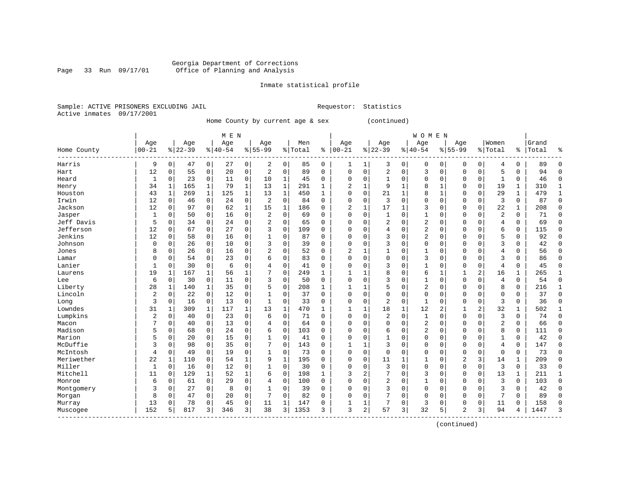Inmate statistical profile

Sample: ACTIVE PRISONERS EXCLUDING JAIL Requestor: Statistics Active inmates 09/17/2001

Home County by current age & sex (continued)

|                         |                |              |           |              | M E N     |              |                |              |         |              |                |              |                |              | <b>WOMEN</b>   |              |                |                |                |              |       |              |
|-------------------------|----------------|--------------|-----------|--------------|-----------|--------------|----------------|--------------|---------|--------------|----------------|--------------|----------------|--------------|----------------|--------------|----------------|----------------|----------------|--------------|-------|--------------|
|                         | Age            |              | Age       |              | Age       |              | Age            |              | Men     |              | Age            |              | Age            |              | Age            |              | Age            |                | Women          |              | Grand |              |
| Home County<br>-------- | $00 - 21$      |              | $8 22-39$ |              | $8 40-54$ |              | $8 55-99$      |              | % Total | ႜ            | $ 00 - 21$     |              | $ 22-39$       |              | $8140 - 54$    |              | $8155 - 99$    |                | % Total        | ႜ            | Total | ႜ            |
| Harris                  | 9              | 0            | 47        | 0            | 27        | 0            | 2              | 0            | 85      | 0            | 1              | 1            | 3              | 0            | 0              | 0            | 0              | 0              | 4              | 0            | 89    | 0            |
| Hart                    | 12             | $\Omega$     | 55        | 0            | 20        | $\mathbf 0$  | $\overline{2}$ | $\mathbf 0$  | 89      | $\Omega$     | $\mathbf 0$    | $\mathbf 0$  | 2              | $\mathbf 0$  | 3              | $\mathbf 0$  | 0              | 0              | 5              | $\Omega$     | 94    | $\Omega$     |
| Heard                   | 1              | 0            | 23        | $\mathbf 0$  | 11        | 0            | 10             | 1            | 45      | 0            | 0              | $\mathbf 0$  | $\mathbf{1}$   | $\mathbf 0$  | $\Omega$       | $\mathbf 0$  | 0              | 0              | $\mathbf{1}$   | 0            | 46    | $\mathbf 0$  |
| Henry                   | 34             | 1            | 165       | $\mathbf{1}$ | 79        | $\mathbf{1}$ | 13             | $\mathbf{1}$ | 291     | 1            | $\overline{2}$ | $\mathbf{1}$ | 9              | $\mathbf{1}$ | 8              | $\mathbf{1}$ | 0              | 0              | 19             | $\mathbf{1}$ | 310   | $\mathbf{1}$ |
| Houston                 | 43             | $\mathbf{1}$ | 269       | $\mathbf{1}$ | 125       | $\mathbf{1}$ | 13             | $\mathbf{1}$ | 450     | $\mathbf{1}$ | $\Omega$       | $\mathbf 0$  | 21             | 1            | 8              | $\mathbf{1}$ | 0              | 0              | 29             | $\mathbf{1}$ | 479   | $\mathbf{1}$ |
| Irwin                   | 12             | 0            | 46        | $\mathbf 0$  | 24        | 0            | $\overline{2}$ | $\mathbf 0$  | 84      | $\Omega$     | $\Omega$       | $\mathbf 0$  | 3              | $\mathbf 0$  | $\Omega$       | $\mathbf 0$  | 0              | 0              | 3              | $\mathbf 0$  | 87    | 0            |
| Jackson                 | 12             | 0            | 97        | 0            | 62        | $\mathbf{1}$ | 15             | 1            | 186     | $\Omega$     | 2              | 1            | 17             | 1            | 3              | $\mathbf 0$  | 0              | 0              | 22             | 1            | 208   | 0            |
| Jasper                  | 1              | 0            | 50        | 0            | 16        | 0            | 2              | 0            | 69      | $\Omega$     | $\Omega$       | 0            | $\mathbf{1}$   | 0            |                | $\mathbf 0$  | 0              | 0              | $\overline{2}$ | $\Omega$     | 71    | 0            |
| Jeff Davis              | 5              | $\Omega$     | 34        | $\Omega$     | 24        | $\mathbf 0$  | 2              | $\Omega$     | 65      | $\Omega$     | $\Omega$       | $\Omega$     | 2              | O            | 2              | $\Omega$     | 0              | $\Omega$       | $\overline{4}$ | $\Omega$     | 69    | $\Omega$     |
| Jefferson               | 12             | $\Omega$     | 67        | $\Omega$     | 27        | $\mathbf 0$  | 3              | $\Omega$     | 109     | $\Omega$     | $\Omega$       | $\Omega$     | 4              | O            | 2              | $\Omega$     | O              | $\Omega$       | 6              | $\Omega$     | 115   | $\Omega$     |
| Jenkins                 | 12             | $\Omega$     | 58        | $\mathbf 0$  | 16        | $\mathbf 0$  | 1              | $\Omega$     | 87      | $\Omega$     | $\Omega$       | $\Omega$     | 3              | $\Omega$     | $\overline{2}$ | $\mathbf 0$  | 0              | $\Omega$       | 5              | $\Omega$     | 92    | $\mathbf 0$  |
| Johnson                 | $\mathbf 0$    | 0            | 26        | $\mathbf 0$  | 10        | $\mathbf 0$  | 3              | $\mathbf 0$  | 39      | $\Omega$     | $\Omega$       | 0            | 3              | $\Omega$     | 0              | $\mathbf 0$  | 0              | $\Omega$       | 3              | $\Omega$     | 42    | $\Omega$     |
| Jones                   | 8              | 0            | 26        | $\mathbf 0$  | 16        | $\mathbf 0$  | 2              | $\mathbf 0$  | 52      | $\Omega$     | $\overline{c}$ | 1            | $\mathbf{1}$   | 0            |                | $\mathbf 0$  | 0              | 0              | $\overline{4}$ | 0            | 56    | $\mathbf 0$  |
| Lamar                   | $\Omega$       | 0            | 54        | 0            | 23        | $\mathbf 0$  | б              | 0            | 83      | $\Omega$     | $\Omega$       | $\mathbf 0$  | $\mathbf 0$    | $\mathbf 0$  | 3              | 0            | 0              | 0              | 3              | 0            | 86    | $\mathbf 0$  |
| Lanier                  | 1              | 0            | 30        | $\mathbf 0$  | 6         | $\mathbf 0$  | 4              | $\mathbf 0$  | 41      | 0            | $\Omega$       | 0            | 3              | $\mathbf 0$  |                | 0            | 0              | 0              | $\overline{4}$ | 0            | 45    | $\mathbf 0$  |
| Laurens                 | 19             | 1            | 167       | 1            | 56        | $\mathbf 1$  | 7              | $\mathbf 0$  | 249     | 1            | $\mathbf{1}$   | 1            | 8              | $\mathbf 0$  | б              | 1            |                | 2              | 16             |              | 265   | $\mathbf{1}$ |
| Lee                     | 6              | 0            | 30        | $\mathbf 0$  | 11        | 0            | 3              | $\mathbf 0$  | 50      | $\Omega$     | $\mathbf 0$    | $\Omega$     | 3              | $\mathbf 0$  |                | $\mathbf 0$  | 0              | 0              | $\overline{4}$ | $\Omega$     | 54    | $\mathbf 0$  |
| Liberty                 | 28             | 1            | 140       | 1            | 35        | $\mathbf 0$  | 5              | $\Omega$     | 208     | $\mathbf{1}$ | 1              | 1            | 5              | $\mathbf 0$  | 2              | $\Omega$     | O              | $\Omega$       | 8              | $\Omega$     | 216   | $\mathbf{1}$ |
| Lincoln                 | 2              | 0            | 22        | $\mathbf 0$  | 12        | $\mathbf 0$  | 1              | 0            | 37      | $\Omega$     | $\Omega$       | $\Omega$     | 0              | $\mathbf 0$  | $\Omega$       | 0            | 0              | $\Omega$       | $\mathbf 0$    | $\Omega$     | 37    | $\mathbf 0$  |
| Long                    | 3              | 0            | 16        | $\mathbf 0$  | 13        | 0            | $\mathbf{1}$   | $\mathbf 0$  | 33      | $\Omega$     | $\Omega$       | $\mathbf 0$  | 2              | $\mathbf 0$  | $\mathbf{1}$   | 0            | 0              | 0              | 3              | 0            | 36    | $\mathbf 0$  |
| Lowndes                 | 31             | 1            | 309       | 1            | 117       | $\mathbf{1}$ | 13             | 1            | 470     | $\mathbf{1}$ | $\mathbf{1}$   | 1            | 18             | 1            | 12             | 2            | 1              | $\overline{a}$ | 32             | 1            | 502   | $\mathbf{1}$ |
| Lumpkins                | $\overline{2}$ | 0            | 40        | 0            | 23        | $\mathbf 0$  | 6              | $\mathbf 0$  | 71      | $\Omega$     | $\Omega$       | $\Omega$     | $\overline{a}$ | $\mathbf 0$  | 1              | $\Omega$     | 0              | 0              | 3              | $\Omega$     | 74    | $\mathbf 0$  |
| Macon                   | 7              | 0            | 40        | 0            | 13        | $\mathbf 0$  | 4              | 0            | 64      | 0            | $\Omega$       | $\Omega$     | 0              | 0            | 2              | $\mathbf 0$  | 0              | $\Omega$       | $\overline{2}$ | $\Omega$     | 66    | $\mathbf 0$  |
| Madison                 | 5              | $\Omega$     | 68        | 0            | 24        | $\mathbf 0$  | 6              | $\Omega$     | 103     | 0            | $\Omega$       | $\Omega$     | 6              | $\mathbf 0$  | 2              | $\mathbf 0$  | 0              | 0              | 8              | $\Omega$     | 111   | $\mathbf 0$  |
| Marion                  | 5              | 0            | 20        | 0            | 15        | $\mathbf 0$  | 1              | $\mathbf 0$  | 41      | $\Omega$     | $\Omega$       | $\Omega$     | $\mathbf{1}$   | 0            | $\Omega$       | $\mathbf 0$  | 0              | 0              | $\mathbf{1}$   | $\Omega$     | 42    | $\mathbf 0$  |
| McDuffie                | 3              | 0            | 98        | $\mathbf 0$  | 35        | $\mathbf 0$  | 7              | $\Omega$     | 143     | $\Omega$     | 1              | 1            | 3              | $\Omega$     | $\Omega$       | 0            | 0              | $\Omega$       | $\overline{4}$ | $\Omega$     | 147   | $\mathbf 0$  |
| McIntosh                | 4              | 0            | 49        | 0            | 19        | $\mathbf 0$  | 1              | $\mathbf 0$  | 73      | $\Omega$     | $\mathbf 0$    | $\mathbf 0$  | $\mathbf 0$    | $\mathbf 0$  | $\Omega$       | 0            | 0              | 0              | $\Omega$       | 0            | 73    | 0            |
| Meriwether              | 22             | 1            | 110       | $\mathbf 0$  | 54        | $\mathbf{1}$ | 9              | $\mathbf{1}$ | 195     | 0            | 0              | $\mathbf 0$  | 11             | $\mathbf{1}$ | 1              | $\mathbf 0$  | $\overline{2}$ | 3              | 14             | 1            | 209   | $\mathbf 0$  |
| Miller                  | $\mathbf{1}$   | $\mathbf 0$  | 16        | 0            | 12        | 0            | 1              | $\mathbf 0$  | 30      | 0            | $\Omega$       | 0            | 3              | 0            | $\mathbf 0$    | $\mathbf 0$  | 0              | 0              | 3              | $\mathbf 0$  | 33    | $\mathbf 0$  |
| Mitchell                | 11             | 0            | 129       | $\mathbf 1$  | 52        | $\mathbf 1$  | 6              | $\mathbf 0$  | 198     | $\mathbf{1}$ | 3              | 2            | 7              | $\Omega$     | 3              | $\mathbf 0$  | $\mathbf 0$    | 0              | 13             | $\mathbf 1$  | 211   | 1            |
| Monroe                  | 6              | 0            | 61        | 0            | 29        | 0            | 4              | 0            | 100     | $\Omega$     | $\Omega$       | 0            | 2              | 0            | $\mathbf{1}$   | 0            | 0              | 0              | 3              | 0            | 103   | 0            |
| Montgomery              | 3              | 0            | 27        | 0            | 8         | 0            | 1              | $\mathbf 0$  | 39      | $\Omega$     | $\Omega$       | 0            | 3              | $\mathbf 0$  | $\Omega$       | $\mathbf 0$  | 0              | 0              | 3              | 0            | 42    | 0            |
| Morgan                  | 8              | 0            | 47        | 0            | 20        | 0            | 7              | $\mathbf 0$  | 82      | $\Omega$     | $\Omega$       | $\Omega$     | 7              | 0            | $\Omega$       | $\mathbf 0$  | $\Omega$       | 0              | 7              | $\Omega$     | 89    | 0            |
| Murray                  | 13             | $\Omega$     | 78        | 0            | 45        | 0            | 11             | 1            | 147     | 0            |                | 1            | 7              | 0            | 3              | $\mathbf 0$  | 0              | 0              | 11             | $\Omega$     | 158   | $\Omega$     |
| Muscogee<br>----------  | 152            | 5            | 817       | 3            | 346       | 3            | 38             | 3            | 1353    | 3            | 3              | 2            | 57             | 3            | 32             | 5            | 2              | 3              | 94             | 4            | 1447  | 3            |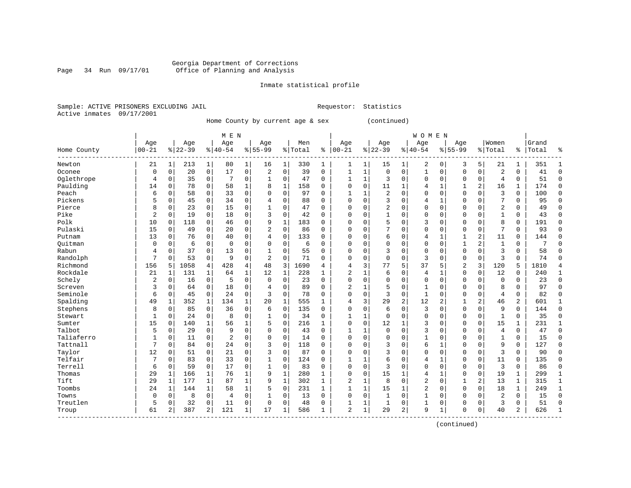Inmate statistical profile

Sample: ACTIVE PRISONERS EXCLUDING JAIL Requestor: Statistics Active inmates 09/17/2001

Home County by current age & sex (continued)

| Age<br>Age<br>Women<br>Age<br>Age<br>Age<br>Men<br>Age<br>Grand<br>Age<br>Age<br>$00 - 21$<br>$ 00-21$<br>$ 22-39$<br>$8 22-39$<br>$8 40-54$<br>$8155 - 99$<br>%   Total<br>$8140 - 54$<br>$8155 - 99$<br>% Total<br>Total<br>Home County<br>ႜ<br>ႜ<br>$\mathbf{1}$<br>5<br>21<br>1<br>213<br>80<br>1 <br>330<br>1<br>15<br>1<br>2<br>0<br>3<br>21<br>351<br>Newton<br>16<br>1<br>1<br>1<br>1<br>$\mathsf{O}$<br>17<br>0<br>$\mathbf 0$<br>$\mathbf 1$<br>$\mathbf 0$<br>$\mathbf 0$<br>$\overline{2}$<br>$\mathbf 0$<br>20<br>2<br>39<br>0<br>$\mathbf 0$<br>$\mathbf 0$<br>$\mathbf 0$<br>$\mathbf 0$<br>Oconee<br>0<br>1<br>1<br>41<br>$\mathbf 0$<br>$\mathbf 0$<br>$\mathbf 0$<br>$\mathbf 0$<br>$\overline{4}$<br>Oglethrope<br>$\mathbf 0$<br>35<br>7<br>0<br>47<br>0<br>$\mathbf{1}$<br>$\mathbf{1}$<br>3<br>$\mathbf 0$<br>$\mathbf 0$<br>$\mathbf 0$<br>$\mathbf 0$<br>51<br>4<br>$\mathbf{1}$<br>Paulding<br>$\Omega$<br>11<br>2<br>174<br>14<br>$\mathbf 0$<br>78<br>$\mathbf 0$<br>58<br>$\mathbf{1}$<br>8<br>$\mathbf{1}$<br>158<br>$\Omega$<br>$\mathbf{1}$<br>$\mathbf{1}$<br>$\mathbf{1}$<br>16<br>$\mathbf{1}$<br>$\Omega$<br>4<br>Peach<br>2<br>3<br>100<br>6<br>58<br>0<br>33<br>0<br>$\mathbf 0$<br>97<br>$\mathbf 0$<br>$\mathbf 0$<br>$\mathbf 0$<br>$\mathbf 0$<br>$\mathbf 0$<br>$\mathbf 0$<br>0<br>$\Omega$<br>$\Omega$<br>1<br>1<br>Pickens<br>7<br>5<br>$\mathbf 0$<br>45<br>$\mathbf 0$<br>34<br>0<br>$\mathbf 0$<br>88<br>$\Omega$<br>0<br>3<br>$\mathbf 0$<br>0<br>95<br>4<br>$\Omega$<br>4<br>1<br>0<br>0<br>$\overline{2}$<br>Pierce<br>8<br>$\mathbf 0$<br>23<br>15<br>0<br>$\mathbf 0$<br>$\Omega$<br>2<br>$\mathbf 0$<br>$\mathbf 0$<br>$\mathbf 0$<br>$\Omega$<br>$\Omega$<br>0<br>47<br>$\Omega$<br>$\Omega$<br>0<br>49<br>$\overline{2}$<br>Pike<br>$\Omega$<br>19<br>18<br>0<br>3<br>$\Omega$<br>42<br>$\Omega$<br>$\mathbf 1$<br>$\Omega$<br>$\Omega$<br>$\mathbf 0$<br>$\Omega$<br>$\Omega$<br>$\mathbf{1}$<br>0<br>$\Omega$<br>$\Omega$<br>$\Omega$<br>43<br>Polk<br>10<br>0<br>9<br>183<br>5<br>8<br>118<br>46<br>$\mathbf{1}$<br>$\Omega$<br>3<br>$\mathbf 0$<br>$\Omega$<br>$\Omega$<br>$\mathbf 0$<br>191<br>0<br>0<br>$\Omega$<br>$\Omega$<br>$\Omega$<br>Pulaski<br>15<br>0<br>2<br>$\mathbf 0$<br>86<br>7<br>7<br>49<br>$\mathbf 0$<br>20<br>$\Omega$<br>$\mathbf 0$<br>$\mathbf 0$<br>$\mathbf 0$<br>0<br>$\mathbf 0$<br>93<br>0<br>$\Omega$<br>$\Omega$<br>$\mathbf 0$<br>13<br>0<br>0<br>$\mathbf 0$<br>2<br>$\mathbf 0$<br>76<br>40<br>133<br>$\Omega$<br>0<br>6<br>0<br>$\mathbf{1}$<br>$\mathbf{1}$<br>11<br>$\mathbf 0$<br>144<br>Putnam<br>4<br>$\Omega$<br>4<br>$\overline{a}$<br>Ouitman<br>$\mathbf 0$<br>6<br>$\mathbf 0$<br>$\mathbf 0$<br>0<br>$\Omega$<br>$\mathbf 0$<br>6<br>$\Omega$<br>$\Omega$<br>$\Omega$<br>$\mathbf 0$<br>$\mathbf 0$<br>$\Omega$<br>$\mathbf 0$<br>$\mathbf{1}$<br>$\mathbf{1}$<br>$\mathbf 0$<br>7<br>0<br>37<br>55<br>3<br>58<br>Rabun<br>0<br>0<br>13<br>0<br>$\Omega$<br>$\Omega$<br>$\Omega$<br>$\Omega$<br>3<br>0<br>0<br>$\mathbf 0$<br>0<br>$\Omega$<br>$\mathbf 0$<br>4<br>$\mathbf{1}$<br>$\overline{3}$<br>Randolph<br>7<br>9<br>2<br>71<br>$\mathbf 0$<br>3<br>0<br>53<br>0<br>0<br>$\Omega$<br>$\Omega$<br>0<br>$\Omega$<br>0<br>0<br>0<br>0<br>74<br>$\Omega$<br>Richmond<br>4<br>48<br>3<br>5<br>37<br>2<br>3<br>156<br>1058<br>4<br>428<br>690<br>3<br>77<br>5<br>120<br>5<br>1810<br>5<br>4<br>4<br>Rockdale<br>$\mathbf 0$<br>12<br>21<br>131<br>$\mathbf{1}$<br>64<br>$\mathbf 1$<br>12<br>$\mathbf{1}$<br>228<br>2<br>$\mathbf{1}$<br>6<br>$\mathbf 0$<br>$\overline{4}$<br>$\mathbf{1}$<br>$\mathbf 0$<br>$\mathbf 0$<br>240<br>1<br>$\mathbf{1}$<br>Schely<br>$\overline{2}$<br>0<br>0<br>5<br>$\Omega$<br>23<br>$\Omega$<br>$\Omega$<br>$\Omega$<br>$\Omega$<br>$\Omega$<br>$\Omega$<br>$\mathbf 0$<br>0<br>$\Omega$<br>$\Omega$<br>$\Omega$<br>23<br>16<br>0<br>$\Omega$<br>3<br>$\mathbf 0$<br>18<br>89<br>$\mathbf 0$<br>8<br>Screven<br>$\Omega$<br>64<br>0<br>$\Omega$<br>$\Omega$<br>2<br>1<br>5<br>$\mathbf 0$<br>0<br>$\Omega$<br>0<br>97<br>4<br>1<br>$\mathbf 0$<br>24<br>0<br>78<br>3<br>$\mathbf 0$<br>Seminole<br>6<br>3<br>$\mathbf 0$<br>$\Omega$<br>$\Omega$<br>$\mathbf 0$<br>$\Omega$<br>$\mathbf 0$<br>$\overline{4}$<br>$\mathbf 0$<br>82<br>0<br>45<br>$\Omega$<br>1<br>Spalding<br>$\overline{2}$<br>$\mathbf{1}$<br>352<br>$\mathbf{1}$<br>134<br>$\mathbf 1$<br>20<br>555<br>3<br>29<br>2<br>12<br>2<br>$\overline{a}$<br>46<br>601<br>49<br>1<br>1<br>4<br>$\mathbf{1}$<br>Stephens<br>36<br>$\mathbf 0$<br>9<br>8<br>0<br>85<br>0<br>0<br>6<br>135<br>$\Omega$<br>$\Omega$<br>0<br>6<br>0<br>3<br>$\mathbf 0$<br>0<br>0<br>$\Omega$<br>144<br>$\mathbf{1}$<br>8<br>34<br>$\Omega$<br>35<br>Stewart<br>$\Omega$<br>24<br>0<br>0<br>$\mathbf 0$<br>$\Omega$<br>1<br>1<br>$\Omega$<br>0<br>$\mathbf 0$<br>0<br>$\Omega$<br>$\mathbf{1}$<br>$\mathbf{1}$<br>$\Omega$<br>15<br>$\Omega$<br>$\Omega$<br>15<br>Sumter<br>140<br>1<br>56<br>1<br>5<br>$\Omega$<br>216<br>12<br>1<br>3<br>$\mathbf 0$<br>$\Omega$<br>$\Omega$<br>231<br>$\Omega$<br>$\mathbf{1}$<br>1<br>Talbot<br>5<br>$\mathbf 0$<br>9<br>0<br>$\mathbf 0$<br>$\mathbf 0$<br>3<br>$\mathbf 0$<br>$\overline{4}$<br>0<br>29<br>$\Omega$<br>43<br>$\Omega$<br>1<br>0<br>$\mathbf 0$<br>$\Omega$<br>$\Omega$<br>47<br>1<br>Taliaferro<br>$\mathbf{1}$<br>$\overline{2}$<br>$\Omega$<br>11<br>0<br>0<br>$\Omega$<br>$\Omega$<br>14<br>$\Omega$<br>$\Omega$<br>$\Omega$<br>$\Omega$<br>$\Omega$<br>$\mathbf{1}$<br>$\Omega$<br>$\Omega$<br>$\Omega$<br>$\mathbf{1}$<br>$\Omega$<br>15<br>Tattnall<br>7<br>24<br>0<br>3<br>$\Omega$<br>118<br>6<br>9<br>127<br>$\Omega$<br>84<br>0<br>$\Omega$<br>$\Omega$<br>3<br>$\Omega$<br>1<br>$\Omega$<br>$\Omega$<br>$\Omega$<br>0<br>Taylor<br>12<br>$\mathbf 0$<br>21<br>0<br>3<br>$\Omega$<br>87<br>3<br>$\Omega$<br>3<br>90<br>$\Omega$<br>51<br>$\Omega$<br>$\Omega$<br>$\Omega$<br>$\Omega$<br>$\Omega$<br>0<br>$\Omega$<br>$\mathbf 0$<br>Telfair<br>7<br>33<br>0<br>$\mathbf 0$<br>$\Omega$<br>83<br>$\mathbf 0$<br>$\mathbf 0$<br>124<br>$\mathbf{1}$<br>6<br>$\mathbf 0$<br>$\mathbf{1}$<br>$\Omega$<br>$\Omega$<br>135<br>$\Omega$<br>1<br>4<br>11<br>1<br>Terrell<br>3<br>$\overline{3}$<br>0<br>17<br>0<br>$\mathbf 0$<br>83<br>$\Omega$<br>0<br>$\mathbf 0$<br>$\mathbf 0$<br>$\mathbf 0$<br>$\mathbf 0$<br>86<br>6<br>0<br>59<br>$\mathbf{1}$<br>$\Omega$<br>$\Omega$<br>0<br>15<br>29<br>$\mathbf{1}$<br>76<br>1<br>9<br>280<br>$\Omega$<br>$\Omega$<br>$\mathbf{1}$<br>$\mathbf 0$<br>$\mathbf 0$<br>19<br>299<br>Thomas<br>166<br>1<br>1<br>1<br>4<br>1<br>1<br>$\overline{a}$<br>Tift<br>29<br>87<br>1<br>9<br>302<br>2<br>8<br>$\mathbf 0$<br>$\overline{2}$<br>13<br>315<br>1<br>177<br>1<br>1<br>1<br>0<br>1<br>1<br>1<br>Toombs<br>1<br>$\mathbf{1}$<br>$\overline{2}$<br>249<br>24<br>144<br>1<br>58<br>5<br>$\mathbf 0$<br>231<br>$\mathbf{1}$<br>15<br>1<br>0<br>0<br>$\Omega$<br>18<br>1<br>1<br>1<br>$\overline{2}$<br>8<br>$\mathbf 0$<br>0<br>$\mathbf 0$<br>$\mathbf 0$<br>15<br>Towns<br>0<br>0<br>$\mathbf 0$<br>13<br>$\Omega$<br>$\Omega$<br>0<br>1<br>$\mathbf{1}$<br>$\mathbf 0$<br>$\Omega$<br>0<br>4<br>Treutlen<br>5<br>32<br>0<br>11<br>0<br>$\Omega$<br>$\Omega$<br>48<br>$\Omega$<br>1<br>1<br>0<br>$\mathbf{1}$<br>$\Omega$<br>$\Omega$<br>3<br>0<br>51<br>0<br>1<br>0<br>121<br>61<br>$\overline{a}$<br>387<br>$\overline{a}$<br>$1\vert$<br>17<br>586<br>$\overline{a}$<br>$\mathbf 1$<br>29<br>2<br>9<br>40<br>$\overline{a}$<br>626<br>1<br>1<br>$\Omega$<br>0<br>$\mathbf{1}$<br>Troup |  |  | M E N |  |  |  |  | <b>WOMEN</b> |  |  |  |                |
|------------------------------------------------------------------------------------------------------------------------------------------------------------------------------------------------------------------------------------------------------------------------------------------------------------------------------------------------------------------------------------------------------------------------------------------------------------------------------------------------------------------------------------------------------------------------------------------------------------------------------------------------------------------------------------------------------------------------------------------------------------------------------------------------------------------------------------------------------------------------------------------------------------------------------------------------------------------------------------------------------------------------------------------------------------------------------------------------------------------------------------------------------------------------------------------------------------------------------------------------------------------------------------------------------------------------------------------------------------------------------------------------------------------------------------------------------------------------------------------------------------------------------------------------------------------------------------------------------------------------------------------------------------------------------------------------------------------------------------------------------------------------------------------------------------------------------------------------------------------------------------------------------------------------------------------------------------------------------------------------------------------------------------------------------------------------------------------------------------------------------------------------------------------------------------------------------------------------------------------------------------------------------------------------------------------------------------------------------------------------------------------------------------------------------------------------------------------------------------------------------------------------------------------------------------------------------------------------------------------------------------------------------------------------------------------------------------------------------------------------------------------------------------------------------------------------------------------------------------------------------------------------------------------------------------------------------------------------------------------------------------------------------------------------------------------------------------------------------------------------------------------------------------------------------------------------------------------------------------------------------------------------------------------------------------------------------------------------------------------------------------------------------------------------------------------------------------------------------------------------------------------------------------------------------------------------------------------------------------------------------------------------------------------------------------------------------------------------------------------------------------------------------------------------------------------------------------------------------------------------------------------------------------------------------------------------------------------------------------------------------------------------------------------------------------------------------------------------------------------------------------------------------------------------------------------------------------------------------------------------------------------------------------------------------------------------------------------------------------------------------------------------------------------------------------------------------------------------------------------------------------------------------------------------------------------------------------------------------------------------------------------------------------------------------------------------------------------------------------------------------------------------------------------------------------------------------------------------------------------------------------------------------------------------------------------------------------------------------------------------------------------------------------------------------------------------------------------------------------------------------------------------------------------------------------------------------------------------------------------------------------------------------------------------------------------------------------------------------------------------------------------------------------------------------------------------------------------------------------------------------------------------------------------------------------------------------------------------------------------------------------------------------------------------------------------------------------------------------------------------------------------------------------------------------------------------------------------------------------------------------------------------------------------------------------------------------------------------------------------------------------------------------------------------------------------------------------------------------------------------------------------------------------------------------------------------------------------------------------------------------------------------------------------------------------------------------------------------------------------------------------------------------------------------------------------------------------------------------------------------------------------------------------------------------------------------------------------------------------------------------------------------------------------------------------------------------------------------------------------------------------------------------------------------------------------------------------------------------------------------------------------------------------------------------------------------------------------------------------------------------------------------------------------------------------------------------------------------------------------------------------------------------------------------------------------------------------------------------------------------------------------------------------------------------------------------------------------------------------------------------------------------------------------------------------------------------------------------------------------------------------------------------------------------------------------------------|--|--|-------|--|--|--|--|--------------|--|--|--|----------------|
|                                                                                                                                                                                                                                                                                                                                                                                                                                                                                                                                                                                                                                                                                                                                                                                                                                                                                                                                                                                                                                                                                                                                                                                                                                                                                                                                                                                                                                                                                                                                                                                                                                                                                                                                                                                                                                                                                                                                                                                                                                                                                                                                                                                                                                                                                                                                                                                                                                                                                                                                                                                                                                                                                                                                                                                                                                                                                                                                                                                                                                                                                                                                                                                                                                                                                                                                                                                                                                                                                                                                                                                                                                                                                                                                                                                                                                                                                                                                                                                                                                                                                                                                                                                                                                                                                                                                                                                                                                                                                                                                                                                                                                                                                                                                                                                                                                                                                                                                                                                                                                                                                                                                                                                                                                                                                                                                                                                                                                                                                                                                                                                                                                                                                                                                                                                                                                                                                                                                                                                                                                                                                                                                                                                                                                                                                                                                                                                                                                                                                                                                                                                                                                                                                                                                                                                                                                                                                                                                                                                                                                                                                                                                                                                                                                                                                                                                                                                                                                                                                                                                                                              |  |  |       |  |  |  |  |              |  |  |  |                |
|                                                                                                                                                                                                                                                                                                                                                                                                                                                                                                                                                                                                                                                                                                                                                                                                                                                                                                                                                                                                                                                                                                                                                                                                                                                                                                                                                                                                                                                                                                                                                                                                                                                                                                                                                                                                                                                                                                                                                                                                                                                                                                                                                                                                                                                                                                                                                                                                                                                                                                                                                                                                                                                                                                                                                                                                                                                                                                                                                                                                                                                                                                                                                                                                                                                                                                                                                                                                                                                                                                                                                                                                                                                                                                                                                                                                                                                                                                                                                                                                                                                                                                                                                                                                                                                                                                                                                                                                                                                                                                                                                                                                                                                                                                                                                                                                                                                                                                                                                                                                                                                                                                                                                                                                                                                                                                                                                                                                                                                                                                                                                                                                                                                                                                                                                                                                                                                                                                                                                                                                                                                                                                                                                                                                                                                                                                                                                                                                                                                                                                                                                                                                                                                                                                                                                                                                                                                                                                                                                                                                                                                                                                                                                                                                                                                                                                                                                                                                                                                                                                                                                                              |  |  |       |  |  |  |  |              |  |  |  | န္             |
|                                                                                                                                                                                                                                                                                                                                                                                                                                                                                                                                                                                                                                                                                                                                                                                                                                                                                                                                                                                                                                                                                                                                                                                                                                                                                                                                                                                                                                                                                                                                                                                                                                                                                                                                                                                                                                                                                                                                                                                                                                                                                                                                                                                                                                                                                                                                                                                                                                                                                                                                                                                                                                                                                                                                                                                                                                                                                                                                                                                                                                                                                                                                                                                                                                                                                                                                                                                                                                                                                                                                                                                                                                                                                                                                                                                                                                                                                                                                                                                                                                                                                                                                                                                                                                                                                                                                                                                                                                                                                                                                                                                                                                                                                                                                                                                                                                                                                                                                                                                                                                                                                                                                                                                                                                                                                                                                                                                                                                                                                                                                                                                                                                                                                                                                                                                                                                                                                                                                                                                                                                                                                                                                                                                                                                                                                                                                                                                                                                                                                                                                                                                                                                                                                                                                                                                                                                                                                                                                                                                                                                                                                                                                                                                                                                                                                                                                                                                                                                                                                                                                                                              |  |  |       |  |  |  |  |              |  |  |  | 1              |
|                                                                                                                                                                                                                                                                                                                                                                                                                                                                                                                                                                                                                                                                                                                                                                                                                                                                                                                                                                                                                                                                                                                                                                                                                                                                                                                                                                                                                                                                                                                                                                                                                                                                                                                                                                                                                                                                                                                                                                                                                                                                                                                                                                                                                                                                                                                                                                                                                                                                                                                                                                                                                                                                                                                                                                                                                                                                                                                                                                                                                                                                                                                                                                                                                                                                                                                                                                                                                                                                                                                                                                                                                                                                                                                                                                                                                                                                                                                                                                                                                                                                                                                                                                                                                                                                                                                                                                                                                                                                                                                                                                                                                                                                                                                                                                                                                                                                                                                                                                                                                                                                                                                                                                                                                                                                                                                                                                                                                                                                                                                                                                                                                                                                                                                                                                                                                                                                                                                                                                                                                                                                                                                                                                                                                                                                                                                                                                                                                                                                                                                                                                                                                                                                                                                                                                                                                                                                                                                                                                                                                                                                                                                                                                                                                                                                                                                                                                                                                                                                                                                                                                              |  |  |       |  |  |  |  |              |  |  |  | $\mathbf 0$    |
|                                                                                                                                                                                                                                                                                                                                                                                                                                                                                                                                                                                                                                                                                                                                                                                                                                                                                                                                                                                                                                                                                                                                                                                                                                                                                                                                                                                                                                                                                                                                                                                                                                                                                                                                                                                                                                                                                                                                                                                                                                                                                                                                                                                                                                                                                                                                                                                                                                                                                                                                                                                                                                                                                                                                                                                                                                                                                                                                                                                                                                                                                                                                                                                                                                                                                                                                                                                                                                                                                                                                                                                                                                                                                                                                                                                                                                                                                                                                                                                                                                                                                                                                                                                                                                                                                                                                                                                                                                                                                                                                                                                                                                                                                                                                                                                                                                                                                                                                                                                                                                                                                                                                                                                                                                                                                                                                                                                                                                                                                                                                                                                                                                                                                                                                                                                                                                                                                                                                                                                                                                                                                                                                                                                                                                                                                                                                                                                                                                                                                                                                                                                                                                                                                                                                                                                                                                                                                                                                                                                                                                                                                                                                                                                                                                                                                                                                                                                                                                                                                                                                                                              |  |  |       |  |  |  |  |              |  |  |  | $\Omega$       |
|                                                                                                                                                                                                                                                                                                                                                                                                                                                                                                                                                                                                                                                                                                                                                                                                                                                                                                                                                                                                                                                                                                                                                                                                                                                                                                                                                                                                                                                                                                                                                                                                                                                                                                                                                                                                                                                                                                                                                                                                                                                                                                                                                                                                                                                                                                                                                                                                                                                                                                                                                                                                                                                                                                                                                                                                                                                                                                                                                                                                                                                                                                                                                                                                                                                                                                                                                                                                                                                                                                                                                                                                                                                                                                                                                                                                                                                                                                                                                                                                                                                                                                                                                                                                                                                                                                                                                                                                                                                                                                                                                                                                                                                                                                                                                                                                                                                                                                                                                                                                                                                                                                                                                                                                                                                                                                                                                                                                                                                                                                                                                                                                                                                                                                                                                                                                                                                                                                                                                                                                                                                                                                                                                                                                                                                                                                                                                                                                                                                                                                                                                                                                                                                                                                                                                                                                                                                                                                                                                                                                                                                                                                                                                                                                                                                                                                                                                                                                                                                                                                                                                                              |  |  |       |  |  |  |  |              |  |  |  | $\mathbf 0$    |
|                                                                                                                                                                                                                                                                                                                                                                                                                                                                                                                                                                                                                                                                                                                                                                                                                                                                                                                                                                                                                                                                                                                                                                                                                                                                                                                                                                                                                                                                                                                                                                                                                                                                                                                                                                                                                                                                                                                                                                                                                                                                                                                                                                                                                                                                                                                                                                                                                                                                                                                                                                                                                                                                                                                                                                                                                                                                                                                                                                                                                                                                                                                                                                                                                                                                                                                                                                                                                                                                                                                                                                                                                                                                                                                                                                                                                                                                                                                                                                                                                                                                                                                                                                                                                                                                                                                                                                                                                                                                                                                                                                                                                                                                                                                                                                                                                                                                                                                                                                                                                                                                                                                                                                                                                                                                                                                                                                                                                                                                                                                                                                                                                                                                                                                                                                                                                                                                                                                                                                                                                                                                                                                                                                                                                                                                                                                                                                                                                                                                                                                                                                                                                                                                                                                                                                                                                                                                                                                                                                                                                                                                                                                                                                                                                                                                                                                                                                                                                                                                                                                                                                              |  |  |       |  |  |  |  |              |  |  |  | $\mathbf 0$    |
|                                                                                                                                                                                                                                                                                                                                                                                                                                                                                                                                                                                                                                                                                                                                                                                                                                                                                                                                                                                                                                                                                                                                                                                                                                                                                                                                                                                                                                                                                                                                                                                                                                                                                                                                                                                                                                                                                                                                                                                                                                                                                                                                                                                                                                                                                                                                                                                                                                                                                                                                                                                                                                                                                                                                                                                                                                                                                                                                                                                                                                                                                                                                                                                                                                                                                                                                                                                                                                                                                                                                                                                                                                                                                                                                                                                                                                                                                                                                                                                                                                                                                                                                                                                                                                                                                                                                                                                                                                                                                                                                                                                                                                                                                                                                                                                                                                                                                                                                                                                                                                                                                                                                                                                                                                                                                                                                                                                                                                                                                                                                                                                                                                                                                                                                                                                                                                                                                                                                                                                                                                                                                                                                                                                                                                                                                                                                                                                                                                                                                                                                                                                                                                                                                                                                                                                                                                                                                                                                                                                                                                                                                                                                                                                                                                                                                                                                                                                                                                                                                                                                                                              |  |  |       |  |  |  |  |              |  |  |  | $\mathbf 0$    |
|                                                                                                                                                                                                                                                                                                                                                                                                                                                                                                                                                                                                                                                                                                                                                                                                                                                                                                                                                                                                                                                                                                                                                                                                                                                                                                                                                                                                                                                                                                                                                                                                                                                                                                                                                                                                                                                                                                                                                                                                                                                                                                                                                                                                                                                                                                                                                                                                                                                                                                                                                                                                                                                                                                                                                                                                                                                                                                                                                                                                                                                                                                                                                                                                                                                                                                                                                                                                                                                                                                                                                                                                                                                                                                                                                                                                                                                                                                                                                                                                                                                                                                                                                                                                                                                                                                                                                                                                                                                                                                                                                                                                                                                                                                                                                                                                                                                                                                                                                                                                                                                                                                                                                                                                                                                                                                                                                                                                                                                                                                                                                                                                                                                                                                                                                                                                                                                                                                                                                                                                                                                                                                                                                                                                                                                                                                                                                                                                                                                                                                                                                                                                                                                                                                                                                                                                                                                                                                                                                                                                                                                                                                                                                                                                                                                                                                                                                                                                                                                                                                                                                                              |  |  |       |  |  |  |  |              |  |  |  | $\Omega$       |
|                                                                                                                                                                                                                                                                                                                                                                                                                                                                                                                                                                                                                                                                                                                                                                                                                                                                                                                                                                                                                                                                                                                                                                                                                                                                                                                                                                                                                                                                                                                                                                                                                                                                                                                                                                                                                                                                                                                                                                                                                                                                                                                                                                                                                                                                                                                                                                                                                                                                                                                                                                                                                                                                                                                                                                                                                                                                                                                                                                                                                                                                                                                                                                                                                                                                                                                                                                                                                                                                                                                                                                                                                                                                                                                                                                                                                                                                                                                                                                                                                                                                                                                                                                                                                                                                                                                                                                                                                                                                                                                                                                                                                                                                                                                                                                                                                                                                                                                                                                                                                                                                                                                                                                                                                                                                                                                                                                                                                                                                                                                                                                                                                                                                                                                                                                                                                                                                                                                                                                                                                                                                                                                                                                                                                                                                                                                                                                                                                                                                                                                                                                                                                                                                                                                                                                                                                                                                                                                                                                                                                                                                                                                                                                                                                                                                                                                                                                                                                                                                                                                                                                              |  |  |       |  |  |  |  |              |  |  |  | $\Omega$       |
|                                                                                                                                                                                                                                                                                                                                                                                                                                                                                                                                                                                                                                                                                                                                                                                                                                                                                                                                                                                                                                                                                                                                                                                                                                                                                                                                                                                                                                                                                                                                                                                                                                                                                                                                                                                                                                                                                                                                                                                                                                                                                                                                                                                                                                                                                                                                                                                                                                                                                                                                                                                                                                                                                                                                                                                                                                                                                                                                                                                                                                                                                                                                                                                                                                                                                                                                                                                                                                                                                                                                                                                                                                                                                                                                                                                                                                                                                                                                                                                                                                                                                                                                                                                                                                                                                                                                                                                                                                                                                                                                                                                                                                                                                                                                                                                                                                                                                                                                                                                                                                                                                                                                                                                                                                                                                                                                                                                                                                                                                                                                                                                                                                                                                                                                                                                                                                                                                                                                                                                                                                                                                                                                                                                                                                                                                                                                                                                                                                                                                                                                                                                                                                                                                                                                                                                                                                                                                                                                                                                                                                                                                                                                                                                                                                                                                                                                                                                                                                                                                                                                                                              |  |  |       |  |  |  |  |              |  |  |  | $\Omega$       |
|                                                                                                                                                                                                                                                                                                                                                                                                                                                                                                                                                                                                                                                                                                                                                                                                                                                                                                                                                                                                                                                                                                                                                                                                                                                                                                                                                                                                                                                                                                                                                                                                                                                                                                                                                                                                                                                                                                                                                                                                                                                                                                                                                                                                                                                                                                                                                                                                                                                                                                                                                                                                                                                                                                                                                                                                                                                                                                                                                                                                                                                                                                                                                                                                                                                                                                                                                                                                                                                                                                                                                                                                                                                                                                                                                                                                                                                                                                                                                                                                                                                                                                                                                                                                                                                                                                                                                                                                                                                                                                                                                                                                                                                                                                                                                                                                                                                                                                                                                                                                                                                                                                                                                                                                                                                                                                                                                                                                                                                                                                                                                                                                                                                                                                                                                                                                                                                                                                                                                                                                                                                                                                                                                                                                                                                                                                                                                                                                                                                                                                                                                                                                                                                                                                                                                                                                                                                                                                                                                                                                                                                                                                                                                                                                                                                                                                                                                                                                                                                                                                                                                                              |  |  |       |  |  |  |  |              |  |  |  | $\Omega$       |
|                                                                                                                                                                                                                                                                                                                                                                                                                                                                                                                                                                                                                                                                                                                                                                                                                                                                                                                                                                                                                                                                                                                                                                                                                                                                                                                                                                                                                                                                                                                                                                                                                                                                                                                                                                                                                                                                                                                                                                                                                                                                                                                                                                                                                                                                                                                                                                                                                                                                                                                                                                                                                                                                                                                                                                                                                                                                                                                                                                                                                                                                                                                                                                                                                                                                                                                                                                                                                                                                                                                                                                                                                                                                                                                                                                                                                                                                                                                                                                                                                                                                                                                                                                                                                                                                                                                                                                                                                                                                                                                                                                                                                                                                                                                                                                                                                                                                                                                                                                                                                                                                                                                                                                                                                                                                                                                                                                                                                                                                                                                                                                                                                                                                                                                                                                                                                                                                                                                                                                                                                                                                                                                                                                                                                                                                                                                                                                                                                                                                                                                                                                                                                                                                                                                                                                                                                                                                                                                                                                                                                                                                                                                                                                                                                                                                                                                                                                                                                                                                                                                                                                              |  |  |       |  |  |  |  |              |  |  |  | $\Omega$       |
|                                                                                                                                                                                                                                                                                                                                                                                                                                                                                                                                                                                                                                                                                                                                                                                                                                                                                                                                                                                                                                                                                                                                                                                                                                                                                                                                                                                                                                                                                                                                                                                                                                                                                                                                                                                                                                                                                                                                                                                                                                                                                                                                                                                                                                                                                                                                                                                                                                                                                                                                                                                                                                                                                                                                                                                                                                                                                                                                                                                                                                                                                                                                                                                                                                                                                                                                                                                                                                                                                                                                                                                                                                                                                                                                                                                                                                                                                                                                                                                                                                                                                                                                                                                                                                                                                                                                                                                                                                                                                                                                                                                                                                                                                                                                                                                                                                                                                                                                                                                                                                                                                                                                                                                                                                                                                                                                                                                                                                                                                                                                                                                                                                                                                                                                                                                                                                                                                                                                                                                                                                                                                                                                                                                                                                                                                                                                                                                                                                                                                                                                                                                                                                                                                                                                                                                                                                                                                                                                                                                                                                                                                                                                                                                                                                                                                                                                                                                                                                                                                                                                                                              |  |  |       |  |  |  |  |              |  |  |  | $\Omega$       |
|                                                                                                                                                                                                                                                                                                                                                                                                                                                                                                                                                                                                                                                                                                                                                                                                                                                                                                                                                                                                                                                                                                                                                                                                                                                                                                                                                                                                                                                                                                                                                                                                                                                                                                                                                                                                                                                                                                                                                                                                                                                                                                                                                                                                                                                                                                                                                                                                                                                                                                                                                                                                                                                                                                                                                                                                                                                                                                                                                                                                                                                                                                                                                                                                                                                                                                                                                                                                                                                                                                                                                                                                                                                                                                                                                                                                                                                                                                                                                                                                                                                                                                                                                                                                                                                                                                                                                                                                                                                                                                                                                                                                                                                                                                                                                                                                                                                                                                                                                                                                                                                                                                                                                                                                                                                                                                                                                                                                                                                                                                                                                                                                                                                                                                                                                                                                                                                                                                                                                                                                                                                                                                                                                                                                                                                                                                                                                                                                                                                                                                                                                                                                                                                                                                                                                                                                                                                                                                                                                                                                                                                                                                                                                                                                                                                                                                                                                                                                                                                                                                                                                                              |  |  |       |  |  |  |  |              |  |  |  | $\mathbf{0}$   |
|                                                                                                                                                                                                                                                                                                                                                                                                                                                                                                                                                                                                                                                                                                                                                                                                                                                                                                                                                                                                                                                                                                                                                                                                                                                                                                                                                                                                                                                                                                                                                                                                                                                                                                                                                                                                                                                                                                                                                                                                                                                                                                                                                                                                                                                                                                                                                                                                                                                                                                                                                                                                                                                                                                                                                                                                                                                                                                                                                                                                                                                                                                                                                                                                                                                                                                                                                                                                                                                                                                                                                                                                                                                                                                                                                                                                                                                                                                                                                                                                                                                                                                                                                                                                                                                                                                                                                                                                                                                                                                                                                                                                                                                                                                                                                                                                                                                                                                                                                                                                                                                                                                                                                                                                                                                                                                                                                                                                                                                                                                                                                                                                                                                                                                                                                                                                                                                                                                                                                                                                                                                                                                                                                                                                                                                                                                                                                                                                                                                                                                                                                                                                                                                                                                                                                                                                                                                                                                                                                                                                                                                                                                                                                                                                                                                                                                                                                                                                                                                                                                                                                                              |  |  |       |  |  |  |  |              |  |  |  | $\mathbf 0$    |
|                                                                                                                                                                                                                                                                                                                                                                                                                                                                                                                                                                                                                                                                                                                                                                                                                                                                                                                                                                                                                                                                                                                                                                                                                                                                                                                                                                                                                                                                                                                                                                                                                                                                                                                                                                                                                                                                                                                                                                                                                                                                                                                                                                                                                                                                                                                                                                                                                                                                                                                                                                                                                                                                                                                                                                                                                                                                                                                                                                                                                                                                                                                                                                                                                                                                                                                                                                                                                                                                                                                                                                                                                                                                                                                                                                                                                                                                                                                                                                                                                                                                                                                                                                                                                                                                                                                                                                                                                                                                                                                                                                                                                                                                                                                                                                                                                                                                                                                                                                                                                                                                                                                                                                                                                                                                                                                                                                                                                                                                                                                                                                                                                                                                                                                                                                                                                                                                                                                                                                                                                                                                                                                                                                                                                                                                                                                                                                                                                                                                                                                                                                                                                                                                                                                                                                                                                                                                                                                                                                                                                                                                                                                                                                                                                                                                                                                                                                                                                                                                                                                                                                              |  |  |       |  |  |  |  |              |  |  |  | $\overline{4}$ |
|                                                                                                                                                                                                                                                                                                                                                                                                                                                                                                                                                                                                                                                                                                                                                                                                                                                                                                                                                                                                                                                                                                                                                                                                                                                                                                                                                                                                                                                                                                                                                                                                                                                                                                                                                                                                                                                                                                                                                                                                                                                                                                                                                                                                                                                                                                                                                                                                                                                                                                                                                                                                                                                                                                                                                                                                                                                                                                                                                                                                                                                                                                                                                                                                                                                                                                                                                                                                                                                                                                                                                                                                                                                                                                                                                                                                                                                                                                                                                                                                                                                                                                                                                                                                                                                                                                                                                                                                                                                                                                                                                                                                                                                                                                                                                                                                                                                                                                                                                                                                                                                                                                                                                                                                                                                                                                                                                                                                                                                                                                                                                                                                                                                                                                                                                                                                                                                                                                                                                                                                                                                                                                                                                                                                                                                                                                                                                                                                                                                                                                                                                                                                                                                                                                                                                                                                                                                                                                                                                                                                                                                                                                                                                                                                                                                                                                                                                                                                                                                                                                                                                                              |  |  |       |  |  |  |  |              |  |  |  | $\mathbf{1}$   |
|                                                                                                                                                                                                                                                                                                                                                                                                                                                                                                                                                                                                                                                                                                                                                                                                                                                                                                                                                                                                                                                                                                                                                                                                                                                                                                                                                                                                                                                                                                                                                                                                                                                                                                                                                                                                                                                                                                                                                                                                                                                                                                                                                                                                                                                                                                                                                                                                                                                                                                                                                                                                                                                                                                                                                                                                                                                                                                                                                                                                                                                                                                                                                                                                                                                                                                                                                                                                                                                                                                                                                                                                                                                                                                                                                                                                                                                                                                                                                                                                                                                                                                                                                                                                                                                                                                                                                                                                                                                                                                                                                                                                                                                                                                                                                                                                                                                                                                                                                                                                                                                                                                                                                                                                                                                                                                                                                                                                                                                                                                                                                                                                                                                                                                                                                                                                                                                                                                                                                                                                                                                                                                                                                                                                                                                                                                                                                                                                                                                                                                                                                                                                                                                                                                                                                                                                                                                                                                                                                                                                                                                                                                                                                                                                                                                                                                                                                                                                                                                                                                                                                                              |  |  |       |  |  |  |  |              |  |  |  | $\mathbf 0$    |
|                                                                                                                                                                                                                                                                                                                                                                                                                                                                                                                                                                                                                                                                                                                                                                                                                                                                                                                                                                                                                                                                                                                                                                                                                                                                                                                                                                                                                                                                                                                                                                                                                                                                                                                                                                                                                                                                                                                                                                                                                                                                                                                                                                                                                                                                                                                                                                                                                                                                                                                                                                                                                                                                                                                                                                                                                                                                                                                                                                                                                                                                                                                                                                                                                                                                                                                                                                                                                                                                                                                                                                                                                                                                                                                                                                                                                                                                                                                                                                                                                                                                                                                                                                                                                                                                                                                                                                                                                                                                                                                                                                                                                                                                                                                                                                                                                                                                                                                                                                                                                                                                                                                                                                                                                                                                                                                                                                                                                                                                                                                                                                                                                                                                                                                                                                                                                                                                                                                                                                                                                                                                                                                                                                                                                                                                                                                                                                                                                                                                                                                                                                                                                                                                                                                                                                                                                                                                                                                                                                                                                                                                                                                                                                                                                                                                                                                                                                                                                                                                                                                                                                              |  |  |       |  |  |  |  |              |  |  |  | $\mathbf{0}$   |
|                                                                                                                                                                                                                                                                                                                                                                                                                                                                                                                                                                                                                                                                                                                                                                                                                                                                                                                                                                                                                                                                                                                                                                                                                                                                                                                                                                                                                                                                                                                                                                                                                                                                                                                                                                                                                                                                                                                                                                                                                                                                                                                                                                                                                                                                                                                                                                                                                                                                                                                                                                                                                                                                                                                                                                                                                                                                                                                                                                                                                                                                                                                                                                                                                                                                                                                                                                                                                                                                                                                                                                                                                                                                                                                                                                                                                                                                                                                                                                                                                                                                                                                                                                                                                                                                                                                                                                                                                                                                                                                                                                                                                                                                                                                                                                                                                                                                                                                                                                                                                                                                                                                                                                                                                                                                                                                                                                                                                                                                                                                                                                                                                                                                                                                                                                                                                                                                                                                                                                                                                                                                                                                                                                                                                                                                                                                                                                                                                                                                                                                                                                                                                                                                                                                                                                                                                                                                                                                                                                                                                                                                                                                                                                                                                                                                                                                                                                                                                                                                                                                                                                              |  |  |       |  |  |  |  |              |  |  |  | $\Omega$       |
|                                                                                                                                                                                                                                                                                                                                                                                                                                                                                                                                                                                                                                                                                                                                                                                                                                                                                                                                                                                                                                                                                                                                                                                                                                                                                                                                                                                                                                                                                                                                                                                                                                                                                                                                                                                                                                                                                                                                                                                                                                                                                                                                                                                                                                                                                                                                                                                                                                                                                                                                                                                                                                                                                                                                                                                                                                                                                                                                                                                                                                                                                                                                                                                                                                                                                                                                                                                                                                                                                                                                                                                                                                                                                                                                                                                                                                                                                                                                                                                                                                                                                                                                                                                                                                                                                                                                                                                                                                                                                                                                                                                                                                                                                                                                                                                                                                                                                                                                                                                                                                                                                                                                                                                                                                                                                                                                                                                                                                                                                                                                                                                                                                                                                                                                                                                                                                                                                                                                                                                                                                                                                                                                                                                                                                                                                                                                                                                                                                                                                                                                                                                                                                                                                                                                                                                                                                                                                                                                                                                                                                                                                                                                                                                                                                                                                                                                                                                                                                                                                                                                                                              |  |  |       |  |  |  |  |              |  |  |  | $\mathbf{1}$   |
|                                                                                                                                                                                                                                                                                                                                                                                                                                                                                                                                                                                                                                                                                                                                                                                                                                                                                                                                                                                                                                                                                                                                                                                                                                                                                                                                                                                                                                                                                                                                                                                                                                                                                                                                                                                                                                                                                                                                                                                                                                                                                                                                                                                                                                                                                                                                                                                                                                                                                                                                                                                                                                                                                                                                                                                                                                                                                                                                                                                                                                                                                                                                                                                                                                                                                                                                                                                                                                                                                                                                                                                                                                                                                                                                                                                                                                                                                                                                                                                                                                                                                                                                                                                                                                                                                                                                                                                                                                                                                                                                                                                                                                                                                                                                                                                                                                                                                                                                                                                                                                                                                                                                                                                                                                                                                                                                                                                                                                                                                                                                                                                                                                                                                                                                                                                                                                                                                                                                                                                                                                                                                                                                                                                                                                                                                                                                                                                                                                                                                                                                                                                                                                                                                                                                                                                                                                                                                                                                                                                                                                                                                                                                                                                                                                                                                                                                                                                                                                                                                                                                                                              |  |  |       |  |  |  |  |              |  |  |  | $\Omega$       |
|                                                                                                                                                                                                                                                                                                                                                                                                                                                                                                                                                                                                                                                                                                                                                                                                                                                                                                                                                                                                                                                                                                                                                                                                                                                                                                                                                                                                                                                                                                                                                                                                                                                                                                                                                                                                                                                                                                                                                                                                                                                                                                                                                                                                                                                                                                                                                                                                                                                                                                                                                                                                                                                                                                                                                                                                                                                                                                                                                                                                                                                                                                                                                                                                                                                                                                                                                                                                                                                                                                                                                                                                                                                                                                                                                                                                                                                                                                                                                                                                                                                                                                                                                                                                                                                                                                                                                                                                                                                                                                                                                                                                                                                                                                                                                                                                                                                                                                                                                                                                                                                                                                                                                                                                                                                                                                                                                                                                                                                                                                                                                                                                                                                                                                                                                                                                                                                                                                                                                                                                                                                                                                                                                                                                                                                                                                                                                                                                                                                                                                                                                                                                                                                                                                                                                                                                                                                                                                                                                                                                                                                                                                                                                                                                                                                                                                                                                                                                                                                                                                                                                                              |  |  |       |  |  |  |  |              |  |  |  | $\mathbf{0}$   |
|                                                                                                                                                                                                                                                                                                                                                                                                                                                                                                                                                                                                                                                                                                                                                                                                                                                                                                                                                                                                                                                                                                                                                                                                                                                                                                                                                                                                                                                                                                                                                                                                                                                                                                                                                                                                                                                                                                                                                                                                                                                                                                                                                                                                                                                                                                                                                                                                                                                                                                                                                                                                                                                                                                                                                                                                                                                                                                                                                                                                                                                                                                                                                                                                                                                                                                                                                                                                                                                                                                                                                                                                                                                                                                                                                                                                                                                                                                                                                                                                                                                                                                                                                                                                                                                                                                                                                                                                                                                                                                                                                                                                                                                                                                                                                                                                                                                                                                                                                                                                                                                                                                                                                                                                                                                                                                                                                                                                                                                                                                                                                                                                                                                                                                                                                                                                                                                                                                                                                                                                                                                                                                                                                                                                                                                                                                                                                                                                                                                                                                                                                                                                                                                                                                                                                                                                                                                                                                                                                                                                                                                                                                                                                                                                                                                                                                                                                                                                                                                                                                                                                                              |  |  |       |  |  |  |  |              |  |  |  | 1              |
|                                                                                                                                                                                                                                                                                                                                                                                                                                                                                                                                                                                                                                                                                                                                                                                                                                                                                                                                                                                                                                                                                                                                                                                                                                                                                                                                                                                                                                                                                                                                                                                                                                                                                                                                                                                                                                                                                                                                                                                                                                                                                                                                                                                                                                                                                                                                                                                                                                                                                                                                                                                                                                                                                                                                                                                                                                                                                                                                                                                                                                                                                                                                                                                                                                                                                                                                                                                                                                                                                                                                                                                                                                                                                                                                                                                                                                                                                                                                                                                                                                                                                                                                                                                                                                                                                                                                                                                                                                                                                                                                                                                                                                                                                                                                                                                                                                                                                                                                                                                                                                                                                                                                                                                                                                                                                                                                                                                                                                                                                                                                                                                                                                                                                                                                                                                                                                                                                                                                                                                                                                                                                                                                                                                                                                                                                                                                                                                                                                                                                                                                                                                                                                                                                                                                                                                                                                                                                                                                                                                                                                                                                                                                                                                                                                                                                                                                                                                                                                                                                                                                                                              |  |  |       |  |  |  |  |              |  |  |  | $\mathbf 0$    |
|                                                                                                                                                                                                                                                                                                                                                                                                                                                                                                                                                                                                                                                                                                                                                                                                                                                                                                                                                                                                                                                                                                                                                                                                                                                                                                                                                                                                                                                                                                                                                                                                                                                                                                                                                                                                                                                                                                                                                                                                                                                                                                                                                                                                                                                                                                                                                                                                                                                                                                                                                                                                                                                                                                                                                                                                                                                                                                                                                                                                                                                                                                                                                                                                                                                                                                                                                                                                                                                                                                                                                                                                                                                                                                                                                                                                                                                                                                                                                                                                                                                                                                                                                                                                                                                                                                                                                                                                                                                                                                                                                                                                                                                                                                                                                                                                                                                                                                                                                                                                                                                                                                                                                                                                                                                                                                                                                                                                                                                                                                                                                                                                                                                                                                                                                                                                                                                                                                                                                                                                                                                                                                                                                                                                                                                                                                                                                                                                                                                                                                                                                                                                                                                                                                                                                                                                                                                                                                                                                                                                                                                                                                                                                                                                                                                                                                                                                                                                                                                                                                                                                                              |  |  |       |  |  |  |  |              |  |  |  | $\Omega$       |
|                                                                                                                                                                                                                                                                                                                                                                                                                                                                                                                                                                                                                                                                                                                                                                                                                                                                                                                                                                                                                                                                                                                                                                                                                                                                                                                                                                                                                                                                                                                                                                                                                                                                                                                                                                                                                                                                                                                                                                                                                                                                                                                                                                                                                                                                                                                                                                                                                                                                                                                                                                                                                                                                                                                                                                                                                                                                                                                                                                                                                                                                                                                                                                                                                                                                                                                                                                                                                                                                                                                                                                                                                                                                                                                                                                                                                                                                                                                                                                                                                                                                                                                                                                                                                                                                                                                                                                                                                                                                                                                                                                                                                                                                                                                                                                                                                                                                                                                                                                                                                                                                                                                                                                                                                                                                                                                                                                                                                                                                                                                                                                                                                                                                                                                                                                                                                                                                                                                                                                                                                                                                                                                                                                                                                                                                                                                                                                                                                                                                                                                                                                                                                                                                                                                                                                                                                                                                                                                                                                                                                                                                                                                                                                                                                                                                                                                                                                                                                                                                                                                                                                              |  |  |       |  |  |  |  |              |  |  |  | $\Omega$       |
|                                                                                                                                                                                                                                                                                                                                                                                                                                                                                                                                                                                                                                                                                                                                                                                                                                                                                                                                                                                                                                                                                                                                                                                                                                                                                                                                                                                                                                                                                                                                                                                                                                                                                                                                                                                                                                                                                                                                                                                                                                                                                                                                                                                                                                                                                                                                                                                                                                                                                                                                                                                                                                                                                                                                                                                                                                                                                                                                                                                                                                                                                                                                                                                                                                                                                                                                                                                                                                                                                                                                                                                                                                                                                                                                                                                                                                                                                                                                                                                                                                                                                                                                                                                                                                                                                                                                                                                                                                                                                                                                                                                                                                                                                                                                                                                                                                                                                                                                                                                                                                                                                                                                                                                                                                                                                                                                                                                                                                                                                                                                                                                                                                                                                                                                                                                                                                                                                                                                                                                                                                                                                                                                                                                                                                                                                                                                                                                                                                                                                                                                                                                                                                                                                                                                                                                                                                                                                                                                                                                                                                                                                                                                                                                                                                                                                                                                                                                                                                                                                                                                                                              |  |  |       |  |  |  |  |              |  |  |  | $\Omega$       |
|                                                                                                                                                                                                                                                                                                                                                                                                                                                                                                                                                                                                                                                                                                                                                                                                                                                                                                                                                                                                                                                                                                                                                                                                                                                                                                                                                                                                                                                                                                                                                                                                                                                                                                                                                                                                                                                                                                                                                                                                                                                                                                                                                                                                                                                                                                                                                                                                                                                                                                                                                                                                                                                                                                                                                                                                                                                                                                                                                                                                                                                                                                                                                                                                                                                                                                                                                                                                                                                                                                                                                                                                                                                                                                                                                                                                                                                                                                                                                                                                                                                                                                                                                                                                                                                                                                                                                                                                                                                                                                                                                                                                                                                                                                                                                                                                                                                                                                                                                                                                                                                                                                                                                                                                                                                                                                                                                                                                                                                                                                                                                                                                                                                                                                                                                                                                                                                                                                                                                                                                                                                                                                                                                                                                                                                                                                                                                                                                                                                                                                                                                                                                                                                                                                                                                                                                                                                                                                                                                                                                                                                                                                                                                                                                                                                                                                                                                                                                                                                                                                                                                                              |  |  |       |  |  |  |  |              |  |  |  | $\Omega$       |
|                                                                                                                                                                                                                                                                                                                                                                                                                                                                                                                                                                                                                                                                                                                                                                                                                                                                                                                                                                                                                                                                                                                                                                                                                                                                                                                                                                                                                                                                                                                                                                                                                                                                                                                                                                                                                                                                                                                                                                                                                                                                                                                                                                                                                                                                                                                                                                                                                                                                                                                                                                                                                                                                                                                                                                                                                                                                                                                                                                                                                                                                                                                                                                                                                                                                                                                                                                                                                                                                                                                                                                                                                                                                                                                                                                                                                                                                                                                                                                                                                                                                                                                                                                                                                                                                                                                                                                                                                                                                                                                                                                                                                                                                                                                                                                                                                                                                                                                                                                                                                                                                                                                                                                                                                                                                                                                                                                                                                                                                                                                                                                                                                                                                                                                                                                                                                                                                                                                                                                                                                                                                                                                                                                                                                                                                                                                                                                                                                                                                                                                                                                                                                                                                                                                                                                                                                                                                                                                                                                                                                                                                                                                                                                                                                                                                                                                                                                                                                                                                                                                                                                              |  |  |       |  |  |  |  |              |  |  |  | $\Omega$       |
|                                                                                                                                                                                                                                                                                                                                                                                                                                                                                                                                                                                                                                                                                                                                                                                                                                                                                                                                                                                                                                                                                                                                                                                                                                                                                                                                                                                                                                                                                                                                                                                                                                                                                                                                                                                                                                                                                                                                                                                                                                                                                                                                                                                                                                                                                                                                                                                                                                                                                                                                                                                                                                                                                                                                                                                                                                                                                                                                                                                                                                                                                                                                                                                                                                                                                                                                                                                                                                                                                                                                                                                                                                                                                                                                                                                                                                                                                                                                                                                                                                                                                                                                                                                                                                                                                                                                                                                                                                                                                                                                                                                                                                                                                                                                                                                                                                                                                                                                                                                                                                                                                                                                                                                                                                                                                                                                                                                                                                                                                                                                                                                                                                                                                                                                                                                                                                                                                                                                                                                                                                                                                                                                                                                                                                                                                                                                                                                                                                                                                                                                                                                                                                                                                                                                                                                                                                                                                                                                                                                                                                                                                                                                                                                                                                                                                                                                                                                                                                                                                                                                                                              |  |  |       |  |  |  |  |              |  |  |  | $\mathbf{1}$   |
|                                                                                                                                                                                                                                                                                                                                                                                                                                                                                                                                                                                                                                                                                                                                                                                                                                                                                                                                                                                                                                                                                                                                                                                                                                                                                                                                                                                                                                                                                                                                                                                                                                                                                                                                                                                                                                                                                                                                                                                                                                                                                                                                                                                                                                                                                                                                                                                                                                                                                                                                                                                                                                                                                                                                                                                                                                                                                                                                                                                                                                                                                                                                                                                                                                                                                                                                                                                                                                                                                                                                                                                                                                                                                                                                                                                                                                                                                                                                                                                                                                                                                                                                                                                                                                                                                                                                                                                                                                                                                                                                                                                                                                                                                                                                                                                                                                                                                                                                                                                                                                                                                                                                                                                                                                                                                                                                                                                                                                                                                                                                                                                                                                                                                                                                                                                                                                                                                                                                                                                                                                                                                                                                                                                                                                                                                                                                                                                                                                                                                                                                                                                                                                                                                                                                                                                                                                                                                                                                                                                                                                                                                                                                                                                                                                                                                                                                                                                                                                                                                                                                                                              |  |  |       |  |  |  |  |              |  |  |  | $\mathbf{1}$   |
|                                                                                                                                                                                                                                                                                                                                                                                                                                                                                                                                                                                                                                                                                                                                                                                                                                                                                                                                                                                                                                                                                                                                                                                                                                                                                                                                                                                                                                                                                                                                                                                                                                                                                                                                                                                                                                                                                                                                                                                                                                                                                                                                                                                                                                                                                                                                                                                                                                                                                                                                                                                                                                                                                                                                                                                                                                                                                                                                                                                                                                                                                                                                                                                                                                                                                                                                                                                                                                                                                                                                                                                                                                                                                                                                                                                                                                                                                                                                                                                                                                                                                                                                                                                                                                                                                                                                                                                                                                                                                                                                                                                                                                                                                                                                                                                                                                                                                                                                                                                                                                                                                                                                                                                                                                                                                                                                                                                                                                                                                                                                                                                                                                                                                                                                                                                                                                                                                                                                                                                                                                                                                                                                                                                                                                                                                                                                                                                                                                                                                                                                                                                                                                                                                                                                                                                                                                                                                                                                                                                                                                                                                                                                                                                                                                                                                                                                                                                                                                                                                                                                                                              |  |  |       |  |  |  |  |              |  |  |  | $\mathbf 1$    |
|                                                                                                                                                                                                                                                                                                                                                                                                                                                                                                                                                                                                                                                                                                                                                                                                                                                                                                                                                                                                                                                                                                                                                                                                                                                                                                                                                                                                                                                                                                                                                                                                                                                                                                                                                                                                                                                                                                                                                                                                                                                                                                                                                                                                                                                                                                                                                                                                                                                                                                                                                                                                                                                                                                                                                                                                                                                                                                                                                                                                                                                                                                                                                                                                                                                                                                                                                                                                                                                                                                                                                                                                                                                                                                                                                                                                                                                                                                                                                                                                                                                                                                                                                                                                                                                                                                                                                                                                                                                                                                                                                                                                                                                                                                                                                                                                                                                                                                                                                                                                                                                                                                                                                                                                                                                                                                                                                                                                                                                                                                                                                                                                                                                                                                                                                                                                                                                                                                                                                                                                                                                                                                                                                                                                                                                                                                                                                                                                                                                                                                                                                                                                                                                                                                                                                                                                                                                                                                                                                                                                                                                                                                                                                                                                                                                                                                                                                                                                                                                                                                                                                                              |  |  |       |  |  |  |  |              |  |  |  | $\mathbf 0$    |
|                                                                                                                                                                                                                                                                                                                                                                                                                                                                                                                                                                                                                                                                                                                                                                                                                                                                                                                                                                                                                                                                                                                                                                                                                                                                                                                                                                                                                                                                                                                                                                                                                                                                                                                                                                                                                                                                                                                                                                                                                                                                                                                                                                                                                                                                                                                                                                                                                                                                                                                                                                                                                                                                                                                                                                                                                                                                                                                                                                                                                                                                                                                                                                                                                                                                                                                                                                                                                                                                                                                                                                                                                                                                                                                                                                                                                                                                                                                                                                                                                                                                                                                                                                                                                                                                                                                                                                                                                                                                                                                                                                                                                                                                                                                                                                                                                                                                                                                                                                                                                                                                                                                                                                                                                                                                                                                                                                                                                                                                                                                                                                                                                                                                                                                                                                                                                                                                                                                                                                                                                                                                                                                                                                                                                                                                                                                                                                                                                                                                                                                                                                                                                                                                                                                                                                                                                                                                                                                                                                                                                                                                                                                                                                                                                                                                                                                                                                                                                                                                                                                                                                              |  |  |       |  |  |  |  |              |  |  |  | $\Omega$       |
|                                                                                                                                                                                                                                                                                                                                                                                                                                                                                                                                                                                                                                                                                                                                                                                                                                                                                                                                                                                                                                                                                                                                                                                                                                                                                                                                                                                                                                                                                                                                                                                                                                                                                                                                                                                                                                                                                                                                                                                                                                                                                                                                                                                                                                                                                                                                                                                                                                                                                                                                                                                                                                                                                                                                                                                                                                                                                                                                                                                                                                                                                                                                                                                                                                                                                                                                                                                                                                                                                                                                                                                                                                                                                                                                                                                                                                                                                                                                                                                                                                                                                                                                                                                                                                                                                                                                                                                                                                                                                                                                                                                                                                                                                                                                                                                                                                                                                                                                                                                                                                                                                                                                                                                                                                                                                                                                                                                                                                                                                                                                                                                                                                                                                                                                                                                                                                                                                                                                                                                                                                                                                                                                                                                                                                                                                                                                                                                                                                                                                                                                                                                                                                                                                                                                                                                                                                                                                                                                                                                                                                                                                                                                                                                                                                                                                                                                                                                                                                                                                                                                                                              |  |  |       |  |  |  |  |              |  |  |  | 1              |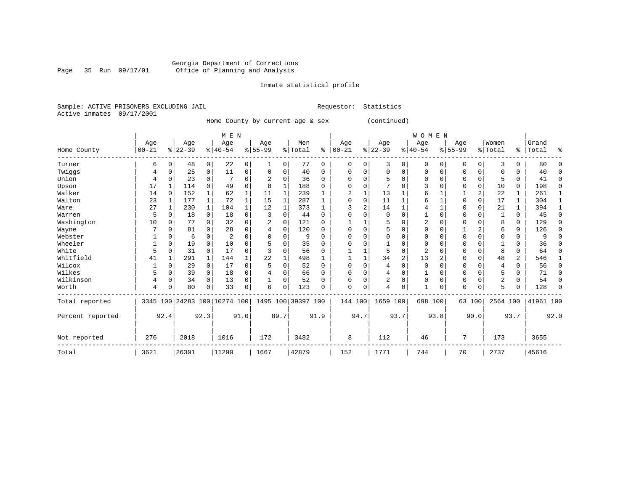Inmate statistical profile

Sample: ACTIVE PRISONERS EXCLUDING JAIL Requestor: Statistics Active inmates 09/17/2001

Home County by current age & sex (continued)

|                  |            |             |           |              | M E N     |                |                                                 |             |         |          |          |          |                |                | <b>WOMEN</b>   |                |          |                |                |          |           |             |
|------------------|------------|-------------|-----------|--------------|-----------|----------------|-------------------------------------------------|-------------|---------|----------|----------|----------|----------------|----------------|----------------|----------------|----------|----------------|----------------|----------|-----------|-------------|
|                  | Age        |             | Age       |              | Age       |                | Age                                             |             | Men     |          | Age      |          | Age            |                | Age            |                | Age      |                | Women          |          | Grand     |             |
| Home County      | $ 00 - 21$ |             | $ 22-39 $ |              | $8 40-54$ |                | $8 55-99$                                       |             | % Total | ⊱        | $ 00-21$ |          | $ 22-39 $      |                | $ 40-54$       |                | $ 55-99$ |                | % Total        |          | %   Total | ៖           |
| Turner           | 6          | 0           | 48        | 0            | 22        | $\overline{0}$ |                                                 | 0           | 77      | 0        | $\Omega$ | 0        | 3              | 0              | 0              | $\Omega$       | 0        | $\overline{0}$ | 3              | 0        | 80        | $\Omega$    |
| Twiggs           |            | $\Omega$    | 25        | 0            | 11        | 0              |                                                 | 0           | 40      | 0        |          | U        | 0              | 0              |                | 0              |          | 0              |                |          | 40        | $\Omega$    |
| Union            |            | $\Omega$    | 23        | 0            |           | $\Omega$       |                                                 | 0           | 36      | $\Omega$ | U        |          |                | O              | $\Omega$       | $\Omega$       | O        | 0              |                | $\Omega$ | 41        | 0           |
| Upson            | 17         | 1           | 114       | $\Omega$     | 49        | 0              | 8                                               | 1           | 188     | O        |          |          |                | O              |                |                |          | 0              | 10             | 0        | 198       | $\mathbf 0$ |
| Walker           | 14         | $\Omega$    | 152       | 1            | 62        |                | 11                                              | 1           | 239     |          | 2        |          | 13             |                |                |                |          | $\overline{a}$ | 22             |          | 261       | 1           |
| Walton           | 23         |             | 177       | 1            | 72        |                | 15                                              | 1           | 287     |          | $\cap$   | $\Omega$ | 11             |                |                |                |          | 0              | 17             |          | 304       | 1           |
| Ware             | 27         |             | 230       | $\mathbf{1}$ | 104       |                | 12                                              | 1           | 373     |          |          | 2        | 14             |                |                |                |          | 0              | 21             |          | 394       |             |
| Warren           | 5          | $\Omega$    | 18        | $\mathbf 0$  | 18        | $\Omega$       | 3                                               | $\Omega$    | 44      | $\Omega$ | $\Omega$ |          | $\Omega$       | O              |                | $\Omega$       | U        | 0              |                | $\Omega$ | 45        | $\Omega$    |
| Washington       | 10         | $\Omega$    | 77        | 0            | 32        | $\Omega$       | 2                                               | 0           | 121     | $\Omega$ |          |          | 5              | U              | 2              |                |          | 0              | 8              | $\Omega$ | 129       | $\mathbf 0$ |
| Wayne            |            | $\Omega$    | 81        | 0            | 28        | $\Omega$       |                                                 | $\mathbf 0$ | 120     | $\Omega$ | U        |          | 5              | U              | U              | U              |          | 2              | 6              | 0        | 126       | 0           |
| Webster          |            | O           | 6         | $\Omega$     | 2         | N              |                                                 | $\Omega$    | 9       | U        |          |          | U              |                |                |                |          | 0              |                | U        |           | $\Omega$    |
| Wheeler          |            | $\Omega$    | 19        | $\Omega$     | 10        | N              |                                                 | $\Omega$    | 35      | 0        |          |          |                |                |                |                |          | 0              |                |          | 36        | $\Omega$    |
| White            | 5          | $\Omega$    | 31        | $\Omega$     | 17        | U              |                                                 | $\Omega$    | 56      | $\Omega$ |          |          | 5              | 0              | $\overline{c}$ |                | U        | $\Omega$       | 8              | 0        | 64        | $\Omega$    |
| Whitfield        | 41         |             | 291       | $\mathbf{1}$ | 144       |                | 22                                              |             | 498     |          |          |          | 34             | $\overline{2}$ | 13             | $\overline{2}$ |          | $\Omega$       | 48             | 2        | 546       |             |
| Wilcox           |            | $\mathbf 0$ | 29        | $\mathbf 0$  | 17        | 0              |                                                 | $\Omega$    | 52      | $\Omega$ | ∩        | $\Omega$ | 4              | 0              | $\Omega$       | U              | 0        | 0              | $\overline{4}$ | 0        | 56        | 0           |
| Wilkes           | 5          | $\Omega$    | 39        | 0            | 18        | 0              |                                                 | $\Omega$    | 66      | $\Omega$ |          |          | 4              | 0              |                |                |          | 0              |                | U        | 71        | $\Omega$    |
| Wilkinson        |            | $\mathbf 0$ | 34        | $\Omega$     | 13        | $\Omega$       |                                                 | $\Omega$    | 52      | O        |          |          | $\overline{2}$ | O              | $\Omega$       | U              | 0        | $\Omega$       | $\overline{c}$ | U        | 54        | $\Omega$    |
| Worth            | 4          | C           | 80        | 0            | 33        | 0              | 6                                               | 0           | 123     | O        | $\Omega$ | 0        | 4              | 0              | $\mathbf{1}$   | 0              | U        | 0              | 5              |          | 128       | $\Omega$    |
| Total reported   |            |             |           |              |           |                | 3345 100 24283 100 10274 100 1495 100 39397 100 |             |         |          |          | 144 100  | 1659 100       |                | 698 100        |                |          | 63 100         | 2564 100       |          | 41961 100 |             |
| Percent reported |            | 92.4        |           | 92.3         |           | 91.0           |                                                 | 89.7        |         | 91.9     |          | 94.7     |                | 93.7           |                | 93.8           |          | 90.0           |                | 93.7     |           | 92.0        |
| Not reported     | 276        |             | 2018      |              | 1016      |                | 172                                             |             | 3482    |          | 8        |          | 112            |                | 46             |                | 7        |                | 173            |          | 3655      |             |
| Total            | 3621       |             | 26301     |              | 11290     |                | 1667                                            |             | 42879   |          | 152      |          | 1771           |                | 744            |                | 70       |                | 2737           |          | 45616     |             |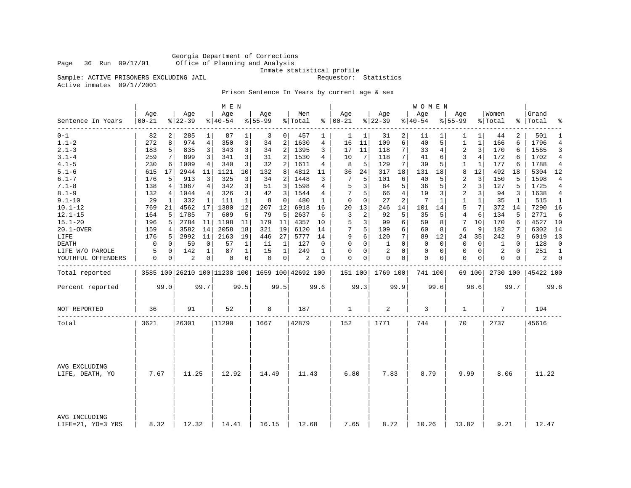Inmate statistical profile<br>Requestor: Statistics

Sample: ACTIVE PRISONERS EXCLUDING JAIL Active inmates 09/17/2001

Prison Sentence In Years by current age & sex

|                                    |                  |      |                  |              | M E N              |              |                  |                |                                                 |          |                      |                |                    |                | W O M E N          |          |                    |                |                  |          |                 |                |
|------------------------------------|------------------|------|------------------|--------------|--------------------|--------------|------------------|----------------|-------------------------------------------------|----------|----------------------|----------------|--------------------|----------------|--------------------|----------|--------------------|----------------|------------------|----------|-----------------|----------------|
| Sentence In Years                  | Age<br>$00 - 21$ |      | Age<br>$8 22-39$ |              | Age<br>$8140 - 54$ |              | Age<br>$8 55-99$ |                | Men<br>% Total                                  |          | Age<br>$8   00 - 21$ |                | Age<br>$8122 - 39$ |                | Age<br>$8140 - 54$ |          | Age<br>$8155 - 99$ |                | Women<br>% Total | ႜၟ       | Grand<br> Total | ٩,             |
| $0 - 1$                            | 82               |      | 285              | 1            | 87                 | 1            | 3                | $\overline{0}$ | 457                                             | 1        | 1                    | 1              | 31                 | 2              | 11                 |          | 1                  | 1              | 44               | 2        | 501             | 1              |
| $1.1 - 2$                          | 272              | 8    | 974              | 4            | 350                | 3            | 34               | 2              | 1630                                            | 4        | 16                   | $11\,$         | 109                | 6              | 40                 | 5        | 1                  | 1              | 166              | 6        | 1796            | $\overline{4}$ |
| $2.1 - 3$                          | 183              | 5    | 835              | 3            | 343                | 3            | 34               | 2              | 1395                                            | 3        | 17                   | 11             | 118                | 7              | 33                 | 4        | $\overline{2}$     | 3              | 170              | 6        | 1565            | 3              |
| $3.1 - 4$                          | 259              | 7    | 899              | 3            | 341                | 3            | 31               | 2              | 1530                                            | 4        | 10                   | 7              | 118                | 7              | 41                 | 6        | 3                  | 4              | 172              | 6        | 1702            | 4              |
| $4.1 - 5$                          | 230              | 6    | 1009             | 4            | 340                | 3            | 32               | 2              | 1611                                            | 4        | 8                    | 5              | 129                | 7              | 39                 | 5        | 1                  | 1              | 177              | 6        | 1788            | 4              |
| $5.1 - 6$                          | 615              | 17   | 2944             | 11           | 1121               | 10           | 132              | 8              | 4812                                            | 11       | 36                   | 24             | 317                | 18             | 131                | 18       | 8                  | 12             | 492              | 18       | 5304            | 12             |
| $6.1 - 7$                          | 176              | 5    | 913              | 3            | 325                | 3            | 34               | 2              | 1448                                            | 3        | 7                    | 5              | 101                | 6              | 40                 | 5        | 2                  | 3              | 150              | 5        | 1598            | 4              |
| $7.1 - 8$                          | 138              | 4    | 1067             | 4            | 342                | 3            | 51               | 3              | 1598                                            | 4        | 5                    | 3              | 84                 | 5              | 36                 | 5        | 2                  | 3              | 127              | 5        | 1725            | $\overline{4}$ |
| $8.1 - 9$                          | 132              | 4    | 1044             | 4            | 326                | 3            | 42               | 3              | 1544                                            | 4        | 7                    | 5              | 66                 | $\overline{4}$ | 19                 | 3        | $\overline{2}$     | 3 <sup>1</sup> | 94               | 3        | 1638            | $\overline{4}$ |
| $9.1 - 10$                         | 29               | 1    | 332              | 1            | 111                | $\mathbf{1}$ | 8                | 0              | 480                                             | 1        | $\Omega$             | $\Omega$       | 27                 | 2              | 7                  | 1        | $\mathbf{1}$       | $\mathbf{1}$   | 35               | 1        | 515             | 1              |
| $10.1 - 12$                        | 769              | 21   | 4562             | 17           | 1380               | 12           | 207              | 12             | 6918                                            | 16       | 20                   | 13             | 246                | 14             | 101                | 14       | 5                  | 7              | 372              | 14       | 7290            | 16             |
| $12.1 - 15$                        | 164              | 5    | 1785             | 7            | 609                | 5            | 79               | 5              | 2637                                            | 6        | 3                    | $\overline{a}$ | 92                 | 5              | 35                 | 5        | 4                  | 6              | 134              | 5        | 2771            | 6              |
| $15.1 - 20$                        | 196              | 5    | 2784             | 11           | 1198               | 11           | 179              | 11             | 4357                                            | 10       | 5                    | 3              | 99                 | 6              | 59                 | 8        | 7                  | 10             | 170              | 6        | 4527            | 10             |
| 20.1-OVER                          | 159              | 4    | 3582             | 14           | 2058               | 18           | 321              | 19             | 6120                                            | 14       | 7                    | 5              | 109                | 6              | 60                 | 8        | 6                  | 9              | 182              | 7        | 6302            | 14             |
| LIFE                               | 176              | 5    | 2992             | 11           | 2163               | 19           | 446              | 27             | 5777                                            | 14       | 9                    | 6              | 120                | 7              | 89                 | 12       | 24                 | 35             | 242              | 9        | 6019            | 13             |
| DEATH                              | 0                | 0    | 59               | $\mathbf 0$  | 57                 | 1            | 11               | 1              | 127                                             | $\Omega$ | $\Omega$             | $\Omega$       | 1                  | $\Omega$       | $\Omega$           | $\Omega$ | $\Omega$           | $\Omega$       | 1                | $\Omega$ | 128             | 0              |
| LIFE W/O PAROLE                    | 5                | 0    | 142              | $\mathbf{1}$ | 87                 | $\mathbf 1$  | 15               | 1              | 249                                             | 1        | 0                    | 0              | 2                  | $\Omega$       | 0                  | 0        | $\mathbf{0}$       | $\overline{0}$ | 2                | 0        | 251             | 1              |
| YOUTHFUL OFFENDERS                 | 0                | 0    | $\overline{2}$   | 0            | 0                  | 0            | 0                | $\circ$        | 2                                               | 0        | $\Omega$             | 0              | 0                  | 0              | 0                  | 0        | $\Omega$           | 0 <sup>1</sup> | 0                | 0        | 2               | $\mathbf 0$    |
| Total reported                     |                  |      |                  |              |                    |              |                  |                | 3585 100 26210 100 11238 100 1659 100 42692 100 |          |                      |                | 151 100 1769 100   |                | 741 100            |          |                    | 69 100         | 2730 100         |          | 45422 100       |                |
| Percent reported                   |                  | 99.0 |                  | 99.7         |                    | 99.5         |                  | 99.5           |                                                 | 99.6     |                      | 99.3           |                    | 99.9           |                    | 99.6     |                    | 98.6           |                  | 99.7     |                 | 99.6           |
| NOT REPORTED                       | 36               |      | 91               |              | 52                 |              | 8                |                | 187                                             |          | 1                    |                | 2                  |                | 3                  |          | 1                  |                | 7                |          | 194             |                |
| Total                              | 3621             |      | 26301            |              | 11290              |              | 1667             |                | 42879                                           |          | 152                  |                | 1771               |                | 744                |          | 70                 |                | 2737             |          | 45616           |                |
|                                    |                  |      |                  |              |                    |              |                  |                |                                                 |          |                      |                |                    |                |                    |          |                    |                |                  |          |                 |                |
| AVG EXCLUDING<br>LIFE, DEATH, YO   | 7.67             |      | 11.25            |              | 12.92              |              | 14.49            |                | 11.43                                           |          | 6.80                 |                | 7.83               |                | 8.79               |          | 9.99               |                | 8.06             |          | 11.22           |                |
|                                    |                  |      |                  |              |                    |              |                  |                |                                                 |          |                      |                |                    |                |                    |          |                    |                |                  |          |                 |                |
| AVG INCLUDING<br>LIFE=21, YO=3 YRS | 8.32             |      | 12.32            |              | 14.41              |              | 16.15            |                | 12.68                                           |          | 7.65                 |                | 8.72               |                | 10.26              |          | 13.82              |                | 9.21             |          | 12.47           |                |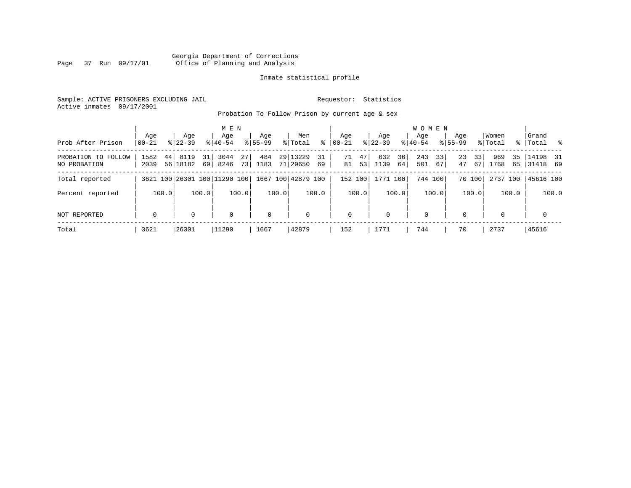# Georgia Department of Corrections Page 37 Run 09/17/01 Office of Planning and Analysis

# Inmate statistical profile

Sample: ACTIVE PRISONERS EXCLUDING JAIL **Requestor:** Statistics Active inmates 09/17/2001

Probation To Follow Prison by current age & sex

|                     |             |                              |             | M E N       |             |       |                    |       |             |       |             |       | W O M E N |       |             |        |             |       |           |       |
|---------------------|-------------|------------------------------|-------------|-------------|-------------|-------|--------------------|-------|-------------|-------|-------------|-------|-----------|-------|-------------|--------|-------------|-------|-----------|-------|
|                     | Aqe         | Aqe                          |             | Age         | Aqe         |       | Men                |       | Aqe         |       | Aqe         |       | Aqe       |       | Aqe         |        | Women       |       | Grand     |       |
| Prob After Prison   | $00 - 21$   | $8122 - 39$                  | $8140 - 54$ |             | $8155 - 99$ |       | % Total            | ႜ     | $00 - 21$   |       | $8$   22-39 |       | $8 40-54$ |       | $8155 - 99$ |        | % Total     |       | %   Total | ိ     |
| PROBATION TO FOLLOW | 1582        | 44<br>8119                   | 3044<br>31  | 27          | 484         |       | 29 13229           | 31    | 71          | 47    | 632         | 36    | 243       | 33    | 23          | 331    | 969         | 35    | 14198 31  |       |
| NO PROBATION        | 2039        | 56 18182                     | 8246<br>69  | 73          | 1183        |       | 71 29650 69        |       | 81          | 53    | 1139        | 64    | 501       | 67    | 47          | 67 I   | 1768        | 65    | 31418 69  |       |
| Total reported      |             | 3621 100 26301 100 11290 100 |             |             |             |       | 1667 100 42879 100 |       | 152 100     |       | 1771 100    |       | 744 100   |       |             | 70 100 | 2737 100    |       | 45616 100 |       |
| Percent reported    | 100.0       |                              | 100.0       | 100.0       |             | 100.0 |                    | 100.0 |             | 100.0 |             | 100.0 |           | 100.0 |             | 100.0  |             | 100.0 |           | 100.0 |
| NOT REPORTED        | $\mathbf 0$ |                              |             | $\mathbf 0$ | $\mathbf 0$ |       | $\mathbf 0$        |       | $\mathbf 0$ |       | 0           |       | 0         |       | $\Omega$    |        | $\mathbf 0$ |       | 0         |       |
| Total               | 3621        | 26301                        | 11290       |             | 1667        |       | 42879              |       | 152         |       | 1771        |       | 744       |       | 70          |        | 2737        |       | 45616     |       |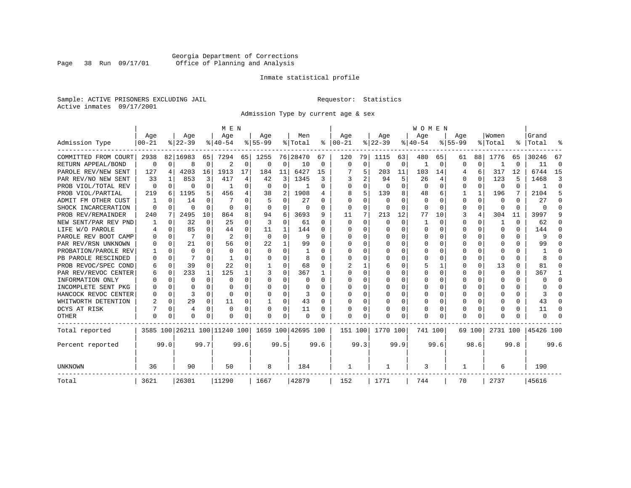# Georgia Department of Corrections Page 38 Run 09/17/01 Office of Planning and Analysis

# Inmate statistical profile

Sample: ACTIVE PRISONERS EXCLUDING JAIL **Requestor:** Statistics Active inmates 09/17/2001

Admission Type by current age & sex

|                      |                  |          |                  |          | M E N                        |          |                  |              |                    |      |                      |             |                  |          | <b>WOMEN</b>     |              |                    |          |                  |      |                    |          |
|----------------------|------------------|----------|------------------|----------|------------------------------|----------|------------------|--------------|--------------------|------|----------------------|-------------|------------------|----------|------------------|--------------|--------------------|----------|------------------|------|--------------------|----------|
| Admission Type       | Age<br>$00 - 21$ |          | Age<br>$8 22-39$ |          | Age<br>$8 40-54$             |          | Age<br>$8 55-99$ |              | Men<br>% Total     |      | Age<br>$8   00 - 21$ |             | Age<br>$ 22-39 $ |          | Age<br>$8 40-54$ |              | Age<br>$8155 - 99$ |          | Women<br>% Total |      | Grand<br>%   Total |          |
|                      |                  |          |                  |          |                              |          |                  |              |                    |      |                      |             |                  |          |                  |              |                    |          |                  |      |                    |          |
| COMMITTED FROM COURT | 2938             |          | 82 16983         | 65       | 7294                         | 65       | 1255             |              | 76 28470           | 67   | 120                  | 79          | 1115             | 63       | 480              | 65           | 61                 | 88       | 1776             | 65   | 30246              | 67       |
| RETURN APPEAL/BOND   | 0                | $\Omega$ | 8                | 0        | 2                            | 0        | $\Omega$         | 0            | 10                 | 0    | $\mathbf 0$          | $\mathbf 0$ | $\Omega$         | 0        | 1                | 0            | $\Omega$           | 0        |                  | U    | 11                 | $\Omega$ |
| PAROLE REV/NEW SENT  | 127              | 4        | 4203             | 16       | 1913                         | 17       | 184              | 11           | 6427               | 15   |                      | 5           | 203              | 11       | 103              | 14           |                    | 6        | 317              | 12   | 6744               | 15       |
| PAR REV/NO NEW SENT  | 33               |          | 853              | 3        | 417                          | 4        | 42               | 3            | 1345               | 3    |                      | 2           | 94               | 5        | 26               | 4            | $\Omega$           | $\Omega$ | 123              | 5    | 1468               | 3        |
| PROB VIOL/TOTAL REV  | 0                | $\Omega$ | 0                | 0        |                              | $\Omega$ | $\Omega$         | $\Omega$     |                    | 0    | $\Omega$             | $\Omega$    | $\Omega$         | $\Omega$ | $\Omega$         | $\Omega$     | $\Omega$           | $\Omega$ | $\Omega$         | 0    |                    | $\Omega$ |
| PROB VIOL/PARTIAL    | 219              | 6        | 1195             | 5.       | 456                          | 4        | 38               | 2            | 1908               | 4    | 8                    | 5           | 139              | 8        | 48               | 6            |                    | 1        | 196              | 7    | 2104               | 5        |
| ADMIT FM OTHER CUST  |                  | $\Omega$ | 14               | 0        |                              | $\Omega$ |                  | $\Omega$     | 27                 | 0    | $\Omega$             | $\Omega$    | $\Omega$         | O        | $\Omega$         | <sup>0</sup> | $\Omega$           | $\Omega$ | 0                | 0    | 27                 | ∩        |
| SHOCK INCARCERATION  | $\Omega$         | $\Omega$ | O                | $\Omega$ | $\Omega$                     | 0        | $\Omega$         | 0            | 0                  | 0    | $\Omega$             | 0           | 0                | 0        | 0                | $\Omega$     | $\Omega$           | $\Omega$ | <sup>0</sup>     | 0    | U                  | ſ        |
| PROB REV/REMAINDER   | 240              | 7        | 2495             | 10       | 864                          | 8        | 94               | 6            | 3693               | 9    | 11                   | 7           | 213              | 12       | 77               | 10           | 3                  | 4        | 304              | 11   | 3997               |          |
| NEW SENT/PAR REV PND |                  | $\Omega$ | 32               | 0        | 25                           | 0        | 3                | $\mathbf 0$  | 61                 | 0    | $\Omega$             | $\Omega$    | $\Omega$         | $\Omega$ | 1                | $\Omega$     | $\Omega$           | $\Omega$ |                  | 0    | 62                 |          |
| LIFE W/O PAROLE      |                  | $\Omega$ | 85               | 0        | 44                           | 0        | 11               | 1            | 144                | U    | O                    | $\Omega$    | $\Omega$         | $\Omega$ | U                | O            | $\Omega$           | $\Omega$ | <sup>0</sup>     | 0    | 144                |          |
| PAROLE REV BOOT CAMP |                  | $\Omega$ | 7                | $\Omega$ | $\overline{2}$               | $\Omega$ | $\Omega$         | 0            | q                  | U    | n                    | 0           | $\Omega$         | $\cap$   | U                | n            | ∩                  | $\Omega$ | O                | 0    | 9                  |          |
| PAR REV/RSN UNKNOWN  |                  | $\Omega$ | 21               | C.       | 56                           | $\Omega$ | 22               | $\mathbf{1}$ | 99                 | U    | ∩                    | 0           | <sup>0</sup>     | $\cap$   | U                | O            | ∩                  | $\Omega$ | U                | U    | 99                 |          |
| PROBATION/PAROLE REV |                  | $\Omega$ | $\cap$           | U        | $\Omega$                     | $\Omega$ | $\Omega$         | $\Omega$     |                    | U    | ∩                    | 0           | U                | $\cap$   | U                | O            | ∩                  | U        | U                | U    |                    |          |
| PB PAROLE RESCINDED  |                  | $\Omega$ |                  | U        |                              | U        | U                | $\Omega$     | 8                  | U    | <sup>0</sup>         | 0           | U                | $\cap$   | U                | O            | ∩                  | $\Omega$ | n                | U    |                    |          |
| PROB REVOC/SPEC COND | 6                | $\Omega$ | 39               | 0        | 22                           | 0        |                  | $\Omega$     | 68                 | U    |                      |             | 6                | O        |                  |              | $\Omega$           | $\Omega$ | 13               | U    | 81                 | O        |
| PAR REV/REVOC CENTER | h                | 0        | 233              | 1        | 125                          |          |                  | $\Omega$     | 367                |      | <sup>0</sup>         | 0           |                  | O        | Ω                | O            | $\Omega$           | U        | <sup>0</sup>     | 0    | 367                |          |
| INFORMATION ONLY     |                  | $\Omega$ | O                | 0        | $\Omega$                     | 0        | O                | 0            | O                  | 0    | $\Omega$             | 0           | 0                | O        | U                | O            | O                  | $\Omega$ | O                | 0    | U                  | ∩        |
| INCOMPLETE SENT PKG  |                  | $\Omega$ | O                | 0        | $\Omega$                     | 0        | O                | $\Omega$     | O                  | O    | <sup>0</sup>         | $\Omega$    | <sup>0</sup>     | O        | U                | O            | O                  | $\Omega$ | O                | 0    |                    | n        |
| HANCOCK REVOC CENTER |                  | $\Omega$ | 3                | 0        | $\Omega$                     | 0        | U                | $\Omega$     | 3                  | U    | ∩                    | $\Omega$    | <sup>0</sup>     | O        | U                | $\Omega$     | $\Omega$           | $\Omega$ |                  | 0    | 3                  | ∩        |
| WHITWORTH DETENTION  |                  | $\Omega$ | 29               | 0        | 11                           | 0        | 1                | 0            | 43                 | O    | <sup>0</sup>         | 0           | $\Omega$         | 0        | 0                | $\Omega$     | $\Omega$           | $\Omega$ |                  | 0    | 43                 | ∩        |
| DCYS AT RISK         |                  | $\Omega$ | 4                | $\Omega$ | $\Omega$                     | 0        |                  | $\Omega$     | 11                 | 0    |                      | 0           | 0                | $\Omega$ | 0                | 0            | $\Omega$           | $\Omega$ |                  | 0    | 11                 | C        |
| <b>OTHER</b>         | $\Omega$         | 0        | O                | U        | $\Omega$                     | 0        | O                | $\Omega$     | $\Omega$           | O    | $\Omega$             | O           | O                | $\Omega$ | Ω                | O            | $\Omega$           | $\Omega$ |                  | U    | U                  |          |
| Total reported       |                  |          |                  |          | 3585 100 26211 100 11240 100 |          |                  |              | 1659 100 42695 100 |      | 151 100              |             | 1770 100         |          | 741 100          |              |                    | 69 100   | 2731 100         |      | 45426 100          |          |
| Percent reported     |                  | 99.0     |                  | 99.7     |                              | 99.6     |                  | 99.5         |                    | 99.6 |                      | 99.3        |                  | 99.9     |                  | 99.6         |                    | 98.6     |                  | 99.8 |                    | 99.6     |
| UNKNOWN              | 36               |          | 90               |          | 50                           |          | 8                |              | 184                |      | 1                    |             | 1                |          | 3                |              | 1                  |          | 6                |      | 190                |          |
| Total                | 3621             |          | 26301            |          | 11290                        |          | 1667             |              | 42879              |      | 152                  |             | 1771             |          | 744              |              | 70                 |          | 2737             |      | 45616              |          |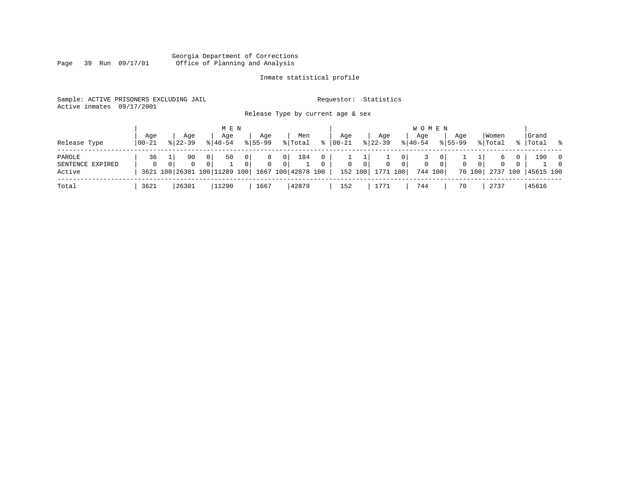#### Georgia Department of Corrections Page 39 Run 09/17/01 Office of Planning and Analysis

# Inmate statistical profile

| Sample: ACTIVE PRISONERS EXCLUDING JAIL |  | Requestor: Statistics |
|-----------------------------------------|--|-----------------------|
| Active inmates 09/17/2001               |  |                       |

Release Type by current age & sex

| Release Type                         | Aqe<br>$100 - 21$ | Aqe<br>$8122 - 39$                                 |                            | M E N<br>Age<br>$8140 - 54$ |                   | Aqe<br>$8155 - 99$                        |                                  | Men<br>% Total | $\approx$                | Aqe<br>$ 00-21 $ |                           | Aqe<br>$8 22-39$         |                       | <b>WOMEN</b><br>Age<br>$8 40-54$ |                           | Aqe<br>$8155 - 99$ |                    | Women<br>% Total          |                      | Grand<br>%   Total % |                                  |
|--------------------------------------|-------------------|----------------------------------------------------|----------------------------|-----------------------------|-------------------|-------------------------------------------|----------------------------------|----------------|--------------------------|------------------|---------------------------|--------------------------|-----------------------|----------------------------------|---------------------------|--------------------|--------------------|---------------------------|----------------------|----------------------|----------------------------------|
| PAROLE<br>SENTENCE EXPIRED<br>Active | 36<br>$\Omega$    | 90<br>$\mathbf{0}$<br>3621 100 26301 100 11289 100 | 0 <sup>1</sup><br>$\Omega$ | 50                          | $\mathbf{0}$<br>0 | 8<br>$\mathbf{0}$<br>  1667 100 42878 100 | $\overline{0}$<br>$\overline{0}$ | 184            | $\mathbf{0}$<br>$\Omega$ | $\mathbf{0}$     | $\overline{0}$<br>152 100 | $\mathbf{0}$<br>1771 100 | 0  <br>0 <sup>1</sup> | 0                                | $\overline{0}$<br>744 100 | $\mathbf{0}$       | $\Omega$<br>70 100 | 6<br>$\Omega$<br>2737 100 | $\Omega$<br>$\Omega$ | 190<br>45615 100     | $\overline{0}$<br>$\overline{0}$ |
| Total                                | 3621              | 26301                                              |                            | 11290                       |                   | 1667                                      |                                  | 42879          |                          | 152              |                           | 1771                     |                       | 744                              |                           | 70                 |                    | 2737                      |                      | 45616                |                                  |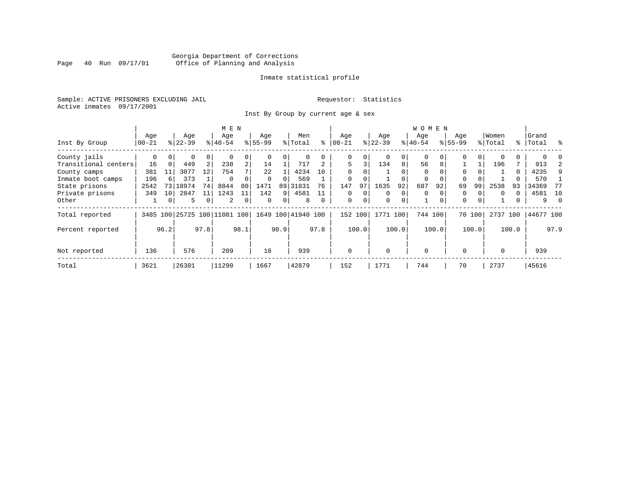# Georgia Department of Corrections Page 40 Run 09/17/01 Office of Planning and Analysis

# Inmate statistical profile

Sample: ACTIVE PRISONERS EXCLUDING JAIL **Requestor:** Statistics Active inmates 09/17/2001

Inst By Group by current age & sex

|                      |           |          |           |                | M E N                        |                |           |          |                    |          |             |             |             |             | W O M E N |          |           |        |          |       |           |          |
|----------------------|-----------|----------|-----------|----------------|------------------------------|----------------|-----------|----------|--------------------|----------|-------------|-------------|-------------|-------------|-----------|----------|-----------|--------|----------|-------|-----------|----------|
|                      | Age       |          | Age       |                | Age                          |                | Age       |          | Men                |          | Age         |             | Age         |             | Age       |          | Age       |        | Women    |       | Grand     |          |
| Inst By Group        | $00 - 21$ |          | $ 22-39 $ |                | $ 40-54 $                    |                | $8 55-99$ |          | % Total            | ፠        | $00 - 21$   |             | $ 22-39$    |             | $ 40-54 $ |          | $8 55-99$ |        | % Total  |       | %   Total | ွေ       |
| County jails         | 0         | $\Omega$ | 0         | $\overline{0}$ | $\Omega$                     | 0              |           | $\Omega$ | 0                  |          | 0           | 0           |             | 0           | $\Omega$  |          | O         | 0      |          | 0     |           |          |
| Transitional centers | 16        | $\Omega$ | 449       | 2              | 238                          | $\overline{a}$ | 14        |          | 717                |          | 5           | 3           | 134         | 8           | 56        | 8        |           |        | 196      | 7     | 913       |          |
| County camps         | 381       | 11       | 3077      | 12             | 754                          | 7              | 22        |          | 4234               | 10       | $\Omega$    |             |             |             | $\Omega$  |          | $\Omega$  |        |          | 0     | 4235      | 9        |
| Inmate boot camps    | 196       | 6        | 373       |                | $\Omega$                     | 0              |           |          | 569                |          |             |             |             |             | 0         |          | 0         |        |          |       | 570       |          |
| State prisons        | 2542      | 73       | 18974     | 74             | 8844                         | 80             | 1471      | 89       | 31831              | 76       | 147         | 97          | 1635        | 92          | 687       | 92       | 69        | 99     | 2538     | 93    | 34369     |          |
| Private prisons      | 349       | 10       | 2847      | 11             | 1243                         | 11             | 142       | 9        | 4581               |          | $\mathbf 0$ | 0           | $\Omega$    | 0           | $\Omega$  |          | $\Omega$  |        | $\Omega$ | 0     | 4581      | 10       |
| Other                |           | 0        | 5         | $\overline{0}$ | 2                            | 0              | $\Omega$  | 0        | 8                  | $\Omega$ | $\mathbf 0$ | $\mathbf 0$ | $\mathbf 0$ | $\mathbf 0$ |           | $\Omega$ | $\Omega$  | 0      |          |       | 9         | $\Omega$ |
| Total reported       |           |          |           |                | 3485 100 25725 100 11081 100 |                |           |          | 1649 100 41940 100 |          | 152 100     |             | 1771 100    |             | 744 100   |          |           | 70 100 | 2737 100 |       | 44677 100 |          |
| Percent reported     |           | 96.2     |           | 97.8           |                              | 98.1           |           | 98.9     |                    | 97.8     |             | 100.0       |             | 100.0       |           | 100.0    |           | 100.0  |          | 100.0 |           | 97.9     |
| Not reported         | 136       |          | 576       |                | 209                          |                | 18        |          | 939                |          | $\Omega$    |             | $\Omega$    |             | $\Omega$  |          | $\Omega$  |        | $\Omega$ |       | 939       |          |
| Total                | 3621      |          | 26301     |                | 11290                        |                | 1667      |          | 42879              |          | 152         |             | 1771        |             | 744       |          | 70        |        | 2737     |       | 45616     |          |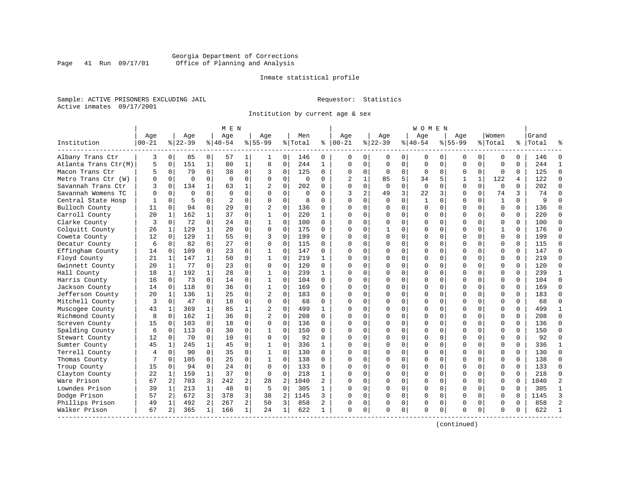# Georgia Department of Corrections Page 41 Run 09/17/01 Office of Planning and Analysis

# Inmate statistical profile

Sample: ACTIVE PRISONERS EXCLUDING JAIL **Requestor:** Statistics Active inmates 09/17/2001

Institution by current age & sex

|                      |           |              |           |                | M E N          |                |                |             |          |              |                |                |              |             | W O M E N    |             |             |              |              |          |           |                |
|----------------------|-----------|--------------|-----------|----------------|----------------|----------------|----------------|-------------|----------|--------------|----------------|----------------|--------------|-------------|--------------|-------------|-------------|--------------|--------------|----------|-----------|----------------|
|                      | Age       |              | Age       |                | Age            |                | Aqe            |             | Men      |              | Age            |                | Aqe          |             | Aqe          |             | Aqe         |              | Women        |          | Grand     |                |
| Institution          | $00 - 21$ |              | $8 22-39$ |                | $8 40-54$      |                | $8155 - 99$    |             | % Total  | ႜ            | $ 00-21$       |                | $ 22-39$     |             | $ 40-54$     |             | $8155 - 99$ |              | % Total      |          | %   Total |                |
| Albany Trans Ctr     | 3         | 0            | 85        | 0              | 57             | 1              | 1              | 0           | 146      | 0            | 0              | $\mathbf{0}$   | $\Omega$     | 0           | 0            | 0           | 0           | 0            | 0            | 0        | 146       | $\Omega$       |
| Atlanta Trans Ctr(M) | 5         | $\mathbf 0$  | 151       | $\mathbf{1}$   | 80             | $\mathbf{1}$   | 8              | $\mathsf 0$ | 244      | $\mathbf{1}$ | $\Omega$       | $\Omega$       | $\mathbf 0$  | $\mathbf 0$ | $\Omega$     | $\mathbf 0$ | $\Omega$    | $\Omega$     | $\mathbf 0$  | $\Omega$ | 244       | $\mathbf{1}$   |
| Macon Trans Ctr      | 5         | 0            | 79        | $\Omega$       | 38             | 0              | 3              | $\mathbf 0$ | 125      | 0            | $\Omega$       | $\mathbf{0}$   | 0            | $\mathbf 0$ | $\Omega$     | $\mathbf 0$ | $\Omega$    | $\Omega$     | $\mathbf 0$  | $\Omega$ | 125       | $\Omega$       |
| Metro Trans Ctr (W)  | U         | 0            | $\Omega$  | $\Omega$       | $\Omega$       | $\mathbf 0$    | $\Omega$       | $\mathbf 0$ | $\Omega$ | 0            | $\overline{2}$ | 1              | 85           | 5           | 34           | 5           | 1           | $\mathbf{1}$ | 122          | 4        | 122       | $\Omega$       |
| Savannah Trans Ctr   | ζ         | $\Omega$     | 134       | $\mathbf{1}$   | 63             | 1              |                | $\Omega$    | 202      | $\Omega$     | $\Omega$       | $\Omega$       | $\Omega$     | $\Omega$    | $\Omega$     | $\Omega$    | $\Omega$    | $\Omega$     | $\Omega$     | $\Omega$ | 202       | $\Omega$       |
| Savannah Womens TC   | $\Omega$  | $\Omega$     | $\Omega$  | $\Omega$       | $\Omega$       | $\Omega$       | $\Omega$       | $\Omega$    | $\Omega$ | $\Omega$     | 3              | $\overline{a}$ | 49           | 3           | 22           | 3           | $\Omega$    | $\Omega$     | 74           | 3        | 74        | $\Omega$       |
| Central State Hosp   |           | $\Omega$     | 5         | $\Omega$       | $\overline{2}$ | $\Omega$       | $\Omega$       | $\mathbf 0$ | 8        | $\Omega$     | $\Omega$       | $\Omega$       | $\Omega$     | $\mathbf 0$ | $\mathbf{1}$ | $\Omega$    | $\Omega$    | $\Omega$     | $\mathbf{1}$ | $\Omega$ | 9         | $\Omega$       |
| Bulloch County       | 11        | $\Omega$     | 94        | $\mathbf 0$    | 29             | $\Omega$       | $\overline{2}$ | $\mathbf 0$ | 136      | $\Omega$     | ∩              | 0              | $\Omega$     | 0           | $\Omega$     | 0           | $\Omega$    | $\Omega$     | $\Omega$     | $\Omega$ | 136       | $\Omega$       |
| Carroll County       | 20        | 1            | 162       | $\mathbf{1}$   | 37             | 0              | $\mathbf{1}$   | $\mathbf 0$ | 220      | 1            | $\cap$         | 0              | $\Omega$     | $\Omega$    | $\Omega$     | 0           | $\Omega$    | $\Omega$     | $\Omega$     | $\Omega$ | 220       | $\Omega$       |
| Clarke County        | 3         | 0            | 72        | $\Omega$       | 2.4            | 0              | $\mathbf{1}$   | $\mathbf 0$ | 100      | 0            | ∩              | 0              | $\Omega$     | 0           | $\Omega$     | 0           | $\Omega$    | $\Omega$     | $\Omega$     | $\Omega$ | 100       | $\Omega$       |
| Colquitt County      | 26        | 1            | 129       | $\mathbf{1}$   | 20             | $\Omega$       | $\Omega$       | $\Omega$    | 175      | 0            | ∩              | $\Omega$       | $\mathbf{1}$ | 0           | $\Omega$     | $\Omega$    | $\Omega$    | $\Omega$     | $\mathbf{1}$ | $\Omega$ | 176       | $\Omega$       |
| Coweta County        | 12        | $\mathbf 0$  | 129       | $\mathbf{1}$   | 55             | 0              | 3              | $\mathbf 0$ | 199      | $\Omega$     | $\cap$         | $\Omega$       | $\Omega$     | $\mathbf 0$ | $\Omega$     | 0           | $\Omega$    | $\Omega$     | $\mathbf 0$  | $\Omega$ | 199       | $\Omega$       |
| Decatur County       | 6         | $\mathbf 0$  | 82        | $\mathbf 0$    | 27             | 0              | 0              | $\mathbf 0$ | 115      | 0            | $\Omega$       | 0              | 0            | $\mathbf 0$ | $\Omega$     | $\mathbf 0$ | $\Omega$    | 0            | $\mathbf 0$  | $\Omega$ | 115       | $\Omega$       |
| Effingham County     | 14        | $\Omega$     | 109       | $\Omega$       | 23             | $\Omega$       | $\mathbf 1$    | $\Omega$    | 147      | $\Omega$     | $\Omega$       | $\Omega$       | 0            | 0           | $\Omega$     | $\Omega$    | $\Omega$    | $\Omega$     | $\Omega$     | $\Omega$ | 147       | $\Omega$       |
| Floyd County         | 21        | $\mathbf 1$  | 147       | $\mathbf{1}$   | 50             | 0              | $\mathbf{1}$   | $\mathbf 0$ | 219      | 1            | $\cap$         | 0              | $\Omega$     | 0           | $\Omega$     | 0           | $\Omega$    | $\Omega$     | $\Omega$     | $\Omega$ | 219       | $\Omega$       |
| Gwinnett County      | 20        | 1            | 77        | $\Omega$       | 23             | $\Omega$       | $\Omega$       | $\mathbf 0$ | 120      | 0            |                | 0              | $\Omega$     | 0           | $\Omega$     | 0           | $\Omega$    | $\Omega$     | $\Omega$     | $\Omega$ | 120       | $\Omega$       |
| Hall County          | 18        | $\mathbf{1}$ | 192       | $\mathbf{1}$   | 28             | $\Omega$       | $\mathbf{1}$   | $\Omega$    | 239      | $\mathbf{1}$ | ∩              | $\cap$         | $\Omega$     | 0           | ∩            | $\Omega$    | $\Omega$    | $\Omega$     | $\Omega$     | $\cap$   | 239       | $\mathbf{1}$   |
| Harris County        | 16        | 0            | 73        | $\Omega$       | 14             | 0              | 1              | $\mathbf 0$ | 104      | $\Omega$     | $\cap$         | 0              | $\Omega$     | $\mathbf 0$ | $\Omega$     | $\Omega$    | $\Omega$    | $\Omega$     | $\mathbf 0$  | $\Omega$ | 104       | $\Omega$       |
| Jackson County       | 14        | 0            | 118       | $\mathbf 0$    | 36             | 0              | $\mathbf 1$    | $\mathbf 0$ | 169      | $\Omega$     |                | $\Omega$       | 0            | 0           | $\Omega$     | $\mathbf 0$ | $\Omega$    | 0            | $\mathbf 0$  | $\Omega$ | 169       | $\Omega$       |
| Jefferson County     | 20        | $\mathbf{1}$ | 136       | $\mathbf{1}$   | 25             | $\Omega$       | $\overline{c}$ | $\Omega$    | 183      | $\Omega$     | $\cap$         | $\Omega$       | 0            | 0           | $\Omega$     | $\Omega$    | $\Omega$    | $\Omega$     | $\Omega$     | $\Omega$ | 183       | $\Omega$       |
| Mitchell County      | 3         | $\mathbf 0$  | 47        | $\Omega$       | 18             | 0              | $\Omega$       | $\Omega$    | 68       | $\Omega$     | $\cap$         | $\Omega$       | $\Omega$     | $\Omega$    | $\Omega$     | 0           | $\Omega$    | $\Omega$     | $\Omega$     | $\Omega$ | 68        | $\Omega$       |
| Muscogee County      | 43        | 1            | 369       | $\mathbf{1}$   | 85             | 1              | 2              | $\mathbf 0$ | 499      | 1            |                | $\Omega$       | U            | 0           | $\Omega$     | 0           | $\Omega$    | $\Omega$     | $\Omega$     | $\Omega$ | 499       | -1             |
| Richmond County      | 8         | $\Omega$     | 162       | $\mathbf{1}$   | 36             | $\Omega$       | $\overline{c}$ | $\Omega$    | 208      | $\Omega$     | ∩              | 0              | $\Omega$     | 0           | ∩            | $\Omega$    | $\Omega$    | $\Omega$     | $\Omega$     | $\cap$   | 208       | $\Omega$       |
| Screven County       | 15        | 0            | 103       | $\Omega$       | 18             | $\mathbf 0$    | 0              | $\mathbf 0$ | 136      | $\Omega$     | ∩              | $\Omega$       | $\Omega$     | $\Omega$    | $\Omega$     | 0           | $\Omega$    | $\Omega$     | $\mathbf 0$  | $\Omega$ | 136       | $\Omega$       |
| Spalding County      | 6         | 0            | 113       | $\mathbf 0$    | 30             | 0              | 1              | $\mathbf 0$ | 150      | $\Omega$     | $\Omega$       | $\Omega$       | 0            | $\mathbf 0$ |              | $\mathbf 0$ | $\Omega$    | 0            | $\mathbf 0$  | $\Omega$ | 150       | $\Omega$       |
| Stewart County       | 12        | $\mathbf 0$  | 70        | $\Omega$       | 10             | 0              | 0              | $\mathbf 0$ | 92       | $\Omega$     | $\Omega$       | $\Omega$       | 0            | 0           | $\Omega$     | 0           | $\Omega$    | $\Omega$     | $\mathbf 0$  | $\Omega$ | 92        | $\Omega$       |
| Sumter County        | 45        | 1            | 245       | $\mathbf{1}$   | 45             | $\Omega$       | $\mathbf{1}$   | $\Omega$    | 336      | 1            | $\cap$         | $\Omega$       | $\Omega$     | 0           | $\Omega$     | 0           | $\Omega$    | $\Omega$     | $\Omega$     | $\Omega$ | 336       | $\mathbf{1}$   |
| Terrell County       | 4         | 0            | 90        | $\Omega$       | 35             | $\Omega$       | $\mathbf{1}$   | $\mathbf 0$ | 130      | 0            |                | 0              | $\Omega$     | 0           | $\Omega$     | 0           | $\Omega$    | $\Omega$     | $\Omega$     | $\Omega$ | 130       | $\Omega$       |
| Thomas County        |           | $\Omega$     | 105       | 0              | 25             | $\Omega$       | $\mathbf{1}$   | $\Omega$    | 138      | 0            | ∩              | $\cap$         | $\Omega$     | 0           | ∩            | $\Omega$    | $\Omega$    | $\Omega$     | $\Omega$     | $\Omega$ | 138       | $\Omega$       |
| Troup County         | 15        | 0            | 94        | $\Omega$       | 24             | $\Omega$       | $\Omega$       | $\mathbf 0$ | 133      | 0            | ∩              | $\Omega$       | $\Omega$     | $\Omega$    | $\Omega$     | $\Omega$    | $\Omega$    | $\Omega$     | $\mathbf 0$  | $\Omega$ | 133       | $\Omega$       |
| Clayton County       | 22        | $\mathbf 1$  | 159       | $\mathbf{1}$   | 37             | $\mathbf 0$    | 0              | 0           | 218      | 1            |                | $\Omega$       | 0            | 0           | $\Omega$     | $\mathbf 0$ | $\Omega$    | 0            | $\mathbf 0$  | $\Omega$ | 218       | $\Omega$       |
| Ware Prison          | 67        | 2            | 703       | 3              | 242            | 2              | 28             | 2           | 1040     | 2            | $\cap$         | $\Omega$       | $\Omega$     | 0           | $\Omega$     | 0           | $\Omega$    | $\Omega$     | $\mathbf 0$  | $\Omega$ | 1040      | $\overline{c}$ |
| Lowndes Prison       | 39        | $\mathbf 1$  | 213       | $\mathbf{1}$   | 48             | $\mathbf 0$    | 5              | $\mathbf 0$ | 305      | 1            | ∩              | $\Omega$       | $\Omega$     | $\Omega$    | $\Omega$     | $\mathbf 0$ | $\Omega$    | $\Omega$     | $\Omega$     | $\Omega$ | 305       | $\mathbf{1}$   |
| Dodge Prison         | 57        | 2            | 672       | 3              | 378            | 3              | 38             | 2           | 1145     | 3            |                | $\Omega$       | $\Omega$     | $\Omega$    | $\Omega$     | 0           | $\Omega$    | $\Omega$     | $\Omega$     | O        | 1145      | 3              |
| Phillips Prison      | 49        | 1            | 492       | $\overline{a}$ | 267            | $\overline{a}$ | 50             | 3           | 858      | 2            | <sup>0</sup>   | 0              | 0            | 0           | $\Omega$     | 0           | $\Omega$    | $\Omega$     | $\Omega$     | $\Omega$ | 858       | $\mathcal{D}$  |
| Walker Prison        | 67        | 2            | 365       | $\mathbf{1}$   | 166            | $\mathbf{1}$   | 24             | 1           | 622      | 1            | $\Omega$       | 0              | $\Omega$     | 0           | $\Omega$     | 0           | $\Omega$    | 0            | $\Omega$     | 0        | 622       |                |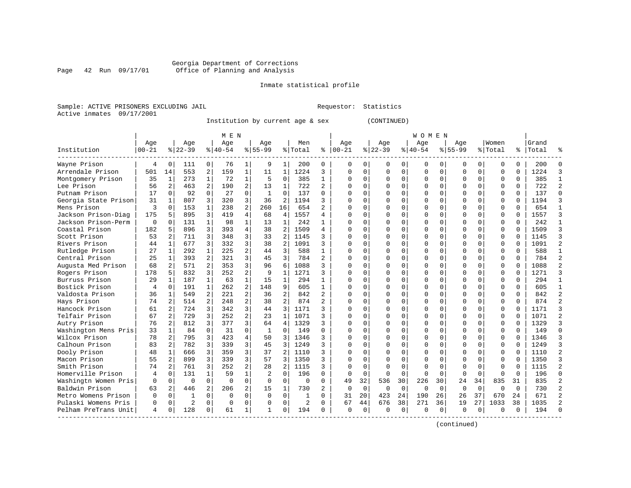Inmate statistical profile

Sample: ACTIVE PRISONERS EXCLUDING JAIL Requestor: Statistics Active inmates 09/17/2001

Institution by current age & sex (CONTINUED)

|                      |           |                |                |                | M E N    |                |              |                |         |                |               |             |           |          | W O M E N   |             |             |             |             |              |           |                |
|----------------------|-----------|----------------|----------------|----------------|----------|----------------|--------------|----------------|---------|----------------|---------------|-------------|-----------|----------|-------------|-------------|-------------|-------------|-------------|--------------|-----------|----------------|
|                      | Age       |                | Age            |                | Aqe      |                | Aqe          |                | Men     |                | Age           |             | Age       |          | Age         |             | Aqe         |             | Women       |              | Grand     |                |
| Institution          | $00 - 21$ |                | $8 22-39$      |                | $ 40-54$ |                | $8155 - 99$  |                | % Total |                | $8   00 - 21$ |             | $8 22-39$ |          | $8140 - 54$ |             | $8155 - 99$ |             | % Total     |              | %   Total |                |
| Wayne Prison         | 4         | $\Omega$       | 111            | 0 <sup>1</sup> | 76       | $1\vert$       | 9            | 1              | 200     | 0              | 0             | 0           | 0         | 0        | 0           | 0           | 0           | 0           | 0           | 0            | 200       |                |
| Arrendale Prison     | 501       | 14             | 553            | $\overline{a}$ | 159      | 1              | 11           | 1              | 1224    | 3              | 0             | $\Omega$    | 0         | 0        | 0           | $\mathbf 0$ | $\Omega$    | $\mathbf 0$ | $\mathbf 0$ | 0            | 1224      | 3              |
| Montgomery Prison    | 35        | 1              | 273            | $\mathbf{1}$   | 72       | 1              | 5            | $\mathbf 0$    | 385     | $\mathbf{1}$   | 0             | 0           | $\Omega$  | 0        | 0           | $\mathbf 0$ | $\Omega$    | 0           | $\mathbf 0$ | 0            | 385       | $\mathbf{1}$   |
| Lee Prison           | 56        | $\overline{a}$ | 463            | 2              | 190      | $\overline{a}$ | 13           | $\mathbf{1}$   | 722     | $\overline{a}$ | $\cap$        | 0           | $\Omega$  | $\Omega$ | O           | $\Omega$    | $\Omega$    | $\Omega$    | $\Omega$    | $\Omega$     | 722       | $\overline{2}$ |
| Putnam Prison        | 17        | $\Omega$       | 92             | $\Omega$       | 27       | $\Omega$       | $\mathbf{1}$ | $\Omega$       | 137     | $\Omega$       | $\cap$        | 0           | $\Omega$  | $\Omega$ | O           | $\Omega$    | $\Omega$    | $\Omega$    | $\Omega$    | $\Omega$     | 137       | $\Omega$       |
| Georgia State Prison | 31        | $\mathbf{1}$   | 807            | 3              | 320      | 3              | 36           | 2              | 1194    | ς              | $\cap$        | 0           | $\Omega$  | $\Omega$ | 0           | $\Omega$    | $\Omega$    | $\Omega$    | $\Omega$    | $\Omega$     | 1194      | 3              |
| Mens Prison          | 3         | $\Omega$       | 153            | $\mathbf{1}$   | 238      | $\overline{a}$ | 260          | 16             | 654     | $\overline{2}$ | U             | U           | $\Omega$  | $\Omega$ | $\Omega$    | $\Omega$    | $\Omega$    | $\Omega$    | $\mathbf 0$ | U            | 654       | $\mathbf{1}$   |
| Jackson Prison-Diag  | 175       |                | 895            | 3              | 419      | 4              | 68           | 4              | 1557    | 4              | $\cap$        | 0           | $\cap$    | $\Omega$ | $\Omega$    | $\Omega$    | $\cap$      | $\Omega$    | $\Omega$    | $\cap$       | 1557      | 3              |
| Jackson Prison-Perm  | $\Omega$  | 0              | 131            | $\mathbf{1}$   | 98       | $\mathbf{1}$   | 13           | 1              | 242     | 1              | U             | $\Omega$    | $\cap$    | $\Omega$ | $\Omega$    | $\Omega$    | $\Omega$    | $\Omega$    | $\Omega$    | $\cap$       | 242       | $\mathbf{1}$   |
| Coastal Prison       | 182       | 5              | 896            | 3              | 393      | $\overline{4}$ | 38           | $\overline{2}$ | 1509    | 4              | U             | $\Omega$    | $\Omega$  | $\Omega$ | O           | $\Omega$    | $\Omega$    | $\Omega$    | $\mathbf 0$ | $\Omega$     | 1509      | 3              |
| Scott Prison         | 53        | $\overline{a}$ | 711            | 3              | 348      | 3              | 33           | 2              | 1145    | ς              | U             | 0           | $\Omega$  | 0        | O           | $\mathbf 0$ | $\Omega$    | $\Omega$    | $\mathbf 0$ | $\Omega$     | 1145      | 3              |
| Rivers Prison        | 44        | 1              | 677            | 3              | 332      | $\overline{3}$ | 38           | 2              | 1091    | ς              | $\cap$        | $\Omega$    | $\Omega$  | $\Omega$ | O           | $\Omega$    | $\Omega$    | $\Omega$    | $\Omega$    | $\cap$       | 1091      | $\overline{2}$ |
| Rutledge Prison      | 27        | $1\vert$       | 292            | 1              | 225      | $\overline{a}$ | 44           | 3              | 588     | $\mathbf{1}$   | $\Omega$      | 0           | $\Omega$  | $\Omega$ | $\Omega$    | $\Omega$    | $\Omega$    | $\Omega$    | $\Omega$    | $\Omega$     | 588       | $\mathbf{1}$   |
| Central Prison       | 25        | 1              | 393            | 2              | 321      | $\overline{3}$ | 45           | 3              | 784     | 2              | $\Omega$      | 0           | $\Omega$  | $\Omega$ | $\Omega$    | $\Omega$    | $\Omega$    | $\Omega$    | $\mathbf 0$ | $\Omega$     | 784       | $\overline{2}$ |
| Augusta Med Prison   | 68        | 2              | 571            | $\overline{a}$ | 353      | $\overline{3}$ | 96           | 6              | 1088    | ς              | $\cap$        | 0           | $\Omega$  | $\Omega$ | O           | $\mathbf 0$ | $\Omega$    | $\Omega$    | $\Omega$    | 0            | 1088      | $\overline{2}$ |
| Rogers Prison        | 178       | 5              | 832            | 3              | 252      | $\overline{a}$ | 9            | $\mathbf{1}$   | 1271    | ς              | $\Omega$      | $\cap$      | $\Omega$  | $\Omega$ | O           | $\Omega$    | $\Omega$    | $\Omega$    | $\Omega$    | U            | 1271      | 3              |
| Burruss Prison       | 29        | $\mathbf{1}$   | 187            | $\mathbf{1}$   | 63       | $\mathbf{1}$   | 15           | $\mathbf{1}$   | 294     | 1              | $\Omega$      | 0           | $\Omega$  | $\Omega$ | $\Omega$    | $\Omega$    | $\Omega$    | $\Omega$    | $\Omega$    | $\Omega$     | 294       | $\mathbf{1}$   |
| Bostick Prison       | 4         | $\Omega$       | 191            | $\mathbf{1}$   | 262      | 2              | 148          | 9              | 605     | $\mathbf{1}$   | O             | 0           | $\Omega$  | $\Omega$ | O           | $\Omega$    | $\Omega$    | $\Omega$    | $\Omega$    | $\Omega$     | 605       | $\mathbf{1}$   |
| Valdosta Prison      | 36        | 1              | 549            | $\overline{a}$ | 221      | $\overline{a}$ | 36           | 2              | 842     | $\overline{2}$ | $\Omega$      | 0           | $\Omega$  | $\Omega$ | O           | $\Omega$    | $\Omega$    | $\Omega$    | $\Omega$    | $\Omega$     | 842       | $\overline{2}$ |
| Hays Prison          | 74        | 2              | 514            | $\overline{a}$ | 248      | $\overline{a}$ | 38           | 2 <sup>1</sup> | 874     | $\overline{2}$ | $\Omega$      | 0           | $\Omega$  | $\Omega$ | O           | $\Omega$    | $\Omega$    | $\Omega$    | $\Omega$    | $\Omega$     | 874       | $\overline{2}$ |
| Hancock Prison       | 61        | $\overline{2}$ | 724            | 3              | 342      | $\overline{3}$ | 44           | 3              | 1171    | ς              | $\Omega$      | 0           | $\Omega$  | $\Omega$ | O           | $\Omega$    | $\Omega$    | $\Omega$    | $\Omega$    | $\Omega$     | 1171      | 3              |
| Telfair Prison       | 67        | $\overline{2}$ | 729            | 3              | 252      | $\overline{a}$ | 23           | $\mathbf{1}$   | 1071    | ς              | $\Omega$      | 0           | $\Omega$  | $\Omega$ | O           | $\Omega$    | $\Omega$    | $\Omega$    | $\Omega$    | $\Omega$     | 1071      | $\overline{2}$ |
| Autry Prison         | 76        | 2              | 812            | 3              | 377      | 3              | 64           | 4              | 1329    | ς              | $\Omega$      | 0           | $\Omega$  | $\Omega$ | O           | $\Omega$    | $\Omega$    | $\Omega$    | $\mathbf 0$ | $\Omega$     | 1329      | $\overline{3}$ |
| Washington Mens Pris | 33        | $\mathbf{1}$   | 84             | $\Omega$       | 31       | $\Omega$       | -1           | $\Omega$       | 149     | O              | $\cap$        | 0           | $\Omega$  | $\Omega$ | $\Omega$    | $\Omega$    | $\Omega$    | $\Omega$    | $\mathbf 0$ | $\Omega$     | 149       | $\Omega$       |
| Wilcox Prison        | 78        |                | 795            | 3              | 423      | 4              | 50           | 3              | 1346    | 3              | U             | 0           | $\Omega$  | $\Omega$ | 0           | $\Omega$    | $\Omega$    | 0           | $\Omega$    | <sup>n</sup> | 1346      | 3              |
| Calhoun Prison       | 83        | $\overline{2}$ | 782            | 3              | 339      | $\overline{3}$ | 45           | 3              | 1249    | 3              | U             | 0           | U         | $\Omega$ | 0           | $\Omega$    | $\Omega$    | $\Omega$    | $\Omega$    | $\Omega$     | 1249      | 3              |
| Dooly Prison         | 48        | $\mathbf{1}$   | 666            | 3              | 359      | $\overline{3}$ | 37           | 2              | 1110    | ς              | O             | 0           | $\Omega$  | $\Omega$ | Ω           | $\Omega$    | $\Omega$    | $\Omega$    | $\mathbf 0$ | $\Omega$     | 1110      | $\overline{2}$ |
| Macon Prison         | 55        | 2              | 899            | 3              | 339      | $\overline{3}$ | 57           | 3              | 1350    | ς              | O             | $\Omega$    | $\Omega$  | $\Omega$ | O           | $\Omega$    | $\Omega$    | $\Omega$    | $\Omega$    | $\Omega$     | 1350      | 3              |
| Smith Prison         | 74        | $\overline{a}$ | 761            | 3              | 252      | $\overline{a}$ | 28           | 2              | 1115    | 3              | C             | $\Omega$    | $\Omega$  | $\Omega$ | 0           | $\Omega$    | $\Omega$    | $\Omega$    | $\Omega$    | 0            | 1115      | $\overline{2}$ |
| Homerville Prison    | 4         | 0              | 131            | $\mathbf{1}$   | 59       | $\mathbf{1}$   | 2            | $\Omega$       | 196     | $\Omega$       | $\Omega$      | $\Omega$    | $\Omega$  | $\Omega$ | U           | $\Omega$    | $\Omega$    | $\Omega$    | $\Omega$    | $\Omega$     | 196       | $\Omega$       |
| Washingtn Women Pris | $\Omega$  | $\Omega$       | $\Omega$       | $\Omega$       | $\Omega$ | 0              | $\Omega$     | $\Omega$       | 0       | $\Omega$       | 49            | 32          | 536       | 30       | 226         | 30          | 24          | 34          | 835         | 31           | 835       | $\overline{2}$ |
| Baldwin Prison       | 63        | 2              | 446            | 2              | 206      | $\overline{a}$ | 15           | $\mathbf{1}$   | 730     | 2              | $\Omega$      | $\Omega$    | $\Omega$  | $\Omega$ | $\Omega$    | $\Omega$    | $\Omega$    | $\mathbf 0$ | $\Omega$    | $\Omega$     | 730       | $\overline{2}$ |
| Metro Womens Prison  | $\Omega$  | 0              | 1              | $\Omega$       | $\Omega$ | $\Omega$       | $\Omega$     | $\Omega$       | 1       | U              | 31            | 20          | 423       | 24       | 190         | 26          | 26          | 37          | 670         | 24           | 671       | $\overline{2}$ |
| Pulaski Womens Pris  | 0         | 0              | $\overline{2}$ | 0              | $\Omega$ | $\Omega$       | O            | $\Omega$       | 2       | 0              | 67            | 44          | 676       | 38       | 271         | 36          | 19          | 27          | 1033        | 38           | 1035      | $\mathcal{D}$  |
| Pelham PreTrans Unit | 4         | 0              | 128            | $\Omega$       | 61       | 1              | 1            | $\Omega$       | 194     | 0              | $\Omega$      | $\mathbf 0$ | $\Omega$  | $\Omega$ | O           | $\Omega$    | U           | $\Omega$    | $\Omega$    | U            | 194       |                |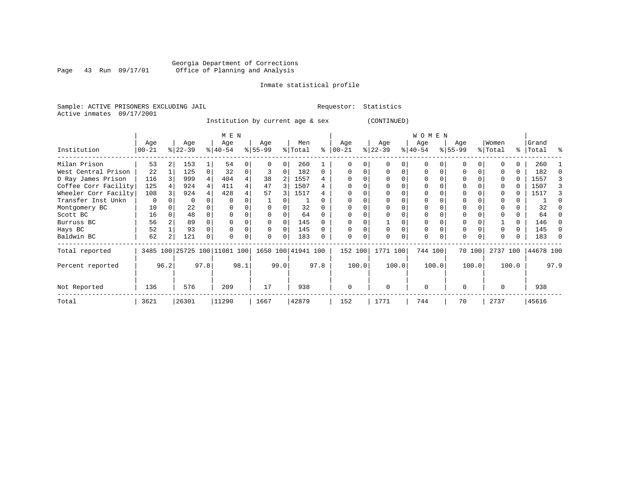Inmate statistical profile

Sample: ACTIVE PRISONERS EXCLUDING JAIL Requestor: Statistics Active inmates 09/17/2001

Institution by current age & sex (CONTINUED)

| (CONTINIED) |  |  |
|-------------|--|--|

|                      |           |      |           |      | M E N                        |      |           |      |                    |      |             |       |          |       | <b>WOMEN</b> |       |              |        |          |       |           |          |
|----------------------|-----------|------|-----------|------|------------------------------|------|-----------|------|--------------------|------|-------------|-------|----------|-------|--------------|-------|--------------|--------|----------|-------|-----------|----------|
|                      | Age       |      | Age       |      | Age                          |      | Age       |      | Men                |      | Age         |       | Age      |       | Age          |       | Age          |        | Women    |       | Grand     |          |
| Institution          | $00 - 21$ |      | $ 22-39 $ |      | $ 40-54 $                    |      | $8 55-99$ |      | % Total            | ႜ    | $ 00 - 21 $ |       | $ 22-39$ |       | $ 40-54 $    |       | $8155 - 99$  |        | % Total  |       | %   Total | န္       |
| Milan Prison         | 53        |      | 153       |      | 54                           | 0    |           |      | 260                |      |             |       |          |       | U            |       |              |        |          |       | 260       |          |
| West Central Prison  | 22        |      | 125       |      | 32                           | 0    |           |      | 182                |      |             |       |          |       | O            |       |              |        |          |       | 182       |          |
| D Ray James Prison   | 116       |      | 999       |      | 404                          |      | 38        |      | 1557               |      |             |       |          |       |              |       |              |        |          |       | 1557      |          |
| Coffee Corr Facility | 125       |      | 924       |      | 411                          |      | 47        |      | 1507               |      |             |       |          |       |              |       |              |        |          |       | 1507      |          |
| Wheeler Corr Facilty | 108       |      | 924       |      | 428                          |      | 57        | 3    | 1517               |      |             |       |          |       |              |       |              |        |          |       | 1517      |          |
| Transfer Inst Unkn   | 0         |      | 0         |      | 0                            |      |           |      |                    |      |             |       |          |       | 0            |       |              |        |          |       |           |          |
| Montgomery BC        | 10        |      | 22        |      |                              |      |           |      | 32                 |      |             |       |          |       |              |       |              |        |          |       | 32        |          |
| Scott BC             | 16        |      | 48        |      |                              |      |           |      | 64                 |      |             |       |          |       | 0            |       |              |        |          |       | 64        |          |
| Burruss BC           | 56        |      | 89        |      |                              |      |           |      | 145                |      |             |       |          |       | O            |       |              |        |          | 0     | 146       |          |
| Hays BC              | 52        |      | 93        |      |                              | 0    |           | ∩    | 145                |      |             |       |          |       | 0            |       | 0            |        |          | 0     | 145       | $\Omega$ |
| Baldwin BC           | 62        |      | 121       | 0    | $\Omega$                     | 0    | $\Omega$  |      | 183                |      | $\Omega$    | 0     | ∩        |       | $\Omega$     |       | $\Omega$     |        |          |       | 183       | $\Omega$ |
| Total reported       |           |      |           |      | 3485 100 25725 100 11081 100 |      |           |      | 1650 100 41941 100 |      | 152 100     |       | 1771 100 |       | 744 100      |       |              | 70 100 | 2737 100 |       | 44678 100 |          |
| Percent reported     |           | 96.2 |           | 97.8 |                              | 98.1 |           | 99.0 |                    | 97.8 |             | 100.0 |          | 100.0 |              | 100.0 |              | 100.0  |          | 100.0 |           | 97.9     |
| Not Reported         | 136       |      | 576       |      | 209                          |      | 17        |      | 938                |      | $\mathbf 0$ |       | $\Omega$ |       | $\Omega$     |       | <sup>0</sup> |        |          |       | 938       |          |
| Total                | 3621      |      | 26301     |      | 11290                        |      | 1667      |      | 42879              |      | 152         |       | 1771     |       | 744          |       | 70           |        | 2737     |       | 45616     |          |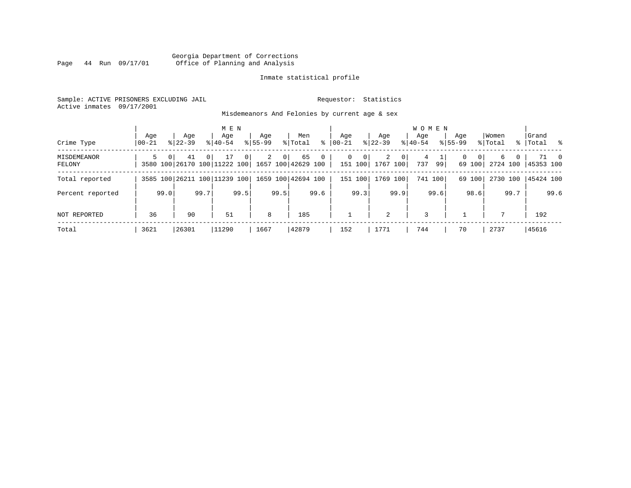# Georgia Department of Corrections Page 44 Run 09/17/01 Office of Planning and Analysis

# Inmate statistical profile

Sample: ACTIVE PRISONERS EXCLUDING JAIL **Requestor:** Statistics Active inmates 09/17/2001

Misdemeanors And Felonies by current age & sex

| Crime Type                   | Aqe<br>$00 - 21$ | Aqe<br>$8122 - 39$                                                | $8140 - 54$ | M E N<br>Age         | Aqe<br>$8155 - 99$ |                | Men<br>% Total | ∻              | Age<br>$ 00-21 $ |                | Aqe<br>$8 22-39$      |                | <b>WOMEN</b><br>Aqe<br>$ 40-54 $ |      | Aqe<br>$8155 - 99$ |                          | Women<br>% Total |          | Grand<br>%   Total % |      |
|------------------------------|------------------|-------------------------------------------------------------------|-------------|----------------------|--------------------|----------------|----------------|----------------|------------------|----------------|-----------------------|----------------|----------------------------------|------|--------------------|--------------------------|------------------|----------|----------------------|------|
| <b>MISDEMEANOR</b><br>FELONY | 5                | $\Omega$<br>41<br>3580 100 26170 100 11222 100 1657 100 42629 100 | $\Omega$    | 0 <sup>1</sup><br>17 | 2                  | 0 <sup>1</sup> | 65             | $\overline{0}$ | 0                | 0 <sup>1</sup> | 2<br>151 100 1767 100 | 0 <sup>1</sup> | 4<br>737                         | 99   | 0                  | 0 <sup>1</sup><br>69 100 | 6<br>2724 100    | $\Omega$ | 45353 100            | 71 0 |
| Total reported               |                  | 3585 100 26211 100 11239 100                                      |             |                      | 1659 100 42694 100 |                |                |                |                  | 151 100        | 1769 100              |                | 741                              | 100  |                    | 69 100                   | 2730 100         |          | 45424 100            |      |
| Percent reported             |                  | 99.0                                                              | 99.7        | 99.5                 |                    | 99.5           |                | 99.6           |                  | 99.3           |                       | 99.9           |                                  | 99.6 |                    | 98.6                     |                  | 99.7     |                      | 99.6 |
| NOT REPORTED                 | 36               | 90                                                                |             | 51                   | 8                  |                | 185            |                |                  |                | 2                     |                | 3                                |      |                    |                          | 7                |          | 192                  |      |
| Total                        | 3621             | 26301                                                             | 11290       |                      | 1667               |                | 42879          |                | 152              |                | 1771                  |                | 744                              |      | 70                 |                          | 2737             |          | 45616                |      |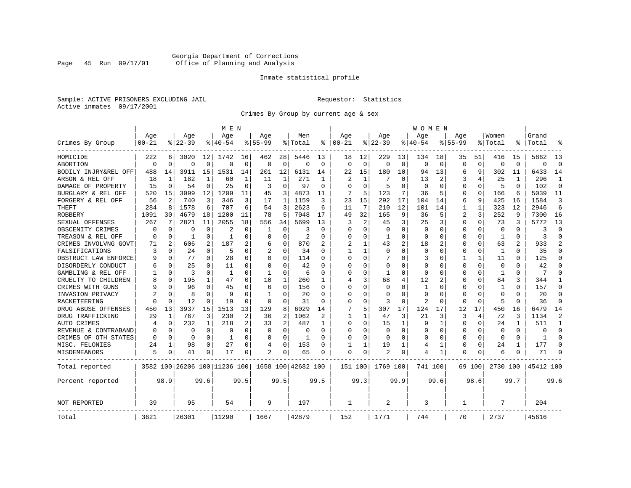# Georgia Department of Corrections Page 45 Run 09/17/01 Office of Planning and Analysis

# Inmate statistical profile

Sample: ACTIVE PRISONERS EXCLUDING JAIL **Requestor:** Statistics Active inmates 09/17/2001

Crimes By Group by current age & sex

|                      |           |                |           |          | M E N                        |                |                |              |                    |              |            |          |             |             | W O M E N    |             |             |          |              |                |           |                |
|----------------------|-----------|----------------|-----------|----------|------------------------------|----------------|----------------|--------------|--------------------|--------------|------------|----------|-------------|-------------|--------------|-------------|-------------|----------|--------------|----------------|-----------|----------------|
|                      | Age       |                | Age       |          | Age                          |                | Aqe            |              | Men                |              | Age        |          | Age         |             | Aqe          |             | Aqe         |          | Women        |                | Grand     |                |
| Crimes By Group      | $00 - 21$ |                | $8 22-39$ |          | $8140 - 54$                  |                | $8155 - 99$    |              | % Total            | ႜ            | $ 00 - 21$ |          | $8122 - 39$ |             | $8140 - 54$  |             | $8155 - 99$ |          | % Total      |                | Total     |                |
| HOMICIDE             | 222       | 6              | 3020      | 12       | 1742                         | 16             | 462            | 28           | 5446               | 13           | 18         | 12       | 229         | 13          | 134          | 18          | 35          | 51       | 416          | 15             | 5862      | 13             |
| ABORTION             | $\Omega$  | $\mathbf 0$    | $\Omega$  | 0        | $\Omega$                     | $\mathbf 0$    | $\Omega$       | 0            | $\Omega$           | $\Omega$     | $\Omega$   | $\Omega$ | $\Omega$    | $\mathbf 0$ | $\Omega$     | $\mathbf 0$ | $\Omega$    | $\Omega$ | $\Omega$     | $\Omega$       | $\Omega$  | $\Omega$       |
| BODILY INJRY&REL OFF | 488       | 14             | 3911      | 15       | 1531                         | 14             | 201            | 12           | 6131               | 14           | 22         | 15       | 180         | 10          | 94           | 13          | 6           | 9        | 302          | 11             | 6433      | 14             |
| ARSON & REL OFF      | 18        | 1              | 182       | 1        | 60                           | 1              | 11             | 1            | 271                | -1           | 2          |          |             | O           | 13           | 2           | 3           |          | 25           | 1              | 296       | 1              |
| DAMAGE OF PROPERTY   | 15        | $\mathbf 0$    | 54        | 0        | 25                           | $\Omega$       | 3              | 0            | 97                 | $\Omega$     | $\Omega$   | $\Omega$ | 5           | $\Omega$    | $\Omega$     | $\Omega$    | $\Omega$    | $\Omega$ | 5            | $\Omega$       | 102       | $\Omega$       |
| BURGLARY & REL OFF   | 520       | 15             | 3099      | 12       | 1209                         | 11             | 45             | 3            | 4873               | 11           | 7          | 5        | 123         | 7           | 36           | 5           | 0           | 0        | 166          | 6              | 5039      | 11             |
| FORGERY & REL OFF    | 56        | 2              | 740       | 3        | 346                          | 3              | 17             | $\mathbf{1}$ | 1159               | 3            | 23         | 15       | 292         | 17          | 104          | 14          | 6           | 9        | 425          | 16             | 1584      | 3              |
| THEFT                | 284       | 8              | 1578      | 6        | 707                          | 6              | 54             | 3            | 2623               | 6            | 11         | 7        | 210         | 12          | 101          | 14          | 1           | 1        | 323          | 12             | 2946      | 6              |
| ROBBERY              | 1091      | 30             | 4679      | 18       | 1200                         | 11             | 78             | 5            | 7048               | 17           | 49         | 32       | 165         | 9           | 36           | 5           | 2           | 3        | 252          | 9              | 7300      | 16             |
| SEXUAL OFFENSES      | 267       | 7              | 2821      | 11       | 2055                         | 18             | 556            | 34           | 5699               | 13           | 3          | 2        | 45          | 3           | 25           | 3           | 0           | 0        | 73           | 3              | 5772      | 13             |
| OBSCENITY CRIMES     | $\Omega$  | 0              | O         | 0        | 2                            | O              | 1              | 0            | 3                  | $\Omega$     | $\Omega$   | $\Omega$ | $\Omega$    | $\Omega$    | <sup>0</sup> | $\Omega$    | $\Omega$    | $\Omega$ | $\Omega$     | $\Omega$       | 3         | $\Omega$       |
| TREASON & REL OFF    | $\Omega$  | 0              | -1        | 0        | 1                            | $\Omega$       | O              | $\Omega$     | 2                  | O            | 0          | $\Omega$ | -1          | $\Omega$    | 0            | $\Omega$    | 0           | 0        | -1           | 0              | 3         | $\Omega$       |
| CRIMES INVOLVNG GOVT | 71        | $\overline{2}$ | 606       | 2        | 187                          | 2              | 6              | 0            | 870                |              |            |          | 43          | 2           | 18           | 2           | U           | $\Omega$ | 63           | $\overline{2}$ | 933       | $\mathfrak{D}$ |
| FALSIFICATIONS       | 3         | $\Omega$       | 24        | 0        | .5                           | 0              | $\mathfrak{D}$ | 0            | 34                 | $\Omega$     | 1          |          | $\Omega$    | O           | <sup>0</sup> | $\Omega$    | O           | 0        | $\mathbf{1}$ | <sup>0</sup>   | 35        | $\Omega$       |
| OBSTRUCT LAW ENFORCE |           | 0              | 77        | 0        | 28                           | 0              | U              | 0            | 114                | U            | $\Omega$   | $\Omega$ |             | O           | 3            | 0           |             | 1        | 11           | U              | 125       | $\Omega$       |
| DISORDERLY CONDUCT   |           | $\Omega$       | 25        | 0        | 11                           | O              | O              | 0            | 42                 |              | $\Omega$   |          | 0           | N           |              | $\Omega$    | 0           | $\Omega$ | $\Omega$     |                | 42        | $\Omega$       |
| GAMBLING & REL OFF   |           | $\Omega$       | 3         | 0        | $\mathbf{1}$                 | O              | $\mathbf{1}$   | $\Omega$     | 6                  | $\Omega$     | $\Omega$   | $\Omega$ | -1          | $\Omega$    | <sup>0</sup> | $\Omega$    | U           | $\Omega$ | $\mathbf{1}$ | 0              | 7         | $\Omega$       |
| CRUELTY TO CHILDREN  |           | 0              | 195       | 1        | 47                           | $\Omega$       | 10             | 1            | 260                | 1            | 4          | ς        | 68          | 4           | 12           | 2           | U           | $\Omega$ | 84           | 3              | 344       | 1              |
| CRIMES WITH GUNS     |           | $\Omega$       | 96        | $\Omega$ | 45                           | O              | 6              | 0            | 156                | O            | $\Omega$   | $\Omega$ | 0           | $\Omega$    | 1            | $\Omega$    | U           | 0        | 1            | 0              | 157       | $\Omega$       |
| INVASION PRIVACY     |           | 0              | 8         | 0        | q                            | O              | -1             | 0            | 20                 | $\Omega$     | ∩          | $\Omega$ | $\Omega$    | O           | ∩            | $\Omega$    | O           | 0        | $\Omega$     | U              | 20        | $\Omega$       |
| RACKETEERING         |           | $\Omega$       | 12        | 0        | 19                           | O              | 0              | 0            | 31                 | U            | $\Omega$   | $\Omega$ | 3           | 0           | 2            | 0           | O           | 0        | 5            | U              | 36        | $\Omega$       |
| DRUG ABUSE OFFENSES  | 450       | 13             | 3937      | 15       | 1513                         | 13             | 129            | 8            | 6029               | 14           |            | 5        | 307         | 17          | 124          | 17          | 12          | 17       | 450          | 16             | 6479      | 14             |
| DRUG TRAFFICKING     | 29        | 1              | 767       | 3        | 230                          | 2              | 36             | 2            | 1062               |              | 1          |          | 47          | 3           | 21           | 3           | 3           | 4        | 72           | ζ              | 1134      | $\overline{2}$ |
| AUTO CRIMES          | 4         | 0              | 232       | 1        | 218                          | $\overline{2}$ | 33             | 2            | 487                | -1.          | $\Omega$   | $\Omega$ | 15          | 1           | 9            | 1           | $\Omega$    | $\Omega$ | 24           |                | 511       | 1              |
| REVENUE & CONTRABAND |           | 0              | 0         | 0        | $\Omega$                     | $\Omega$       | 0              | 0            | 0                  | O            | O          | $\Omega$ | 0           | $\Omega$    | O            | $\Omega$    | 0           | 0        | $\Omega$     | $\Omega$       | O         | $\Omega$       |
| CRIMES OF OTH STATES | $\Omega$  | 0              | 0         | 0        | -1                           | 0              | O              | 0            | 1                  | <sup>0</sup> | ∩          | $\Omega$ | $\Omega$    | 0           | <sup>0</sup> | $\Omega$    | 0           | 0        | $\Omega$     | $\Omega$       | -1        | $\Omega$       |
| MISC. FELONIES       | 24        | 1              | 98        | 0        | 27                           | 0              | 4              | 0            | 153                | O            |            |          | 19          | 1           | 4            | 1           | 0           | 0        | 24           | 1              | 177       | ∩              |
| MISDEMEANORS         | 5         | 0              | 41        | 0        | 17                           | 0              | 2              | 0            | 65                 | 0            | $\Omega$   | 0        | 2           | 0           | 4            | 1           | 0           | 0        | 6            |                | 71        | $\Omega$       |
| Total reported       |           |                |           |          | 3582 100 26206 100 11236 100 |                |                |              | 1658 100 42682 100 |              | 151 100    |          | 1769 100    |             | 741 100      |             |             | 69 100   | 2730 100     |                | 45412 100 |                |
| Percent reported     |           | 98.9           |           | 99.6     |                              | 99.5           |                | 99.5         |                    | 99.5         |            | 99.3     |             | 99.9        |              | 99.6        |             | 98.6     |              | 99.7           |           | 99.6           |
| <b>NOT REPORTED</b>  | 39        |                | 95        |          | 54                           |                | 9              |              | 197                |              | 1          |          | 2           |             | 3            |             | 1           |          | 7            |                | 204       |                |
| Total                | 3621      |                | 26301     |          | 11290                        |                | 1667           |              | 42879              |              | 152        |          | 1771        |             | 744          |             | 70          |          | 2737         |                | 45616     |                |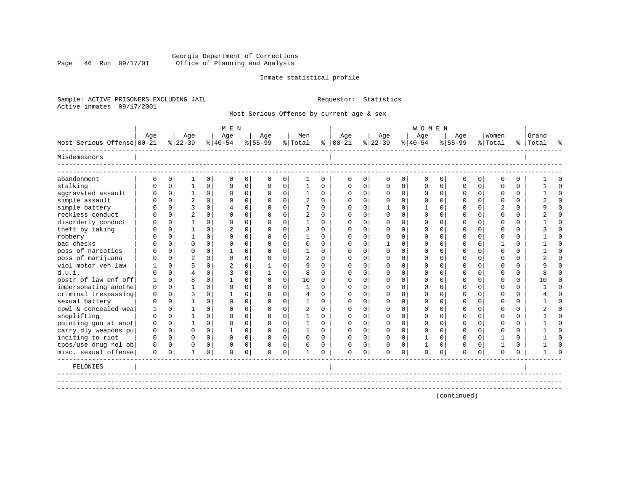# Georgia Department of Corrections Page 46 Run 09/17/01 Office of Planning and Analysis

# Inmate statistical profile

Sample: ACTIVE PRISONERS EXCLUDING JAIL **Requestor:** Statistics Active inmates 09/17/2001

Most Serious Offense by current age & sex

|                            |          |              |                  |             | M E N            |             |                 |             |                |             |                      |              |                  |              | <b>WOMEN</b>     |             |                  |             |                  |          |                    |          |
|----------------------------|----------|--------------|------------------|-------------|------------------|-------------|-----------------|-------------|----------------|-------------|----------------------|--------------|------------------|--------------|------------------|-------------|------------------|-------------|------------------|----------|--------------------|----------|
| Most Serious Offense 00-21 | Age      |              | Age<br>$ 22-39 $ |             | Age<br>$ 40-54 $ |             | Age<br>$ 55-99$ |             | Men<br>% Total |             | Age<br>$8   00 - 21$ |              | Age<br>$ 22-39 $ |              | Age<br>$ 40-54 $ |             | Age<br>$8 55-99$ |             | Women<br>% Total |          | Grand<br>%   Total |          |
| Misdemeanors               |          |              |                  |             |                  |             |                 |             |                |             |                      |              |                  |              |                  |             |                  |             |                  |          |                    |          |
| abandonment                | 0        | $\mathbf 0$  | 1                | $\mathbf 0$ | $\mathbf 0$      | 0           | $\mathbf 0$     | 0           | 1              | $\mathbf 0$ | 0                    | $\mathbf 0$  | $\mathbf 0$      | 0            | $\mathbf 0$      | 0           | 0                | $\mathbf 0$ | $\Omega$         | $\Omega$ |                    | O        |
| stalking                   | $\Omega$ | $\mathbf 0$  | 1                | $\mathbf 0$ | $\Omega$         | 0           | 0               | $\mathsf 0$ | $\mathbf{1}$   | $\Omega$    | $\Omega$             | $\Omega$     | 0                | 0            | $\Omega$         | $\mathbf 0$ | $\Omega$         | $\Omega$    | $\Omega$         | $\Omega$ |                    | $\Omega$ |
| aggravated assault         | $\Omega$ | $\mathbf 0$  | $\mathbf{1}$     | 0           | $\mathbf 0$      | 0           | 0               | $\mathbf 0$ | $\mathbf{1}$   | $\Omega$    | $\Omega$             | 0            | $\mathbf 0$      | 0            | 0                | $\mathbf 0$ | 0                | $\mathbf 0$ | $\Omega$         | $\Omega$ |                    | $\cap$   |
| simple assault             | $\cap$   | $\mathbf{0}$ | $\overline{2}$   | $\Omega$    | $\Omega$         | 0           | $\Omega$        | $\mathbf 0$ | 2              | $\Omega$    | $\Omega$             | $\Omega$     | $\Omega$         | $\Omega$     | $\Omega$         | $\mathbf 0$ | $\Omega$         | $\Omega$    | $\Omega$         | $\Omega$ |                    | $\Omega$ |
| simple battery             |          | $\Omega$     | ζ                | $\Omega$    | $\overline{4}$   | $\mathbf 0$ | $\Omega$        | $\Omega$    | 7              | $\Omega$    | $\Omega$             | $\Omega$     |                  | $\Omega$     |                  | $\Omega$    | U                | $\Omega$    | $\mathfrak{D}$   | $\Omega$ |                    | $\cap$   |
| reckless conduct           |          | $\Omega$     | $\overline{a}$   | $\Omega$    | $\Omega$         | 0           | $\Omega$        | $\Omega$    | 2              | $\cap$      | ∩                    | <sup>n</sup> | C                | $\Omega$     | ∩                | $\Omega$    | ∩                | $\Omega$    | ∩                | $\Omega$ |                    | $\cap$   |
| disorderly conduct         |          | 0            | 1                | $\Omega$    | $\Omega$         | 0           | $\Omega$        | 0           | 1              | $\Omega$    | $\Omega$             | 0            | n                | 0            | ∩                | $\Omega$    | ∩                | $\Omega$    | ∩                | $\Omega$ |                    | $\Omega$ |
| theft by taking            | U        | $\Omega$     | 1                | $\Omega$    | $\overline{2}$   | $\Omega$    | $\Omega$        | $\Omega$    | 3              | $\Omega$    | $\Omega$             | 0            | $\Omega$         | $\Omega$     | ∩                | $\Omega$    | ∩                | $\Omega$    | $\Omega$         | $\Omega$ |                    | $\Omega$ |
| robbery                    |          | $\Omega$     |                  | $\Omega$    | $\Omega$         | $\Omega$    | $\Omega$        | $\Omega$    |                | $\Omega$    | $\Omega$             | 0            | $\Omega$         | $\Omega$     | $\Omega$         | $\Omega$    | ∩                | $\Omega$    | ∩                | $\Omega$ |                    | $\Omega$ |
| bad checks                 |          | $\Omega$     | $\Omega$         | $\Omega$    | $\Omega$         | $\Omega$    | $\Omega$        | $\Omega$    | $\Omega$       | $\Omega$    |                      |              |                  | $\Omega$     |                  | $\Omega$    |                  | $\Omega$    |                  | $\Omega$ |                    | $\Omega$ |
| poss of narcotics          |          | 0            | $\Omega$         | $\Omega$    |                  | $\Omega$    | $\Omega$        | $\Omega$    |                | $\Omega$    | $\Omega$             |              | ∩                | $\Omega$     |                  | $\Omega$    |                  | $\Omega$    | $\cap$           | $\Omega$ |                    | $\Omega$ |
| poss of marijuana          |          | $\mathbf 0$  | $\overline{c}$   | $\Omega$    | $\Omega$         | 0           | $\Omega$        | $\Omega$    |                | $\Omega$    | ∩                    |              | n                | 0            |                  | $\Omega$    |                  | $\Omega$    | ∩                | $\Omega$ |                    | $\Omega$ |
| viol motor yeh law         |          | $\Omega$     | 5                | $\Omega$    |                  | $\Omega$    | 1               | $\Omega$    | 9              | $\Omega$    | $\Omega$             |              | n                | $\Omega$     |                  | $\Omega$    |                  | $\Omega$    | ∩                | $\Omega$ |                    | $\Omega$ |
| d.u.i.                     | U        | $\Omega$     | $\overline{4}$   | $\Omega$    | 3                | $\mathbf 0$ | 1               | $\Omega$    | 8              | $\Omega$    |                      |              | n                | 0            |                  | $\Omega$    |                  | $\Omega$    | ∩                | $\Omega$ |                    | $\Omega$ |
| obstr of law enf off       | 1        | $\Omega$     | $\mathsf{R}$     | $\Omega$    | 1                | $\Omega$    | $\Omega$        | $\Omega$    | 10             | $\Omega$    |                      |              | n                | <sup>n</sup> |                  | $\Omega$    |                  | $\cap$      | ∩                | $\Omega$ | 1 N                | $\Omega$ |
| impersonating anothe       | $\Omega$ | $\Omega$     |                  | $\Omega$    | $\Omega$         | $\Omega$    | $\Omega$        | $\Omega$    | $\mathbf{1}$   | $\cap$      | ∩                    | $\cap$       | n                | $\Omega$     | ∩                | $\Omega$    | ∩                | $\cap$      | $\cap$           | $\Omega$ |                    | $\cap$   |
| criminal trespassing       | $\Omega$ | $\Omega$     | ζ                | $\Omega$    | $\mathbf{1}$     | $\Omega$    | O               | $\Omega$    | $\overline{4}$ | $\Omega$    | ∩                    |              | ∩                | $\Omega$     |                  | $\Omega$    | በ                | $\Omega$    | $\cap$           | $\Omega$ |                    | $\cap$   |
| sexual battery             | $\Omega$ | $\Omega$     | 1                | $\Omega$    | $\Omega$         | $\Omega$    | O               | $\Omega$    | $\mathbf{1}$   | $\Omega$    | O                    | U            | ∩                | $\Omega$     | O                | $\Omega$    | O                | $\Omega$    | ∩                | $\Omega$ |                    | $\Omega$ |
| cpwl & concealed wea       | 1        | $\Omega$     | 1                | $\Omega$    | $\Omega$         | $\Omega$    | $\Omega$        | $\Omega$    | $\overline{2}$ | $\Omega$    | ∩                    |              | ∩                | 0            | ∩                | $\Omega$    | ∩                | $\cap$      | ∩                | $\Omega$ |                    | $\cap$   |
| shoplifting                | $\Omega$ | $\Omega$     | 1                | $\Omega$    | $\Omega$         | $\Omega$    | $\Omega$        | $\Omega$    | 1              | $\Omega$    | $\Omega$             | $\Omega$     | ∩                | $\Omega$     |                  | $\Omega$    | ∩                | $\Omega$    | $\Omega$         | $\Omega$ |                    | $\cap$   |
| pointing gun at anot       | 0        | $\mathbf 0$  | 1                | $\Omega$    | $\Omega$         | $\Omega$    | $\Omega$        | $\Omega$    | 1              | $\Omega$    | $\Omega$             | $\Omega$     | $\Omega$         | $\Omega$     | $\Omega$         | $\Omega$    | U                | $\Omega$    | $\Omega$         | $\Omega$ |                    | $\Omega$ |
| carry dly weapons pu       | 0        | $\mathbf 0$  | $\Omega$         | $\Omega$    | -1               | $\Omega$    | $\Omega$        | $\Omega$    | 1              | $\Omega$    | $\Omega$             | $\Omega$     | $\Omega$         | $\Omega$     | $\Omega$         | $\Omega$    | O                | $\Omega$    | $\Omega$         | $\Omega$ |                    | $\Omega$ |
| inciting to riot           | 0        | $\mathbf 0$  | $\mathbf 0$      | $\Omega$    | $\Omega$         | $\mathbf 0$ | 0               | $\mathbf 0$ | $\mathbf 0$    | $\Omega$    | $\Omega$             | $\Omega$     | $\mathbf 0$      | $\Omega$     |                  | $\mathbf 0$ | 0                | $\Omega$    |                  | $\Omega$ |                    | $\cap$   |
| tpos/use drug rel ob       | 0        | 0            | $\Omega$         | $\mathbf 0$ | $\Omega$         | 0           | O               | $\mathbf 0$ | $\Omega$       | $\Omega$    | $\Omega$             | $\Omega$     | 0                | 0            |                  | $\mathbf 0$ | O                | $\mathbf 0$ |                  | 0        |                    | ∩        |
| misc. sexual offense       | $\Omega$ | 0            | $\mathbf{1}$     | $\mathbf 0$ | $\Omega$         | $\mathbf 0$ | $\Omega$        | $\mathbf 0$ |                | $\Omega$    | $\Omega$             | $\Omega$     | $\Omega$         | 0            | $\Omega$         | $\mathbf 0$ | $\Omega$         | $\mathbf 0$ | $\Omega$         | $\Omega$ |                    | ∩        |
| FELONIES                   |          |              |                  |             |                  |             |                 |             |                |             |                      |              |                  |              |                  |             |                  |             |                  |          |                    |          |
|                            |          |              |                  |             |                  |             |                 |             |                |             |                      |              |                  |              |                  |             | (continued)      |             |                  |          |                    |          |
|                            |          |              |                  |             |                  |             |                 |             |                |             |                      |              |                  |              |                  |             |                  |             |                  |          |                    |          |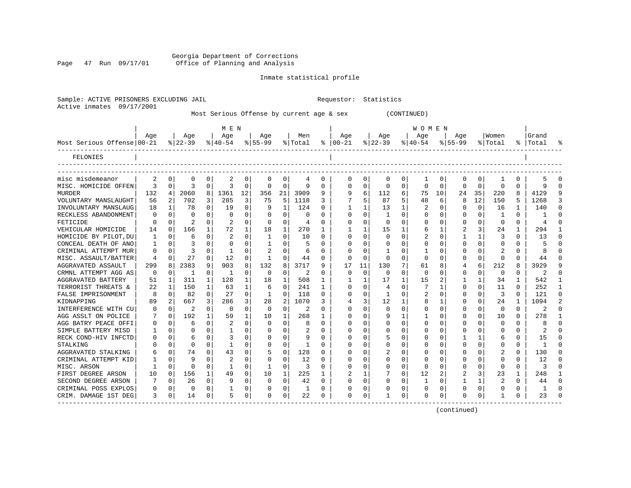Georgia Department of Corrections Page 47 Run 09/17/01 Office of Planning and Analysis

# Inmate statistical profile

|                           | Sample: ACTIVE PRISONERS EXCLUDING JAIL | Requestor: Statistics |  |
|---------------------------|-----------------------------------------|-----------------------|--|
| Active inmates 09/17/2001 |                                         |                       |  |

Most Serious Offense by current age & sex (CONTINUED)

|                            |          |    |           |              | M E N          |              |              |          |         |          |               |              |             |          | W O M E N   |              |             |             |                |          |                |                |
|----------------------------|----------|----|-----------|--------------|----------------|--------------|--------------|----------|---------|----------|---------------|--------------|-------------|----------|-------------|--------------|-------------|-------------|----------------|----------|----------------|----------------|
|                            | Age      |    | Age       |              | Age            |              | Age          |          | Men     |          | Age           |              | Age         |          | Aqe         |              | Aqe         |             | Women          |          | Grand          |                |
| Most Serious Offense 00-21 |          |    | $8 22-39$ |              | $8 40-54$      |              | $8155 - 99$  |          | % Total |          | $8   00 - 21$ |              | $ 22-39 $   |          | $ 40-54$    |              | $8155 - 99$ |             | % Total        |          | %   Total      |                |
| FELONIES                   |          |    |           |              |                |              |              |          |         |          |               |              |             |          |             |              |             |             |                |          |                |                |
|                            |          |    |           |              |                |              |              |          |         |          |               |              |             |          |             |              |             |             |                |          |                |                |
| misc misdemeanor           | 2        | 0  | 0         | 0            | 2              | 0            | 0            | 0        | 4       | 0        | 0             | 0            | 0           | 0        | 1           | 0            | 0           | 0           | 1              | 0        |                |                |
| MISC. HOMICIDE OFFEN       | 3        | 0  | 3         | $\Omega$     | ζ              | $\Omega$     | O            | $\Omega$ | 9       | 0        | O             | 0            | $\Omega$    | $\Omega$ | 0           | $\Omega$     | $\Omega$    | $\mathbf 0$ | $\Omega$       | $\Omega$ |                | ∩              |
| <b>MURDER</b>              | 132      | 4  | 2060      | 8            | 1361           | 12           | 356          | 21       | 3909    | 9        | 9             | б.           | 112         | 6        | 75          | 10           | 24          | 35          | 220            | 8        | 4129           |                |
| VOLUNTARY MANSLAUGHT       | 56       | 2  | 702       | 3            | 285            | 3            | 75           | 5        | 1118    | 3        |               | 5            | 87          | 5        | 48          | 6            | 8           | 12          | 150            | 5        | 1268           | 3              |
| INVOLUNTARY MANSLAUG       | 18       | 1  | 78        | 0            | 19             | 0            | -9           | 1        | 124     | U        |               |              | 13          | 1        | 2           | 0            | 0           | $\mathbf 0$ | 16             |          | 140            |                |
| RECKLESS ABANDONMENT       | O        | 0  | $\Omega$  | 0            | O              | 0            |              | $\Omega$ | O       | U        | $\Omega$      | U            |             | U        | 0           | $\Omega$     | U           | U           |                | 0        |                |                |
| FETICIDE                   | O        | 0  |           | 0            | 2              | 0            | $\Omega$     | $\Omega$ | 4       | U        | $\Omega$      | <sup>0</sup> | $\Omega$    | O        | O           | $\Omega$     | U           | 0           | $\Omega$       | 0        |                |                |
| VEHICULAR HOMICIDE         | 14       | 0  | 166       | 1            | 72             | $\mathbf{1}$ | 18           | 1        | 270     | 1        |               | 1            | 15          |          | 6           | -1           | 2           | 3           | 24             | 1        | 294            |                |
| HOMICIDE BY PILOT, DU      | -1       | 0  | 6         | $\Omega$     | 2              | $\Omega$     | -1           | $\Omega$ | 10      | 0        | $\Omega$      | $\Omega$     | $\Omega$    | $\cap$   | 2           | $\Omega$     |             |             | 3              | 0        | 13             | ∩              |
| CONCEAL DEATH OF ANO       | -1       | 0  | 3         | 0            | O              | 0            |              | $\Omega$ | 5       | U        | O             | $\Omega$     | $\Omega$    | 0        | Ω           | $\Omega$     | U           | $\Omega$    | $\Omega$       | 0        |                |                |
| CRIMINAL ATTEMPT MUR       | 0        | 0  | 3         | $\Omega$     | -1             | 0            | 2            | $\Omega$ | 6       | U        |               | 0            |             | 0        | 1           | $\Omega$     | 0           | 0           | 2              | U        |                |                |
| MISC. ASSAULT/BATTER       | 4        | 0  | 27        | 0            | 12             | 0            | $\mathbf{1}$ | $\Omega$ | 44      | 0        | $\Omega$      | 0            | $\mathbf 0$ | $\Omega$ | $\Omega$    | $\Omega$     | 0           | 0           | $\mathbf 0$    | 0        | 44             |                |
| AGGRAVATED ASSAULT         | 299      | 8  | 2383      | 9            | 903            | 8            | 132          | 8        | 3717    | 9        | 17            | 11           | 130         | 7        | 61          | 8            | 4           | 6           | 212            | 8        | 3929           |                |
| CRMNL ATTEMPT AGG AS       | $\Omega$ | 0  | -1        | 0            | 1              | $\Omega$     | $\Omega$     | $\Omega$ | 2       | $\Omega$ | 0             | $\Omega$     | $\mathbf 0$ | $\Omega$ | $\mathbf 0$ | $\Omega$     | $\Omega$    | 0           | $\mathbf 0$    | $\Omega$ | 2              | $\cap$         |
| AGGRAVATED BATTERY         | 51       | 1  | 311       | $\mathbf{1}$ | 128            | 1            | 18           | 1        | 508     | 1        | -1            | 1            | 17          | 1        | 15          | 2            | 1           | 1           | 34             | 1        | 542            | -1             |
| TERRORIST THREATS &        | 22       | -1 | 150       | $\mathbf{1}$ | 63             | $\mathbf{1}$ | 6            | $\Omega$ | 241     | 1        | $\Omega$      | $\Omega$     | 4           | $\Omega$ | 7           | 1            | 0           | $\Omega$    | 11             | 0        | 252            | -1             |
| FALSE IMPRISONMENT         | 8        | 0  | 82        | $\Omega$     | 27             | $\Omega$     | -1           | $\Omega$ | 118     | 0        | $\Omega$      | 0            | 1           | $\Omega$ | 2           | $\Omega$     | 0           | 0           | 3              | 0        | 121            | $\Omega$       |
| KIDNAPPING                 | 89       | 2  | 667       | 3            | 286            | 3            | 28           | 2        | 1070    | ς        |               | 3            | 12          |          | 8           |              | U           | 0           | 24             | 1        | 1094           | $\overline{2}$ |
| INTERFERENCE WITH CU       | 0        | U  | 2         | 0            | $\Omega$       | O            | $\Omega$     | 0        | 2       | U        | O             | U            | 0           | O        | 0           | $\Omega$     | 0           | 0           | 0              | O        | 2              | $\Omega$       |
| AGG ASSLT ON POLICE        | 7        | 0  | 192       |              | 59             | 1            | 10           | 1        | 268     | 1        | $\Omega$      | U            | 9           |          |             | $\Omega$     | U           | 0           | 10             | 0        | 278            | -1             |
| AGG BATRY PEACE OFFI       | U        | O  | 6         | 0            |                | $\Omega$     | $\cap$       | $\Omega$ | 8       | U        | $\Omega$      | U            | U           | O        | U           | <sup>0</sup> | ∩           |             | $\Omega$       | 0        |                |                |
| SIMPLE BATTERY MISD        |          | U  |           | <sup>n</sup> | -1             | 0            |              | $\Omega$ | 2       | U        | O             | U            | U           | O        | O           | $\Omega$     | ∩           |             | $\Omega$       | 0        | $\mathfrak{D}$ |                |
| RECK COND-HIV INFCTD       | U        | U  |           | 0            |                | 0            |              | $\Omega$ | 9       | U        | O             | 0            |             | O        | Ω           | $\Omega$     |             |             | 6              | 0        | 15             |                |
| STALKING                   |          | U  | $\Omega$  | 0            | -1             | 0            |              | $\Omega$ | -1      | U        | O             | 0            | U           | O        | Ω           | $\Omega$     | U           | $\Omega$    | $\Omega$       | 0        |                |                |
| AGGRAVATED STALKING        | 6        | 0  | 74        | 0            | 43             | 0            | 5            | $\Omega$ | 128     | U        | O             | 0            |             | O        | Ω           | $\Omega$     | U           | 0           | 2              | 0        | 130            |                |
| CRIMINAL ATTEMPT KID       |          | 0  | q         | 0            | $\overline{2}$ | $\Omega$     |              | $\Omega$ | 12      | U        | 0             | 0            | 0           | $\Omega$ | 0           | $\Omega$     | 0           | $\Omega$    | $\Omega$       | U        | 12             |                |
| MISC. ARSON                | 1        | 0  | $\Omega$  | $\Omega$     | $\mathbf{1}$   | 0            |              | 0        | 3       | O        |               | 0            | 0           | 0        | $\Omega$    | $\Omega$     | 0           | $\Omega$    | $\mathbf 0$    | O        | ζ              |                |
| FIRST DEGREE ARSON         | 10       | 0  | 156       | $\mathbf{1}$ | 49             | $\Omega$     | 10           | 1        | 225     | 1        |               | 1            |             | $\Omega$ | 12          | 2            | 2           | 3           | 23             | 1        | 248            | -1             |
| SECOND DEGREE ARSON        | 7        | 0  | 26        | $\Omega$     | 9              | $\Omega$     | $\Omega$     | $\Omega$ | 42      | 0        | $\Omega$      | $\Omega$     | U           | O        | 1           | $\Omega$     | 1           | 1           | $\overline{2}$ | $\Omega$ | 44             | $\cap$         |
| CRIMINAL POSS EXPLOS       | 0        | 0  | $\Omega$  | $\Omega$     | 1              | 0            |              | $\Omega$ | 1       | 0        | O             | 0            | U           | 0        | U           | 0            | U           | 0           | $\Omega$       | 0        | -1             | $\cap$         |
| CRIM. DAMAGE 1ST DEG       | 3        | 0  | 14        | $\Omega$     | 5              | 0            | U            | $\Omega$ | 22      | 0        | $\Omega$      | 0            |             | 0        | U           | $\Omega$     | U           | 0           | -1             | 0        | 23             |                |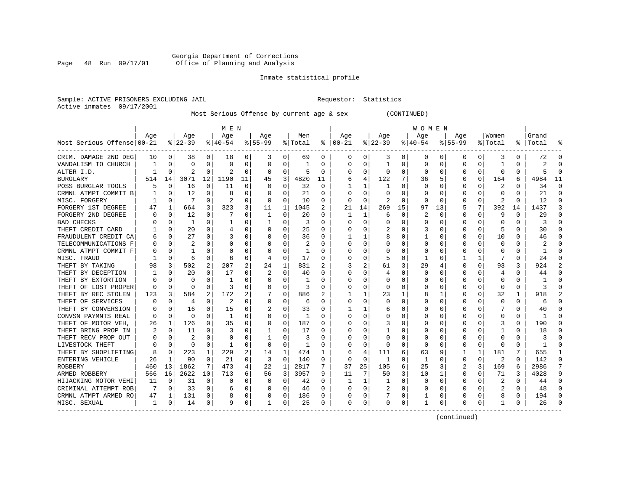# Georgia Department of Corrections Page 48 Run 09/17/01 Office of Planning and Analysis

# Inmate statistical profile

Sample: ACTIVE PRISONERS EXCLUDING JAIL **Requestor:** Statistics Active inmates 09/17/2001

Most Serious Offense by current age & sex (CONTINUED)

|                             |     |          |                |              | M E N        |          |           |             |         |              |            |          |          |    | W O M E N    |          |             |             |          |          |           |          |
|-----------------------------|-----|----------|----------------|--------------|--------------|----------|-----------|-------------|---------|--------------|------------|----------|----------|----|--------------|----------|-------------|-------------|----------|----------|-----------|----------|
|                             | Age |          | Age            |              | Age          |          | Age       |             | Men     |              | Age        |          | Age      |    | Age          |          | Aqe         |             | Women    |          | Grand     |          |
| Most Serious Offense 00-21  |     |          | $ 22-39$       |              | $8 40-54$    |          | $8 55-99$ |             | % Total | ៖            | $ 00 - 21$ |          | $ 22-39$ |    | $ 40-54$     |          | $8155 - 99$ |             | % Total  |          | %   Total |          |
| CRIM. DAMAGE 2ND DEG        | 10  | 0        | 38             | 0            | 18           | 0        | 3         | 0           | 69      | 0            |            | 0        | 3        | 0  | 0            | 0        | 0           | 0           | 3        | $\Omega$ | 72        |          |
| VANDALISM TO CHURCH         |     | $\Omega$ | U              | 0            | $\Omega$     | 0        | 0         | $\Omega$    | 1       | $\Omega$     |            | O        | -1       | 0  | Ω            | $\Omega$ | 0           | U           | -1       | $\Omega$ |           |          |
| ALTER I.D.                  |     | $\Omega$ | $\mathfrak{D}$ | <sup>0</sup> | 2            | 0        | $\Omega$  | 0           |         | $\Omega$     |            | O        | $\Omega$ | U  | <sup>0</sup> | 0        | U           | $\Omega$    | $\Omega$ | $\Omega$ |           |          |
| <b>BURGLARY</b>             | 514 | 14       | 3071           | 12           | 1190         | 11       | 45        | 3           | 4820    | 11           | 6          | 4        | 122      | 7  | 36           | 5        | 0           | 0           | 164      | 6        | 4984      | 11       |
| POSS BURGLAR TOOLS          |     | 0        | 16             | 0            | 11           | 0        | U         | $\mathbf 0$ | 32      | 0            |            |          |          | U  |              | $\Omega$ |             | U           | 2        | O        | 34        | $\Omega$ |
| CRMNL ATMPT COMMIT B        |     | $\Omega$ | 12             | U            | 8            | 0        |           | 0           | 21      | $\Omega$     |            | U        |          | U  |              | $\Omega$ | 0           | U           | O        | $\Omega$ | 21        | $\Omega$ |
| MISC. FORGERY               |     | $\Omega$ | 7              | 0            | 2            | 0        | $\Omega$  | 0           | 10      | $\Omega$     |            | $\Omega$ | 2        | U  | n            | $\Omega$ | U           | U           | 2        | $\Omega$ | 12        | $\Omega$ |
| FORGERY 1ST DEGREE          |     | 1        | 664            | 3            | 323          | 3        | 11        | 1           | 1045    | 2            | 21         | 14       | 269      | 15 | 97           | 13       | 5           | 7           | 392      | 14       | 1437      | 3        |
| FORGERY 2ND DEGREE          |     | $\Omega$ | 12             | 0            |              | 0        | -1        | 0           | 20      | $\Omega$     |            | 1        | 6        | 0  | 2            | $\Omega$ | 0           | 0           | 9        | $\Omega$ | 29        | ∩        |
| BAD CHECKS                  |     | $\Omega$ |                | 0            |              | 0        |           | 0           | 3       |              |            |          | C        | 0  |              | 0        |             | 0           |          |          |           |          |
| THEFT CREDIT CARD           |     | $\Omega$ | 20             | U            |              | 0        |           | 0           | 25      | $\Omega$     |            |          |          |    |              | $\Omega$ | U           | U           |          | U        | 30        |          |
| FRAUDULENT CREDIT CA        |     | $\Omega$ | 27             | U            |              | 0        |           | 0           | 36      | $\Omega$     |            |          |          | U  |              | O        | U           | 0           | 10       | 0        | 46        |          |
| TELECOMMUNICATIONS F        |     | $\Omega$ |                |              |              | O        |           | O           | 2       | <sup>0</sup> |            |          | O        | U  |              | O        |             | U           | -C       | O        |           |          |
| CRMNL ATMPT COMMIT F        |     | $\Omega$ |                | U            |              | U        |           | 0           | 1       | 0            |            |          |          | U  |              | $\Omega$ |             | U           | -C       | N        |           |          |
| MISC. FRAUD                 |     | $\Omega$ | 6              | $\Omega$     | 6            | 0        | 4         | 0           | 17      | $\Omega$     |            |          | 5        | U  |              | $\Omega$ |             | $\mathbf 1$ |          | $\Omega$ | 24        |          |
| THEFT BY TAKING             | 98  | 3        | 502            | 2            | 207          | 2        | 24        | 1           | 831     |              |            | 2        | 61       | 3  | 29           | 4        | U           | 0           | 93       | 3        | 924       |          |
| THEFT BY DECEPTION          |     | $\Omega$ | 20             | 0            | 17           | 0        | 2         | 0           | 40      | 0            |            |          |          | U  | O            | 0        | 0           | O           | 4        | 0        | 44        | ∩        |
| THEFT BY EXTORTION          |     | O        | O              | U            |              | 0        | U         | 0           |         | O            |            |          | O        | U  |              | 0        | O           | U           | 0        | O        |           |          |
| THEFT OF LOST PROPER        |     | $\Omega$ | O              |              |              | 0        |           | 0           | З       |              |            |          | O        |    |              | 0        |             | O           | -0       |          |           |          |
| THEFT BY REC STOLEN         | 123 | 3        | 584            | 2            | 172          | 2        |           | 0           | 886     |              |            |          | 23       |    |              | 1        | U           |             | 32       | 1        | 918       |          |
| THEFT OF SERVICES           |     | $\Omega$ | 4              | U            |              | 0        | U         | 0           | 6       | $\Omega$     | O          |          | O        | U  |              | $\Omega$ |             | U           | $\Omega$ | $\Omega$ |           |          |
| THEFT BY CONVERSION         |     | $\Omega$ | 16             | U            | 15           | 0        |           | $\Omega$    | 33      | $\Omega$     |            |          | 6        | U  |              | $\Omega$ |             | U           | 7        | $\Omega$ | 40        |          |
| CONVSN PAYMNTS REAL         |     | $\Omega$ | U              | U            | -1           | $\Omega$ | U         | 0           | 1       | O            |            |          |          |    |              | $\Omega$ |             | U           | $\Omega$ | 0        |           |          |
| THEFT OF MOTOR VEH,         | 26  | 1        | 126            | 0            | 35           | 0        |           | 0           | 187     |              |            |          |          |    |              | 0        |             | U           |          | $\Omega$ | 190       |          |
| THEFT BRING PROP IN         |     | $\Omega$ | 11             | U            | 3            | 0        |           | O           | 17      | $\Omega$     |            |          |          |    |              | $\Omega$ |             |             |          | 0        | 18        |          |
| THEFT RECV PROP OUT         |     | $\Omega$ | 2              | U            | 0            | 0        |           | 0           | 3       | 0            |            |          | O        | U  |              | 0        | O           | U           | 0        | 0        |           | ∩        |
| LIVESTOCK THEFT             |     | 0        | U              | 0            | -1           | 0        | O         | 0           |         | 0            |            | O        | $\Omega$ | U  | O            | 0        | O           | 0           | 0        | O        |           |          |
| THEFT BY SHOPLIFTING        |     | 0        | 223            | 1            | 229          | 2        | 14        | 1           | 474     | 1            |            | 4        | 111      | 6  | 63           | 9        |             | 1           | 181      |          | 655       |          |
| ENTERING VEHICLE            | 26  | 1        | 90             | 0            | 21           | 0        | 3         | $\Omega$    | 140     | $\Omega$     | $\Omega$   | $\Omega$ | -1       | U  | 1            |          | 0           | $\Omega$    | 2        | 0        | 142       |          |
| <b>ROBBERY</b>              | 460 | 13       | 1862           | 7            | 473          | 4        | 22        | 1           | 2817    | 7            | 37         | 25       | 105      | 6  | 25           | 3        | 2           | 3           | 169      | 6        | 2986      |          |
| ARMED ROBBERY               | 566 | 16       | 2622           | 10           | 713          | 6        | 56        | 3           | 3957    | 9            | 11         | 7        | 50       | 3  | 10           | 1        | 0           | 0           | 71       | 3        | 4028      | q        |
| HIJACKING MOTOR VEHI        | 11  | 0        | 31             | 0            | <sup>0</sup> | 0        | O         | 0           | 42      | $\Omega$     |            |          | -1       | 0  |              | $\Omega$ | U           | 0           | 2        | 0        | 44        |          |
| CRIMINAL ATTEMPT ROB        |     | 0        | 33             | $\Omega$     | 6            | 0        |           | 0           | 46      | $\Omega$     |            | $\Omega$ | 2        | U  |              | 0        |             | U           | 2        | 0        | 48        |          |
| CRMNL ATMPT ARMED RO        | 47  | 1        | 131            | 0            | 8            | 0        |           | 0           | 186     | $\Omega$     |            | 0        |          | 0  |              | 0        | U           | 0           | 8        | 0        | 194       |          |
| MISC. SEXUAL<br>----------- | 1   | 0        | 14             | 0            | q            | 0        | -1        | 0           | 25      | 0            | $\Omega$   | 0        | U        | 0  | 1            | 0        | O           | 0           | -1       | 0        | 26        |          |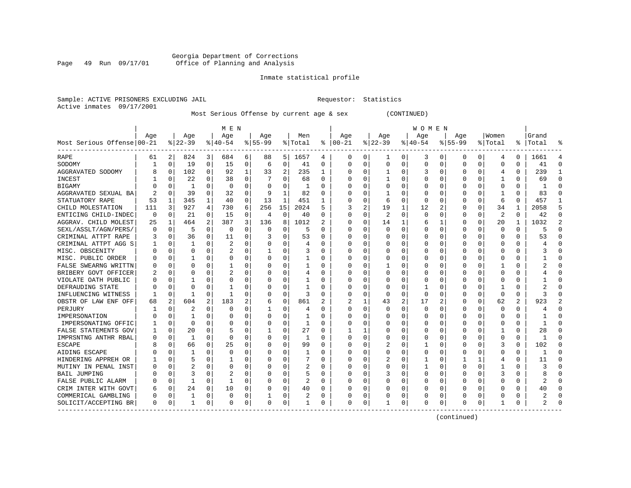# Georgia Department of Corrections Page 49 Run 09/17/01 Office of Planning and Analysis

# Inmate statistical profile

|                           | Sample: ACTIVE PRISONERS EXCLUDING JAIL | Requestor: Statistics |  |
|---------------------------|-----------------------------------------|-----------------------|--|
| Active inmates 09/17/2001 |                                         |                       |  |

# Most Serious Offense by current age & sex (CONTINUED)

|                            |          |          |          |          | M E N       |          |           |          |                |          |          |          |          |                | W O M E N    |          |             |          |                |          |           |                |
|----------------------------|----------|----------|----------|----------|-------------|----------|-----------|----------|----------------|----------|----------|----------|----------|----------------|--------------|----------|-------------|----------|----------------|----------|-----------|----------------|
|                            | Age      |          | Age      |          | Age         |          | Age       |          | Men            |          | Age      |          | Age      |                | Age          |          | Age         |          | Women          |          | Grand     |                |
| Most Serious Offense 00-21 |          |          | $ 22-39$ |          | $ 40-54$    |          | $8 55-99$ |          | % Total        | ៖        | $ 00-21$ |          | $ 22-39$ |                | $8 40-54$    |          | $8155 - 99$ |          | % Total        |          | %   Total | °              |
| RAPE                       | 61       | 2        | 824      | 3        | 684         | 6        | 88        | 51       | 1657           | 4        | 0        | 0        | 1        | 0              | 3            | 0        | 0           | 0        | 4              | 0        | 1661      | 4              |
| SODOMY                     |          | 0        | 19       | 0        | 15          | 0        | 6         | 0        | 41             | 0        | $\Omega$ | $\Omega$ | 0        | 0              |              | 0        | 0           | 0        | $\Omega$       | 0        | 41        | $\Omega$       |
| AGGRAVATED SODOMY          |          | $\Omega$ | 102      | 0        | 92          | 1        | 33        | 2        | 235            | 1        | $\Omega$ | $\Omega$ |          | 0              | 3            | $\Omega$ | U           | 0        | $\overline{4}$ | 0        | 239       | 1              |
| INCEST                     |          | $\Omega$ | 22       | 0        | 38          | $\Omega$ |           | O        | 68             | $\Omega$ |          | $\Omega$ |          | 0              |              | $\Omega$ | Ω           | 0        |                | 0        | 69        | $\Omega$       |
| <b>BIGAMY</b>              |          | 0        | -1       | 0        | $\mathbf 0$ | 0        |           | 0        | -1             | O        |          | $\Omega$ | 0        | $\Omega$       |              | 0        |             | 0        | $\Omega$       | 0        |           | $\Omega$       |
| AGGRAVATED SEXUAL BA       |          | 0        | 39       | 0        | 32          | $\Omega$ | 9         | 1        | 82             | $\Omega$ |          | $\Omega$ |          | 0              |              | $\Omega$ |             | U        | 1              | $\Omega$ | 83        | $\Omega$       |
| STATUATORY RAPE            | 53       | 1        | 345      | 1        | 40          | 0        | 13        | 1        | 451            | 1        | $\Omega$ | 0        | 6        | 0              |              | 0        | 0           | 0        | 6              | $\Omega$ | 457       | 1              |
| CHILD MOLESTATION          | 111      | 3        | 927      | 4        | 730         | 6        | 256       | 15       | 2024           | 5        | 3        | 2        | 19       | 1              | 12           | 2        | 0           | 0        | 34             | 1        | 2058      | 5              |
| ENTICING CHILD-INDEC       | $\Omega$ | 0        | 21       | 0        | 15          | $\Omega$ | 4         | 0        | 40             | O        | $\Omega$ | $\Omega$ | 2        | 0              | 0            | $\Omega$ | 0           | 0        | 2              | 0        | 42        | $\Omega$       |
| AGGRAV. CHILD MOLEST       | 25       | 1        | 464      | 2        | 387         | 3        | 136       | 8        | 1012           |          |          | $\Omega$ | 14       | 1              |              | 1        | 0           | 0        | 20             |          | 1032      | $\overline{2}$ |
| SEXL/ASSLT/AGN/PERS/       |          | $\Omega$ | 5        | 0        | $\Omega$    | O        | O         | U        | 5              | U        | $\Omega$ | ∩        | $\cap$   | 0              |              | $\Omega$ | U           | U        | $\Omega$       | 0        | 5         | $\Omega$       |
| CRIMINAL ATTPT RAPE        |          | $\Omega$ | 36       | 0        | 11          | $\Omega$ |           | U        | 53             | U        | $\Omega$ | $\Omega$ | C        | O              |              | ∩        | U           | 0        | ∩              | $\Omega$ | 53        | $\Omega$       |
| CRIMINAL ATTPT AGG S       |          | 0        | 1        | 0        | 2           | $\Omega$ |           | 0        | 4              | O        |          | $\Omega$ | 0        | 0              |              | $\Omega$ | Ω           | 0        | $\Omega$       | 0        |           | $\Omega$       |
| MISC. OBSCENITY            |          | 0        | 0        | 0        | 2           | 0        |           | 0        | 3              | O        |          | 0        | 0        | 0              |              | 0        |             | U        | $\Omega$       | $\Omega$ |           | $\Omega$       |
| MISC. PUBLIC ORDER         |          | $\Omega$ |          | 0        | $\Omega$    | O        | U         | 0        | 1              | O        | $\Omega$ | $\Omega$ | 0        | 0              |              | $\Omega$ | Ω           | 0        | $\Omega$       | $\Omega$ |           | $\Omega$       |
| FALSE SWEARNG WRITTN       |          | $\Omega$ | 0        | 0        |             | O        |           | 0        |                | O        | $\Omega$ | $\Omega$ |          | 0              |              | $\Omega$ | Ω           | U        |                | 0        |           | $\Omega$       |
| BRIBERY GOVT OFFICER       |          | $\Omega$ | 0        | 0        | 2           | 0        | U         | 0        | 4              | 0        | $\Omega$ | $\Omega$ | O        | 0              |              | $\Omega$ | 0           | U        | ∩              | 0        |           | $\Omega$       |
| VIOLATE OATH PUBLIC        |          | $\Omega$ |          |          | 0           | O        | U         | 0        |                | O        |          | $\Omega$ | O        | 0              |              | $\Omega$ |             | U        | $\Omega$       | 0        |           | $\Omega$       |
| DEFRAUDING STATE           |          | $\Omega$ | U        |          |             | O        | U         | 0        |                | n        |          |          | O        | 0              |              | $\Omega$ |             | U        | -1             | O        |           | ∩              |
| INFLUENCING WITNESS        |          | $\Omega$ | -1       | 0        | -1          | 0        | U         | $\Omega$ | 3              | U        | $\Omega$ | $\Omega$ | $\Omega$ | 0              | <sup>0</sup> | $\Omega$ | Ω           | 0        | ∩              | 0        |           | ∩              |
| OBSTR OF LAW ENF OFF       | 68       | 2        | 604      | 2        | 183         | 2        | 6         | 0        | 861            | 2        |          |          | 43       | $\overline{a}$ | 17           | 2        | 0           | $\Omega$ | 62             | 2        | 923       | $\overline{2}$ |
| PERJURY                    |          | $\Omega$ | 2        | 0        | $\Omega$    | $\Omega$ |           | 0        | 4              | O        | $\Omega$ | $\Omega$ | $\Omega$ | $\Omega$       | 0            | $\Omega$ | 0           | 0        | $\Omega$       | 0        |           | $\Omega$       |
| IMPERSONATION              |          | $\Omega$ |          | 0        | $\Omega$    | 0        |           | 0        |                | 0        | $\Omega$ | $\Omega$ | 0        | 0              |              | $\Omega$ | 0           | 0        | $\Omega$       | 0        |           | $\Omega$       |
| IMPERSONATING OFFIC        |          | $\Omega$ | 0        | 0        | 0           | 0        |           | 0        | 1              | O        |          | $\Omega$ | C        | 0              |              | $\Omega$ | 0           | U        | $\Omega$       | 0        |           | $\Omega$       |
| FALSE STATEMENTS GOV       |          | $\Omega$ | 20       | 0        | 5           | O        |           | 0        | 27             | $\Omega$ |          |          | C        | 0              |              | $\Omega$ | 0           | U        |                | 0        | 28        | $\Omega$       |
| IMPRSNTNG ANTHR RBAL       |          | 0        | 1        | 0        | $\Omega$    | O        | U         | 0        | 1              | O        | $\Omega$ | $\Omega$ | O        | 0              |              | $\Omega$ | 0           | U        | $\Omega$       | 0        |           | $\Omega$       |
| <b>ESCAPE</b>              |          | $\Omega$ | 66       | 0        | 25          | 0        | U         | 0        | 99             |          | $\Omega$ | 0        | 2        | 0              |              | $\Omega$ |             | 0        | 3              | 0        | 102       | $\Omega$       |
| AIDING ESCAPE              |          | $\Omega$ |          |          | $\Omega$    | $\Omega$ | U         | O        |                | O        | $\Omega$ |          | $\cap$   | N              |              | $\Omega$ |             | O        | $\Omega$       | $\Omega$ |           | $\Omega$       |
| HINDERING APPREH OR        |          | $\Omega$ | 5        | O        |             | O        | U         | U        |                | O        | $\Omega$ | $\Omega$ | 2        | 0              |              | $\Omega$ |             | 1        | $\overline{4}$ | 0        | 11        | $\Omega$       |
| MUTINY IN PENAL INST       |          | $\Omega$ | 2        | U        | $\Omega$    | O        | 0         | U        | 2              | O        | O        | $\Omega$ | O        | 0              |              | $\Omega$ | 0           | 0        |                | 0        |           | ∩              |
| <b>BAIL JUMPING</b>        |          | $\Omega$ | 3        | 0        | 2           | O        |           | $\Omega$ | 5              | 0        |          | $\Omega$ | 3        | 0              |              | $\Omega$ | 0           | 0        | 3              | 0        |           | $\Omega$       |
| FALSE PUBLIC ALARM         |          | 0        | 1        | 0        | -1          | O        |           | 0        | 2              | 0        |          | $\Omega$ | C        | 0              |              | $\Omega$ |             | 0        | U              | $\Omega$ |           | ∩              |
| CRIM INTER WITH GOVT       |          | $\Omega$ | 24       | $\Omega$ | 10          | $\Omega$ | O         | $\Omega$ | 40             | $\Omega$ |          | $\Omega$ | O        | O              |              | $\Omega$ | U           | $\Omega$ | $\Omega$       | $\Omega$ | 40        | $\Omega$       |
| COMMERICAL GAMBLING        |          | 0        | 1        | 0        | $\Omega$    | 0        | 1         | 0        | $\overline{2}$ | O        | $\Omega$ | 0        | C        | 0              |              | 0        | U           | 0        | $\Omega$       | 0        |           | $\Omega$       |
| SOLICIT/ACCEPTING BR       | $\Omega$ | 0        | 1        | 0        | $\Omega$    | 0        | $\Omega$  | 0        |                | $\Omega$ | $\Omega$ | 0        |          | 0              | <sup>0</sup> | 0        | U           | 0        |                | $\Omega$ |           | $\Omega$       |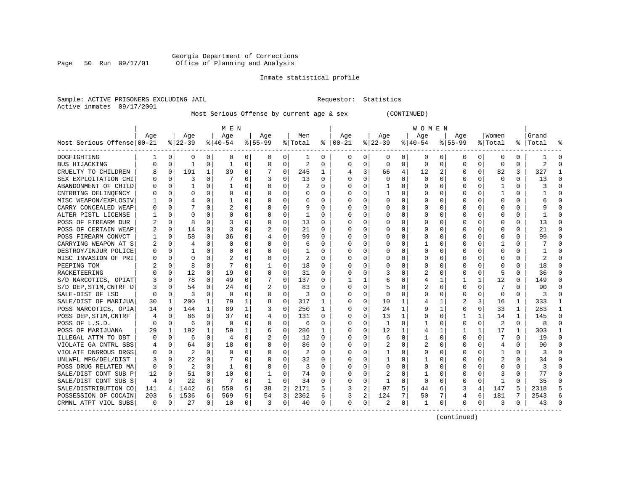# Georgia Department of Corrections Page 50 Run 09/17/01 Office of Planning and Analysis

# Inmate statistical profile

|                           | Sample: ACTIVE PRISONERS EXCLUDING JAIL | Requestor: Statistics |  |
|---------------------------|-----------------------------------------|-----------------------|--|
| Active inmates 09/17/2001 |                                         |                       |  |

# Most Serious Offense by current age & sex (CONTINUED)

|                            |          |              |           |                | M E N          |                |           |          |                |              |            |          |              |          | W O M E N    |              |          |              |                |              |                |          |
|----------------------------|----------|--------------|-----------|----------------|----------------|----------------|-----------|----------|----------------|--------------|------------|----------|--------------|----------|--------------|--------------|----------|--------------|----------------|--------------|----------------|----------|
|                            | Age      |              | Age       |                | Age            |                | Age       |          | Men            |              | Age        |          | Age          |          | Age          |              | Age      |              | Women          |              | Grand          |          |
| Most Serious Offense 00-21 |          |              | $8 22-39$ |                | $8 40-54$      |                | $8 55-99$ |          | % Total        |              | $% 100-21$ |          | $ 22-39 $    |          | $ 40-54 $    |              | $ 55-99$ |              | % Total        |              | %   Total      | ႜ        |
| DOGFIGHTING                | -1       | 0            | 0         | $\overline{0}$ | 0              | $\overline{0}$ | 0         | 0        | 1              | 0            | 0          | 0        | 0            | 0        | 0            | 0            | 0        | 0            | 0              | 0            |                | $\Omega$ |
| BUS HIJACKING              |          | 0            |           | 0              | -1             | 0              | 0         | 0        | $\overline{2}$ | O            | $\Omega$   | 0        | $\Omega$     | 0        | <sup>0</sup> | 0            | 0        | $\Omega$     | $\Omega$       | 0            | $\overline{2}$ | $\Omega$ |
| CRUELTY TO CHILDREN        |          | 0            | 191       | 1              | 39             | 0              | 7         | 0        | 245            | 1            | 4          | 3        | 66           | 4        | 12           | 2            | Ω        | $\Omega$     | 82             | 3            | 327            | 1        |
| SEX EXPLOITATION CHI       |          | $\Omega$     | ζ         | 0              | 7              | $\Omega$       | 3         | $\Omega$ | 13             | $\Omega$     | $\Omega$   | $\Omega$ | $\Omega$     | $\Omega$ | ∩            | $\Omega$     | U        | $\Omega$     | $\Omega$       | $\Omega$     | 13             | $\Omega$ |
| ABANDONMENT OF CHILD       |          | $\Omega$     | 1         | $\Omega$       | -1             | $\Omega$       | $\Omega$  | $\Omega$ | $\overline{2}$ | $\Omega$     | $\Omega$   | $\Omega$ | -1           | $\Omega$ | O            | $\Omega$     | U        | $\Omega$     | -1             | $\Omega$     | 3              | $\Omega$ |
| CNTRBTNG DELINOENCY        |          | $\Omega$     | 0         | 0              | $\Omega$       | 0              | 0         | $\Omega$ | $\Omega$       | 0            | $\Omega$   | $\Omega$ | -1           | 0        |              | $\Omega$     | 0        | 0            | 1              | 0            |                | $\Omega$ |
| MISC WEAPON/EXPLOSIV       |          | $\Omega$     | 4         | U              | 1              | 0              | U         | 0        | 6              | O            | $\Omega$   | $\Omega$ | O            | 0        |              | $\Omega$     | 0        | 0            | $\Omega$       | $\Omega$     |                | $\Omega$ |
| CARRY CONCEALED WEAP       |          | $\Omega$     |           | 0              |                | 0              | U         | 0        | 9              | $\Omega$     | $\Omega$   | $\Omega$ | O            | 0        |              | $\Omega$     | Ω        | 0            | $\Omega$       | 0            |                | ∩        |
| ALTER PISTL LICENSE        |          | $\Omega$     | O         | U              | $\Omega$       | 0              | U         | 0        | 1              | $\Omega$     | O          | $\Omega$ | O            | 0        |              | $\Omega$     | O        | 0            | $\Omega$       | 0            |                | ∩        |
| POSS OF FIREARM DUR        |          | 0            | 8         | 0              | 3              | O              | O         | $\Omega$ | 13             | 0            | O          | $\Omega$ | 0            | 0        |              | 0            |          | U            | U              | O            | 13             | $\Omega$ |
| POSS OF CERTAIN WEAP       |          | $\Omega$     | 14        |                | 3              | $\Omega$       |           | O        | 21             | $\Omega$     | $\Omega$   | $\Omega$ | O            | O        |              | $\Omega$     |          |              | $\Omega$       |              | 21             | $\Omega$ |
| POSS FIREARM CONVCT        |          | $\Omega$     | 58        | $\Omega$       | 36             | $\Omega$       | 4         | O        | 99             | $\Omega$     | $\Omega$   | $\Omega$ | $\cap$       | $\Omega$ |              | $\Omega$     | Ω        | $\Omega$     | $\Omega$       | $\Omega$     | 99             | $\Omega$ |
| CARRYING WEAPON AT S       | 2        | $\Omega$     | 4         | 0              | $\Omega$       | $\Omega$       | 0         | $\Omega$ | 6              | $\Omega$     | $\Omega$   | $\Omega$ | $\Omega$     | 0        |              | $\Omega$     | U        | 0            |                | 0            |                | ∩        |
| DESTROY/INJUR POLICE       | 0        | 0            |           | 0              | $\mathbf 0$    | $\Omega$       | U         | 0        | -1             | O            | 0          | $\Omega$ | $\Omega$     | $\Omega$ |              | 0            | Ω        | $\Omega$     | $\Omega$       | 0            |                | ∩        |
| MISC INVASION OF PRI       |          | $\Omega$     | O         | 0              |                | 0              | U         | $\Omega$ | 2              | $\Omega$     | ∩          | $\Omega$ | O            | O        |              | $\Omega$     | U        | 0            | $\Omega$       | $\Omega$     |                | $\Omega$ |
| PEEPING TOM                |          | 0            | 8         | 0              | 7              | 0              | 1         | 0        | 18             | $\Omega$     | $\Omega$   | $\Omega$ | 0            | 0        |              | $\Omega$     | O        | 0            | ∩              | <sup>0</sup> | 18             | ∩        |
| RACKETEERING               |          | 0            | 12        | 0              | 19             | 0              | 0         | $\Omega$ | 31             | $\Omega$     | $\Omega$   | $\Omega$ | 3            | O        | 2            | $\Omega$     | O        | 0            | 5              | $\Omega$     | 36             | $\Omega$ |
| S/D NARCOTICS, OPIAT       |          | $\Omega$     | 78        | 0              | 49             | 0              | 7         | $\Omega$ | 137            | O            |            |          | 6            | O        | 4            | 1            |          | $\mathbf{1}$ | 12             | 0            | 149            | $\Omega$ |
| S/D DEP, STIM, CNTRF D     |          | $\Omega$     | 54        | $\Omega$       | 24             | $\Omega$       | 2         | 0        | 83             | $\Omega$     | $\Omega$   | $\Omega$ | 5            | 0        |              | $\Omega$     | O        | $\Omega$     |                | $\cap$       | 90             | $\Omega$ |
| SALE-DIST OF LSD           | $\Omega$ | $\Omega$     | 3         | 0              | $\Omega$       | 0              | 0         | 0        | 3              | <sup>0</sup> | $\Omega$   | $\Omega$ | $\Omega$     | O        |              | $\Omega$     | U        | 0            | $\Omega$       | 0            | 3              | ∩        |
| SALE/DIST OF MARIJUA       | 30       | 1            | 200       | 1              | 79             | 1              | 8         | 0        | 317            | 1            | O          | $\Omega$ | 10           | 1        |              | 1            | 2        | 3            | 16             | 1            | 333            |          |
| POSS NARCOTICS, OPIA       | 14       | 0            | 144       | $\mathbf{1}$   | 89             | 1              | 3         | 0        | 250            | 1            | 0          | $\Omega$ | 24           | 1        |              | 1            | 0        | $\Omega$     | 33             | 1            | 283            | 1        |
| POSS DEP, STIM, CNTRF      |          | 0            | 86        | 0              | 37             | $\Omega$       | 4         | 0        | 131            | $\Omega$     | 0          | $\Omega$ | 13           | 1        |              | 0            |          | 1            | 14             | 1            | 145            | $\Omega$ |
| POSS OF L.S.D.             |          | $\Omega$     | 6         | 0              | $\Omega$       | 0              | $\Omega$  | $\Omega$ | 6              | $\Omega$     | $\Omega$   | $\Omega$ | $\mathbf{1}$ | $\Omega$ |              | $\Omega$     | 0        | $\Omega$     | 2              | $\Omega$     | 8              | $\Omega$ |
| POSS OF MARIJUANA          | 29       | $\mathbf{1}$ | 192       | 1              | 59             | 1              | 6         | $\Omega$ | 286            | 1            | $\Omega$   | $\Omega$ | 12           | 1        | 4            | $\mathbf{1}$ |          | 1            | 17             | 1            | 303            | 1        |
| ILLEGAL ATTM TO OBT        |          | $\Omega$     | 6         | 0              | $\overline{4}$ | 0              | 2         | 0        | 12             | O            | $\Omega$   | $\Omega$ | 6            | 0        |              | $\Omega$     | 0        | 0            | 7              | O            | 19             | $\Omega$ |
| VIOLATE GA CNTRL SBS       |          | 0            | 64        | 0              | 18             | O              | 0         | U        | 86             | U            | $\Omega$   | $\Omega$ | 2            | O        |              | $\Omega$     | Ω        | U            | $\overline{4}$ |              | 90             | $\Omega$ |
| VIOLATE DNGROUS DRGS       |          | $\Omega$     | 2         | 0              | $\Omega$       | O              | 0         | 0        |                | U            | $\Omega$   | $\Omega$ |              | 0        | <sup>0</sup> | $\Omega$     | U        | U            |                | 0            |                | ∩        |
| UNLWFL MFG/DEL/DIST        | 3        | $\Omega$     | 22        | 0              | 7              | 0              | 0         | $\Omega$ | 32             | $\Omega$     | O          | $\Omega$ | -1           | 0        |              | $\Omega$     | U        | 0            | 2              | 0            | 34             | ∩        |
| POSS DRUG RELATED MA       | $\Omega$ | $\Omega$     | 2         | 0              | -1             | 0              | O         | $\Omega$ | 3              | <sup>0</sup> | $\Omega$   | $\Omega$ | 0            | $\Omega$ | O            | $\Omega$     | O        | 0            | $\Omega$       | 0            | 3              | ∩        |
| SALE/DIST CONT SUB P       | 12       | 0            | 51        | $\Omega$       | 10             | $\Omega$       | 1         | 0        | 74             | $\Omega$     | $\Omega$   | $\Omega$ | 2            | $\Omega$ |              | $\Omega$     | Ω        | $\Omega$     | 3              | $\Omega$     | 77             | $\Omega$ |
| SALE/DIST CONT SUB S       | 4        | $\Omega$     | 22        | $\Omega$       | 7              | $\Omega$       | 1         | $\Omega$ | 34             | $\Omega$     | $\Omega$   | $\Omega$ | $\mathbf{1}$ | $\Omega$ | $\Omega$     | $\Omega$     | U        | $\Omega$     | $\mathbf{1}$   | $\Omega$     | 35             | $\Omega$ |
| SALE/DISTRIBUTION CO       | 141      | 4            | 1442      | 6              | 550            | 5              | 38        | 2        | 2171           | 5            | २          | 2        | 97           | 5        | 44           | 6            | ζ        | 4            | 147            | 5            | 2318           | 5        |
| POSSESSION OF COCAIN       | 203      | 6            | 1536      | 6              | 569            | 5              | 54        | 3        | 2362           | 6            | 3          | 2        | 124          | 7        | 50           | 7            | 4        | 6            | 181            | 7            | 2543           | 6        |
| CRMNL ATPT VIOL SUBS       | 0        | 0            | 27        | 0              | 10             | $\overline{0}$ | 3         | 0        | 40             | 0            | 0          | 0        | 2            | 0        |              | 0            | 0        | 0            | 3              | 0            | 43             | $\Omega$ |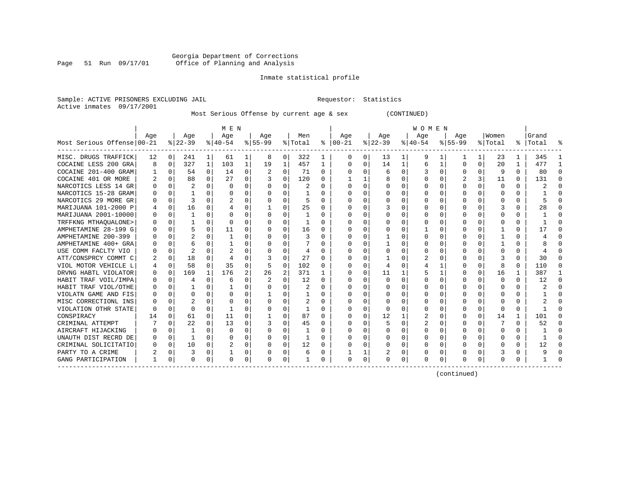# Georgia Department of Corrections Page 51 Run 09/17/01 Office of Planning and Analysis

# Inmate statistical profile

| Sample: ACTIVE PRISONERS EXCLUDING JAIL | Requestor: Statistics |  |
|-----------------------------------------|-----------------------|--|
| Active inmates 09/17/2001               |                       |  |

Most Serious Offense by current age & sex (CONTINUED)

|                            |     |          |          |              | M E N    |                |          |          |         |                  |              |             |           |          | W O M E N |          |             |              |              |   |       |          |
|----------------------------|-----|----------|----------|--------------|----------|----------------|----------|----------|---------|------------------|--------------|-------------|-----------|----------|-----------|----------|-------------|--------------|--------------|---|-------|----------|
|                            | Age |          | Age      |              | Age      |                | Age      |          | Men     |                  | Age          |             | Age       |          | Age       |          | Aqe         |              | Women        |   | Grand |          |
| Most Serious Offense 00-21 |     |          | $ 22-39$ |              | $ 40-54$ |                | $ 55-99$ |          | % Total | ႜ                | $ 00-21$     |             | $ 22-39 $ |          | $ 40-54$  |          | $8155 - 99$ |              | % Total      | ိ | Total | 옹        |
| MISC. DRUGS TRAFFICK       | 12  | $\Omega$ | 241      | 1            | 61       | ı              | 8        | 0        | 322     | ı                | 0            | 0           | 13        | 1        | 9         |          |             |              | 23           | ı | 345   |          |
| COCAINE LESS 200 GRA       | 8   | $\Omega$ | 327      | 1            | 103      | $\mathbf 1$    | 19       | 1        | 457     | $\mathbf{1}$     | <sup>0</sup> | $\Omega$    | 14        | 1        | 6         | 1        | ∩           | 0            | 20           | 1 | 477   |          |
| COCAINE 201-400 GRAM       |     | $\Omega$ | 54       | 0            | 14       | 0              |          | 0        | 71      | $\Omega$         |              | 0           | 6         | $\Omega$ |           | $\Omega$ | U           | 0            | 9            | 0 | 80    | $\Omega$ |
| COCAINE 401 OR MORE        |     | $\Omega$ | 88       | 0            | 27       | 0              |          | 0        | 120     | 0                |              |             |           | 0        |           | $\Omega$ |             | 3            | 11           | 0 | 131   | $\Omega$ |
| NARCOTICS LESS 14 GR       |     |          |          | 0            | 0        | 0              |          | O        | 2       | 0                |              | 0           |           | 0        |           | n        |             |              | $\Omega$     | 0 |       |          |
| NARCOTICS 15-28 GRAM       |     |          |          |              | ∩        | $\Omega$       |          | $\Omega$ |         | <sup>n</sup>     |              | 0           |           | O        |           | n        | n           |              | n            | 0 |       |          |
| NARCOTICS 29 MORE GR       |     | $\Omega$ |          | U            |          | 0              | O        | $\Omega$ | 5       | 0                |              | 0           | U         | 0        | O         | n        | U           |              | O            | 0 |       |          |
| MARIJUANA 101-2000 P       |     | $\Omega$ | 16       | 0            |          | 0              | 1        | 0        | 25      | 0                |              | $\Omega$    |           | O        | U         | 0        | U           | 0            |              | 0 | 28    |          |
| MARIJUANA 2001-10000       |     | O        |          | O            |          | 0              | 0        | $\Omega$ |         | O                |              | $\Omega$    | 0         | $\Omega$ |           | $\Omega$ | O           |              | C            | 0 |       |          |
| TRFFKNG MTHAOUALONE>       |     | U        |          | U            | 0        | 0              | 0        | $\Omega$ |         | 0                |              | 0           |           | $\Omega$ |           | n        | n           |              | C            | 0 |       |          |
| AMPHETAMINE 28-199 G       |     | $\cap$   |          | U            | 11       | U              |          | $\Omega$ | 16      | U                |              | $\Omega$    |           | O        |           | n        |             |              |              | 0 |       |          |
| AMPHETAMINE 200-399        |     | $\Omega$ |          |              |          | 0              |          | O        | 3       | O                |              | 0           |           | O        |           | C        |             |              |              | 0 |       |          |
| AMPHETAMINE 400+ GRA       |     | 0        |          | 0            |          | 0              | U        | O        |         | $\left( \right)$ |              | $\Omega$    |           | O        | $^{(1)}$  | 0        | U           | 0            |              | 0 |       |          |
| USE COMM FACLTY VIO        |     | $\Omega$ |          |              |          | 0              |          | 0        | 4       | O                |              | 0           |           | 0        |           | C        |             |              | ſ            | 0 |       |          |
| ATT/CONSPRCY COMMT C       |     | $\Omega$ | 18       |              |          | 0              |          | $\Omega$ | 27      | <sup>0</sup>     |              | 0           |           |          |           | n        |             |              |              | 0 | 30    |          |
| VIOL MOTOR VEHICLE L       |     | $\Omega$ | 58       | $\Omega$     | 35       | $\Omega$       | 5        | 0        | 102     | O                |              | $\Omega$    | 4         | O        |           |          | U           |              |              | 0 | 110   | ∩        |
| DRVNG HABTL VIOLATOR       |     | $\Omega$ | 169      | $\mathbf{1}$ | 176      | $\overline{a}$ | 26       | 2        | 371     |                  |              | $\Omega$    | 11        | 1        |           |          | U           | <sup>0</sup> | 16           |   | 387   |          |
| HABIT TRAF VOIL/IMPA       |     | $\Omega$ |          | 0            | 6        | $\Omega$       |          | $\Omega$ | 12      | $\Omega$         | n            | $\Omega$    | $\Omega$  | $\Omega$ |           | $\Omega$ | O           | U            | $\Omega$     | 0 | 12    | $\Omega$ |
| HABIT TRAF VIOL/OTHE       |     |          |          | U            |          | 0              |          | $\Omega$ | 2       | 0                |              | $\Omega$    |           | 0        |           | 0        |             |              | 0            | 0 | z.    | $\cap$   |
| VIOLATN GAME AND FIS       |     |          |          | U            |          | $\Omega$       |          | $\Omega$ |         | U                |              | 0           | O         | O        |           | n        | n           |              | O            | 0 |       |          |
| MISC CORRECTIONL INS       |     | U        |          |              |          | $\Omega$       |          | 0        |         | O                |              | $\Omega$    |           | O        |           | $\Omega$ | n           |              | C            | U |       |          |
| VIOLATION OTHR STATE       | n   | U        | U        | 0            |          | 0              | U        | $\Omega$ | -1      | 0                |              | $\Omega$    | 0         | O        | O         | 0        | O           | 0            | n            | 0 |       |          |
| CONSPIRACY                 | 14  | $\Omega$ | 61       | $\Omega$     | 11       | 0              |          | $\Omega$ | 87      | O                |              | $\Omega$    | 12        | 1        |           | $\Omega$ | O           | 0            | 14           | 1 | 101   |          |
| CRIMINAL ATTEMPT           |     |          | 22       | $\Omega$     | 13       | $\Omega$       |          | $\Omega$ | 45      | O                |              | 0           |           | O        | 2         | n        |             |              |              | 0 | 52    |          |
| AIRCRAFT HIJACKING         |     |          |          | U            | $\Omega$ | U              |          | O        |         | U                |              | 0           | $\Omega$  | O        |           | $\cap$   |             |              | O            | 0 |       |          |
| UNAUTH DIST RECRD DE       |     | $\Omega$ |          | U            |          | 0              | O        | 0        |         | O                |              | 0           |           | 0        |           | $\Omega$ | U           | <sup>0</sup> | C            | U |       |          |
| CRIMINAL SOLICITATIO       |     | $\Omega$ | 10       | 0            |          | 0              | $\Omega$ | $\Omega$ | 12      | 0                |              | $\Omega$    | 0         | 0        | O         | 0        | O           | 0            | $\left($     | 0 | 12    | -0       |
| PARTY TO A CRIME           |     | $\Omega$ | 3        | 0            |          | 0              | 0        | 0        | 6       | 0                |              | 1           | 2         | 0        |           | 0        | 0           |              |              | 0 |       |          |
| GANG PARTICIPATION         |     | O        | U        | 0            | $\Omega$ | 0              | O        | 0        |         | O                | $\Omega$     | $\mathbf 0$ |           | 0        | O         | $\Omega$ | U           | 0            | <sup>0</sup> | U |       |          |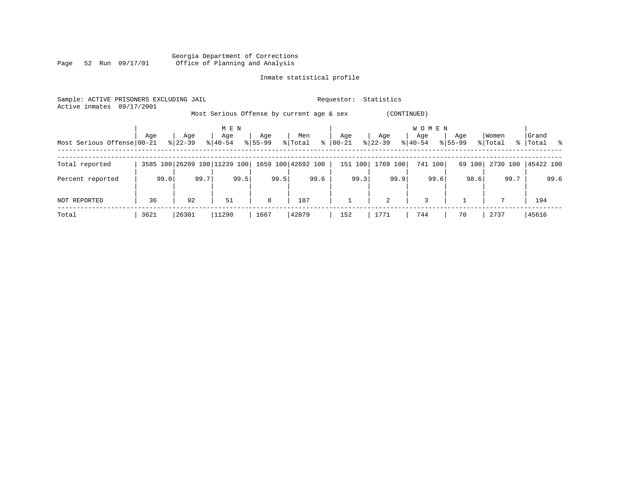|      |  |                 |  | Georgia Department of Corrections |  |  |
|------|--|-----------------|--|-----------------------------------|--|--|
| Page |  | 52 Run 09/17/01 |  | Office of Planning and Analysis   |  |  |

| Sample: ACTIVE PRISONERS EXCLUDING JAIL<br>Active inmates | 09/17/2001 |           |                              |             |                                           | Requestor:   | Statistics  |                       |             |          |             |
|-----------------------------------------------------------|------------|-----------|------------------------------|-------------|-------------------------------------------|--------------|-------------|-----------------------|-------------|----------|-------------|
|                                                           |            |           |                              |             | Most Serious Offense by current age & sex |              | (CONTINUED) |                       |             |          |             |
|                                                           | Age        | Age       | M E N<br>Age                 | Age         | Men                                       | Age          | Age         | <b>WOMEN</b><br>Age   | Age         | Women    | Grand       |
| Most Serious Offense 00-21                                |            | $8 22-39$ | $8140 - 54$                  | $8155 - 99$ | $\frac{8}{6}$<br>% Total                  | 00-21        | $ 22-39 $   | $\frac{1}{6}$   40-54 | $8155 - 99$ | % Total  | %   Total % |
| Total reported                                            |            |           | 3585 100 26209 100 11239 100 |             | 1659 100 42692 100                        | 151 100      | 1769 100    | 741 100               | 69 100      | 2730 100 | 45422 100   |
| Percent reported                                          | 99.0       | 99.7      | 99.5                         | 99.5        | 99.6                                      | 99.3         | 99.9        | 99.6                  | 98.6        | 99.7     | 99.6        |
| NOT REPORTED                                              | 36         | 92        | 51                           | 8           | 187                                       | $\mathbf{1}$ | 2           | 3                     |             |          | 194         |
| Total                                                     | 3621       | 26301     | 11290                        | 1667        | 42879                                     | 152          | 1771        | 744                   | 70          | 2737     | 45616       |